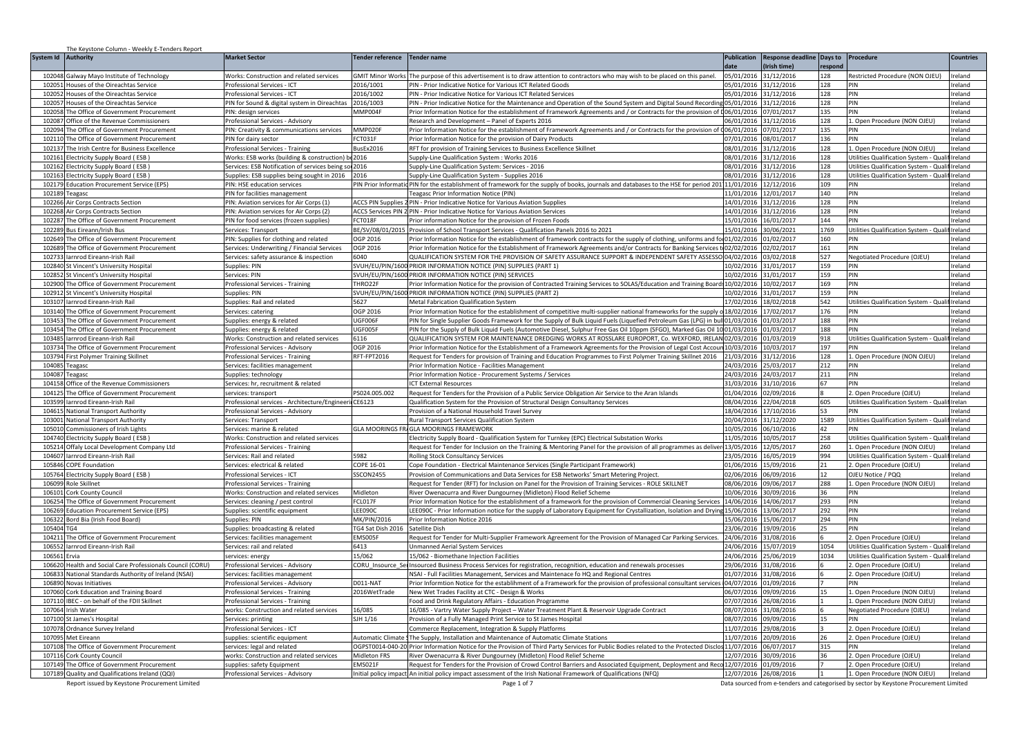| System Id<br>Authority<br><b>Market Sector</b><br><b>Tender reference</b><br><b>Tender name</b><br><b>Publication</b><br>Response deadline Days to Procedure<br><b>Countries</b><br>atch<br>Irish timel<br>respond<br><b>GMIT Minor Works</b><br>05/01/2016<br>31/12/2016<br>102048<br>Galway Mayo Institute of Technology<br><b>Norks: Construction and related services</b><br>The purpose of this advertisement is to draw attention to contractors who may wish to be placed on this panel<br>128<br>Restricted Procedure (NON OJEU)<br>Ireland<br>102051<br>Houses of the Oireachtas Service<br>rofessional Services - ICT<br>2016/1001<br>PIN - Prior Indicative Notice for Various ICT Related Goods<br>05/01/2016<br>31/12/2016<br>128<br>Ireland<br>PIN<br>2016/1002<br>102052<br>Houses of the Oireachtas Service<br>rofessional Services - ICT<br>PIN - Prior Indicative Notice for Various ICT Related Services<br>05/01/2016<br>1/12/2016<br>128<br>PIN<br>Ireland<br>10205<br>Houses of the Oireachtas Service<br>IN for Sound & digital system in Oireachtas<br>2016/1003<br>PIN - Prior Indicative Notice for the Maintenance and Operation of the Sound System and Digital Sound Recording 05/01/2016<br>31/12/2016<br>128<br>PIN<br>Ireland<br>102058<br>MMP004F<br>Prior Information Notice for the establishment of Framework Agreements and / or Contracts for the provision of 006/01/2016<br>The Office of Government Procurement<br>07/01/2017<br>135<br>PIN<br>Ireland<br>PIN: design services<br>102087<br>06/01/2016<br>31/12/2016<br>128<br>Office of the Revenue Commissioners<br>rofessional Services - Advisory<br>Research and Development - Panel of Experts 2016<br>1. Open Procedure (NON OJEU)<br>Ireland<br>102094<br>The Office of Government Procurement<br>PIN: Creativity & communications services<br>MMP020F<br>Prior Information Notice for the establishment of Framework Agreements and / or Contracts for the provision of 006/01/2016<br>07/01/2017<br>135<br>Ireland<br>PIN<br>CT031F<br>102110<br>The Office of Government Procurement<br>PIN for dairy sector<br>Prior Information Notice for the provision of Dairy Products<br>07/01/2016<br>08/01/2017<br>136<br>PIN<br>Ireland<br>10213<br>The Irish Centre for Business Excellence<br>BusEx2016<br>RFT for provision of Training Services to Business Excellence Skillnet<br>08/01/2016<br>31/12/2016<br>128<br>1. Open Procedure (NON OJEU)<br>Ireland<br>rofessional Services - Training<br>08/01/2016<br>10216<br>lectricity Supply Board (ESB)<br>Works: ESB works (building & construction) b<br>2016<br>Supply-Line Qualification System: Works 2016<br>31/12/2016<br>128<br>Utilities Qualification System - Qua<br>fireland<br>08/01/2016<br>31/12/2016<br>128<br>102162<br>lectricity Supply Board (ESB)<br>ervices: ESB Notification of services being sol 2016<br>Supply-Line Qualification System: Services - 2016<br>Utilities Qualification System - Qualif Ireland<br>102163<br>Electricity Supply Board (ESB)<br>Supplies: ESB supplies being sought in 2016 2016<br>Supply-Line Qualification System - Supplies 2016<br>08/01/2016 31/12/2016<br>128<br>Utilities Qualification System - Qualif Ireland<br>102179<br>ducation Procurement Service (EPS)<br>PIN: HSE education services<br>PIN Prior Informatio<br>PIN for the establishment of framework for the supply of books, journals and databases to the HSE for period 201<br>11/01/2016<br>12/12/2016<br>109<br>Ireland<br>PIN<br>140<br>102189<br>PIN for facilities management<br>11/01/2016 12/01/2017<br>PIN<br>Ireland<br>Feagasc Prior Information Notice (PIN)<br>Teagasc<br>102266<br>PIN: Aviation services for Air Corps (1)<br><b>ACCS PIN Supplies</b><br>14/01/2016 31/12/2016<br>128<br>PIN - Prior Indicative Notice for Various Aviation Supplies<br>PIN<br>Ireland<br>Air Corps Contracts Section<br>102268<br>Air Corps Contracts Section<br>PIN: Aviation services for Air Corps (2)<br>ACCS Services PIN 2 PIN - Prior Indicative Notice for Various Aviation Services<br>14/01/2016 31/12/2016<br>128<br>PIN<br>Ireland<br>10228<br>The Office of Government Procurement<br>PIN for food services (frozen supplies)<br>FCT018F<br>Prior information Notice for the provision of Frozen Foods<br>15/01/2016<br>144<br>PIN<br>Ireland<br>16/01/2017<br>10228<br>Bus Eireann/Irish Bus<br>BE/SV/08/01/2015<br>Provision of School Transport Services - Qualification Panels 2016 to 2021<br>15/01/2016<br>30/06/2021<br>1769<br>Utilities Qualification System - Qual<br>if Ireland<br>ervices: Transport<br>01/02/2016<br>102649<br>OGP 2016<br>Prior Information Notice for the establishment of framework contracts for the supply of clothing, uniforms and fo<br>1/02/2017<br>160<br>PIN<br>he Office of Government Procurement<br>PIN: Supplies for clothing and related<br>Ireland<br>161<br>PIN<br>102689<br>OGP 2016<br>Prior Information Notice for the Establishment of Framework Agreements and/or Contracts for Banking Services t<br>2/02/2017<br>Ireland<br>he Office of Government Procurement<br>ervices: Underwriting / Financial Services<br>102733<br>arnrod Eireann-Irish Rail<br>Services: safety assurance & inspection<br>6040<br>QUALIFICATION SYSTEM FOR THE PROVISION OF SAFETY ASSURANCE SUPPORT & INDEPENDENT SAFETY ASSESSO 04/02/2016<br>03/02/2018<br>527<br>Negotiated Procedure (OJEU)<br>Ireland<br>159<br>102840<br>St Vincent's University Hospital<br>upplies: PIN<br>SVUH/EU/PIN/1600<br>PRIOR INFORMATION NOTICE (PIN) SUPPLIES (PART 1)<br>10/02/2016<br>1/01/2017<br>PIN<br>Ireland<br>102852<br>St Vincent's University Hospital<br>ervices: PIN<br>SVUH/EU/PIN/1600<br>PRIOR INFORMATION NOTICE (PIN) SERVICES<br>10/02/2016<br>31/01/2017<br>159<br>PIN<br>Ireland<br>102900<br>THRO22F<br>Prior Information Notice for the provision of Contracted Training Services to SOLAS/Education and Training Board: 10/02/2016<br>10/02/2017<br>169<br>PIN<br>Ireland<br>The Office of Government Procurement<br>rofessional Services - Training<br>SVUH/EU/PIN/1600 PRIOR INFORMATION NOTICE (PIN) SUPPLIES (PART 2)<br>159<br>102912 St Vincent's University Hospital<br>Supplies: PIN<br>10/02/2016<br>31/01/2017<br>PIN<br>Ireland<br>103107<br>Iarnrod Eireann-Irish Rail<br>Supplies: Rail and related<br>Metal Fabrication Qualification System<br>17/02/2016 18/02/2018<br>542<br>Utilities Qualification System - Qualif Ireland<br>5627<br>176<br>103140<br>The Office of Government Procurement<br>OGP 2016<br>Prior Information Notice for the establishment of competitive multi-supplier national frameworks for the supply o 18/02/2016<br>17/02/2017<br>PIN<br>Ireland<br>ervices: caterina<br>103453<br>JGF006F<br>PIN for Single Supplier Goods Framework for the Supply of Bulk Liquid Fuels (Liquefied Petroleum Gas (LPG) in bul 01/03/2016<br>01/03/2017<br>188<br>PIN<br>Ireland<br>The Office of Government Procurement<br>Supplies: energy & related<br>GF005F<br>188<br>PIN<br>103454<br>PIN for the Supply of Bulk Liquid Fuels (Automotive Diesel, Sulphur Free Gas Oil 10ppm (SFGO), Marked Gas Oil 1001/03/2016<br>1/03/2017<br>Ireland<br>he Office of Government Procurement<br>upplies: energy & related<br>918<br>10348<br>arnrod Eireann-Irish Rail<br><b>Norks: Construction and related services</b><br>6116<br>QUALIFICATION SYSTEM FOR MAINTENANCE DREDGING WORKS AT ROSSLARE EUROPORT, Co. WEXFORD, IRELAN 02/03/2016<br>01/03/2019<br>Utilities Qualification System - Qual<br>Ireland<br>103734<br>he Office of Government Procurement<br>OGP 2016<br>Prior Information Notice for the Establishment of a Framework Agreements for the Provision of Legal Cost Accoun 10/03/2016<br>10/03/2017<br>197<br>PIN<br>Ireland<br>Professional Services - Advisory<br>103794<br>First Polymer Training Skillnet<br>RFT-FPT2016<br>Request for Tenders for provision of Training and Education Programmes to First Polymer Training Skillnet 2016 21/03/2016<br>31/12/2016<br>128<br>1. Open Procedure (NON OJEU)<br>Ireland<br>rofessional Services - Training<br>212<br>104085<br>24/03/2016<br>25/03/2017<br>PIN<br>Prior Information Notice - Facilities Management<br>Ireland<br>Teagasc<br>ervices: facilities management<br>104087 Teagasc<br>211<br>Prior Information Notice - Procurement Systems / Services<br>24/03/2016 24/03/2017<br>PIN<br>Ireland<br>Supplies: technology<br>104158<br>Services: hr, recruitment & related<br>31/03/2016<br>31/10/2016<br>67<br>PIN<br>Ireland<br>Office of the Revenue Commissioners<br><b>ICT External Resources</b><br>104125<br>The Office of Government Procurement<br>PS024.005.002<br>Request for Tenders for the Provision of a Public Service Obligation Air Service to the Aran Islands<br>01/04/2016<br>02/09/2016<br>2. Open Procedure (OJEU)<br>Ireland<br>services: transport<br>10359<br>arnrod Eireann-Irish Rail<br>rofessional services - Architecture/Engineeri<br>CE6123<br>Qualification System for the Provision of Structural Design Consultancy Services<br>08/04/2016<br>22/04/2018<br>605<br>Utilities Qualification System - Qual<br>if Irelan<br>104615<br>18/04/2016<br>7/10/2016<br>53.<br><b>DIN</b><br>National Transport Authority<br>rofessional Services - Advisory<br>Provision of a National Household Travel Survey<br>Ireland<br>103001<br>20/04/2016<br>1589<br>1/12/2020<br>Utilities Qualification System - Qual<br><b>National Transport Authority</b><br>ervices: Transport<br>Rural Transport Services Qualification System<br>Ireland<br>105010<br>Commissioners of Irish Lights<br>Services: marine & related<br><b>GLA MOORINGS FRAGLA MOORINGS FRAMEWORK</b><br>10/05/2016<br>06/10/2016<br>42<br>PIN<br>Ireland<br>104740<br><b>Electricity Supply Board (ESB)</b><br>Vorks: Construction and related services<br>lectricity Supply Board - Qualification System for Turnkey (EPC) Electrical Substation Works<br>11/05/2016<br>0/05/2017<br>258<br>Utilities Qualification System - Qua<br>Ireland<br>105214<br>Request for Tender for Inclusion on the Training & Mentoring Panel for the provision of all programmes as deliver<br>13/05/2016<br>12/05/2017<br>260<br>Open Procedure (NON OJEU)<br>Offaly Local Development Company Ltd<br>rofessional Services - Training<br>Ireland<br>994<br>104607<br>Iarnrod Eireann-Irish Rail<br>23/05/2016<br>16/05/2019<br>Utilities Qualification System - Qual<br>ervices: Rail and related<br>982<br>Rolling Stock Consultancy Services<br>if Ireland<br>105846<br><b>COPE Foundation</b><br>ervices: electrical & related<br>COPE 16-01<br>Cope Foundation - Electrical Maintenance Services (Single Participant Framework)<br>01/06/2016<br>15/09/2016<br>21<br>2. Open Procedure (OJEU)<br>Ireland<br>105764<br>Electricity Supply Board (ESB)<br><b>SSCON2455</b><br>Provision of Communications and Data Services for ESB Networks' Smart Metering Project<br>02/06/2016<br>06/09/2016<br>OJEU Notice / PQQ<br>rofessional Services - ICT<br>12<br>Ireland<br>106099<br>Role Skillnet<br>Request for Tender (RFT) for Inclusion on Panel for the Provision of Training Services - ROLE SKILLNET<br>08/06/2016<br>09/06/2017<br>288<br>1. Open Procedure (NON OJEU)<br>Ireland<br>rofessional Services - Training<br>Midleton<br>River Owenacurra and River Dungourney (Midleton) Flood Relief Scheme<br>10/06/2016<br>30/09/2016<br>36<br>PIN<br>106101 Cork County Council<br><b>Norks: Construction and related services</b><br>Ireland<br><b>CL017F</b><br>106254<br>Prior Information Notice for the establishment of a framework for the provision of Commercial Cleaning Services<br>14/06/2016<br>14/06/2017<br>293<br>PIN<br>he Office of Government Procurement<br>Ireland<br>ervices: cleaning / pest control<br>292<br>106269<br>ducation Procurement Service (EPS)<br>Supplies: scientific equipment<br>LEE090C<br>EE090C - Prior Information notice for the supply of Laboratory Equipment for Crystallization, Isolation and Drying 15/06/2016<br>13/06/2017<br>PIN<br>Ireland<br>106322<br>Bord Bia (Irish Food Board)<br>MK/PIN/2016<br>294<br>PIN<br>Ireland<br>Supplies: PIN<br>Prior Information Notice 2016<br>15/06/2016<br>15/06/201<br>105404<br>FG4 Sat Dish 2016<br>Satellite Dish<br>23/06/2016<br>19/09/2016<br>Ireland<br>Supplies: broadcasting & related<br><b>PIN</b><br>TG4<br>25<br>104211 The Office of Government Procurement<br>EMS005F<br>24/06/2016 31/08/2016<br>Request for Tender for Multi-Supplier Framework Agreement for the Provision of Managed Car Parking Services.<br>. Open Procedure (OJEU)<br>Ireland<br>iervices: facilities management<br>6413<br>106552<br>larnrod Eireann-Irish Rail<br>24/06/2016 15/07/2019<br>Utilities Qualification System - Qualif Ireland<br>ervices: rail and related<br><b>Inmanned Aerial System Services</b><br>1054<br>106561<br>15/062<br>15/062 - Biomethane Injection Facilities<br>24/06/2016 25/06/2019<br>1034<br>Utilities Qualification System - Qualif Ireland<br>Ervia<br>services: energy<br>106620<br>Health and Social Care Professionals Council (CORU)<br>Professional Services - Advisory<br>CORU Insource Se<br>Insourced Business Process Services for registration, recognition, education and renewals processes<br>29/06/2016<br>31/08/2016<br>2. Open Procedure (OJEU)<br>Ireland<br>106833<br>National Standards Authority of Ireland (NSAI)<br>ISAI - Full Facilities Management, Services and Maintenace fo HQ and Regional Centres<br>01/07/2016<br>31/08/2016<br>2. Open Procedure (OJEU)<br>Ireland<br>ervices: facilities management<br>106890<br>D011-NAT<br>Prior Informtion Notice for the establihment of a Framework for the provision of professional consultant service<br>04/07/2016<br>1/09/2016<br><b>PIN</b><br>Ireland<br>Novas Initiatives<br>rofessional Services - Advisory<br>107060<br>2016WetTrade<br>06/07/2016<br>1. Open Procedure (NON OJEU)<br>Cork Education and Training Board<br>rofessional Services - Training<br>New Wet Trades Facility at CTC - Design & Works<br>09/09/2016<br>Ireland<br>107110<br>IBEC - on behalf of the FDII Skillnet<br>ood and Drink Regulatory Affairs - Education Programme<br>07/07/2016<br>6/08/2016<br>1. Open Procedure (NON OJEU)<br>rofessional Services - Training<br>Ireland<br>107064<br>Irish Water<br>vorks: Construction and related services<br>16/085<br>16/085 - Vartry Water Supply Project - Water Treatment Plant & Reservoir Upgrade Contract<br>08/07/2016<br>31/08/2016<br>Negotiated Procedure (OJEU)<br>Ireland<br>SJH 1/16<br>Provision of a Fully Managed Print Service to St James Hospital<br>08/07/2016<br>107100<br>St James's Hospital<br>09/09/2016<br>Ireland<br>ervices: printing<br>PIN<br>15.<br>107078<br>11/07/2016<br>rofessional Services - ICT<br>Commerce Replacement, Integration & Supply Platforms<br>29/08/2016<br>2. Open Procedure (OJEU)<br>Ireland<br>Ordnance Survey Ireland<br>107095 Met Eireann<br>upplies: scientific equipment<br>Automatic Climate (The Supply, Installation and Maintenance of Automatic Climate Stations<br>11/07/2016<br>20/09/2016<br>2. Open Procedure (OJEU)<br>Ireland<br>26<br>OGPST0014-040-20 Prior Information Notice for the Provision of Third Party Services for Public Bodies related to the Protected Disclos 11/07/2016<br>315<br>107108<br>The Office of Government Procurement<br>ervices: legal and related<br>06/07/2017<br>PIN<br>Ireland<br>107116<br>works: Construction and related services<br><b>Midleton FRS</b><br>River Owenacurra & River Dungourney (Midleton) Flood Relief Scheme<br>2/07/2016<br>30/09/2016<br>2. Open Procedure (OJEU)<br>Ireland<br>Cork County Council<br>he Office of Government Procurement<br>MS021F<br>Request for Tenders for the Provision of Crowd Control Barriers and Associated Equipment, Deployment and Reco 12/07/2016<br>01/09/2016<br>107149<br>. Open Procedure (OJEU)<br>Ireland<br>upplies: safety Equipment<br>107189 Quality and Qualifications Ireland (QQI)<br>12/07/2016 26/08/2016<br>1. Open Procedure (NON OJEU)<br>Professional Services - Advisory<br>Initial policy impact An initial policy impact assessment of the Irish National Framework of Qualifications (NFQ)<br>Ireland<br>Data sourced from e-tenders and categorised by sector by Keystone Procurement Limited | The Keystone Column - Weekly E-Tenders Report |  |             |  |  |  |
|-------------------------------------------------------------------------------------------------------------------------------------------------------------------------------------------------------------------------------------------------------------------------------------------------------------------------------------------------------------------------------------------------------------------------------------------------------------------------------------------------------------------------------------------------------------------------------------------------------------------------------------------------------------------------------------------------------------------------------------------------------------------------------------------------------------------------------------------------------------------------------------------------------------------------------------------------------------------------------------------------------------------------------------------------------------------------------------------------------------------------------------------------------------------------------------------------------------------------------------------------------------------------------------------------------------------------------------------------------------------------------------------------------------------------------------------------------------------------------------------------------------------------------------------------------------------------------------------------------------------------------------------------------------------------------------------------------------------------------------------------------------------------------------------------------------------------------------------------------------------------------------------------------------------------------------------------------------------------------------------------------------------------------------------------------------------------------------------------------------------------------------------------------------------------------------------------------------------------------------------------------------------------------------------------------------------------------------------------------------------------------------------------------------------------------------------------------------------------------------------------------------------------------------------------------------------------------------------------------------------------------------------------------------------------------------------------------------------------------------------------------------------------------------------------------------------------------------------------------------------------------------------------------------------------------------------------------------------------------------------------------------------------------------------------------------------------------------------------------------------------------------------------------------------------------------------------------------------------------------------------------------------------------------------------------------------------------------------------------------------------------------------------------------------------------------------------------------------------------------------------------------------------------------------------------------------------------------------------------------------------------------------------------------------------------------------------------------------------------------------------------------------------------------------------------------------------------------------------------------------------------------------------------------------------------------------------------------------------------------------------------------------------------------------------------------------------------------------------------------------------------------------------------------------------------------------------------------------------------------------------------------------------------------------------------------------------------------------------------------------------------------------------------------------------------------------------------------------------------------------------------------------------------------------------------------------------------------------------------------------------------------------------------------------------------------------------------------------------------------------------------------------------------------------------------------------------------------------------------------------------------------------------------------------------------------------------------------------------------------------------------------------------------------------------------------------------------------------------------------------------------------------------------------------------------------------------------------------------------------------------------------------------------------------------------------------------------------------------------------------------------------------------------------------------------------------------------------------------------------------------------------------------------------------------------------------------------------------------------------------------------------------------------------------------------------------------------------------------------------------------------------------------------------------------------------------------------------------------------------------------------------------------------------------------------------------------------------------------------------------------------------------------------------------------------------------------------------------------------------------------------------------------------------------------------------------------------------------------------------------------------------------------------------------------------------------------------------------------------------------------------------------------------------------------------------------------------------------------------------------------------------------------------------------------------------------------------------------------------------------------------------------------------------------------------------------------------------------------------------------------------------------------------------------------------------------------------------------------------------------------------------------------------------------------------------------------------------------------------------------------------------------------------------------------------------------------------------------------------------------------------------------------------------------------------------------------------------------------------------------------------------------------------------------------------------------------------------------------------------------------------------------------------------------------------------------------------------------------------------------------------------------------------------------------------------------------------------------------------------------------------------------------------------------------------------------------------------------------------------------------------------------------------------------------------------------------------------------------------------------------------------------------------------------------------------------------------------------------------------------------------------------------------------------------------------------------------------------------------------------------------------------------------------------------------------------------------------------------------------------------------------------------------------------------------------------------------------------------------------------------------------------------------------------------------------------------------------------------------------------------------------------------------------------------------------------------------------------------------------------------------------------------------------------------------------------------------------------------------------------------------------------------------------------------------------------------------------------------------------------------------------------------------------------------------------------------------------------------------------------------------------------------------------------------------------------------------------------------------------------------------------------------------------------------------------------------------------------------------------------------------------------------------------------------------------------------------------------------------------------------------------------------------------------------------------------------------------------------------------------------------------------------------------------------------------------------------------------------------------------------------------------------------------------------------------------------------------------------------------------------------------------------------------------------------------------------------------------------------------------------------------------------------------------------------------------------------------------------------------------------------------------------------------------------------------------------------------------------------------------------------------------------------------------------------------------------------------------------------------------------------------------------------------------------------------------------------------------------------------------------------------------------------------------------------------------------------------------------------------------------------------------------------------------------------------------------------------------------------------------------------------------------------------------------------------------------------------------------------------------------------------------------------------------------------------------------------------------------------------------------------------------------------------------------------------------------------------------------------------------------------------------------------------------------------------------------------------------------------------------------------------------------------------------------------------------------------------------------------------------------------------------------------------------------------------------------------------------------------------------------------------------------------------------------------------------------------------------------------------------------------------------------------------------------------------------------------------------------------------------------------------------------------------------------------------------------------------------------------------------------------------------------------------------------------------------------------------------------------------------------------------------------------------------------------------------------------------------------------------------------------------------------------------------------------------------------------------------------------------------------------------------------------------------------------------------------------------------------------------------------------------------------------------------------------------------------------------------------------------------------------------------------------------------------------------------------------------------------------------------------------------------------------------------------------------------------------------------------------------------------------------------------------------------------------------------------------------------------------------------------------------------------------------------------------------------------------------------------------------------------------------------------------------------------------------------------------------------------------------------------------------------------------------------------------------------------------------------------------------------------------------------------------------------------------------------------------------------------------------------------------------------------------------------------------------------------------------------------------------------------------------------------------------------------------------------------------------------------------------------------------------------------------------------------------------------------------------------------------------------------------------------------------------------------------------------------------------------------------------------------------------------------------------------------------------------------------------------------------------------------------------------------------------------------------------------------------------------------------------------------------------------------------------------------------------------------------------------------------------------------------------------------------------------------------------------------------------------------------------------------------------------------------------------------------------------------------------------------------------------------------------------------------------------------------------------------------------------------------------------------------------------------------------------------------------------------------------------------------------------------------------------------------------------------------------------------------------------------------------------------------------------------------------------------------------------------------------------------------------------------------------------------------------------------------------------------------------------------------------------------------------------------------------------------------------------------------------------------------------------------------------------------------------------------------------------------------------------------------------------------------------------------------------------------------------------------------------------------------------------------------------------------------------------------------------------------------------------------------------------------------------------------------------------------------------------------------------------------------------------------------------------------------------------------------------------------------------------------------------------------------------------------------------------------------------------------------------------------------------------------------------------------------------------------------------------------------------------------------------------------------------------------------------------------------------------------------------------------------------------------------------------------------------------------------------------------------------------------------------------------------------------------------------------------------------------------------------------------------------------------------------------------------------------------------------------------|-----------------------------------------------|--|-------------|--|--|--|
|                                                                                                                                                                                                                                                                                                                                                                                                                                                                                                                                                                                                                                                                                                                                                                                                                                                                                                                                                                                                                                                                                                                                                                                                                                                                                                                                                                                                                                                                                                                                                                                                                                                                                                                                                                                                                                                                                                                                                                                                                                                                                                                                                                                                                                                                                                                                                                                                                                                                                                                                                                                                                                                                                                                                                                                                                                                                                                                                                                                                                                                                                                                                                                                                                                                                                                                                                                                                                                                                                                                                                                                                                                                                                                                                                                                                                                                                                                                                                                                                                                                                                                                                                                                                                                                                                                                                                                                                                                                                                                                                                                                                                                                                                                                                                                                                                                                                                                                                                                                                                                                                                                                                                                                                                                                                                                                                                                                                                                                                                                                                                                                                                                                                                                                                                                                                                                                                                                                                                                                                                                                                                                                                                                                                                                                                                                                                                                                                                                                                                                                                                                                                                                                                                                                                                                                                                                                                                                                                                                                                                                                                                                                                                                                                                                                                                                                                                                                                                                                                                                                                                                                                                                                                                                                                                                                                                                                                                                                                                                                                                                                                                                                                                                                                                                                                                                                                                                                                                                                                                                                                                                                                                                                                                                                                                                                                                                                                                                                                                                                                                                                                                                                                                                                                                                                                                                                                                                                                                                                                                                                                                                                                                                                                                                                                                                                                                                                                                                                                                                                                                                                                                                                                                                                                                                                                                                                                                                                                                                                                                                                                                                                                                                                                                                                                                                                                                                                                                                                                                                                                                                                                                                                                                                                                                                                                                                                                                                                                                                                                                                                                                                                                                                                                                                                                                                                                                                                                                                                                                                                                                                                                                                                                                                                                                                                                                                                                                                                                                                                                                                                                                                                                                                                                                                                                                                                                                                                                                                                                                                                                                                                                                                                                                                                                                                                                                                                                                                                                                                                                                                                                                                                                                                                                                                                                                                                                                                                                                                                                                                                                                                                                                                                                                                                                                                                                                                                                                                                                                                                                                                                                                                                                                                                                                                                                                                                                                                                                                                                                                                                                                                                                                                                                                                                                                                                                                                                                                                                                                                                                                                                                                                                                                                                                                                                                                                                                                                                                                                                                                                                                                                                                                                                                                                                                                                                                                                                                                                                                                                                 |                                               |  |             |  |  |  |
|                                                                                                                                                                                                                                                                                                                                                                                                                                                                                                                                                                                                                                                                                                                                                                                                                                                                                                                                                                                                                                                                                                                                                                                                                                                                                                                                                                                                                                                                                                                                                                                                                                                                                                                                                                                                                                                                                                                                                                                                                                                                                                                                                                                                                                                                                                                                                                                                                                                                                                                                                                                                                                                                                                                                                                                                                                                                                                                                                                                                                                                                                                                                                                                                                                                                                                                                                                                                                                                                                                                                                                                                                                                                                                                                                                                                                                                                                                                                                                                                                                                                                                                                                                                                                                                                                                                                                                                                                                                                                                                                                                                                                                                                                                                                                                                                                                                                                                                                                                                                                                                                                                                                                                                                                                                                                                                                                                                                                                                                                                                                                                                                                                                                                                                                                                                                                                                                                                                                                                                                                                                                                                                                                                                                                                                                                                                                                                                                                                                                                                                                                                                                                                                                                                                                                                                                                                                                                                                                                                                                                                                                                                                                                                                                                                                                                                                                                                                                                                                                                                                                                                                                                                                                                                                                                                                                                                                                                                                                                                                                                                                                                                                                                                                                                                                                                                                                                                                                                                                                                                                                                                                                                                                                                                                                                                                                                                                                                                                                                                                                                                                                                                                                                                                                                                                                                                                                                                                                                                                                                                                                                                                                                                                                                                                                                                                                                                                                                                                                                                                                                                                                                                                                                                                                                                                                                                                                                                                                                                                                                                                                                                                                                                                                                                                                                                                                                                                                                                                                                                                                                                                                                                                                                                                                                                                                                                                                                                                                                                                                                                                                                                                                                                                                                                                                                                                                                                                                                                                                                                                                                                                                                                                                                                                                                                                                                                                                                                                                                                                                                                                                                                                                                                                                                                                                                                                                                                                                                                                                                                                                                                                                                                                                                                                                                                                                                                                                                                                                                                                                                                                                                                                                                                                                                                                                                                                                                                                                                                                                                                                                                                                                                                                                                                                                                                                                                                                                                                                                                                                                                                                                                                                                                                                                                                                                                                                                                                                                                                                                                                                                                                                                                                                                                                                                                                                                                                                                                                                                                                                                                                                                                                                                                                                                                                                                                                                                                                                                                                                                                                                                                                                                                                                                                                                                                                                                                                                                                                                                                                                 |                                               |  |             |  |  |  |
|                                                                                                                                                                                                                                                                                                                                                                                                                                                                                                                                                                                                                                                                                                                                                                                                                                                                                                                                                                                                                                                                                                                                                                                                                                                                                                                                                                                                                                                                                                                                                                                                                                                                                                                                                                                                                                                                                                                                                                                                                                                                                                                                                                                                                                                                                                                                                                                                                                                                                                                                                                                                                                                                                                                                                                                                                                                                                                                                                                                                                                                                                                                                                                                                                                                                                                                                                                                                                                                                                                                                                                                                                                                                                                                                                                                                                                                                                                                                                                                                                                                                                                                                                                                                                                                                                                                                                                                                                                                                                                                                                                                                                                                                                                                                                                                                                                                                                                                                                                                                                                                                                                                                                                                                                                                                                                                                                                                                                                                                                                                                                                                                                                                                                                                                                                                                                                                                                                                                                                                                                                                                                                                                                                                                                                                                                                                                                                                                                                                                                                                                                                                                                                                                                                                                                                                                                                                                                                                                                                                                                                                                                                                                                                                                                                                                                                                                                                                                                                                                                                                                                                                                                                                                                                                                                                                                                                                                                                                                                                                                                                                                                                                                                                                                                                                                                                                                                                                                                                                                                                                                                                                                                                                                                                                                                                                                                                                                                                                                                                                                                                                                                                                                                                                                                                                                                                                                                                                                                                                                                                                                                                                                                                                                                                                                                                                                                                                                                                                                                                                                                                                                                                                                                                                                                                                                                                                                                                                                                                                                                                                                                                                                                                                                                                                                                                                                                                                                                                                                                                                                                                                                                                                                                                                                                                                                                                                                                                                                                                                                                                                                                                                                                                                                                                                                                                                                                                                                                                                                                                                                                                                                                                                                                                                                                                                                                                                                                                                                                                                                                                                                                                                                                                                                                                                                                                                                                                                                                                                                                                                                                                                                                                                                                                                                                                                                                                                                                                                                                                                                                                                                                                                                                                                                                                                                                                                                                                                                                                                                                                                                                                                                                                                                                                                                                                                                                                                                                                                                                                                                                                                                                                                                                                                                                                                                                                                                                                                                                                                                                                                                                                                                                                                                                                                                                                                                                                                                                                                                                                                                                                                                                                                                                                                                                                                                                                                                                                                                                                                                                                                                                                                                                                                                                                                                                                                                                                                                                                                                                                                 |                                               |  |             |  |  |  |
|                                                                                                                                                                                                                                                                                                                                                                                                                                                                                                                                                                                                                                                                                                                                                                                                                                                                                                                                                                                                                                                                                                                                                                                                                                                                                                                                                                                                                                                                                                                                                                                                                                                                                                                                                                                                                                                                                                                                                                                                                                                                                                                                                                                                                                                                                                                                                                                                                                                                                                                                                                                                                                                                                                                                                                                                                                                                                                                                                                                                                                                                                                                                                                                                                                                                                                                                                                                                                                                                                                                                                                                                                                                                                                                                                                                                                                                                                                                                                                                                                                                                                                                                                                                                                                                                                                                                                                                                                                                                                                                                                                                                                                                                                                                                                                                                                                                                                                                                                                                                                                                                                                                                                                                                                                                                                                                                                                                                                                                                                                                                                                                                                                                                                                                                                                                                                                                                                                                                                                                                                                                                                                                                                                                                                                                                                                                                                                                                                                                                                                                                                                                                                                                                                                                                                                                                                                                                                                                                                                                                                                                                                                                                                                                                                                                                                                                                                                                                                                                                                                                                                                                                                                                                                                                                                                                                                                                                                                                                                                                                                                                                                                                                                                                                                                                                                                                                                                                                                                                                                                                                                                                                                                                                                                                                                                                                                                                                                                                                                                                                                                                                                                                                                                                                                                                                                                                                                                                                                                                                                                                                                                                                                                                                                                                                                                                                                                                                                                                                                                                                                                                                                                                                                                                                                                                                                                                                                                                                                                                                                                                                                                                                                                                                                                                                                                                                                                                                                                                                                                                                                                                                                                                                                                                                                                                                                                                                                                                                                                                                                                                                                                                                                                                                                                                                                                                                                                                                                                                                                                                                                                                                                                                                                                                                                                                                                                                                                                                                                                                                                                                                                                                                                                                                                                                                                                                                                                                                                                                                                                                                                                                                                                                                                                                                                                                                                                                                                                                                                                                                                                                                                                                                                                                                                                                                                                                                                                                                                                                                                                                                                                                                                                                                                                                                                                                                                                                                                                                                                                                                                                                                                                                                                                                                                                                                                                                                                                                                                                                                                                                                                                                                                                                                                                                                                                                                                                                                                                                                                                                                                                                                                                                                                                                                                                                                                                                                                                                                                                                                                                                                                                                                                                                                                                                                                                                                                                                                                                                                                                                 |                                               |  |             |  |  |  |
|                                                                                                                                                                                                                                                                                                                                                                                                                                                                                                                                                                                                                                                                                                                                                                                                                                                                                                                                                                                                                                                                                                                                                                                                                                                                                                                                                                                                                                                                                                                                                                                                                                                                                                                                                                                                                                                                                                                                                                                                                                                                                                                                                                                                                                                                                                                                                                                                                                                                                                                                                                                                                                                                                                                                                                                                                                                                                                                                                                                                                                                                                                                                                                                                                                                                                                                                                                                                                                                                                                                                                                                                                                                                                                                                                                                                                                                                                                                                                                                                                                                                                                                                                                                                                                                                                                                                                                                                                                                                                                                                                                                                                                                                                                                                                                                                                                                                                                                                                                                                                                                                                                                                                                                                                                                                                                                                                                                                                                                                                                                                                                                                                                                                                                                                                                                                                                                                                                                                                                                                                                                                                                                                                                                                                                                                                                                                                                                                                                                                                                                                                                                                                                                                                                                                                                                                                                                                                                                                                                                                                                                                                                                                                                                                                                                                                                                                                                                                                                                                                                                                                                                                                                                                                                                                                                                                                                                                                                                                                                                                                                                                                                                                                                                                                                                                                                                                                                                                                                                                                                                                                                                                                                                                                                                                                                                                                                                                                                                                                                                                                                                                                                                                                                                                                                                                                                                                                                                                                                                                                                                                                                                                                                                                                                                                                                                                                                                                                                                                                                                                                                                                                                                                                                                                                                                                                                                                                                                                                                                                                                                                                                                                                                                                                                                                                                                                                                                                                                                                                                                                                                                                                                                                                                                                                                                                                                                                                                                                                                                                                                                                                                                                                                                                                                                                                                                                                                                                                                                                                                                                                                                                                                                                                                                                                                                                                                                                                                                                                                                                                                                                                                                                                                                                                                                                                                                                                                                                                                                                                                                                                                                                                                                                                                                                                                                                                                                                                                                                                                                                                                                                                                                                                                                                                                                                                                                                                                                                                                                                                                                                                                                                                                                                                                                                                                                                                                                                                                                                                                                                                                                                                                                                                                                                                                                                                                                                                                                                                                                                                                                                                                                                                                                                                                                                                                                                                                                                                                                                                                                                                                                                                                                                                                                                                                                                                                                                                                                                                                                                                                                                                                                                                                                                                                                                                                                                                                                                                                                                                                                 |                                               |  |             |  |  |  |
|                                                                                                                                                                                                                                                                                                                                                                                                                                                                                                                                                                                                                                                                                                                                                                                                                                                                                                                                                                                                                                                                                                                                                                                                                                                                                                                                                                                                                                                                                                                                                                                                                                                                                                                                                                                                                                                                                                                                                                                                                                                                                                                                                                                                                                                                                                                                                                                                                                                                                                                                                                                                                                                                                                                                                                                                                                                                                                                                                                                                                                                                                                                                                                                                                                                                                                                                                                                                                                                                                                                                                                                                                                                                                                                                                                                                                                                                                                                                                                                                                                                                                                                                                                                                                                                                                                                                                                                                                                                                                                                                                                                                                                                                                                                                                                                                                                                                                                                                                                                                                                                                                                                                                                                                                                                                                                                                                                                                                                                                                                                                                                                                                                                                                                                                                                                                                                                                                                                                                                                                                                                                                                                                                                                                                                                                                                                                                                                                                                                                                                                                                                                                                                                                                                                                                                                                                                                                                                                                                                                                                                                                                                                                                                                                                                                                                                                                                                                                                                                                                                                                                                                                                                                                                                                                                                                                                                                                                                                                                                                                                                                                                                                                                                                                                                                                                                                                                                                                                                                                                                                                                                                                                                                                                                                                                                                                                                                                                                                                                                                                                                                                                                                                                                                                                                                                                                                                                                                                                                                                                                                                                                                                                                                                                                                                                                                                                                                                                                                                                                                                                                                                                                                                                                                                                                                                                                                                                                                                                                                                                                                                                                                                                                                                                                                                                                                                                                                                                                                                                                                                                                                                                                                                                                                                                                                                                                                                                                                                                                                                                                                                                                                                                                                                                                                                                                                                                                                                                                                                                                                                                                                                                                                                                                                                                                                                                                                                                                                                                                                                                                                                                                                                                                                                                                                                                                                                                                                                                                                                                                                                                                                                                                                                                                                                                                                                                                                                                                                                                                                                                                                                                                                                                                                                                                                                                                                                                                                                                                                                                                                                                                                                                                                                                                                                                                                                                                                                                                                                                                                                                                                                                                                                                                                                                                                                                                                                                                                                                                                                                                                                                                                                                                                                                                                                                                                                                                                                                                                                                                                                                                                                                                                                                                                                                                                                                                                                                                                                                                                                                                                                                                                                                                                                                                                                                                                                                                                                                                                                                                                 |                                               |  |             |  |  |  |
|                                                                                                                                                                                                                                                                                                                                                                                                                                                                                                                                                                                                                                                                                                                                                                                                                                                                                                                                                                                                                                                                                                                                                                                                                                                                                                                                                                                                                                                                                                                                                                                                                                                                                                                                                                                                                                                                                                                                                                                                                                                                                                                                                                                                                                                                                                                                                                                                                                                                                                                                                                                                                                                                                                                                                                                                                                                                                                                                                                                                                                                                                                                                                                                                                                                                                                                                                                                                                                                                                                                                                                                                                                                                                                                                                                                                                                                                                                                                                                                                                                                                                                                                                                                                                                                                                                                                                                                                                                                                                                                                                                                                                                                                                                                                                                                                                                                                                                                                                                                                                                                                                                                                                                                                                                                                                                                                                                                                                                                                                                                                                                                                                                                                                                                                                                                                                                                                                                                                                                                                                                                                                                                                                                                                                                                                                                                                                                                                                                                                                                                                                                                                                                                                                                                                                                                                                                                                                                                                                                                                                                                                                                                                                                                                                                                                                                                                                                                                                                                                                                                                                                                                                                                                                                                                                                                                                                                                                                                                                                                                                                                                                                                                                                                                                                                                                                                                                                                                                                                                                                                                                                                                                                                                                                                                                                                                                                                                                                                                                                                                                                                                                                                                                                                                                                                                                                                                                                                                                                                                                                                                                                                                                                                                                                                                                                                                                                                                                                                                                                                                                                                                                                                                                                                                                                                                                                                                                                                                                                                                                                                                                                                                                                                                                                                                                                                                                                                                                                                                                                                                                                                                                                                                                                                                                                                                                                                                                                                                                                                                                                                                                                                                                                                                                                                                                                                                                                                                                                                                                                                                                                                                                                                                                                                                                                                                                                                                                                                                                                                                                                                                                                                                                                                                                                                                                                                                                                                                                                                                                                                                                                                                                                                                                                                                                                                                                                                                                                                                                                                                                                                                                                                                                                                                                                                                                                                                                                                                                                                                                                                                                                                                                                                                                                                                                                                                                                                                                                                                                                                                                                                                                                                                                                                                                                                                                                                                                                                                                                                                                                                                                                                                                                                                                                                                                                                                                                                                                                                                                                                                                                                                                                                                                                                                                                                                                                                                                                                                                                                                                                                                                                                                                                                                                                                                                                                                                                                                                                                                                                                 |                                               |  |             |  |  |  |
|                                                                                                                                                                                                                                                                                                                                                                                                                                                                                                                                                                                                                                                                                                                                                                                                                                                                                                                                                                                                                                                                                                                                                                                                                                                                                                                                                                                                                                                                                                                                                                                                                                                                                                                                                                                                                                                                                                                                                                                                                                                                                                                                                                                                                                                                                                                                                                                                                                                                                                                                                                                                                                                                                                                                                                                                                                                                                                                                                                                                                                                                                                                                                                                                                                                                                                                                                                                                                                                                                                                                                                                                                                                                                                                                                                                                                                                                                                                                                                                                                                                                                                                                                                                                                                                                                                                                                                                                                                                                                                                                                                                                                                                                                                                                                                                                                                                                                                                                                                                                                                                                                                                                                                                                                                                                                                                                                                                                                                                                                                                                                                                                                                                                                                                                                                                                                                                                                                                                                                                                                                                                                                                                                                                                                                                                                                                                                                                                                                                                                                                                                                                                                                                                                                                                                                                                                                                                                                                                                                                                                                                                                                                                                                                                                                                                                                                                                                                                                                                                                                                                                                                                                                                                                                                                                                                                                                                                                                                                                                                                                                                                                                                                                                                                                                                                                                                                                                                                                                                                                                                                                                                                                                                                                                                                                                                                                                                                                                                                                                                                                                                                                                                                                                                                                                                                                                                                                                                                                                                                                                                                                                                                                                                                                                                                                                                                                                                                                                                                                                                                                                                                                                                                                                                                                                                                                                                                                                                                                                                                                                                                                                                                                                                                                                                                                                                                                                                                                                                                                                                                                                                                                                                                                                                                                                                                                                                                                                                                                                                                                                                                                                                                                                                                                                                                                                                                                                                                                                                                                                                                                                                                                                                                                                                                                                                                                                                                                                                                                                                                                                                                                                                                                                                                                                                                                                                                                                                                                                                                                                                                                                                                                                                                                                                                                                                                                                                                                                                                                                                                                                                                                                                                                                                                                                                                                                                                                                                                                                                                                                                                                                                                                                                                                                                                                                                                                                                                                                                                                                                                                                                                                                                                                                                                                                                                                                                                                                                                                                                                                                                                                                                                                                                                                                                                                                                                                                                                                                                                                                                                                                                                                                                                                                                                                                                                                                                                                                                                                                                                                                                                                                                                                                                                                                                                                                                                                                                                                                                                                                                 |                                               |  |             |  |  |  |
|                                                                                                                                                                                                                                                                                                                                                                                                                                                                                                                                                                                                                                                                                                                                                                                                                                                                                                                                                                                                                                                                                                                                                                                                                                                                                                                                                                                                                                                                                                                                                                                                                                                                                                                                                                                                                                                                                                                                                                                                                                                                                                                                                                                                                                                                                                                                                                                                                                                                                                                                                                                                                                                                                                                                                                                                                                                                                                                                                                                                                                                                                                                                                                                                                                                                                                                                                                                                                                                                                                                                                                                                                                                                                                                                                                                                                                                                                                                                                                                                                                                                                                                                                                                                                                                                                                                                                                                                                                                                                                                                                                                                                                                                                                                                                                                                                                                                                                                                                                                                                                                                                                                                                                                                                                                                                                                                                                                                                                                                                                                                                                                                                                                                                                                                                                                                                                                                                                                                                                                                                                                                                                                                                                                                                                                                                                                                                                                                                                                                                                                                                                                                                                                                                                                                                                                                                                                                                                                                                                                                                                                                                                                                                                                                                                                                                                                                                                                                                                                                                                                                                                                                                                                                                                                                                                                                                                                                                                                                                                                                                                                                                                                                                                                                                                                                                                                                                                                                                                                                                                                                                                                                                                                                                                                                                                                                                                                                                                                                                                                                                                                                                                                                                                                                                                                                                                                                                                                                                                                                                                                                                                                                                                                                                                                                                                                                                                                                                                                                                                                                                                                                                                                                                                                                                                                                                                                                                                                                                                                                                                                                                                                                                                                                                                                                                                                                                                                                                                                                                                                                                                                                                                                                                                                                                                                                                                                                                                                                                                                                                                                                                                                                                                                                                                                                                                                                                                                                                                                                                                                                                                                                                                                                                                                                                                                                                                                                                                                                                                                                                                                                                                                                                                                                                                                                                                                                                                                                                                                                                                                                                                                                                                                                                                                                                                                                                                                                                                                                                                                                                                                                                                                                                                                                                                                                                                                                                                                                                                                                                                                                                                                                                                                                                                                                                                                                                                                                                                                                                                                                                                                                                                                                                                                                                                                                                                                                                                                                                                                                                                                                                                                                                                                                                                                                                                                                                                                                                                                                                                                                                                                                                                                                                                                                                                                                                                                                                                                                                                                                                                                                                                                                                                                                                                                                                                                                                                                                                                                                                                                 |                                               |  |             |  |  |  |
|                                                                                                                                                                                                                                                                                                                                                                                                                                                                                                                                                                                                                                                                                                                                                                                                                                                                                                                                                                                                                                                                                                                                                                                                                                                                                                                                                                                                                                                                                                                                                                                                                                                                                                                                                                                                                                                                                                                                                                                                                                                                                                                                                                                                                                                                                                                                                                                                                                                                                                                                                                                                                                                                                                                                                                                                                                                                                                                                                                                                                                                                                                                                                                                                                                                                                                                                                                                                                                                                                                                                                                                                                                                                                                                                                                                                                                                                                                                                                                                                                                                                                                                                                                                                                                                                                                                                                                                                                                                                                                                                                                                                                                                                                                                                                                                                                                                                                                                                                                                                                                                                                                                                                                                                                                                                                                                                                                                                                                                                                                                                                                                                                                                                                                                                                                                                                                                                                                                                                                                                                                                                                                                                                                                                                                                                                                                                                                                                                                                                                                                                                                                                                                                                                                                                                                                                                                                                                                                                                                                                                                                                                                                                                                                                                                                                                                                                                                                                                                                                                                                                                                                                                                                                                                                                                                                                                                                                                                                                                                                                                                                                                                                                                                                                                                                                                                                                                                                                                                                                                                                                                                                                                                                                                                                                                                                                                                                                                                                                                                                                                                                                                                                                                                                                                                                                                                                                                                                                                                                                                                                                                                                                                                                                                                                                                                                                                                                                                                                                                                                                                                                                                                                                                                                                                                                                                                                                                                                                                                                                                                                                                                                                                                                                                                                                                                                                                                                                                                                                                                                                                                                                                                                                                                                                                                                                                                                                                                                                                                                                                                                                                                                                                                                                                                                                                                                                                                                                                                                                                                                                                                                                                                                                                                                                                                                                                                                                                                                                                                                                                                                                                                                                                                                                                                                                                                                                                                                                                                                                                                                                                                                                                                                                                                                                                                                                                                                                                                                                                                                                                                                                                                                                                                                                                                                                                                                                                                                                                                                                                                                                                                                                                                                                                                                                                                                                                                                                                                                                                                                                                                                                                                                                                                                                                                                                                                                                                                                                                                                                                                                                                                                                                                                                                                                                                                                                                                                                                                                                                                                                                                                                                                                                                                                                                                                                                                                                                                                                                                                                                                                                                                                                                                                                                                                                                                                                                                                                                                                                                                                 |                                               |  |             |  |  |  |
|                                                                                                                                                                                                                                                                                                                                                                                                                                                                                                                                                                                                                                                                                                                                                                                                                                                                                                                                                                                                                                                                                                                                                                                                                                                                                                                                                                                                                                                                                                                                                                                                                                                                                                                                                                                                                                                                                                                                                                                                                                                                                                                                                                                                                                                                                                                                                                                                                                                                                                                                                                                                                                                                                                                                                                                                                                                                                                                                                                                                                                                                                                                                                                                                                                                                                                                                                                                                                                                                                                                                                                                                                                                                                                                                                                                                                                                                                                                                                                                                                                                                                                                                                                                                                                                                                                                                                                                                                                                                                                                                                                                                                                                                                                                                                                                                                                                                                                                                                                                                                                                                                                                                                                                                                                                                                                                                                                                                                                                                                                                                                                                                                                                                                                                                                                                                                                                                                                                                                                                                                                                                                                                                                                                                                                                                                                                                                                                                                                                                                                                                                                                                                                                                                                                                                                                                                                                                                                                                                                                                                                                                                                                                                                                                                                                                                                                                                                                                                                                                                                                                                                                                                                                                                                                                                                                                                                                                                                                                                                                                                                                                                                                                                                                                                                                                                                                                                                                                                                                                                                                                                                                                                                                                                                                                                                                                                                                                                                                                                                                                                                                                                                                                                                                                                                                                                                                                                                                                                                                                                                                                                                                                                                                                                                                                                                                                                                                                                                                                                                                                                                                                                                                                                                                                                                                                                                                                                                                                                                                                                                                                                                                                                                                                                                                                                                                                                                                                                                                                                                                                                                                                                                                                                                                                                                                                                                                                                                                                                                                                                                                                                                                                                                                                                                                                                                                                                                                                                                                                                                                                                                                                                                                                                                                                                                                                                                                                                                                                                                                                                                                                                                                                                                                                                                                                                                                                                                                                                                                                                                                                                                                                                                                                                                                                                                                                                                                                                                                                                                                                                                                                                                                                                                                                                                                                                                                                                                                                                                                                                                                                                                                                                                                                                                                                                                                                                                                                                                                                                                                                                                                                                                                                                                                                                                                                                                                                                                                                                                                                                                                                                                                                                                                                                                                                                                                                                                                                                                                                                                                                                                                                                                                                                                                                                                                                                                                                                                                                                                                                                                                                                                                                                                                                                                                                                                                                                                                                                                                                                                                 |                                               |  |             |  |  |  |
|                                                                                                                                                                                                                                                                                                                                                                                                                                                                                                                                                                                                                                                                                                                                                                                                                                                                                                                                                                                                                                                                                                                                                                                                                                                                                                                                                                                                                                                                                                                                                                                                                                                                                                                                                                                                                                                                                                                                                                                                                                                                                                                                                                                                                                                                                                                                                                                                                                                                                                                                                                                                                                                                                                                                                                                                                                                                                                                                                                                                                                                                                                                                                                                                                                                                                                                                                                                                                                                                                                                                                                                                                                                                                                                                                                                                                                                                                                                                                                                                                                                                                                                                                                                                                                                                                                                                                                                                                                                                                                                                                                                                                                                                                                                                                                                                                                                                                                                                                                                                                                                                                                                                                                                                                                                                                                                                                                                                                                                                                                                                                                                                                                                                                                                                                                                                                                                                                                                                                                                                                                                                                                                                                                                                                                                                                                                                                                                                                                                                                                                                                                                                                                                                                                                                                                                                                                                                                                                                                                                                                                                                                                                                                                                                                                                                                                                                                                                                                                                                                                                                                                                                                                                                                                                                                                                                                                                                                                                                                                                                                                                                                                                                                                                                                                                                                                                                                                                                                                                                                                                                                                                                                                                                                                                                                                                                                                                                                                                                                                                                                                                                                                                                                                                                                                                                                                                                                                                                                                                                                                                                                                                                                                                                                                                                                                                                                                                                                                                                                                                                                                                                                                                                                                                                                                                                                                                                                                                                                                                                                                                                                                                                                                                                                                                                                                                                                                                                                                                                                                                                                                                                                                                                                                                                                                                                                                                                                                                                                                                                                                                                                                                                                                                                                                                                                                                                                                                                                                                                                                                                                                                                                                                                                                                                                                                                                                                                                                                                                                                                                                                                                                                                                                                                                                                                                                                                                                                                                                                                                                                                                                                                                                                                                                                                                                                                                                                                                                                                                                                                                                                                                                                                                                                                                                                                                                                                                                                                                                                                                                                                                                                                                                                                                                                                                                                                                                                                                                                                                                                                                                                                                                                                                                                                                                                                                                                                                                                                                                                                                                                                                                                                                                                                                                                                                                                                                                                                                                                                                                                                                                                                                                                                                                                                                                                                                                                                                                                                                                                                                                                                                                                                                                                                                                                                                                                                                                                                                                                                                                                 |                                               |  |             |  |  |  |
|                                                                                                                                                                                                                                                                                                                                                                                                                                                                                                                                                                                                                                                                                                                                                                                                                                                                                                                                                                                                                                                                                                                                                                                                                                                                                                                                                                                                                                                                                                                                                                                                                                                                                                                                                                                                                                                                                                                                                                                                                                                                                                                                                                                                                                                                                                                                                                                                                                                                                                                                                                                                                                                                                                                                                                                                                                                                                                                                                                                                                                                                                                                                                                                                                                                                                                                                                                                                                                                                                                                                                                                                                                                                                                                                                                                                                                                                                                                                                                                                                                                                                                                                                                                                                                                                                                                                                                                                                                                                                                                                                                                                                                                                                                                                                                                                                                                                                                                                                                                                                                                                                                                                                                                                                                                                                                                                                                                                                                                                                                                                                                                                                                                                                                                                                                                                                                                                                                                                                                                                                                                                                                                                                                                                                                                                                                                                                                                                                                                                                                                                                                                                                                                                                                                                                                                                                                                                                                                                                                                                                                                                                                                                                                                                                                                                                                                                                                                                                                                                                                                                                                                                                                                                                                                                                                                                                                                                                                                                                                                                                                                                                                                                                                                                                                                                                                                                                                                                                                                                                                                                                                                                                                                                                                                                                                                                                                                                                                                                                                                                                                                                                                                                                                                                                                                                                                                                                                                                                                                                                                                                                                                                                                                                                                                                                                                                                                                                                                                                                                                                                                                                                                                                                                                                                                                                                                                                                                                                                                                                                                                                                                                                                                                                                                                                                                                                                                                                                                                                                                                                                                                                                                                                                                                                                                                                                                                                                                                                                                                                                                                                                                                                                                                                                                                                                                                                                                                                                                                                                                                                                                                                                                                                                                                                                                                                                                                                                                                                                                                                                                                                                                                                                                                                                                                                                                                                                                                                                                                                                                                                                                                                                                                                                                                                                                                                                                                                                                                                                                                                                                                                                                                                                                                                                                                                                                                                                                                                                                                                                                                                                                                                                                                                                                                                                                                                                                                                                                                                                                                                                                                                                                                                                                                                                                                                                                                                                                                                                                                                                                                                                                                                                                                                                                                                                                                                                                                                                                                                                                                                                                                                                                                                                                                                                                                                                                                                                                                                                                                                                                                                                                                                                                                                                                                                                                                                                                                                                                                                                                                 |                                               |  |             |  |  |  |
|                                                                                                                                                                                                                                                                                                                                                                                                                                                                                                                                                                                                                                                                                                                                                                                                                                                                                                                                                                                                                                                                                                                                                                                                                                                                                                                                                                                                                                                                                                                                                                                                                                                                                                                                                                                                                                                                                                                                                                                                                                                                                                                                                                                                                                                                                                                                                                                                                                                                                                                                                                                                                                                                                                                                                                                                                                                                                                                                                                                                                                                                                                                                                                                                                                                                                                                                                                                                                                                                                                                                                                                                                                                                                                                                                                                                                                                                                                                                                                                                                                                                                                                                                                                                                                                                                                                                                                                                                                                                                                                                                                                                                                                                                                                                                                                                                                                                                                                                                                                                                                                                                                                                                                                                                                                                                                                                                                                                                                                                                                                                                                                                                                                                                                                                                                                                                                                                                                                                                                                                                                                                                                                                                                                                                                                                                                                                                                                                                                                                                                                                                                                                                                                                                                                                                                                                                                                                                                                                                                                                                                                                                                                                                                                                                                                                                                                                                                                                                                                                                                                                                                                                                                                                                                                                                                                                                                                                                                                                                                                                                                                                                                                                                                                                                                                                                                                                                                                                                                                                                                                                                                                                                                                                                                                                                                                                                                                                                                                                                                                                                                                                                                                                                                                                                                                                                                                                                                                                                                                                                                                                                                                                                                                                                                                                                                                                                                                                                                                                                                                                                                                                                                                                                                                                                                                                                                                                                                                                                                                                                                                                                                                                                                                                                                                                                                                                                                                                                                                                                                                                                                                                                                                                                                                                                                                                                                                                                                                                                                                                                                                                                                                                                                                                                                                                                                                                                                                                                                                                                                                                                                                                                                                                                                                                                                                                                                                                                                                                                                                                                                                                                                                                                                                                                                                                                                                                                                                                                                                                                                                                                                                                                                                                                                                                                                                                                                                                                                                                                                                                                                                                                                                                                                                                                                                                                                                                                                                                                                                                                                                                                                                                                                                                                                                                                                                                                                                                                                                                                                                                                                                                                                                                                                                                                                                                                                                                                                                                                                                                                                                                                                                                                                                                                                                                                                                                                                                                                                                                                                                                                                                                                                                                                                                                                                                                                                                                                                                                                                                                                                                                                                                                                                                                                                                                                                                                                                                                                                                                                                                 |                                               |  |             |  |  |  |
|                                                                                                                                                                                                                                                                                                                                                                                                                                                                                                                                                                                                                                                                                                                                                                                                                                                                                                                                                                                                                                                                                                                                                                                                                                                                                                                                                                                                                                                                                                                                                                                                                                                                                                                                                                                                                                                                                                                                                                                                                                                                                                                                                                                                                                                                                                                                                                                                                                                                                                                                                                                                                                                                                                                                                                                                                                                                                                                                                                                                                                                                                                                                                                                                                                                                                                                                                                                                                                                                                                                                                                                                                                                                                                                                                                                                                                                                                                                                                                                                                                                                                                                                                                                                                                                                                                                                                                                                                                                                                                                                                                                                                                                                                                                                                                                                                                                                                                                                                                                                                                                                                                                                                                                                                                                                                                                                                                                                                                                                                                                                                                                                                                                                                                                                                                                                                                                                                                                                                                                                                                                                                                                                                                                                                                                                                                                                                                                                                                                                                                                                                                                                                                                                                                                                                                                                                                                                                                                                                                                                                                                                                                                                                                                                                                                                                                                                                                                                                                                                                                                                                                                                                                                                                                                                                                                                                                                                                                                                                                                                                                                                                                                                                                                                                                                                                                                                                                                                                                                                                                                                                                                                                                                                                                                                                                                                                                                                                                                                                                                                                                                                                                                                                                                                                                                                                                                                                                                                                                                                                                                                                                                                                                                                                                                                                                                                                                                                                                                                                                                                                                                                                                                                                                                                                                                                                                                                                                                                                                                                                                                                                                                                                                                                                                                                                                                                                                                                                                                                                                                                                                                                                                                                                                                                                                                                                                                                                                                                                                                                                                                                                                                                                                                                                                                                                                                                                                                                                                                                                                                                                                                                                                                                                                                                                                                                                                                                                                                                                                                                                                                                                                                                                                                                                                                                                                                                                                                                                                                                                                                                                                                                                                                                                                                                                                                                                                                                                                                                                                                                                                                                                                                                                                                                                                                                                                                                                                                                                                                                                                                                                                                                                                                                                                                                                                                                                                                                                                                                                                                                                                                                                                                                                                                                                                                                                                                                                                                                                                                                                                                                                                                                                                                                                                                                                                                                                                                                                                                                                                                                                                                                                                                                                                                                                                                                                                                                                                                                                                                                                                                                                                                                                                                                                                                                                                                                                                                                                                                                                                                 |                                               |  |             |  |  |  |
|                                                                                                                                                                                                                                                                                                                                                                                                                                                                                                                                                                                                                                                                                                                                                                                                                                                                                                                                                                                                                                                                                                                                                                                                                                                                                                                                                                                                                                                                                                                                                                                                                                                                                                                                                                                                                                                                                                                                                                                                                                                                                                                                                                                                                                                                                                                                                                                                                                                                                                                                                                                                                                                                                                                                                                                                                                                                                                                                                                                                                                                                                                                                                                                                                                                                                                                                                                                                                                                                                                                                                                                                                                                                                                                                                                                                                                                                                                                                                                                                                                                                                                                                                                                                                                                                                                                                                                                                                                                                                                                                                                                                                                                                                                                                                                                                                                                                                                                                                                                                                                                                                                                                                                                                                                                                                                                                                                                                                                                                                                                                                                                                                                                                                                                                                                                                                                                                                                                                                                                                                                                                                                                                                                                                                                                                                                                                                                                                                                                                                                                                                                                                                                                                                                                                                                                                                                                                                                                                                                                                                                                                                                                                                                                                                                                                                                                                                                                                                                                                                                                                                                                                                                                                                                                                                                                                                                                                                                                                                                                                                                                                                                                                                                                                                                                                                                                                                                                                                                                                                                                                                                                                                                                                                                                                                                                                                                                                                                                                                                                                                                                                                                                                                                                                                                                                                                                                                                                                                                                                                                                                                                                                                                                                                                                                                                                                                                                                                                                                                                                                                                                                                                                                                                                                                                                                                                                                                                                                                                                                                                                                                                                                                                                                                                                                                                                                                                                                                                                                                                                                                                                                                                                                                                                                                                                                                                                                                                                                                                                                                                                                                                                                                                                                                                                                                                                                                                                                                                                                                                                                                                                                                                                                                                                                                                                                                                                                                                                                                                                                                                                                                                                                                                                                                                                                                                                                                                                                                                                                                                                                                                                                                                                                                                                                                                                                                                                                                                                                                                                                                                                                                                                                                                                                                                                                                                                                                                                                                                                                                                                                                                                                                                                                                                                                                                                                                                                                                                                                                                                                                                                                                                                                                                                                                                                                                                                                                                                                                                                                                                                                                                                                                                                                                                                                                                                                                                                                                                                                                                                                                                                                                                                                                                                                                                                                                                                                                                                                                                                                                                                                                                                                                                                                                                                                                                                                                                                                                                                                                                                 |                                               |  |             |  |  |  |
|                                                                                                                                                                                                                                                                                                                                                                                                                                                                                                                                                                                                                                                                                                                                                                                                                                                                                                                                                                                                                                                                                                                                                                                                                                                                                                                                                                                                                                                                                                                                                                                                                                                                                                                                                                                                                                                                                                                                                                                                                                                                                                                                                                                                                                                                                                                                                                                                                                                                                                                                                                                                                                                                                                                                                                                                                                                                                                                                                                                                                                                                                                                                                                                                                                                                                                                                                                                                                                                                                                                                                                                                                                                                                                                                                                                                                                                                                                                                                                                                                                                                                                                                                                                                                                                                                                                                                                                                                                                                                                                                                                                                                                                                                                                                                                                                                                                                                                                                                                                                                                                                                                                                                                                                                                                                                                                                                                                                                                                                                                                                                                                                                                                                                                                                                                                                                                                                                                                                                                                                                                                                                                                                                                                                                                                                                                                                                                                                                                                                                                                                                                                                                                                                                                                                                                                                                                                                                                                                                                                                                                                                                                                                                                                                                                                                                                                                                                                                                                                                                                                                                                                                                                                                                                                                                                                                                                                                                                                                                                                                                                                                                                                                                                                                                                                                                                                                                                                                                                                                                                                                                                                                                                                                                                                                                                                                                                                                                                                                                                                                                                                                                                                                                                                                                                                                                                                                                                                                                                                                                                                                                                                                                                                                                                                                                                                                                                                                                                                                                                                                                                                                                                                                                                                                                                                                                                                                                                                                                                                                                                                                                                                                                                                                                                                                                                                                                                                                                                                                                                                                                                                                                                                                                                                                                                                                                                                                                                                                                                                                                                                                                                                                                                                                                                                                                                                                                                                                                                                                                                                                                                                                                                                                                                                                                                                                                                                                                                                                                                                                                                                                                                                                                                                                                                                                                                                                                                                                                                                                                                                                                                                                                                                                                                                                                                                                                                                                                                                                                                                                                                                                                                                                                                                                                                                                                                                                                                                                                                                                                                                                                                                                                                                                                                                                                                                                                                                                                                                                                                                                                                                                                                                                                                                                                                                                                                                                                                                                                                                                                                                                                                                                                                                                                                                                                                                                                                                                                                                                                                                                                                                                                                                                                                                                                                                                                                                                                                                                                                                                                                                                                                                                                                                                                                                                                                                                                                                                                                                                                                                 |                                               |  |             |  |  |  |
|                                                                                                                                                                                                                                                                                                                                                                                                                                                                                                                                                                                                                                                                                                                                                                                                                                                                                                                                                                                                                                                                                                                                                                                                                                                                                                                                                                                                                                                                                                                                                                                                                                                                                                                                                                                                                                                                                                                                                                                                                                                                                                                                                                                                                                                                                                                                                                                                                                                                                                                                                                                                                                                                                                                                                                                                                                                                                                                                                                                                                                                                                                                                                                                                                                                                                                                                                                                                                                                                                                                                                                                                                                                                                                                                                                                                                                                                                                                                                                                                                                                                                                                                                                                                                                                                                                                                                                                                                                                                                                                                                                                                                                                                                                                                                                                                                                                                                                                                                                                                                                                                                                                                                                                                                                                                                                                                                                                                                                                                                                                                                                                                                                                                                                                                                                                                                                                                                                                                                                                                                                                                                                                                                                                                                                                                                                                                                                                                                                                                                                                                                                                                                                                                                                                                                                                                                                                                                                                                                                                                                                                                                                                                                                                                                                                                                                                                                                                                                                                                                                                                                                                                                                                                                                                                                                                                                                                                                                                                                                                                                                                                                                                                                                                                                                                                                                                                                                                                                                                                                                                                                                                                                                                                                                                                                                                                                                                                                                                                                                                                                                                                                                                                                                                                                                                                                                                                                                                                                                                                                                                                                                                                                                                                                                                                                                                                                                                                                                                                                                                                                                                                                                                                                                                                                                                                                                                                                                                                                                                                                                                                                                                                                                                                                                                                                                                                                                                                                                                                                                                                                                                                                                                                                                                                                                                                                                                                                                                                                                                                                                                                                                                                                                                                                                                                                                                                                                                                                                                                                                                                                                                                                                                                                                                                                                                                                                                                                                                                                                                                                                                                                                                                                                                                                                                                                                                                                                                                                                                                                                                                                                                                                                                                                                                                                                                                                                                                                                                                                                                                                                                                                                                                                                                                                                                                                                                                                                                                                                                                                                                                                                                                                                                                                                                                                                                                                                                                                                                                                                                                                                                                                                                                                                                                                                                                                                                                                                                                                                                                                                                                                                                                                                                                                                                                                                                                                                                                                                                                                                                                                                                                                                                                                                                                                                                                                                                                                                                                                                                                                                                                                                                                                                                                                                                                                                                                                                                                                                                                                                                 |                                               |  |             |  |  |  |
|                                                                                                                                                                                                                                                                                                                                                                                                                                                                                                                                                                                                                                                                                                                                                                                                                                                                                                                                                                                                                                                                                                                                                                                                                                                                                                                                                                                                                                                                                                                                                                                                                                                                                                                                                                                                                                                                                                                                                                                                                                                                                                                                                                                                                                                                                                                                                                                                                                                                                                                                                                                                                                                                                                                                                                                                                                                                                                                                                                                                                                                                                                                                                                                                                                                                                                                                                                                                                                                                                                                                                                                                                                                                                                                                                                                                                                                                                                                                                                                                                                                                                                                                                                                                                                                                                                                                                                                                                                                                                                                                                                                                                                                                                                                                                                                                                                                                                                                                                                                                                                                                                                                                                                                                                                                                                                                                                                                                                                                                                                                                                                                                                                                                                                                                                                                                                                                                                                                                                                                                                                                                                                                                                                                                                                                                                                                                                                                                                                                                                                                                                                                                                                                                                                                                                                                                                                                                                                                                                                                                                                                                                                                                                                                                                                                                                                                                                                                                                                                                                                                                                                                                                                                                                                                                                                                                                                                                                                                                                                                                                                                                                                                                                                                                                                                                                                                                                                                                                                                                                                                                                                                                                                                                                                                                                                                                                                                                                                                                                                                                                                                                                                                                                                                                                                                                                                                                                                                                                                                                                                                                                                                                                                                                                                                                                                                                                                                                                                                                                                                                                                                                                                                                                                                                                                                                                                                                                                                                                                                                                                                                                                                                                                                                                                                                                                                                                                                                                                                                                                                                                                                                                                                                                                                                                                                                                                                                                                                                                                                                                                                                                                                                                                                                                                                                                                                                                                                                                                                                                                                                                                                                                                                                                                                                                                                                                                                                                                                                                                                                                                                                                                                                                                                                                                                                                                                                                                                                                                                                                                                                                                                                                                                                                                                                                                                                                                                                                                                                                                                                                                                                                                                                                                                                                                                                                                                                                                                                                                                                                                                                                                                                                                                                                                                                                                                                                                                                                                                                                                                                                                                                                                                                                                                                                                                                                                                                                                                                                                                                                                                                                                                                                                                                                                                                                                                                                                                                                                                                                                                                                                                                                                                                                                                                                                                                                                                                                                                                                                                                                                                                                                                                                                                                                                                                                                                                                                                                                                                                                                                 |                                               |  |             |  |  |  |
|                                                                                                                                                                                                                                                                                                                                                                                                                                                                                                                                                                                                                                                                                                                                                                                                                                                                                                                                                                                                                                                                                                                                                                                                                                                                                                                                                                                                                                                                                                                                                                                                                                                                                                                                                                                                                                                                                                                                                                                                                                                                                                                                                                                                                                                                                                                                                                                                                                                                                                                                                                                                                                                                                                                                                                                                                                                                                                                                                                                                                                                                                                                                                                                                                                                                                                                                                                                                                                                                                                                                                                                                                                                                                                                                                                                                                                                                                                                                                                                                                                                                                                                                                                                                                                                                                                                                                                                                                                                                                                                                                                                                                                                                                                                                                                                                                                                                                                                                                                                                                                                                                                                                                                                                                                                                                                                                                                                                                                                                                                                                                                                                                                                                                                                                                                                                                                                                                                                                                                                                                                                                                                                                                                                                                                                                                                                                                                                                                                                                                                                                                                                                                                                                                                                                                                                                                                                                                                                                                                                                                                                                                                                                                                                                                                                                                                                                                                                                                                                                                                                                                                                                                                                                                                                                                                                                                                                                                                                                                                                                                                                                                                                                                                                                                                                                                                                                                                                                                                                                                                                                                                                                                                                                                                                                                                                                                                                                                                                                                                                                                                                                                                                                                                                                                                                                                                                                                                                                                                                                                                                                                                                                                                                                                                                                                                                                                                                                                                                                                                                                                                                                                                                                                                                                                                                                                                                                                                                                                                                                                                                                                                                                                                                                                                                                                                                                                                                                                                                                                                                                                                                                                                                                                                                                                                                                                                                                                                                                                                                                                                                                                                                                                                                                                                                                                                                                                                                                                                                                                                                                                                                                                                                                                                                                                                                                                                                                                                                                                                                                                                                                                                                                                                                                                                                                                                                                                                                                                                                                                                                                                                                                                                                                                                                                                                                                                                                                                                                                                                                                                                                                                                                                                                                                                                                                                                                                                                                                                                                                                                                                                                                                                                                                                                                                                                                                                                                                                                                                                                                                                                                                                                                                                                                                                                                                                                                                                                                                                                                                                                                                                                                                                                                                                                                                                                                                                                                                                                                                                                                                                                                                                                                                                                                                                                                                                                                                                                                                                                                                                                                                                                                                                                                                                                                                                                                                                                                                                                                                                                                 |                                               |  |             |  |  |  |
|                                                                                                                                                                                                                                                                                                                                                                                                                                                                                                                                                                                                                                                                                                                                                                                                                                                                                                                                                                                                                                                                                                                                                                                                                                                                                                                                                                                                                                                                                                                                                                                                                                                                                                                                                                                                                                                                                                                                                                                                                                                                                                                                                                                                                                                                                                                                                                                                                                                                                                                                                                                                                                                                                                                                                                                                                                                                                                                                                                                                                                                                                                                                                                                                                                                                                                                                                                                                                                                                                                                                                                                                                                                                                                                                                                                                                                                                                                                                                                                                                                                                                                                                                                                                                                                                                                                                                                                                                                                                                                                                                                                                                                                                                                                                                                                                                                                                                                                                                                                                                                                                                                                                                                                                                                                                                                                                                                                                                                                                                                                                                                                                                                                                                                                                                                                                                                                                                                                                                                                                                                                                                                                                                                                                                                                                                                                                                                                                                                                                                                                                                                                                                                                                                                                                                                                                                                                                                                                                                                                                                                                                                                                                                                                                                                                                                                                                                                                                                                                                                                                                                                                                                                                                                                                                                                                                                                                                                                                                                                                                                                                                                                                                                                                                                                                                                                                                                                                                                                                                                                                                                                                                                                                                                                                                                                                                                                                                                                                                                                                                                                                                                                                                                                                                                                                                                                                                                                                                                                                                                                                                                                                                                                                                                                                                                                                                                                                                                                                                                                                                                                                                                                                                                                                                                                                                                                                                                                                                                                                                                                                                                                                                                                                                                                                                                                                                                                                                                                                                                                                                                                                                                                                                                                                                                                                                                                                                                                                                                                                                                                                                                                                                                                                                                                                                                                                                                                                                                                                                                                                                                                                                                                                                                                                                                                                                                                                                                                                                                                                                                                                                                                                                                                                                                                                                                                                                                                                                                                                                                                                                                                                                                                                                                                                                                                                                                                                                                                                                                                                                                                                                                                                                                                                                                                                                                                                                                                                                                                                                                                                                                                                                                                                                                                                                                                                                                                                                                                                                                                                                                                                                                                                                                                                                                                                                                                                                                                                                                                                                                                                                                                                                                                                                                                                                                                                                                                                                                                                                                                                                                                                                                                                                                                                                                                                                                                                                                                                                                                                                                                                                                                                                                                                                                                                                                                                                                                                                                                                                                                                 |                                               |  |             |  |  |  |
|                                                                                                                                                                                                                                                                                                                                                                                                                                                                                                                                                                                                                                                                                                                                                                                                                                                                                                                                                                                                                                                                                                                                                                                                                                                                                                                                                                                                                                                                                                                                                                                                                                                                                                                                                                                                                                                                                                                                                                                                                                                                                                                                                                                                                                                                                                                                                                                                                                                                                                                                                                                                                                                                                                                                                                                                                                                                                                                                                                                                                                                                                                                                                                                                                                                                                                                                                                                                                                                                                                                                                                                                                                                                                                                                                                                                                                                                                                                                                                                                                                                                                                                                                                                                                                                                                                                                                                                                                                                                                                                                                                                                                                                                                                                                                                                                                                                                                                                                                                                                                                                                                                                                                                                                                                                                                                                                                                                                                                                                                                                                                                                                                                                                                                                                                                                                                                                                                                                                                                                                                                                                                                                                                                                                                                                                                                                                                                                                                                                                                                                                                                                                                                                                                                                                                                                                                                                                                                                                                                                                                                                                                                                                                                                                                                                                                                                                                                                                                                                                                                                                                                                                                                                                                                                                                                                                                                                                                                                                                                                                                                                                                                                                                                                                                                                                                                                                                                                                                                                                                                                                                                                                                                                                                                                                                                                                                                                                                                                                                                                                                                                                                                                                                                                                                                                                                                                                                                                                                                                                                                                                                                                                                                                                                                                                                                                                                                                                                                                                                                                                                                                                                                                                                                                                                                                                                                                                                                                                                                                                                                                                                                                                                                                                                                                                                                                                                                                                                                                                                                                                                                                                                                                                                                                                                                                                                                                                                                                                                                                                                                                                                                                                                                                                                                                                                                                                                                                                                                                                                                                                                                                                                                                                                                                                                                                                                                                                                                                                                                                                                                                                                                                                                                                                                                                                                                                                                                                                                                                                                                                                                                                                                                                                                                                                                                                                                                                                                                                                                                                                                                                                                                                                                                                                                                                                                                                                                                                                                                                                                                                                                                                                                                                                                                                                                                                                                                                                                                                                                                                                                                                                                                                                                                                                                                                                                                                                                                                                                                                                                                                                                                                                                                                                                                                                                                                                                                                                                                                                                                                                                                                                                                                                                                                                                                                                                                                                                                                                                                                                                                                                                                                                                                                                                                                                                                                                                                                                                                                                                                                 |                                               |  |             |  |  |  |
|                                                                                                                                                                                                                                                                                                                                                                                                                                                                                                                                                                                                                                                                                                                                                                                                                                                                                                                                                                                                                                                                                                                                                                                                                                                                                                                                                                                                                                                                                                                                                                                                                                                                                                                                                                                                                                                                                                                                                                                                                                                                                                                                                                                                                                                                                                                                                                                                                                                                                                                                                                                                                                                                                                                                                                                                                                                                                                                                                                                                                                                                                                                                                                                                                                                                                                                                                                                                                                                                                                                                                                                                                                                                                                                                                                                                                                                                                                                                                                                                                                                                                                                                                                                                                                                                                                                                                                                                                                                                                                                                                                                                                                                                                                                                                                                                                                                                                                                                                                                                                                                                                                                                                                                                                                                                                                                                                                                                                                                                                                                                                                                                                                                                                                                                                                                                                                                                                                                                                                                                                                                                                                                                                                                                                                                                                                                                                                                                                                                                                                                                                                                                                                                                                                                                                                                                                                                                                                                                                                                                                                                                                                                                                                                                                                                                                                                                                                                                                                                                                                                                                                                                                                                                                                                                                                                                                                                                                                                                                                                                                                                                                                                                                                                                                                                                                                                                                                                                                                                                                                                                                                                                                                                                                                                                                                                                                                                                                                                                                                                                                                                                                                                                                                                                                                                                                                                                                                                                                                                                                                                                                                                                                                                                                                                                                                                                                                                                                                                                                                                                                                                                                                                                                                                                                                                                                                                                                                                                                                                                                                                                                                                                                                                                                                                                                                                                                                                                                                                                                                                                                                                                                                                                                                                                                                                                                                                                                                                                                                                                                                                                                                                                                                                                                                                                                                                                                                                                                                                                                                                                                                                                                                                                                                                                                                                                                                                                                                                                                                                                                                                                                                                                                                                                                                                                                                                                                                                                                                                                                                                                                                                                                                                                                                                                                                                                                                                                                                                                                                                                                                                                                                                                                                                                                                                                                                                                                                                                                                                                                                                                                                                                                                                                                                                                                                                                                                                                                                                                                                                                                                                                                                                                                                                                                                                                                                                                                                                                                                                                                                                                                                                                                                                                                                                                                                                                                                                                                                                                                                                                                                                                                                                                                                                                                                                                                                                                                                                                                                                                                                                                                                                                                                                                                                                                                                                                                                                                                                                                                                                 |                                               |  |             |  |  |  |
|                                                                                                                                                                                                                                                                                                                                                                                                                                                                                                                                                                                                                                                                                                                                                                                                                                                                                                                                                                                                                                                                                                                                                                                                                                                                                                                                                                                                                                                                                                                                                                                                                                                                                                                                                                                                                                                                                                                                                                                                                                                                                                                                                                                                                                                                                                                                                                                                                                                                                                                                                                                                                                                                                                                                                                                                                                                                                                                                                                                                                                                                                                                                                                                                                                                                                                                                                                                                                                                                                                                                                                                                                                                                                                                                                                                                                                                                                                                                                                                                                                                                                                                                                                                                                                                                                                                                                                                                                                                                                                                                                                                                                                                                                                                                                                                                                                                                                                                                                                                                                                                                                                                                                                                                                                                                                                                                                                                                                                                                                                                                                                                                                                                                                                                                                                                                                                                                                                                                                                                                                                                                                                                                                                                                                                                                                                                                                                                                                                                                                                                                                                                                                                                                                                                                                                                                                                                                                                                                                                                                                                                                                                                                                                                                                                                                                                                                                                                                                                                                                                                                                                                                                                                                                                                                                                                                                                                                                                                                                                                                                                                                                                                                                                                                                                                                                                                                                                                                                                                                                                                                                                                                                                                                                                                                                                                                                                                                                                                                                                                                                                                                                                                                                                                                                                                                                                                                                                                                                                                                                                                                                                                                                                                                                                                                                                                                                                                                                                                                                                                                                                                                                                                                                                                                                                                                                                                                                                                                                                                                                                                                                                                                                                                                                                                                                                                                                                                                                                                                                                                                                                                                                                                                                                                                                                                                                                                                                                                                                                                                                                                                                                                                                                                                                                                                                                                                                                                                                                                                                                                                                                                                                                                                                                                                                                                                                                                                                                                                                                                                                                                                                                                                                                                                                                                                                                                                                                                                                                                                                                                                                                                                                                                                                                                                                                                                                                                                                                                                                                                                                                                                                                                                                                                                                                                                                                                                                                                                                                                                                                                                                                                                                                                                                                                                                                                                                                                                                                                                                                                                                                                                                                                                                                                                                                                                                                                                                                                                                                                                                                                                                                                                                                                                                                                                                                                                                                                                                                                                                                                                                                                                                                                                                                                                                                                                                                                                                                                                                                                                                                                                                                                                                                                                                                                                                                                                                                                                                                                                                                                 |                                               |  |             |  |  |  |
|                                                                                                                                                                                                                                                                                                                                                                                                                                                                                                                                                                                                                                                                                                                                                                                                                                                                                                                                                                                                                                                                                                                                                                                                                                                                                                                                                                                                                                                                                                                                                                                                                                                                                                                                                                                                                                                                                                                                                                                                                                                                                                                                                                                                                                                                                                                                                                                                                                                                                                                                                                                                                                                                                                                                                                                                                                                                                                                                                                                                                                                                                                                                                                                                                                                                                                                                                                                                                                                                                                                                                                                                                                                                                                                                                                                                                                                                                                                                                                                                                                                                                                                                                                                                                                                                                                                                                                                                                                                                                                                                                                                                                                                                                                                                                                                                                                                                                                                                                                                                                                                                                                                                                                                                                                                                                                                                                                                                                                                                                                                                                                                                                                                                                                                                                                                                                                                                                                                                                                                                                                                                                                                                                                                                                                                                                                                                                                                                                                                                                                                                                                                                                                                                                                                                                                                                                                                                                                                                                                                                                                                                                                                                                                                                                                                                                                                                                                                                                                                                                                                                                                                                                                                                                                                                                                                                                                                                                                                                                                                                                                                                                                                                                                                                                                                                                                                                                                                                                                                                                                                                                                                                                                                                                                                                                                                                                                                                                                                                                                                                                                                                                                                                                                                                                                                                                                                                                                                                                                                                                                                                                                                                                                                                                                                                                                                                                                                                                                                                                                                                                                                                                                                                                                                                                                                                                                                                                                                                                                                                                                                                                                                                                                                                                                                                                                                                                                                                                                                                                                                                                                                                                                                                                                                                                                                                                                                                                                                                                                                                                                                                                                                                                                                                                                                                                                                                                                                                                                                                                                                                                                                                                                                                                                                                                                                                                                                                                                                                                                                                                                                                                                                                                                                                                                                                                                                                                                                                                                                                                                                                                                                                                                                                                                                                                                                                                                                                                                                                                                                                                                                                                                                                                                                                                                                                                                                                                                                                                                                                                                                                                                                                                                                                                                                                                                                                                                                                                                                                                                                                                                                                                                                                                                                                                                                                                                                                                                                                                                                                                                                                                                                                                                                                                                                                                                                                                                                                                                                                                                                                                                                                                                                                                                                                                                                                                                                                                                                                                                                                                                                                                                                                                                                                                                                                                                                                                                                                                                                                                                                 |                                               |  |             |  |  |  |
|                                                                                                                                                                                                                                                                                                                                                                                                                                                                                                                                                                                                                                                                                                                                                                                                                                                                                                                                                                                                                                                                                                                                                                                                                                                                                                                                                                                                                                                                                                                                                                                                                                                                                                                                                                                                                                                                                                                                                                                                                                                                                                                                                                                                                                                                                                                                                                                                                                                                                                                                                                                                                                                                                                                                                                                                                                                                                                                                                                                                                                                                                                                                                                                                                                                                                                                                                                                                                                                                                                                                                                                                                                                                                                                                                                                                                                                                                                                                                                                                                                                                                                                                                                                                                                                                                                                                                                                                                                                                                                                                                                                                                                                                                                                                                                                                                                                                                                                                                                                                                                                                                                                                                                                                                                                                                                                                                                                                                                                                                                                                                                                                                                                                                                                                                                                                                                                                                                                                                                                                                                                                                                                                                                                                                                                                                                                                                                                                                                                                                                                                                                                                                                                                                                                                                                                                                                                                                                                                                                                                                                                                                                                                                                                                                                                                                                                                                                                                                                                                                                                                                                                                                                                                                                                                                                                                                                                                                                                                                                                                                                                                                                                                                                                                                                                                                                                                                                                                                                                                                                                                                                                                                                                                                                                                                                                                                                                                                                                                                                                                                                                                                                                                                                                                                                                                                                                                                                                                                                                                                                                                                                                                                                                                                                                                                                                                                                                                                                                                                                                                                                                                                                                                                                                                                                                                                                                                                                                                                                                                                                                                                                                                                                                                                                                                                                                                                                                                                                                                                                                                                                                                                                                                                                                                                                                                                                                                                                                                                                                                                                                                                                                                                                                                                                                                                                                                                                                                                                                                                                                                                                                                                                                                                                                                                                                                                                                                                                                                                                                                                                                                                                                                                                                                                                                                                                                                                                                                                                                                                                                                                                                                                                                                                                                                                                                                                                                                                                                                                                                                                                                                                                                                                                                                                                                                                                                                                                                                                                                                                                                                                                                                                                                                                                                                                                                                                                                                                                                                                                                                                                                                                                                                                                                                                                                                                                                                                                                                                                                                                                                                                                                                                                                                                                                                                                                                                                                                                                                                                                                                                                                                                                                                                                                                                                                                                                                                                                                                                                                                                                                                                                                                                                                                                                                                                                                                                                                                                                                                                                                 |                                               |  |             |  |  |  |
|                                                                                                                                                                                                                                                                                                                                                                                                                                                                                                                                                                                                                                                                                                                                                                                                                                                                                                                                                                                                                                                                                                                                                                                                                                                                                                                                                                                                                                                                                                                                                                                                                                                                                                                                                                                                                                                                                                                                                                                                                                                                                                                                                                                                                                                                                                                                                                                                                                                                                                                                                                                                                                                                                                                                                                                                                                                                                                                                                                                                                                                                                                                                                                                                                                                                                                                                                                                                                                                                                                                                                                                                                                                                                                                                                                                                                                                                                                                                                                                                                                                                                                                                                                                                                                                                                                                                                                                                                                                                                                                                                                                                                                                                                                                                                                                                                                                                                                                                                                                                                                                                                                                                                                                                                                                                                                                                                                                                                                                                                                                                                                                                                                                                                                                                                                                                                                                                                                                                                                                                                                                                                                                                                                                                                                                                                                                                                                                                                                                                                                                                                                                                                                                                                                                                                                                                                                                                                                                                                                                                                                                                                                                                                                                                                                                                                                                                                                                                                                                                                                                                                                                                                                                                                                                                                                                                                                                                                                                                                                                                                                                                                                                                                                                                                                                                                                                                                                                                                                                                                                                                                                                                                                                                                                                                                                                                                                                                                                                                                                                                                                                                                                                                                                                                                                                                                                                                                                                                                                                                                                                                                                                                                                                                                                                                                                                                                                                                                                                                                                                                                                                                                                                                                                                                                                                                                                                                                                                                                                                                                                                                                                                                                                                                                                                                                                                                                                                                                                                                                                                                                                                                                                                                                                                                                                                                                                                                                                                                                                                                                                                                                                                                                                                                                                                                                                                                                                                                                                                                                                                                                                                                                                                                                                                                                                                                                                                                                                                                                                                                                                                                                                                                                                                                                                                                                                                                                                                                                                                                                                                                                                                                                                                                                                                                                                                                                                                                                                                                                                                                                                                                                                                                                                                                                                                                                                                                                                                                                                                                                                                                                                                                                                                                                                                                                                                                                                                                                                                                                                                                                                                                                                                                                                                                                                                                                                                                                                                                                                                                                                                                                                                                                                                                                                                                                                                                                                                                                                                                                                                                                                                                                                                                                                                                                                                                                                                                                                                                                                                                                                                                                                                                                                                                                                                                                                                                                                                                                                                                                                                 |                                               |  |             |  |  |  |
|                                                                                                                                                                                                                                                                                                                                                                                                                                                                                                                                                                                                                                                                                                                                                                                                                                                                                                                                                                                                                                                                                                                                                                                                                                                                                                                                                                                                                                                                                                                                                                                                                                                                                                                                                                                                                                                                                                                                                                                                                                                                                                                                                                                                                                                                                                                                                                                                                                                                                                                                                                                                                                                                                                                                                                                                                                                                                                                                                                                                                                                                                                                                                                                                                                                                                                                                                                                                                                                                                                                                                                                                                                                                                                                                                                                                                                                                                                                                                                                                                                                                                                                                                                                                                                                                                                                                                                                                                                                                                                                                                                                                                                                                                                                                                                                                                                                                                                                                                                                                                                                                                                                                                                                                                                                                                                                                                                                                                                                                                                                                                                                                                                                                                                                                                                                                                                                                                                                                                                                                                                                                                                                                                                                                                                                                                                                                                                                                                                                                                                                                                                                                                                                                                                                                                                                                                                                                                                                                                                                                                                                                                                                                                                                                                                                                                                                                                                                                                                                                                                                                                                                                                                                                                                                                                                                                                                                                                                                                                                                                                                                                                                                                                                                                                                                                                                                                                                                                                                                                                                                                                                                                                                                                                                                                                                                                                                                                                                                                                                                                                                                                                                                                                                                                                                                                                                                                                                                                                                                                                                                                                                                                                                                                                                                                                                                                                                                                                                                                                                                                                                                                                                                                                                                                                                                                                                                                                                                                                                                                                                                                                                                                                                                                                                                                                                                                                                                                                                                                                                                                                                                                                                                                                                                                                                                                                                                                                                                                                                                                                                                                                                                                                                                                                                                                                                                                                                                                                                                                                                                                                                                                                                                                                                                                                                                                                                                                                                                                                                                                                                                                                                                                                                                                                                                                                                                                                                                                                                                                                                                                                                                                                                                                                                                                                                                                                                                                                                                                                                                                                                                                                                                                                                                                                                                                                                                                                                                                                                                                                                                                                                                                                                                                                                                                                                                                                                                                                                                                                                                                                                                                                                                                                                                                                                                                                                                                                                                                                                                                                                                                                                                                                                                                                                                                                                                                                                                                                                                                                                                                                                                                                                                                                                                                                                                                                                                                                                                                                                                                                                                                                                                                                                                                                                                                                                                                                                                                                                                                                                                 |                                               |  |             |  |  |  |
|                                                                                                                                                                                                                                                                                                                                                                                                                                                                                                                                                                                                                                                                                                                                                                                                                                                                                                                                                                                                                                                                                                                                                                                                                                                                                                                                                                                                                                                                                                                                                                                                                                                                                                                                                                                                                                                                                                                                                                                                                                                                                                                                                                                                                                                                                                                                                                                                                                                                                                                                                                                                                                                                                                                                                                                                                                                                                                                                                                                                                                                                                                                                                                                                                                                                                                                                                                                                                                                                                                                                                                                                                                                                                                                                                                                                                                                                                                                                                                                                                                                                                                                                                                                                                                                                                                                                                                                                                                                                                                                                                                                                                                                                                                                                                                                                                                                                                                                                                                                                                                                                                                                                                                                                                                                                                                                                                                                                                                                                                                                                                                                                                                                                                                                                                                                                                                                                                                                                                                                                                                                                                                                                                                                                                                                                                                                                                                                                                                                                                                                                                                                                                                                                                                                                                                                                                                                                                                                                                                                                                                                                                                                                                                                                                                                                                                                                                                                                                                                                                                                                                                                                                                                                                                                                                                                                                                                                                                                                                                                                                                                                                                                                                                                                                                                                                                                                                                                                                                                                                                                                                                                                                                                                                                                                                                                                                                                                                                                                                                                                                                                                                                                                                                                                                                                                                                                                                                                                                                                                                                                                                                                                                                                                                                                                                                                                                                                                                                                                                                                                                                                                                                                                                                                                                                                                                                                                                                                                                                                                                                                                                                                                                                                                                                                                                                                                                                                                                                                                                                                                                                                                                                                                                                                                                                                                                                                                                                                                                                                                                                                                                                                                                                                                                                                                                                                                                                                                                                                                                                                                                                                                                                                                                                                                                                                                                                                                                                                                                                                                                                                                                                                                                                                                                                                                                                                                                                                                                                                                                                                                                                                                                                                                                                                                                                                                                                                                                                                                                                                                                                                                                                                                                                                                                                                                                                                                                                                                                                                                                                                                                                                                                                                                                                                                                                                                                                                                                                                                                                                                                                                                                                                                                                                                                                                                                                                                                                                                                                                                                                                                                                                                                                                                                                                                                                                                                                                                                                                                                                                                                                                                                                                                                                                                                                                                                                                                                                                                                                                                                                                                                                                                                                                                                                                                                                                                                                                                                                                                                                                 |                                               |  |             |  |  |  |
|                                                                                                                                                                                                                                                                                                                                                                                                                                                                                                                                                                                                                                                                                                                                                                                                                                                                                                                                                                                                                                                                                                                                                                                                                                                                                                                                                                                                                                                                                                                                                                                                                                                                                                                                                                                                                                                                                                                                                                                                                                                                                                                                                                                                                                                                                                                                                                                                                                                                                                                                                                                                                                                                                                                                                                                                                                                                                                                                                                                                                                                                                                                                                                                                                                                                                                                                                                                                                                                                                                                                                                                                                                                                                                                                                                                                                                                                                                                                                                                                                                                                                                                                                                                                                                                                                                                                                                                                                                                                                                                                                                                                                                                                                                                                                                                                                                                                                                                                                                                                                                                                                                                                                                                                                                                                                                                                                                                                                                                                                                                                                                                                                                                                                                                                                                                                                                                                                                                                                                                                                                                                                                                                                                                                                                                                                                                                                                                                                                                                                                                                                                                                                                                                                                                                                                                                                                                                                                                                                                                                                                                                                                                                                                                                                                                                                                                                                                                                                                                                                                                                                                                                                                                                                                                                                                                                                                                                                                                                                                                                                                                                                                                                                                                                                                                                                                                                                                                                                                                                                                                                                                                                                                                                                                                                                                                                                                                                                                                                                                                                                                                                                                                                                                                                                                                                                                                                                                                                                                                                                                                                                                                                                                                                                                                                                                                                                                                                                                                                                                                                                                                                                                                                                                                                                                                                                                                                                                                                                                                                                                                                                                                                                                                                                                                                                                                                                                                                                                                                                                                                                                                                                                                                                                                                                                                                                                                                                                                                                                                                                                                                                                                                                                                                                                                                                                                                                                                                                                                                                                                                                                                                                                                                                                                                                                                                                                                                                                                                                                                                                                                                                                                                                                                                                                                                                                                                                                                                                                                                                                                                                                                                                                                                                                                                                                                                                                                                                                                                                                                                                                                                                                                                                                                                                                                                                                                                                                                                                                                                                                                                                                                                                                                                                                                                                                                                                                                                                                                                                                                                                                                                                                                                                                                                                                                                                                                                                                                                                                                                                                                                                                                                                                                                                                                                                                                                                                                                                                                                                                                                                                                                                                                                                                                                                                                                                                                                                                                                                                                                                                                                                                                                                                                                                                                                                                                                                                                                                                                                                                                 |                                               |  |             |  |  |  |
|                                                                                                                                                                                                                                                                                                                                                                                                                                                                                                                                                                                                                                                                                                                                                                                                                                                                                                                                                                                                                                                                                                                                                                                                                                                                                                                                                                                                                                                                                                                                                                                                                                                                                                                                                                                                                                                                                                                                                                                                                                                                                                                                                                                                                                                                                                                                                                                                                                                                                                                                                                                                                                                                                                                                                                                                                                                                                                                                                                                                                                                                                                                                                                                                                                                                                                                                                                                                                                                                                                                                                                                                                                                                                                                                                                                                                                                                                                                                                                                                                                                                                                                                                                                                                                                                                                                                                                                                                                                                                                                                                                                                                                                                                                                                                                                                                                                                                                                                                                                                                                                                                                                                                                                                                                                                                                                                                                                                                                                                                                                                                                                                                                                                                                                                                                                                                                                                                                                                                                                                                                                                                                                                                                                                                                                                                                                                                                                                                                                                                                                                                                                                                                                                                                                                                                                                                                                                                                                                                                                                                                                                                                                                                                                                                                                                                                                                                                                                                                                                                                                                                                                                                                                                                                                                                                                                                                                                                                                                                                                                                                                                                                                                                                                                                                                                                                                                                                                                                                                                                                                                                                                                                                                                                                                                                                                                                                                                                                                                                                                                                                                                                                                                                                                                                                                                                                                                                                                                                                                                                                                                                                                                                                                                                                                                                                                                                                                                                                                                                                                                                                                                                                                                                                                                                                                                                                                                                                                                                                                                                                                                                                                                                                                                                                                                                                                                                                                                                                                                                                                                                                                                                                                                                                                                                                                                                                                                                                                                                                                                                                                                                                                                                                                                                                                                                                                                                                                                                                                                                                                                                                                                                                                                                                                                                                                                                                                                                                                                                                                                                                                                                                                                                                                                                                                                                                                                                                                                                                                                                                                                                                                                                                                                                                                                                                                                                                                                                                                                                                                                                                                                                                                                                                                                                                                                                                                                                                                                                                                                                                                                                                                                                                                                                                                                                                                                                                                                                                                                                                                                                                                                                                                                                                                                                                                                                                                                                                                                                                                                                                                                                                                                                                                                                                                                                                                                                                                                                                                                                                                                                                                                                                                                                                                                                                                                                                                                                                                                                                                                                                                                                                                                                                                                                                                                                                                                                                                                                                                                                                                 |                                               |  |             |  |  |  |
|                                                                                                                                                                                                                                                                                                                                                                                                                                                                                                                                                                                                                                                                                                                                                                                                                                                                                                                                                                                                                                                                                                                                                                                                                                                                                                                                                                                                                                                                                                                                                                                                                                                                                                                                                                                                                                                                                                                                                                                                                                                                                                                                                                                                                                                                                                                                                                                                                                                                                                                                                                                                                                                                                                                                                                                                                                                                                                                                                                                                                                                                                                                                                                                                                                                                                                                                                                                                                                                                                                                                                                                                                                                                                                                                                                                                                                                                                                                                                                                                                                                                                                                                                                                                                                                                                                                                                                                                                                                                                                                                                                                                                                                                                                                                                                                                                                                                                                                                                                                                                                                                                                                                                                                                                                                                                                                                                                                                                                                                                                                                                                                                                                                                                                                                                                                                                                                                                                                                                                                                                                                                                                                                                                                                                                                                                                                                                                                                                                                                                                                                                                                                                                                                                                                                                                                                                                                                                                                                                                                                                                                                                                                                                                                                                                                                                                                                                                                                                                                                                                                                                                                                                                                                                                                                                                                                                                                                                                                                                                                                                                                                                                                                                                                                                                                                                                                                                                                                                                                                                                                                                                                                                                                                                                                                                                                                                                                                                                                                                                                                                                                                                                                                                                                                                                                                                                                                                                                                                                                                                                                                                                                                                                                                                                                                                                                                                                                                                                                                                                                                                                                                                                                                                                                                                                                                                                                                                                                                                                                                                                                                                                                                                                                                                                                                                                                                                                                                                                                                                                                                                                                                                                                                                                                                                                                                                                                                                                                                                                                                                                                                                                                                                                                                                                                                                                                                                                                                                                                                                                                                                                                                                                                                                                                                                                                                                                                                                                                                                                                                                                                                                                                                                                                                                                                                                                                                                                                                                                                                                                                                                                                                                                                                                                                                                                                                                                                                                                                                                                                                                                                                                                                                                                                                                                                                                                                                                                                                                                                                                                                                                                                                                                                                                                                                                                                                                                                                                                                                                                                                                                                                                                                                                                                                                                                                                                                                                                                                                                                                                                                                                                                                                                                                                                                                                                                                                                                                                                                                                                                                                                                                                                                                                                                                                                                                                                                                                                                                                                                                                                                                                                                                                                                                                                                                                                                                                                                                                                                                                                                 |                                               |  |             |  |  |  |
|                                                                                                                                                                                                                                                                                                                                                                                                                                                                                                                                                                                                                                                                                                                                                                                                                                                                                                                                                                                                                                                                                                                                                                                                                                                                                                                                                                                                                                                                                                                                                                                                                                                                                                                                                                                                                                                                                                                                                                                                                                                                                                                                                                                                                                                                                                                                                                                                                                                                                                                                                                                                                                                                                                                                                                                                                                                                                                                                                                                                                                                                                                                                                                                                                                                                                                                                                                                                                                                                                                                                                                                                                                                                                                                                                                                                                                                                                                                                                                                                                                                                                                                                                                                                                                                                                                                                                                                                                                                                                                                                                                                                                                                                                                                                                                                                                                                                                                                                                                                                                                                                                                                                                                                                                                                                                                                                                                                                                                                                                                                                                                                                                                                                                                                                                                                                                                                                                                                                                                                                                                                                                                                                                                                                                                                                                                                                                                                                                                                                                                                                                                                                                                                                                                                                                                                                                                                                                                                                                                                                                                                                                                                                                                                                                                                                                                                                                                                                                                                                                                                                                                                                                                                                                                                                                                                                                                                                                                                                                                                                                                                                                                                                                                                                                                                                                                                                                                                                                                                                                                                                                                                                                                                                                                                                                                                                                                                                                                                                                                                                                                                                                                                                                                                                                                                                                                                                                                                                                                                                                                                                                                                                                                                                                                                                                                                                                                                                                                                                                                                                                                                                                                                                                                                                                                                                                                                                                                                                                                                                                                                                                                                                                                                                                                                                                                                                                                                                                                                                                                                                                                                                                                                                                                                                                                                                                                                                                                                                                                                                                                                                                                                                                                                                                                                                                                                                                                                                                                                                                                                                                                                                                                                                                                                                                                                                                                                                                                                                                                                                                                                                                                                                                                                                                                                                                                                                                                                                                                                                                                                                                                                                                                                                                                                                                                                                                                                                                                                                                                                                                                                                                                                                                                                                                                                                                                                                                                                                                                                                                                                                                                                                                                                                                                                                                                                                                                                                                                                                                                                                                                                                                                                                                                                                                                                                                                                                                                                                                                                                                                                                                                                                                                                                                                                                                                                                                                                                                                                                                                                                                                                                                                                                                                                                                                                                                                                                                                                                                                                                                                                                                                                                                                                                                                                                                                                                                                                                                                                                                                                 |                                               |  |             |  |  |  |
|                                                                                                                                                                                                                                                                                                                                                                                                                                                                                                                                                                                                                                                                                                                                                                                                                                                                                                                                                                                                                                                                                                                                                                                                                                                                                                                                                                                                                                                                                                                                                                                                                                                                                                                                                                                                                                                                                                                                                                                                                                                                                                                                                                                                                                                                                                                                                                                                                                                                                                                                                                                                                                                                                                                                                                                                                                                                                                                                                                                                                                                                                                                                                                                                                                                                                                                                                                                                                                                                                                                                                                                                                                                                                                                                                                                                                                                                                                                                                                                                                                                                                                                                                                                                                                                                                                                                                                                                                                                                                                                                                                                                                                                                                                                                                                                                                                                                                                                                                                                                                                                                                                                                                                                                                                                                                                                                                                                                                                                                                                                                                                                                                                                                                                                                                                                                                                                                                                                                                                                                                                                                                                                                                                                                                                                                                                                                                                                                                                                                                                                                                                                                                                                                                                                                                                                                                                                                                                                                                                                                                                                                                                                                                                                                                                                                                                                                                                                                                                                                                                                                                                                                                                                                                                                                                                                                                                                                                                                                                                                                                                                                                                                                                                                                                                                                                                                                                                                                                                                                                                                                                                                                                                                                                                                                                                                                                                                                                                                                                                                                                                                                                                                                                                                                                                                                                                                                                                                                                                                                                                                                                                                                                                                                                                                                                                                                                                                                                                                                                                                                                                                                                                                                                                                                                                                                                                                                                                                                                                                                                                                                                                                                                                                                                                                                                                                                                                                                                                                                                                                                                                                                                                                                                                                                                                                                                                                                                                                                                                                                                                                                                                                                                                                                                                                                                                                                                                                                                                                                                                                                                                                                                                                                                                                                                                                                                                                                                                                                                                                                                                                                                                                                                                                                                                                                                                                                                                                                                                                                                                                                                                                                                                                                                                                                                                                                                                                                                                                                                                                                                                                                                                                                                                                                                                                                                                                                                                                                                                                                                                                                                                                                                                                                                                                                                                                                                                                                                                                                                                                                                                                                                                                                                                                                                                                                                                                                                                                                                                                                                                                                                                                                                                                                                                                                                                                                                                                                                                                                                                                                                                                                                                                                                                                                                                                                                                                                                                                                                                                                                                                                                                                                                                                                                                                                                                                                                                                                                                                                                                                 |                                               |  |             |  |  |  |
|                                                                                                                                                                                                                                                                                                                                                                                                                                                                                                                                                                                                                                                                                                                                                                                                                                                                                                                                                                                                                                                                                                                                                                                                                                                                                                                                                                                                                                                                                                                                                                                                                                                                                                                                                                                                                                                                                                                                                                                                                                                                                                                                                                                                                                                                                                                                                                                                                                                                                                                                                                                                                                                                                                                                                                                                                                                                                                                                                                                                                                                                                                                                                                                                                                                                                                                                                                                                                                                                                                                                                                                                                                                                                                                                                                                                                                                                                                                                                                                                                                                                                                                                                                                                                                                                                                                                                                                                                                                                                                                                                                                                                                                                                                                                                                                                                                                                                                                                                                                                                                                                                                                                                                                                                                                                                                                                                                                                                                                                                                                                                                                                                                                                                                                                                                                                                                                                                                                                                                                                                                                                                                                                                                                                                                                                                                                                                                                                                                                                                                                                                                                                                                                                                                                                                                                                                                                                                                                                                                                                                                                                                                                                                                                                                                                                                                                                                                                                                                                                                                                                                                                                                                                                                                                                                                                                                                                                                                                                                                                                                                                                                                                                                                                                                                                                                                                                                                                                                                                                                                                                                                                                                                                                                                                                                                                                                                                                                                                                                                                                                                                                                                                                                                                                                                                                                                                                                                                                                                                                                                                                                                                                                                                                                                                                                                                                                                                                                                                                                                                                                                                                                                                                                                                                                                                                                                                                                                                                                                                                                                                                                                                                                                                                                                                                                                                                                                                                                                                                                                                                                                                                                                                                                                                                                                                                                                                                                                                                                                                                                                                                                                                                                                                                                                                                                                                                                                                                                                                                                                                                                                                                                                                                                                                                                                                                                                                                                                                                                                                                                                                                                                                                                                                                                                                                                                                                                                                                                                                                                                                                                                                                                                                                                                                                                                                                                                                                                                                                                                                                                                                                                                                                                                                                                                                                                                                                                                                                                                                                                                                                                                                                                                                                                                                                                                                                                                                                                                                                                                                                                                                                                                                                                                                                                                                                                                                                                                                                                                                                                                                                                                                                                                                                                                                                                                                                                                                                                                                                                                                                                                                                                                                                                                                                                                                                                                                                                                                                                                                                                                                                                                                                                                                                                                                                                                                                                                                                                                                                                                                 |                                               |  |             |  |  |  |
|                                                                                                                                                                                                                                                                                                                                                                                                                                                                                                                                                                                                                                                                                                                                                                                                                                                                                                                                                                                                                                                                                                                                                                                                                                                                                                                                                                                                                                                                                                                                                                                                                                                                                                                                                                                                                                                                                                                                                                                                                                                                                                                                                                                                                                                                                                                                                                                                                                                                                                                                                                                                                                                                                                                                                                                                                                                                                                                                                                                                                                                                                                                                                                                                                                                                                                                                                                                                                                                                                                                                                                                                                                                                                                                                                                                                                                                                                                                                                                                                                                                                                                                                                                                                                                                                                                                                                                                                                                                                                                                                                                                                                                                                                                                                                                                                                                                                                                                                                                                                                                                                                                                                                                                                                                                                                                                                                                                                                                                                                                                                                                                                                                                                                                                                                                                                                                                                                                                                                                                                                                                                                                                                                                                                                                                                                                                                                                                                                                                                                                                                                                                                                                                                                                                                                                                                                                                                                                                                                                                                                                                                                                                                                                                                                                                                                                                                                                                                                                                                                                                                                                                                                                                                                                                                                                                                                                                                                                                                                                                                                                                                                                                                                                                                                                                                                                                                                                                                                                                                                                                                                                                                                                                                                                                                                                                                                                                                                                                                                                                                                                                                                                                                                                                                                                                                                                                                                                                                                                                                                                                                                                                                                                                                                                                                                                                                                                                                                                                                                                                                                                                                                                                                                                                                                                                                                                                                                                                                                                                                                                                                                                                                                                                                                                                                                                                                                                                                                                                                                                                                                                                                                                                                                                                                                                                                                                                                                                                                                                                                                                                                                                                                                                                                                                                                                                                                                                                                                                                                                                                                                                                                                                                                                                                                                                                                                                                                                                                                                                                                                                                                                                                                                                                                                                                                                                                                                                                                                                                                                                                                                                                                                                                                                                                                                                                                                                                                                                                                                                                                                                                                                                                                                                                                                                                                                                                                                                                                                                                                                                                                                                                                                                                                                                                                                                                                                                                                                                                                                                                                                                                                                                                                                                                                                                                                                                                                                                                                                                                                                                                                                                                                                                                                                                                                                                                                                                                                                                                                                                                                                                                                                                                                                                                                                                                                                                                                                                                                                                                                                                                                                                                                                                                                                                                                                                                                                                                                                                                                                                                 |                                               |  |             |  |  |  |
|                                                                                                                                                                                                                                                                                                                                                                                                                                                                                                                                                                                                                                                                                                                                                                                                                                                                                                                                                                                                                                                                                                                                                                                                                                                                                                                                                                                                                                                                                                                                                                                                                                                                                                                                                                                                                                                                                                                                                                                                                                                                                                                                                                                                                                                                                                                                                                                                                                                                                                                                                                                                                                                                                                                                                                                                                                                                                                                                                                                                                                                                                                                                                                                                                                                                                                                                                                                                                                                                                                                                                                                                                                                                                                                                                                                                                                                                                                                                                                                                                                                                                                                                                                                                                                                                                                                                                                                                                                                                                                                                                                                                                                                                                                                                                                                                                                                                                                                                                                                                                                                                                                                                                                                                                                                                                                                                                                                                                                                                                                                                                                                                                                                                                                                                                                                                                                                                                                                                                                                                                                                                                                                                                                                                                                                                                                                                                                                                                                                                                                                                                                                                                                                                                                                                                                                                                                                                                                                                                                                                                                                                                                                                                                                                                                                                                                                                                                                                                                                                                                                                                                                                                                                                                                                                                                                                                                                                                                                                                                                                                                                                                                                                                                                                                                                                                                                                                                                                                                                                                                                                                                                                                                                                                                                                                                                                                                                                                                                                                                                                                                                                                                                                                                                                                                                                                                                                                                                                                                                                                                                                                                                                                                                                                                                                                                                                                                                                                                                                                                                                                                                                                                                                                                                                                                                                                                                                                                                                                                                                                                                                                                                                                                                                                                                                                                                                                                                                                                                                                                                                                                                                                                                                                                                                                                                                                                                                                                                                                                                                                                                                                                                                                                                                                                                                                                                                                                                                                                                                                                                                                                                                                                                                                                                                                                                                                                                                                                                                                                                                                                                                                                                                                                                                                                                                                                                                                                                                                                                                                                                                                                                                                                                                                                                                                                                                                                                                                                                                                                                                                                                                                                                                                                                                                                                                                                                                                                                                                                                                                                                                                                                                                                                                                                                                                                                                                                                                                                                                                                                                                                                                                                                                                                                                                                                                                                                                                                                                                                                                                                                                                                                                                                                                                                                                                                                                                                                                                                                                                                                                                                                                                                                                                                                                                                                                                                                                                                                                                                                                                                                                                                                                                                                                                                                                                                                                                                                                                                                                                                                 |                                               |  |             |  |  |  |
|                                                                                                                                                                                                                                                                                                                                                                                                                                                                                                                                                                                                                                                                                                                                                                                                                                                                                                                                                                                                                                                                                                                                                                                                                                                                                                                                                                                                                                                                                                                                                                                                                                                                                                                                                                                                                                                                                                                                                                                                                                                                                                                                                                                                                                                                                                                                                                                                                                                                                                                                                                                                                                                                                                                                                                                                                                                                                                                                                                                                                                                                                                                                                                                                                                                                                                                                                                                                                                                                                                                                                                                                                                                                                                                                                                                                                                                                                                                                                                                                                                                                                                                                                                                                                                                                                                                                                                                                                                                                                                                                                                                                                                                                                                                                                                                                                                                                                                                                                                                                                                                                                                                                                                                                                                                                                                                                                                                                                                                                                                                                                                                                                                                                                                                                                                                                                                                                                                                                                                                                                                                                                                                                                                                                                                                                                                                                                                                                                                                                                                                                                                                                                                                                                                                                                                                                                                                                                                                                                                                                                                                                                                                                                                                                                                                                                                                                                                                                                                                                                                                                                                                                                                                                                                                                                                                                                                                                                                                                                                                                                                                                                                                                                                                                                                                                                                                                                                                                                                                                                                                                                                                                                                                                                                                                                                                                                                                                                                                                                                                                                                                                                                                                                                                                                                                                                                                                                                                                                                                                                                                                                                                                                                                                                                                                                                                                                                                                                                                                                                                                                                                                                                                                                                                                                                                                                                                                                                                                                                                                                                                                                                                                                                                                                                                                                                                                                                                                                                                                                                                                                                                                                                                                                                                                                                                                                                                                                                                                                                                                                                                                                                                                                                                                                                                                                                                                                                                                                                                                                                                                                                                                                                                                                                                                                                                                                                                                                                                                                                                                                                                                                                                                                                                                                                                                                                                                                                                                                                                                                                                                                                                                                                                                                                                                                                                                                                                                                                                                                                                                                                                                                                                                                                                                                                                                                                                                                                                                                                                                                                                                                                                                                                                                                                                                                                                                                                                                                                                                                                                                                                                                                                                                                                                                                                                                                                                                                                                                                                                                                                                                                                                                                                                                                                                                                                                                                                                                                                                                                                                                                                                                                                                                                                                                                                                                                                                                                                                                                                                                                                                                                                                                                                                                                                                                                                                                                                                                                                                                                                                 |                                               |  |             |  |  |  |
|                                                                                                                                                                                                                                                                                                                                                                                                                                                                                                                                                                                                                                                                                                                                                                                                                                                                                                                                                                                                                                                                                                                                                                                                                                                                                                                                                                                                                                                                                                                                                                                                                                                                                                                                                                                                                                                                                                                                                                                                                                                                                                                                                                                                                                                                                                                                                                                                                                                                                                                                                                                                                                                                                                                                                                                                                                                                                                                                                                                                                                                                                                                                                                                                                                                                                                                                                                                                                                                                                                                                                                                                                                                                                                                                                                                                                                                                                                                                                                                                                                                                                                                                                                                                                                                                                                                                                                                                                                                                                                                                                                                                                                                                                                                                                                                                                                                                                                                                                                                                                                                                                                                                                                                                                                                                                                                                                                                                                                                                                                                                                                                                                                                                                                                                                                                                                                                                                                                                                                                                                                                                                                                                                                                                                                                                                                                                                                                                                                                                                                                                                                                                                                                                                                                                                                                                                                                                                                                                                                                                                                                                                                                                                                                                                                                                                                                                                                                                                                                                                                                                                                                                                                                                                                                                                                                                                                                                                                                                                                                                                                                                                                                                                                                                                                                                                                                                                                                                                                                                                                                                                                                                                                                                                                                                                                                                                                                                                                                                                                                                                                                                                                                                                                                                                                                                                                                                                                                                                                                                                                                                                                                                                                                                                                                                                                                                                                                                                                                                                                                                                                                                                                                                                                                                                                                                                                                                                                                                                                                                                                                                                                                                                                                                                                                                                                                                                                                                                                                                                                                                                                                                                                                                                                                                                                                                                                                                                                                                                                                                                                                                                                                                                                                                                                                                                                                                                                                                                                                                                                                                                                                                                                                                                                                                                                                                                                                                                                                                                                                                                                                                                                                                                                                                                                                                                                                                                                                                                                                                                                                                                                                                                                                                                                                                                                                                                                                                                                                                                                                                                                                                                                                                                                                                                                                                                                                                                                                                                                                                                                                                                                                                                                                                                                                                                                                                                                                                                                                                                                                                                                                                                                                                                                                                                                                                                                                                                                                                                                                                                                                                                                                                                                                                                                                                                                                                                                                                                                                                                                                                                                                                                                                                                                                                                                                                                                                                                                                                                                                                                                                                                                                                                                                                                                                                                                                                                                                                                                                                                                                 |                                               |  |             |  |  |  |
|                                                                                                                                                                                                                                                                                                                                                                                                                                                                                                                                                                                                                                                                                                                                                                                                                                                                                                                                                                                                                                                                                                                                                                                                                                                                                                                                                                                                                                                                                                                                                                                                                                                                                                                                                                                                                                                                                                                                                                                                                                                                                                                                                                                                                                                                                                                                                                                                                                                                                                                                                                                                                                                                                                                                                                                                                                                                                                                                                                                                                                                                                                                                                                                                                                                                                                                                                                                                                                                                                                                                                                                                                                                                                                                                                                                                                                                                                                                                                                                                                                                                                                                                                                                                                                                                                                                                                                                                                                                                                                                                                                                                                                                                                                                                                                                                                                                                                                                                                                                                                                                                                                                                                                                                                                                                                                                                                                                                                                                                                                                                                                                                                                                                                                                                                                                                                                                                                                                                                                                                                                                                                                                                                                                                                                                                                                                                                                                                                                                                                                                                                                                                                                                                                                                                                                                                                                                                                                                                                                                                                                                                                                                                                                                                                                                                                                                                                                                                                                                                                                                                                                                                                                                                                                                                                                                                                                                                                                                                                                                                                                                                                                                                                                                                                                                                                                                                                                                                                                                                                                                                                                                                                                                                                                                                                                                                                                                                                                                                                                                                                                                                                                                                                                                                                                                                                                                                                                                                                                                                                                                                                                                                                                                                                                                                                                                                                                                                                                                                                                                                                                                                                                                                                                                                                                                                                                                                                                                                                                                                                                                                                                                                                                                                                                                                                                                                                                                                                                                                                                                                                                                                                                                                                                                                                                                                                                                                                                                                                                                                                                                                                                                                                                                                                                                                                                                                                                                                                                                                                                                                                                                                                                                                                                                                                                                                                                                                                                                                                                                                                                                                                                                                                                                                                                                                                                                                                                                                                                                                                                                                                                                                                                                                                                                                                                                                                                                                                                                                                                                                                                                                                                                                                                                                                                                                                                                                                                                                                                                                                                                                                                                                                                                                                                                                                                                                                                                                                                                                                                                                                                                                                                                                                                                                                                                                                                                                                                                                                                                                                                                                                                                                                                                                                                                                                                                                                                                                                                                                                                                                                                                                                                                                                                                                                                                                                                                                                                                                                                                                                                                                                                                                                                                                                                                                                                                                                                                                                                                                                                                 |                                               |  |             |  |  |  |
|                                                                                                                                                                                                                                                                                                                                                                                                                                                                                                                                                                                                                                                                                                                                                                                                                                                                                                                                                                                                                                                                                                                                                                                                                                                                                                                                                                                                                                                                                                                                                                                                                                                                                                                                                                                                                                                                                                                                                                                                                                                                                                                                                                                                                                                                                                                                                                                                                                                                                                                                                                                                                                                                                                                                                                                                                                                                                                                                                                                                                                                                                                                                                                                                                                                                                                                                                                                                                                                                                                                                                                                                                                                                                                                                                                                                                                                                                                                                                                                                                                                                                                                                                                                                                                                                                                                                                                                                                                                                                                                                                                                                                                                                                                                                                                                                                                                                                                                                                                                                                                                                                                                                                                                                                                                                                                                                                                                                                                                                                                                                                                                                                                                                                                                                                                                                                                                                                                                                                                                                                                                                                                                                                                                                                                                                                                                                                                                                                                                                                                                                                                                                                                                                                                                                                                                                                                                                                                                                                                                                                                                                                                                                                                                                                                                                                                                                                                                                                                                                                                                                                                                                                                                                                                                                                                                                                                                                                                                                                                                                                                                                                                                                                                                                                                                                                                                                                                                                                                                                                                                                                                                                                                                                                                                                                                                                                                                                                                                                                                                                                                                                                                                                                                                                                                                                                                                                                                                                                                                                                                                                                                                                                                                                                                                                                                                                                                                                                                                                                                                                                                                                                                                                                                                                                                                                                                                                                                                                                                                                                                                                                                                                                                                                                                                                                                                                                                                                                                                                                                                                                                                                                                                                                                                                                                                                                                                                                                                                                                                                                                                                                                                                                                                                                                                                                                                                                                                                                                                                                                                                                                                                                                                                                                                                                                                                                                                                                                                                                                                                                                                                                                                                                                                                                                                                                                                                                                                                                                                                                                                                                                                                                                                                                                                                                                                                                                                                                                                                                                                                                                                                                                                                                                                                                                                                                                                                                                                                                                                                                                                                                                                                                                                                                                                                                                                                                                                                                                                                                                                                                                                                                                                                                                                                                                                                                                                                                                                                                                                                                                                                                                                                                                                                                                                                                                                                                                                                                                                                                                                                                                                                                                                                                                                                                                                                                                                                                                                                                                                                                                                                                                                                                                                                                                                                                                                                                                                                                                                                                                                 |                                               |  |             |  |  |  |
|                                                                                                                                                                                                                                                                                                                                                                                                                                                                                                                                                                                                                                                                                                                                                                                                                                                                                                                                                                                                                                                                                                                                                                                                                                                                                                                                                                                                                                                                                                                                                                                                                                                                                                                                                                                                                                                                                                                                                                                                                                                                                                                                                                                                                                                                                                                                                                                                                                                                                                                                                                                                                                                                                                                                                                                                                                                                                                                                                                                                                                                                                                                                                                                                                                                                                                                                                                                                                                                                                                                                                                                                                                                                                                                                                                                                                                                                                                                                                                                                                                                                                                                                                                                                                                                                                                                                                                                                                                                                                                                                                                                                                                                                                                                                                                                                                                                                                                                                                                                                                                                                                                                                                                                                                                                                                                                                                                                                                                                                                                                                                                                                                                                                                                                                                                                                                                                                                                                                                                                                                                                                                                                                                                                                                                                                                                                                                                                                                                                                                                                                                                                                                                                                                                                                                                                                                                                                                                                                                                                                                                                                                                                                                                                                                                                                                                                                                                                                                                                                                                                                                                                                                                                                                                                                                                                                                                                                                                                                                                                                                                                                                                                                                                                                                                                                                                                                                                                                                                                                                                                                                                                                                                                                                                                                                                                                                                                                                                                                                                                                                                                                                                                                                                                                                                                                                                                                                                                                                                                                                                                                                                                                                                                                                                                                                                                                                                                                                                                                                                                                                                                                                                                                                                                                                                                                                                                                                                                                                                                                                                                                                                                                                                                                                                                                                                                                                                                                                                                                                                                                                                                                                                                                                                                                                                                                                                                                                                                                                                                                                                                                                                                                                                                                                                                                                                                                                                                                                                                                                                                                                                                                                                                                                                                                                                                                                                                                                                                                                                                                                                                                                                                                                                                                                                                                                                                                                                                                                                                                                                                                                                                                                                                                                                                                                                                                                                                                                                                                                                                                                                                                                                                                                                                                                                                                                                                                                                                                                                                                                                                                                                                                                                                                                                                                                                                                                                                                                                                                                                                                                                                                                                                                                                                                                                                                                                                                                                                                                                                                                                                                                                                                                                                                                                                                                                                                                                                                                                                                                                                                                                                                                                                                                                                                                                                                                                                                                                                                                                                                                                                                                                                                                                                                                                                                                                                                                                                                                                                                                                                 |                                               |  |             |  |  |  |
|                                                                                                                                                                                                                                                                                                                                                                                                                                                                                                                                                                                                                                                                                                                                                                                                                                                                                                                                                                                                                                                                                                                                                                                                                                                                                                                                                                                                                                                                                                                                                                                                                                                                                                                                                                                                                                                                                                                                                                                                                                                                                                                                                                                                                                                                                                                                                                                                                                                                                                                                                                                                                                                                                                                                                                                                                                                                                                                                                                                                                                                                                                                                                                                                                                                                                                                                                                                                                                                                                                                                                                                                                                                                                                                                                                                                                                                                                                                                                                                                                                                                                                                                                                                                                                                                                                                                                                                                                                                                                                                                                                                                                                                                                                                                                                                                                                                                                                                                                                                                                                                                                                                                                                                                                                                                                                                                                                                                                                                                                                                                                                                                                                                                                                                                                                                                                                                                                                                                                                                                                                                                                                                                                                                                                                                                                                                                                                                                                                                                                                                                                                                                                                                                                                                                                                                                                                                                                                                                                                                                                                                                                                                                                                                                                                                                                                                                                                                                                                                                                                                                                                                                                                                                                                                                                                                                                                                                                                                                                                                                                                                                                                                                                                                                                                                                                                                                                                                                                                                                                                                                                                                                                                                                                                                                                                                                                                                                                                                                                                                                                                                                                                                                                                                                                                                                                                                                                                                                                                                                                                                                                                                                                                                                                                                                                                                                                                                                                                                                                                                                                                                                                                                                                                                                                                                                                                                                                                                                                                                                                                                                                                                                                                                                                                                                                                                                                                                                                                                                                                                                                                                                                                                                                                                                                                                                                                                                                                                                                                                                                                                                                                                                                                                                                                                                                                                                                                                                                                                                                                                                                                                                                                                                                                                                                                                                                                                                                                                                                                                                                                                                                                                                                                                                                                                                                                                                                                                                                                                                                                                                                                                                                                                                                                                                                                                                                                                                                                                                                                                                                                                                                                                                                                                                                                                                                                                                                                                                                                                                                                                                                                                                                                                                                                                                                                                                                                                                                                                                                                                                                                                                                                                                                                                                                                                                                                                                                                                                                                                                                                                                                                                                                                                                                                                                                                                                                                                                                                                                                                                                                                                                                                                                                                                                                                                                                                                                                                                                                                                                                                                                                                                                                                                                                                                                                                                                                                                                                                                                                                                 |                                               |  |             |  |  |  |
|                                                                                                                                                                                                                                                                                                                                                                                                                                                                                                                                                                                                                                                                                                                                                                                                                                                                                                                                                                                                                                                                                                                                                                                                                                                                                                                                                                                                                                                                                                                                                                                                                                                                                                                                                                                                                                                                                                                                                                                                                                                                                                                                                                                                                                                                                                                                                                                                                                                                                                                                                                                                                                                                                                                                                                                                                                                                                                                                                                                                                                                                                                                                                                                                                                                                                                                                                                                                                                                                                                                                                                                                                                                                                                                                                                                                                                                                                                                                                                                                                                                                                                                                                                                                                                                                                                                                                                                                                                                                                                                                                                                                                                                                                                                                                                                                                                                                                                                                                                                                                                                                                                                                                                                                                                                                                                                                                                                                                                                                                                                                                                                                                                                                                                                                                                                                                                                                                                                                                                                                                                                                                                                                                                                                                                                                                                                                                                                                                                                                                                                                                                                                                                                                                                                                                                                                                                                                                                                                                                                                                                                                                                                                                                                                                                                                                                                                                                                                                                                                                                                                                                                                                                                                                                                                                                                                                                                                                                                                                                                                                                                                                                                                                                                                                                                                                                                                                                                                                                                                                                                                                                                                                                                                                                                                                                                                                                                                                                                                                                                                                                                                                                                                                                                                                                                                                                                                                                                                                                                                                                                                                                                                                                                                                                                                                                                                                                                                                                                                                                                                                                                                                                                                                                                                                                                                                                                                                                                                                                                                                                                                                                                                                                                                                                                                                                                                                                                                                                                                                                                                                                                                                                                                                                                                                                                                                                                                                                                                                                                                                                                                                                                                                                                                                                                                                                                                                                                                                                                                                                                                                                                                                                                                                                                                                                                                                                                                                                                                                                                                                                                                                                                                                                                                                                                                                                                                                                                                                                                                                                                                                                                                                                                                                                                                                                                                                                                                                                                                                                                                                                                                                                                                                                                                                                                                                                                                                                                                                                                                                                                                                                                                                                                                                                                                                                                                                                                                                                                                                                                                                                                                                                                                                                                                                                                                                                                                                                                                                                                                                                                                                                                                                                                                                                                                                                                                                                                                                                                                                                                                                                                                                                                                                                                                                                                                                                                                                                                                                                                                                                                                                                                                                                                                                                                                                                                                                                                                                                                                                                                 |                                               |  |             |  |  |  |
|                                                                                                                                                                                                                                                                                                                                                                                                                                                                                                                                                                                                                                                                                                                                                                                                                                                                                                                                                                                                                                                                                                                                                                                                                                                                                                                                                                                                                                                                                                                                                                                                                                                                                                                                                                                                                                                                                                                                                                                                                                                                                                                                                                                                                                                                                                                                                                                                                                                                                                                                                                                                                                                                                                                                                                                                                                                                                                                                                                                                                                                                                                                                                                                                                                                                                                                                                                                                                                                                                                                                                                                                                                                                                                                                                                                                                                                                                                                                                                                                                                                                                                                                                                                                                                                                                                                                                                                                                                                                                                                                                                                                                                                                                                                                                                                                                                                                                                                                                                                                                                                                                                                                                                                                                                                                                                                                                                                                                                                                                                                                                                                                                                                                                                                                                                                                                                                                                                                                                                                                                                                                                                                                                                                                                                                                                                                                                                                                                                                                                                                                                                                                                                                                                                                                                                                                                                                                                                                                                                                                                                                                                                                                                                                                                                                                                                                                                                                                                                                                                                                                                                                                                                                                                                                                                                                                                                                                                                                                                                                                                                                                                                                                                                                                                                                                                                                                                                                                                                                                                                                                                                                                                                                                                                                                                                                                                                                                                                                                                                                                                                                                                                                                                                                                                                                                                                                                                                                                                                                                                                                                                                                                                                                                                                                                                                                                                                                                                                                                                                                                                                                                                                                                                                                                                                                                                                                                                                                                                                                                                                                                                                                                                                                                                                                                                                                                                                                                                                                                                                                                                                                                                                                                                                                                                                                                                                                                                                                                                                                                                                                                                                                                                                                                                                                                                                                                                                                                                                                                                                                                                                                                                                                                                                                                                                                                                                                                                                                                                                                                                                                                                                                                                                                                                                                                                                                                                                                                                                                                                                                                                                                                                                                                                                                                                                                                                                                                                                                                                                                                                                                                                                                                                                                                                                                                                                                                                                                                                                                                                                                                                                                                                                                                                                                                                                                                                                                                                                                                                                                                                                                                                                                                                                                                                                                                                                                                                                                                                                                                                                                                                                                                                                                                                                                                                                                                                                                                                                                                                                                                                                                                                                                                                                                                                                                                                                                                                                                                                                                                                                                                                                                                                                                                                                                                                                                                                                                                                                                                                                                 |                                               |  |             |  |  |  |
|                                                                                                                                                                                                                                                                                                                                                                                                                                                                                                                                                                                                                                                                                                                                                                                                                                                                                                                                                                                                                                                                                                                                                                                                                                                                                                                                                                                                                                                                                                                                                                                                                                                                                                                                                                                                                                                                                                                                                                                                                                                                                                                                                                                                                                                                                                                                                                                                                                                                                                                                                                                                                                                                                                                                                                                                                                                                                                                                                                                                                                                                                                                                                                                                                                                                                                                                                                                                                                                                                                                                                                                                                                                                                                                                                                                                                                                                                                                                                                                                                                                                                                                                                                                                                                                                                                                                                                                                                                                                                                                                                                                                                                                                                                                                                                                                                                                                                                                                                                                                                                                                                                                                                                                                                                                                                                                                                                                                                                                                                                                                                                                                                                                                                                                                                                                                                                                                                                                                                                                                                                                                                                                                                                                                                                                                                                                                                                                                                                                                                                                                                                                                                                                                                                                                                                                                                                                                                                                                                                                                                                                                                                                                                                                                                                                                                                                                                                                                                                                                                                                                                                                                                                                                                                                                                                                                                                                                                                                                                                                                                                                                                                                                                                                                                                                                                                                                                                                                                                                                                                                                                                                                                                                                                                                                                                                                                                                                                                                                                                                                                                                                                                                                                                                                                                                                                                                                                                                                                                                                                                                                                                                                                                                                                                                                                                                                                                                                                                                                                                                                                                                                                                                                                                                                                                                                                                                                                                                                                                                                                                                                                                                                                                                                                                                                                                                                                                                                                                                                                                                                                                                                                                                                                                                                                                                                                                                                                                                                                                                                                                                                                                                                                                                                                                                                                                                                                                                                                                                                                                                                                                                                                                                                                                                                                                                                                                                                                                                                                                                                                                                                                                                                                                                                                                                                                                                                                                                                                                                                                                                                                                                                                                                                                                                                                                                                                                                                                                                                                                                                                                                                                                                                                                                                                                                                                                                                                                                                                                                                                                                                                                                                                                                                                                                                                                                                                                                                                                                                                                                                                                                                                                                                                                                                                                                                                                                                                                                                                                                                                                                                                                                                                                                                                                                                                                                                                                                                                                                                                                                                                                                                                                                                                                                                                                                                                                                                                                                                                                                                                                                                                                                                                                                                                                                                                                                                                                                                                                                                                                                 |                                               |  |             |  |  |  |
|                                                                                                                                                                                                                                                                                                                                                                                                                                                                                                                                                                                                                                                                                                                                                                                                                                                                                                                                                                                                                                                                                                                                                                                                                                                                                                                                                                                                                                                                                                                                                                                                                                                                                                                                                                                                                                                                                                                                                                                                                                                                                                                                                                                                                                                                                                                                                                                                                                                                                                                                                                                                                                                                                                                                                                                                                                                                                                                                                                                                                                                                                                                                                                                                                                                                                                                                                                                                                                                                                                                                                                                                                                                                                                                                                                                                                                                                                                                                                                                                                                                                                                                                                                                                                                                                                                                                                                                                                                                                                                                                                                                                                                                                                                                                                                                                                                                                                                                                                                                                                                                                                                                                                                                                                                                                                                                                                                                                                                                                                                                                                                                                                                                                                                                                                                                                                                                                                                                                                                                                                                                                                                                                                                                                                                                                                                                                                                                                                                                                                                                                                                                                                                                                                                                                                                                                                                                                                                                                                                                                                                                                                                                                                                                                                                                                                                                                                                                                                                                                                                                                                                                                                                                                                                                                                                                                                                                                                                                                                                                                                                                                                                                                                                                                                                                                                                                                                                                                                                                                                                                                                                                                                                                                                                                                                                                                                                                                                                                                                                                                                                                                                                                                                                                                                                                                                                                                                                                                                                                                                                                                                                                                                                                                                                                                                                                                                                                                                                                                                                                                                                                                                                                                                                                                                                                                                                                                                                                                                                                                                                                                                                                                                                                                                                                                                                                                                                                                                                                                                                                                                                                                                                                                                                                                                                                                                                                                                                                                                                                                                                                                                                                                                                                                                                                                                                                                                                                                                                                                                                                                                                                                                                                                                                                                                                                                                                                                                                                                                                                                                                                                                                                                                                                                                                                                                                                                                                                                                                                                                                                                                                                                                                                                                                                                                                                                                                                                                                                                                                                                                                                                                                                                                                                                                                                                                                                                                                                                                                                                                                                                                                                                                                                                                                                                                                                                                                                                                                                                                                                                                                                                                                                                                                                                                                                                                                                                                                                                                                                                                                                                                                                                                                                                                                                                                                                                                                                                                                                                                                                                                                                                                                                                                                                                                                                                                                                                                                                                                                                                                                                                                                                                                                                                                                                                                                                                                                                                                                                                                                                 |                                               |  |             |  |  |  |
|                                                                                                                                                                                                                                                                                                                                                                                                                                                                                                                                                                                                                                                                                                                                                                                                                                                                                                                                                                                                                                                                                                                                                                                                                                                                                                                                                                                                                                                                                                                                                                                                                                                                                                                                                                                                                                                                                                                                                                                                                                                                                                                                                                                                                                                                                                                                                                                                                                                                                                                                                                                                                                                                                                                                                                                                                                                                                                                                                                                                                                                                                                                                                                                                                                                                                                                                                                                                                                                                                                                                                                                                                                                                                                                                                                                                                                                                                                                                                                                                                                                                                                                                                                                                                                                                                                                                                                                                                                                                                                                                                                                                                                                                                                                                                                                                                                                                                                                                                                                                                                                                                                                                                                                                                                                                                                                                                                                                                                                                                                                                                                                                                                                                                                                                                                                                                                                                                                                                                                                                                                                                                                                                                                                                                                                                                                                                                                                                                                                                                                                                                                                                                                                                                                                                                                                                                                                                                                                                                                                                                                                                                                                                                                                                                                                                                                                                                                                                                                                                                                                                                                                                                                                                                                                                                                                                                                                                                                                                                                                                                                                                                                                                                                                                                                                                                                                                                                                                                                                                                                                                                                                                                                                                                                                                                                                                                                                                                                                                                                                                                                                                                                                                                                                                                                                                                                                                                                                                                                                                                                                                                                                                                                                                                                                                                                                                                                                                                                                                                                                                                                                                                                                                                                                                                                                                                                                                                                                                                                                                                                                                                                                                                                                                                                                                                                                                                                                                                                                                                                                                                                                                                                                                                                                                                                                                                                                                                                                                                                                                                                                                                                                                                                                                                                                                                                                                                                                                                                                                                                                                                                                                                                                                                                                                                                                                                                                                                                                                                                                                                                                                                                                                                                                                                                                                                                                                                                                                                                                                                                                                                                                                                                                                                                                                                                                                                                                                                                                                                                                                                                                                                                                                                                                                                                                                                                                                                                                                                                                                                                                                                                                                                                                                                                                                                                                                                                                                                                                                                                                                                                                                                                                                                                                                                                                                                                                                                                                                                                                                                                                                                                                                                                                                                                                                                                                                                                                                                                                                                                                                                                                                                                                                                                                                                                                                                                                                                                                                                                                                                                                                                                                                                                                                                                                                                                                                                                                                                                                                                                                 |                                               |  |             |  |  |  |
|                                                                                                                                                                                                                                                                                                                                                                                                                                                                                                                                                                                                                                                                                                                                                                                                                                                                                                                                                                                                                                                                                                                                                                                                                                                                                                                                                                                                                                                                                                                                                                                                                                                                                                                                                                                                                                                                                                                                                                                                                                                                                                                                                                                                                                                                                                                                                                                                                                                                                                                                                                                                                                                                                                                                                                                                                                                                                                                                                                                                                                                                                                                                                                                                                                                                                                                                                                                                                                                                                                                                                                                                                                                                                                                                                                                                                                                                                                                                                                                                                                                                                                                                                                                                                                                                                                                                                                                                                                                                                                                                                                                                                                                                                                                                                                                                                                                                                                                                                                                                                                                                                                                                                                                                                                                                                                                                                                                                                                                                                                                                                                                                                                                                                                                                                                                                                                                                                                                                                                                                                                                                                                                                                                                                                                                                                                                                                                                                                                                                                                                                                                                                                                                                                                                                                                                                                                                                                                                                                                                                                                                                                                                                                                                                                                                                                                                                                                                                                                                                                                                                                                                                                                                                                                                                                                                                                                                                                                                                                                                                                                                                                                                                                                                                                                                                                                                                                                                                                                                                                                                                                                                                                                                                                                                                                                                                                                                                                                                                                                                                                                                                                                                                                                                                                                                                                                                                                                                                                                                                                                                                                                                                                                                                                                                                                                                                                                                                                                                                                                                                                                                                                                                                                                                                                                                                                                                                                                                                                                                                                                                                                                                                                                                                                                                                                                                                                                                                                                                                                                                                                                                                                                                                                                                                                                                                                                                                                                                                                                                                                                                                                                                                                                                                                                                                                                                                                                                                                                                                                                                                                                                                                                                                                                                                                                                                                                                                                                                                                                                                                                                                                                                                                                                                                                                                                                                                                                                                                                                                                                                                                                                                                                                                                                                                                                                                                                                                                                                                                                                                                                                                                                                                                                                                                                                                                                                                                                                                                                                                                                                                                                                                                                                                                                                                                                                                                                                                                                                                                                                                                                                                                                                                                                                                                                                                                                                                                                                                                                                                                                                                                                                                                                                                                                                                                                                                                                                                                                                                                                                                                                                                                                                                                                                                                                                                                                                                                                                                                                                                                                                                                                                                                                                                                                                                                                                                                                                                                                                                                                                 |                                               |  |             |  |  |  |
|                                                                                                                                                                                                                                                                                                                                                                                                                                                                                                                                                                                                                                                                                                                                                                                                                                                                                                                                                                                                                                                                                                                                                                                                                                                                                                                                                                                                                                                                                                                                                                                                                                                                                                                                                                                                                                                                                                                                                                                                                                                                                                                                                                                                                                                                                                                                                                                                                                                                                                                                                                                                                                                                                                                                                                                                                                                                                                                                                                                                                                                                                                                                                                                                                                                                                                                                                                                                                                                                                                                                                                                                                                                                                                                                                                                                                                                                                                                                                                                                                                                                                                                                                                                                                                                                                                                                                                                                                                                                                                                                                                                                                                                                                                                                                                                                                                                                                                                                                                                                                                                                                                                                                                                                                                                                                                                                                                                                                                                                                                                                                                                                                                                                                                                                                                                                                                                                                                                                                                                                                                                                                                                                                                                                                                                                                                                                                                                                                                                                                                                                                                                                                                                                                                                                                                                                                                                                                                                                                                                                                                                                                                                                                                                                                                                                                                                                                                                                                                                                                                                                                                                                                                                                                                                                                                                                                                                                                                                                                                                                                                                                                                                                                                                                                                                                                                                                                                                                                                                                                                                                                                                                                                                                                                                                                                                                                                                                                                                                                                                                                                                                                                                                                                                                                                                                                                                                                                                                                                                                                                                                                                                                                                                                                                                                                                                                                                                                                                                                                                                                                                                                                                                                                                                                                                                                                                                                                                                                                                                                                                                                                                                                                                                                                                                                                                                                                                                                                                                                                                                                                                                                                                                                                                                                                                                                                                                                                                                                                                                                                                                                                                                                                                                                                                                                                                                                                                                                                                                                                                                                                                                                                                                                                                                                                                                                                                                                                                                                                                                                                                                                                                                                                                                                                                                                                                                                                                                                                                                                                                                                                                                                                                                                                                                                                                                                                                                                                                                                                                                                                                                                                                                                                                                                                                                                                                                                                                                                                                                                                                                                                                                                                                                                                                                                                                                                                                                                                                                                                                                                                                                                                                                                                                                                                                                                                                                                                                                                                                                                                                                                                                                                                                                                                                                                                                                                                                                                                                                                                                                                                                                                                                                                                                                                                                                                                                                                                                                                                                                                                                                                                                                                                                                                                                                                                                                                                                                                                                                                                                                 |                                               |  |             |  |  |  |
|                                                                                                                                                                                                                                                                                                                                                                                                                                                                                                                                                                                                                                                                                                                                                                                                                                                                                                                                                                                                                                                                                                                                                                                                                                                                                                                                                                                                                                                                                                                                                                                                                                                                                                                                                                                                                                                                                                                                                                                                                                                                                                                                                                                                                                                                                                                                                                                                                                                                                                                                                                                                                                                                                                                                                                                                                                                                                                                                                                                                                                                                                                                                                                                                                                                                                                                                                                                                                                                                                                                                                                                                                                                                                                                                                                                                                                                                                                                                                                                                                                                                                                                                                                                                                                                                                                                                                                                                                                                                                                                                                                                                                                                                                                                                                                                                                                                                                                                                                                                                                                                                                                                                                                                                                                                                                                                                                                                                                                                                                                                                                                                                                                                                                                                                                                                                                                                                                                                                                                                                                                                                                                                                                                                                                                                                                                                                                                                                                                                                                                                                                                                                                                                                                                                                                                                                                                                                                                                                                                                                                                                                                                                                                                                                                                                                                                                                                                                                                                                                                                                                                                                                                                                                                                                                                                                                                                                                                                                                                                                                                                                                                                                                                                                                                                                                                                                                                                                                                                                                                                                                                                                                                                                                                                                                                                                                                                                                                                                                                                                                                                                                                                                                                                                                                                                                                                                                                                                                                                                                                                                                                                                                                                                                                                                                                                                                                                                                                                                                                                                                                                                                                                                                                                                                                                                                                                                                                                                                                                                                                                                                                                                                                                                                                                                                                                                                                                                                                                                                                                                                                                                                                                                                                                                                                                                                                                                                                                                                                                                                                                                                                                                                                                                                                                                                                                                                                                                                                                                                                                                                                                                                                                                                                                                                                                                                                                                                                                                                                                                                                                                                                                                                                                                                                                                                                                                                                                                                                                                                                                                                                                                                                                                                                                                                                                                                                                                                                                                                                                                                                                                                                                                                                                                                                                                                                                                                                                                                                                                                                                                                                                                                                                                                                                                                                                                                                                                                                                                                                                                                                                                                                                                                                                                                                                                                                                                                                                                                                                                                                                                                                                                                                                                                                                                                                                                                                                                                                                                                                                                                                                                                                                                                                                                                                                                                                                                                                                                                                                                                                                                                                                                                                                                                                                                                                                                                                                                                                                                                                                                 |                                               |  |             |  |  |  |
|                                                                                                                                                                                                                                                                                                                                                                                                                                                                                                                                                                                                                                                                                                                                                                                                                                                                                                                                                                                                                                                                                                                                                                                                                                                                                                                                                                                                                                                                                                                                                                                                                                                                                                                                                                                                                                                                                                                                                                                                                                                                                                                                                                                                                                                                                                                                                                                                                                                                                                                                                                                                                                                                                                                                                                                                                                                                                                                                                                                                                                                                                                                                                                                                                                                                                                                                                                                                                                                                                                                                                                                                                                                                                                                                                                                                                                                                                                                                                                                                                                                                                                                                                                                                                                                                                                                                                                                                                                                                                                                                                                                                                                                                                                                                                                                                                                                                                                                                                                                                                                                                                                                                                                                                                                                                                                                                                                                                                                                                                                                                                                                                                                                                                                                                                                                                                                                                                                                                                                                                                                                                                                                                                                                                                                                                                                                                                                                                                                                                                                                                                                                                                                                                                                                                                                                                                                                                                                                                                                                                                                                                                                                                                                                                                                                                                                                                                                                                                                                                                                                                                                                                                                                                                                                                                                                                                                                                                                                                                                                                                                                                                                                                                                                                                                                                                                                                                                                                                                                                                                                                                                                                                                                                                                                                                                                                                                                                                                                                                                                                                                                                                                                                                                                                                                                                                                                                                                                                                                                                                                                                                                                                                                                                                                                                                                                                                                                                                                                                                                                                                                                                                                                                                                                                                                                                                                                                                                                                                                                                                                                                                                                                                                                                                                                                                                                                                                                                                                                                                                                                                                                                                                                                                                                                                                                                                                                                                                                                                                                                                                                                                                                                                                                                                                                                                                                                                                                                                                                                                                                                                                                                                                                                                                                                                                                                                                                                                                                                                                                                                                                                                                                                                                                                                                                                                                                                                                                                                                                                                                                                                                                                                                                                                                                                                                                                                                                                                                                                                                                                                                                                                                                                                                                                                                                                                                                                                                                                                                                                                                                                                                                                                                                                                                                                                                                                                                                                                                                                                                                                                                                                                                                                                                                                                                                                                                                                                                                                                                                                                                                                                                                                                                                                                                                                                                                                                                                                                                                                                                                                                                                                                                                                                                                                                                                                                                                                                                                                                                                                                                                                                                                                                                                                                                                                                                                                                                                                                                                                                                                 |                                               |  |             |  |  |  |
|                                                                                                                                                                                                                                                                                                                                                                                                                                                                                                                                                                                                                                                                                                                                                                                                                                                                                                                                                                                                                                                                                                                                                                                                                                                                                                                                                                                                                                                                                                                                                                                                                                                                                                                                                                                                                                                                                                                                                                                                                                                                                                                                                                                                                                                                                                                                                                                                                                                                                                                                                                                                                                                                                                                                                                                                                                                                                                                                                                                                                                                                                                                                                                                                                                                                                                                                                                                                                                                                                                                                                                                                                                                                                                                                                                                                                                                                                                                                                                                                                                                                                                                                                                                                                                                                                                                                                                                                                                                                                                                                                                                                                                                                                                                                                                                                                                                                                                                                                                                                                                                                                                                                                                                                                                                                                                                                                                                                                                                                                                                                                                                                                                                                                                                                                                                                                                                                                                                                                                                                                                                                                                                                                                                                                                                                                                                                                                                                                                                                                                                                                                                                                                                                                                                                                                                                                                                                                                                                                                                                                                                                                                                                                                                                                                                                                                                                                                                                                                                                                                                                                                                                                                                                                                                                                                                                                                                                                                                                                                                                                                                                                                                                                                                                                                                                                                                                                                                                                                                                                                                                                                                                                                                                                                                                                                                                                                                                                                                                                                                                                                                                                                                                                                                                                                                                                                                                                                                                                                                                                                                                                                                                                                                                                                                                                                                                                                                                                                                                                                                                                                                                                                                                                                                                                                                                                                                                                                                                                                                                                                                                                                                                                                                                                                                                                                                                                                                                                                                                                                                                                                                                                                                                                                                                                                                                                                                                                                                                                                                                                                                                                                                                                                                                                                                                                                                                                                                                                                                                                                                                                                                                                                                                                                                                                                                                                                                                                                                                                                                                                                                                                                                                                                                                                                                                                                                                                                                                                                                                                                                                                                                                                                                                                                                                                                                                                                                                                                                                                                                                                                                                                                                                                                                                                                                                                                                                                                                                                                                                                                                                                                                                                                                                                                                                                                                                                                                                                                                                                                                                                                                                                                                                                                                                                                                                                                                                                                                                                                                                                                                                                                                                                                                                                                                                                                                                                                                                                                                                                                                                                                                                                                                                                                                                                                                                                                                                                                                                                                                                                                                                                                                                                                                                                                                                                                                                                                                                                                                                                                                 |                                               |  |             |  |  |  |
|                                                                                                                                                                                                                                                                                                                                                                                                                                                                                                                                                                                                                                                                                                                                                                                                                                                                                                                                                                                                                                                                                                                                                                                                                                                                                                                                                                                                                                                                                                                                                                                                                                                                                                                                                                                                                                                                                                                                                                                                                                                                                                                                                                                                                                                                                                                                                                                                                                                                                                                                                                                                                                                                                                                                                                                                                                                                                                                                                                                                                                                                                                                                                                                                                                                                                                                                                                                                                                                                                                                                                                                                                                                                                                                                                                                                                                                                                                                                                                                                                                                                                                                                                                                                                                                                                                                                                                                                                                                                                                                                                                                                                                                                                                                                                                                                                                                                                                                                                                                                                                                                                                                                                                                                                                                                                                                                                                                                                                                                                                                                                                                                                                                                                                                                                                                                                                                                                                                                                                                                                                                                                                                                                                                                                                                                                                                                                                                                                                                                                                                                                                                                                                                                                                                                                                                                                                                                                                                                                                                                                                                                                                                                                                                                                                                                                                                                                                                                                                                                                                                                                                                                                                                                                                                                                                                                                                                                                                                                                                                                                                                                                                                                                                                                                                                                                                                                                                                                                                                                                                                                                                                                                                                                                                                                                                                                                                                                                                                                                                                                                                                                                                                                                                                                                                                                                                                                                                                                                                                                                                                                                                                                                                                                                                                                                                                                                                                                                                                                                                                                                                                                                                                                                                                                                                                                                                                                                                                                                                                                                                                                                                                                                                                                                                                                                                                                                                                                                                                                                                                                                                                                                                                                                                                                                                                                                                                                                                                                                                                                                                                                                                                                                                                                                                                                                                                                                                                                                                                                                                                                                                                                                                                                                                                                                                                                                                                                                                                                                                                                                                                                                                                                                                                                                                                                                                                                                                                                                                                                                                                                                                                                                                                                                                                                                                                                                                                                                                                                                                                                                                                                                                                                                                                                                                                                                                                                                                                                                                                                                                                                                                                                                                                                                                                                                                                                                                                                                                                                                                                                                                                                                                                                                                                                                                                                                                                                                                                                                                                                                                                                                                                                                                                                                                                                                                                                                                                                                                                                                                                                                                                                                                                                                                                                                                                                                                                                                                                                                                                                                                                                                                                                                                                                                                                                                                                                                                                                                                                                                                                 |                                               |  |             |  |  |  |
|                                                                                                                                                                                                                                                                                                                                                                                                                                                                                                                                                                                                                                                                                                                                                                                                                                                                                                                                                                                                                                                                                                                                                                                                                                                                                                                                                                                                                                                                                                                                                                                                                                                                                                                                                                                                                                                                                                                                                                                                                                                                                                                                                                                                                                                                                                                                                                                                                                                                                                                                                                                                                                                                                                                                                                                                                                                                                                                                                                                                                                                                                                                                                                                                                                                                                                                                                                                                                                                                                                                                                                                                                                                                                                                                                                                                                                                                                                                                                                                                                                                                                                                                                                                                                                                                                                                                                                                                                                                                                                                                                                                                                                                                                                                                                                                                                                                                                                                                                                                                                                                                                                                                                                                                                                                                                                                                                                                                                                                                                                                                                                                                                                                                                                                                                                                                                                                                                                                                                                                                                                                                                                                                                                                                                                                                                                                                                                                                                                                                                                                                                                                                                                                                                                                                                                                                                                                                                                                                                                                                                                                                                                                                                                                                                                                                                                                                                                                                                                                                                                                                                                                                                                                                                                                                                                                                                                                                                                                                                                                                                                                                                                                                                                                                                                                                                                                                                                                                                                                                                                                                                                                                                                                                                                                                                                                                                                                                                                                                                                                                                                                                                                                                                                                                                                                                                                                                                                                                                                                                                                                                                                                                                                                                                                                                                                                                                                                                                                                                                                                                                                                                                                                                                                                                                                                                                                                                                                                                                                                                                                                                                                                                                                                                                                                                                                                                                                                                                                                                                                                                                                                                                                                                                                                                                                                                                                                                                                                                                                                                                                                                                                                                                                                                                                                                                                                                                                                                                                                                                                                                                                                                                                                                                                                                                                                                                                                                                                                                                                                                                                                                                                                                                                                                                                                                                                                                                                                                                                                                                                                                                                                                                                                                                                                                                                                                                                                                                                                                                                                                                                                                                                                                                                                                                                                                                                                                                                                                                                                                                                                                                                                                                                                                                                                                                                                                                                                                                                                                                                                                                                                                                                                                                                                                                                                                                                                                                                                                                                                                                                                                                                                                                                                                                                                                                                                                                                                                                                                                                                                                                                                                                                                                                                                                                                                                                                                                                                                                                                                                                                                                                                                                                                                                                                                                                                                                                                                                                                                                                                                 |                                               |  |             |  |  |  |
|                                                                                                                                                                                                                                                                                                                                                                                                                                                                                                                                                                                                                                                                                                                                                                                                                                                                                                                                                                                                                                                                                                                                                                                                                                                                                                                                                                                                                                                                                                                                                                                                                                                                                                                                                                                                                                                                                                                                                                                                                                                                                                                                                                                                                                                                                                                                                                                                                                                                                                                                                                                                                                                                                                                                                                                                                                                                                                                                                                                                                                                                                                                                                                                                                                                                                                                                                                                                                                                                                                                                                                                                                                                                                                                                                                                                                                                                                                                                                                                                                                                                                                                                                                                                                                                                                                                                                                                                                                                                                                                                                                                                                                                                                                                                                                                                                                                                                                                                                                                                                                                                                                                                                                                                                                                                                                                                                                                                                                                                                                                                                                                                                                                                                                                                                                                                                                                                                                                                                                                                                                                                                                                                                                                                                                                                                                                                                                                                                                                                                                                                                                                                                                                                                                                                                                                                                                                                                                                                                                                                                                                                                                                                                                                                                                                                                                                                                                                                                                                                                                                                                                                                                                                                                                                                                                                                                                                                                                                                                                                                                                                                                                                                                                                                                                                                                                                                                                                                                                                                                                                                                                                                                                                                                                                                                                                                                                                                                                                                                                                                                                                                                                                                                                                                                                                                                                                                                                                                                                                                                                                                                                                                                                                                                                                                                                                                                                                                                                                                                                                                                                                                                                                                                                                                                                                                                                                                                                                                                                                                                                                                                                                                                                                                                                                                                                                                                                                                                                                                                                                                                                                                                                                                                                                                                                                                                                                                                                                                                                                                                                                                                                                                                                                                                                                                                                                                                                                                                                                                                                                                                                                                                                                                                                                                                                                                                                                                                                                                                                                                                                                                                                                                                                                                                                                                                                                                                                                                                                                                                                                                                                                                                                                                                                                                                                                                                                                                                                                                                                                                                                                                                                                                                                                                                                                                                                                                                                                                                                                                                                                                                                                                                                                                                                                                                                                                                                                                                                                                                                                                                                                                                                                                                                                                                                                                                                                                                                                                                                                                                                                                                                                                                                                                                                                                                                                                                                                                                                                                                                                                                                                                                                                                                                                                                                                                                                                                                                                                                                                                                                                                                                                                                                                                                                                                                                                                                                                                                                                                                                                 |                                               |  |             |  |  |  |
|                                                                                                                                                                                                                                                                                                                                                                                                                                                                                                                                                                                                                                                                                                                                                                                                                                                                                                                                                                                                                                                                                                                                                                                                                                                                                                                                                                                                                                                                                                                                                                                                                                                                                                                                                                                                                                                                                                                                                                                                                                                                                                                                                                                                                                                                                                                                                                                                                                                                                                                                                                                                                                                                                                                                                                                                                                                                                                                                                                                                                                                                                                                                                                                                                                                                                                                                                                                                                                                                                                                                                                                                                                                                                                                                                                                                                                                                                                                                                                                                                                                                                                                                                                                                                                                                                                                                                                                                                                                                                                                                                                                                                                                                                                                                                                                                                                                                                                                                                                                                                                                                                                                                                                                                                                                                                                                                                                                                                                                                                                                                                                                                                                                                                                                                                                                                                                                                                                                                                                                                                                                                                                                                                                                                                                                                                                                                                                                                                                                                                                                                                                                                                                                                                                                                                                                                                                                                                                                                                                                                                                                                                                                                                                                                                                                                                                                                                                                                                                                                                                                                                                                                                                                                                                                                                                                                                                                                                                                                                                                                                                                                                                                                                                                                                                                                                                                                                                                                                                                                                                                                                                                                                                                                                                                                                                                                                                                                                                                                                                                                                                                                                                                                                                                                                                                                                                                                                                                                                                                                                                                                                                                                                                                                                                                                                                                                                                                                                                                                                                                                                                                                                                                                                                                                                                                                                                                                                                                                                                                                                                                                                                                                                                                                                                                                                                                                                                                                                                                                                                                                                                                                                                                                                                                                                                                                                                                                                                                                                                                                                                                                                                                                                                                                                                                                                                                                                                                                                                                                                                                                                                                                                                                                                                                                                                                                                                                                                                                                                                                                                                                                                                                                                                                                                                                                                                                                                                                                                                                                                                                                                                                                                                                                                                                                                                                                                                                                                                                                                                                                                                                                                                                                                                                                                                                                                                                                                                                                                                                                                                                                                                                                                                                                                                                                                                                                                                                                                                                                                                                                                                                                                                                                                                                                                                                                                                                                                                                                                                                                                                                                                                                                                                                                                                                                                                                                                                                                                                                                                                                                                                                                                                                                                                                                                                                                                                                                                                                                                                                                                                                                                                                                                                                                                                                                                                                                                                                                                                                                                                                 |                                               |  |             |  |  |  |
|                                                                                                                                                                                                                                                                                                                                                                                                                                                                                                                                                                                                                                                                                                                                                                                                                                                                                                                                                                                                                                                                                                                                                                                                                                                                                                                                                                                                                                                                                                                                                                                                                                                                                                                                                                                                                                                                                                                                                                                                                                                                                                                                                                                                                                                                                                                                                                                                                                                                                                                                                                                                                                                                                                                                                                                                                                                                                                                                                                                                                                                                                                                                                                                                                                                                                                                                                                                                                                                                                                                                                                                                                                                                                                                                                                                                                                                                                                                                                                                                                                                                                                                                                                                                                                                                                                                                                                                                                                                                                                                                                                                                                                                                                                                                                                                                                                                                                                                                                                                                                                                                                                                                                                                                                                                                                                                                                                                                                                                                                                                                                                                                                                                                                                                                                                                                                                                                                                                                                                                                                                                                                                                                                                                                                                                                                                                                                                                                                                                                                                                                                                                                                                                                                                                                                                                                                                                                                                                                                                                                                                                                                                                                                                                                                                                                                                                                                                                                                                                                                                                                                                                                                                                                                                                                                                                                                                                                                                                                                                                                                                                                                                                                                                                                                                                                                                                                                                                                                                                                                                                                                                                                                                                                                                                                                                                                                                                                                                                                                                                                                                                                                                                                                                                                                                                                                                                                                                                                                                                                                                                                                                                                                                                                                                                                                                                                                                                                                                                                                                                                                                                                                                                                                                                                                                                                                                                                                                                                                                                                                                                                                                                                                                                                                                                                                                                                                                                                                                                                                                                                                                                                                                                                                                                                                                                                                                                                                                                                                                                                                                                                                                                                                                                                                                                                                                                                                                                                                                                                                                                                                                                                                                                                                                                                                                                                                                                                                                                                                                                                                                                                                                                                                                                                                                                                                                                                                                                                                                                                                                                                                                                                                                                                                                                                                                                                                                                                                                                                                                                                                                                                                                                                                                                                                                                                                                                                                                                                                                                                                                                                                                                                                                                                                                                                                                                                                                                                                                                                                                                                                                                                                                                                                                                                                                                                                                                                                                                                                                                                                                                                                                                                                                                                                                                                                                                                                                                                                                                                                                                                                                                                                                                                                                                                                                                                                                                                                                                                                                                                                                                                                                                                                                                                                                                                                                                                                                                                                                                                                                                 |                                               |  |             |  |  |  |
|                                                                                                                                                                                                                                                                                                                                                                                                                                                                                                                                                                                                                                                                                                                                                                                                                                                                                                                                                                                                                                                                                                                                                                                                                                                                                                                                                                                                                                                                                                                                                                                                                                                                                                                                                                                                                                                                                                                                                                                                                                                                                                                                                                                                                                                                                                                                                                                                                                                                                                                                                                                                                                                                                                                                                                                                                                                                                                                                                                                                                                                                                                                                                                                                                                                                                                                                                                                                                                                                                                                                                                                                                                                                                                                                                                                                                                                                                                                                                                                                                                                                                                                                                                                                                                                                                                                                                                                                                                                                                                                                                                                                                                                                                                                                                                                                                                                                                                                                                                                                                                                                                                                                                                                                                                                                                                                                                                                                                                                                                                                                                                                                                                                                                                                                                                                                                                                                                                                                                                                                                                                                                                                                                                                                                                                                                                                                                                                                                                                                                                                                                                                                                                                                                                                                                                                                                                                                                                                                                                                                                                                                                                                                                                                                                                                                                                                                                                                                                                                                                                                                                                                                                                                                                                                                                                                                                                                                                                                                                                                                                                                                                                                                                                                                                                                                                                                                                                                                                                                                                                                                                                                                                                                                                                                                                                                                                                                                                                                                                                                                                                                                                                                                                                                                                                                                                                                                                                                                                                                                                                                                                                                                                                                                                                                                                                                                                                                                                                                                                                                                                                                                                                                                                                                                                                                                                                                                                                                                                                                                                                                                                                                                                                                                                                                                                                                                                                                                                                                                                                                                                                                                                                                                                                                                                                                                                                                                                                                                                                                                                                                                                                                                                                                                                                                                                                                                                                                                                                                                                                                                                                                                                                                                                                                                                                                                                                                                                                                                                                                                                                                                                                                                                                                                                                                                                                                                                                                                                                                                                                                                                                                                                                                                                                                                                                                                                                                                                                                                                                                                                                                                                                                                                                                                                                                                                                                                                                                                                                                                                                                                                                                                                                                                                                                                                                                                                                                                                                                                                                                                                                                                                                                                                                                                                                                                                                                                                                                                                                                                                                                                                                                                                                                                                                                                                                                                                                                                                                                                                                                                                                                                                                                                                                                                                                                                                                                                                                                                                                                                                                                                                                                                                                                                                                                                                                                                                                                                                                                                                                                 |                                               |  |             |  |  |  |
|                                                                                                                                                                                                                                                                                                                                                                                                                                                                                                                                                                                                                                                                                                                                                                                                                                                                                                                                                                                                                                                                                                                                                                                                                                                                                                                                                                                                                                                                                                                                                                                                                                                                                                                                                                                                                                                                                                                                                                                                                                                                                                                                                                                                                                                                                                                                                                                                                                                                                                                                                                                                                                                                                                                                                                                                                                                                                                                                                                                                                                                                                                                                                                                                                                                                                                                                                                                                                                                                                                                                                                                                                                                                                                                                                                                                                                                                                                                                                                                                                                                                                                                                                                                                                                                                                                                                                                                                                                                                                                                                                                                                                                                                                                                                                                                                                                                                                                                                                                                                                                                                                                                                                                                                                                                                                                                                                                                                                                                                                                                                                                                                                                                                                                                                                                                                                                                                                                                                                                                                                                                                                                                                                                                                                                                                                                                                                                                                                                                                                                                                                                                                                                                                                                                                                                                                                                                                                                                                                                                                                                                                                                                                                                                                                                                                                                                                                                                                                                                                                                                                                                                                                                                                                                                                                                                                                                                                                                                                                                                                                                                                                                                                                                                                                                                                                                                                                                                                                                                                                                                                                                                                                                                                                                                                                                                                                                                                                                                                                                                                                                                                                                                                                                                                                                                                                                                                                                                                                                                                                                                                                                                                                                                                                                                                                                                                                                                                                                                                                                                                                                                                                                                                                                                                                                                                                                                                                                                                                                                                                                                                                                                                                                                                                                                                                                                                                                                                                                                                                                                                                                                                                                                                                                                                                                                                                                                                                                                                                                                                                                                                                                                                                                                                                                                                                                                                                                                                                                                                                                                                                                                                                                                                                                                                                                                                                                                                                                                                                                                                                                                                                                                                                                                                                                                                                                                                                                                                                                                                                                                                                                                                                                                                                                                                                                                                                                                                                                                                                                                                                                                                                                                                                                                                                                                                                                                                                                                                                                                                                                                                                                                                                                                                                                                                                                                                                                                                                                                                                                                                                                                                                                                                                                                                                                                                                                                                                                                                                                                                                                                                                                                                                                                                                                                                                                                                                                                                                                                                                                                                                                                                                                                                                                                                                                                                                                                                                                                                                                                                                                                                                                                                                                                                                                                                                                                                                                                                                                                                                                                 |                                               |  |             |  |  |  |
|                                                                                                                                                                                                                                                                                                                                                                                                                                                                                                                                                                                                                                                                                                                                                                                                                                                                                                                                                                                                                                                                                                                                                                                                                                                                                                                                                                                                                                                                                                                                                                                                                                                                                                                                                                                                                                                                                                                                                                                                                                                                                                                                                                                                                                                                                                                                                                                                                                                                                                                                                                                                                                                                                                                                                                                                                                                                                                                                                                                                                                                                                                                                                                                                                                                                                                                                                                                                                                                                                                                                                                                                                                                                                                                                                                                                                                                                                                                                                                                                                                                                                                                                                                                                                                                                                                                                                                                                                                                                                                                                                                                                                                                                                                                                                                                                                                                                                                                                                                                                                                                                                                                                                                                                                                                                                                                                                                                                                                                                                                                                                                                                                                                                                                                                                                                                                                                                                                                                                                                                                                                                                                                                                                                                                                                                                                                                                                                                                                                                                                                                                                                                                                                                                                                                                                                                                                                                                                                                                                                                                                                                                                                                                                                                                                                                                                                                                                                                                                                                                                                                                                                                                                                                                                                                                                                                                                                                                                                                                                                                                                                                                                                                                                                                                                                                                                                                                                                                                                                                                                                                                                                                                                                                                                                                                                                                                                                                                                                                                                                                                                                                                                                                                                                                                                                                                                                                                                                                                                                                                                                                                                                                                                                                                                                                                                                                                                                                                                                                                                                                                                                                                                                                                                                                                                                                                                                                                                                                                                                                                                                                                                                                                                                                                                                                                                                                                                                                                                                                                                                                                                                                                                                                                                                                                                                                                                                                                                                                                                                                                                                                                                                                                                                                                                                                                                                                                                                                                                                                                                                                                                                                                                                                                                                                                                                                                                                                                                                                                                                                                                                                                                                                                                                                                                                                                                                                                                                                                                                                                                                                                                                                                                                                                                                                                                                                                                                                                                                                                                                                                                                                                                                                                                                                                                                                                                                                                                                                                                                                                                                                                                                                                                                                                                                                                                                                                                                                                                                                                                                                                                                                                                                                                                                                                                                                                                                                                                                                                                                                                                                                                                                                                                                                                                                                                                                                                                                                                                                                                                                                                                                                                                                                                                                                                                                                                                                                                                                                                                                                                                                                                                                                                                                                                                                                                                                                                                                                                                                                                                                 |                                               |  |             |  |  |  |
|                                                                                                                                                                                                                                                                                                                                                                                                                                                                                                                                                                                                                                                                                                                                                                                                                                                                                                                                                                                                                                                                                                                                                                                                                                                                                                                                                                                                                                                                                                                                                                                                                                                                                                                                                                                                                                                                                                                                                                                                                                                                                                                                                                                                                                                                                                                                                                                                                                                                                                                                                                                                                                                                                                                                                                                                                                                                                                                                                                                                                                                                                                                                                                                                                                                                                                                                                                                                                                                                                                                                                                                                                                                                                                                                                                                                                                                                                                                                                                                                                                                                                                                                                                                                                                                                                                                                                                                                                                                                                                                                                                                                                                                                                                                                                                                                                                                                                                                                                                                                                                                                                                                                                                                                                                                                                                                                                                                                                                                                                                                                                                                                                                                                                                                                                                                                                                                                                                                                                                                                                                                                                                                                                                                                                                                                                                                                                                                                                                                                                                                                                                                                                                                                                                                                                                                                                                                                                                                                                                                                                                                                                                                                                                                                                                                                                                                                                                                                                                                                                                                                                                                                                                                                                                                                                                                                                                                                                                                                                                                                                                                                                                                                                                                                                                                                                                                                                                                                                                                                                                                                                                                                                                                                                                                                                                                                                                                                                                                                                                                                                                                                                                                                                                                                                                                                                                                                                                                                                                                                                                                                                                                                                                                                                                                                                                                                                                                                                                                                                                                                                                                                                                                                                                                                                                                                                                                                                                                                                                                                                                                                                                                                                                                                                                                                                                                                                                                                                                                                                                                                                                                                                                                                                                                                                                                                                                                                                                                                                                                                                                                                                                                                                                                                                                                                                                                                                                                                                                                                                                                                                                                                                                                                                                                                                                                                                                                                                                                                                                                                                                                                                                                                                                                                                                                                                                                                                                                                                                                                                                                                                                                                                                                                                                                                                                                                                                                                                                                                                                                                                                                                                                                                                                                                                                                                                                                                                                                                                                                                                                                                                                                                                                                                                                                                                                                                                                                                                                                                                                                                                                                                                                                                                                                                                                                                                                                                                                                                                                                                                                                                                                                                                                                                                                                                                                                                                                                                                                                                                                                                                                                                                                                                                                                                                                                                                                                                                                                                                                                                                                                                                                                                                                                                                                                                                                                                                                                                                                                                                                                 |                                               |  |             |  |  |  |
|                                                                                                                                                                                                                                                                                                                                                                                                                                                                                                                                                                                                                                                                                                                                                                                                                                                                                                                                                                                                                                                                                                                                                                                                                                                                                                                                                                                                                                                                                                                                                                                                                                                                                                                                                                                                                                                                                                                                                                                                                                                                                                                                                                                                                                                                                                                                                                                                                                                                                                                                                                                                                                                                                                                                                                                                                                                                                                                                                                                                                                                                                                                                                                                                                                                                                                                                                                                                                                                                                                                                                                                                                                                                                                                                                                                                                                                                                                                                                                                                                                                                                                                                                                                                                                                                                                                                                                                                                                                                                                                                                                                                                                                                                                                                                                                                                                                                                                                                                                                                                                                                                                                                                                                                                                                                                                                                                                                                                                                                                                                                                                                                                                                                                                                                                                                                                                                                                                                                                                                                                                                                                                                                                                                                                                                                                                                                                                                                                                                                                                                                                                                                                                                                                                                                                                                                                                                                                                                                                                                                                                                                                                                                                                                                                                                                                                                                                                                                                                                                                                                                                                                                                                                                                                                                                                                                                                                                                                                                                                                                                                                                                                                                                                                                                                                                                                                                                                                                                                                                                                                                                                                                                                                                                                                                                                                                                                                                                                                                                                                                                                                                                                                                                                                                                                                                                                                                                                                                                                                                                                                                                                                                                                                                                                                                                                                                                                                                                                                                                                                                                                                                                                                                                                                                                                                                                                                                                                                                                                                                                                                                                                                                                                                                                                                                                                                                                                                                                                                                                                                                                                                                                                                                                                                                                                                                                                                                                                                                                                                                                                                                                                                                                                                                                                                                                                                                                                                                                                                                                                                                                                                                                                                                                                                                                                                                                                                                                                                                                                                                                                                                                                                                                                                                                                                                                                                                                                                                                                                                                                                                                                                                                                                                                                                                                                                                                                                                                                                                                                                                                                                                                                                                                                                                                                                                                                                                                                                                                                                                                                                                                                                                                                                                                                                                                                                                                                                                                                                                                                                                                                                                                                                                                                                                                                                                                                                                                                                                                                                                                                                                                                                                                                                                                                                                                                                                                                                                                                                                                                                                                                                                                                                                                                                                                                                                                                                                                                                                                                                                                                                                                                                                                                                                                                                                                                                                                                                                                                                                                                                 |                                               |  |             |  |  |  |
|                                                                                                                                                                                                                                                                                                                                                                                                                                                                                                                                                                                                                                                                                                                                                                                                                                                                                                                                                                                                                                                                                                                                                                                                                                                                                                                                                                                                                                                                                                                                                                                                                                                                                                                                                                                                                                                                                                                                                                                                                                                                                                                                                                                                                                                                                                                                                                                                                                                                                                                                                                                                                                                                                                                                                                                                                                                                                                                                                                                                                                                                                                                                                                                                                                                                                                                                                                                                                                                                                                                                                                                                                                                                                                                                                                                                                                                                                                                                                                                                                                                                                                                                                                                                                                                                                                                                                                                                                                                                                                                                                                                                                                                                                                                                                                                                                                                                                                                                                                                                                                                                                                                                                                                                                                                                                                                                                                                                                                                                                                                                                                                                                                                                                                                                                                                                                                                                                                                                                                                                                                                                                                                                                                                                                                                                                                                                                                                                                                                                                                                                                                                                                                                                                                                                                                                                                                                                                                                                                                                                                                                                                                                                                                                                                                                                                                                                                                                                                                                                                                                                                                                                                                                                                                                                                                                                                                                                                                                                                                                                                                                                                                                                                                                                                                                                                                                                                                                                                                                                                                                                                                                                                                                                                                                                                                                                                                                                                                                                                                                                                                                                                                                                                                                                                                                                                                                                                                                                                                                                                                                                                                                                                                                                                                                                                                                                                                                                                                                                                                                                                                                                                                                                                                                                                                                                                                                                                                                                                                                                                                                                                                                                                                                                                                                                                                                                                                                                                                                                                                                                                                                                                                                                                                                                                                                                                                                                                                                                                                                                                                                                                                                                                                                                                                                                                                                                                                                                                                                                                                                                                                                                                                                                                                                                                                                                                                                                                                                                                                                                                                                                                                                                                                                                                                                                                                                                                                                                                                                                                                                                                                                                                                                                                                                                                                                                                                                                                                                                                                                                                                                                                                                                                                                                                                                                                                                                                                                                                                                                                                                                                                                                                                                                                                                                                                                                                                                                                                                                                                                                                                                                                                                                                                                                                                                                                                                                                                                                                                                                                                                                                                                                                                                                                                                                                                                                                                                                                                                                                                                                                                                                                                                                                                                                                                                                                                                                                                                                                                                                                                                                                                                                                                                                                                                                                                                                                                                                                                                                                                                 |                                               |  |             |  |  |  |
|                                                                                                                                                                                                                                                                                                                                                                                                                                                                                                                                                                                                                                                                                                                                                                                                                                                                                                                                                                                                                                                                                                                                                                                                                                                                                                                                                                                                                                                                                                                                                                                                                                                                                                                                                                                                                                                                                                                                                                                                                                                                                                                                                                                                                                                                                                                                                                                                                                                                                                                                                                                                                                                                                                                                                                                                                                                                                                                                                                                                                                                                                                                                                                                                                                                                                                                                                                                                                                                                                                                                                                                                                                                                                                                                                                                                                                                                                                                                                                                                                                                                                                                                                                                                                                                                                                                                                                                                                                                                                                                                                                                                                                                                                                                                                                                                                                                                                                                                                                                                                                                                                                                                                                                                                                                                                                                                                                                                                                                                                                                                                                                                                                                                                                                                                                                                                                                                                                                                                                                                                                                                                                                                                                                                                                                                                                                                                                                                                                                                                                                                                                                                                                                                                                                                                                                                                                                                                                                                                                                                                                                                                                                                                                                                                                                                                                                                                                                                                                                                                                                                                                                                                                                                                                                                                                                                                                                                                                                                                                                                                                                                                                                                                                                                                                                                                                                                                                                                                                                                                                                                                                                                                                                                                                                                                                                                                                                                                                                                                                                                                                                                                                                                                                                                                                                                                                                                                                                                                                                                                                                                                                                                                                                                                                                                                                                                                                                                                                                                                                                                                                                                                                                                                                                                                                                                                                                                                                                                                                                                                                                                                                                                                                                                                                                                                                                                                                                                                                                                                                                                                                                                                                                                                                                                                                                                                                                                                                                                                                                                                                                                                                                                                                                                                                                                                                                                                                                                                                                                                                                                                                                                                                                                                                                                                                                                                                                                                                                                                                                                                                                                                                                                                                                                                                                                                                                                                                                                                                                                                                                                                                                                                                                                                                                                                                                                                                                                                                                                                                                                                                                                                                                                                                                                                                                                                                                                                                                                                                                                                                                                                                                                                                                                                                                                                                                                                                                                                                                                                                                                                                                                                                                                                                                                                                                                                                                                                                                                                                                                                                                                                                                                                                                                                                                                                                                                                                                                                                                                                                                                                                                                                                                                                                                                                                                                                                                                                                                                                                                                                                                                                                                                                                                                                                                                                                                                                                                                                                                                                                                 |                                               |  |             |  |  |  |
|                                                                                                                                                                                                                                                                                                                                                                                                                                                                                                                                                                                                                                                                                                                                                                                                                                                                                                                                                                                                                                                                                                                                                                                                                                                                                                                                                                                                                                                                                                                                                                                                                                                                                                                                                                                                                                                                                                                                                                                                                                                                                                                                                                                                                                                                                                                                                                                                                                                                                                                                                                                                                                                                                                                                                                                                                                                                                                                                                                                                                                                                                                                                                                                                                                                                                                                                                                                                                                                                                                                                                                                                                                                                                                                                                                                                                                                                                                                                                                                                                                                                                                                                                                                                                                                                                                                                                                                                                                                                                                                                                                                                                                                                                                                                                                                                                                                                                                                                                                                                                                                                                                                                                                                                                                                                                                                                                                                                                                                                                                                                                                                                                                                                                                                                                                                                                                                                                                                                                                                                                                                                                                                                                                                                                                                                                                                                                                                                                                                                                                                                                                                                                                                                                                                                                                                                                                                                                                                                                                                                                                                                                                                                                                                                                                                                                                                                                                                                                                                                                                                                                                                                                                                                                                                                                                                                                                                                                                                                                                                                                                                                                                                                                                                                                                                                                                                                                                                                                                                                                                                                                                                                                                                                                                                                                                                                                                                                                                                                                                                                                                                                                                                                                                                                                                                                                                                                                                                                                                                                                                                                                                                                                                                                                                                                                                                                                                                                                                                                                                                                                                                                                                                                                                                                                                                                                                                                                                                                                                                                                                                                                                                                                                                                                                                                                                                                                                                                                                                                                                                                                                                                                                                                                                                                                                                                                                                                                                                                                                                                                                                                                                                                                                                                                                                                                                                                                                                                                                                                                                                                                                                                                                                                                                                                                                                                                                                                                                                                                                                                                                                                                                                                                                                                                                                                                                                                                                                                                                                                                                                                                                                                                                                                                                                                                                                                                                                                                                                                                                                                                                                                                                                                                                                                                                                                                                                                                                                                                                                                                                                                                                                                                                                                                                                                                                                                                                                                                                                                                                                                                                                                                                                                                                                                                                                                                                                                                                                                                                                                                                                                                                                                                                                                                                                                                                                                                                                                                                                                                                                                                                                                                                                                                                                                                                                                                                                                                                                                                                                                                                                                                                                                                                                                                                                                                                                                                                                                                                                                                                                 |                                               |  |             |  |  |  |
|                                                                                                                                                                                                                                                                                                                                                                                                                                                                                                                                                                                                                                                                                                                                                                                                                                                                                                                                                                                                                                                                                                                                                                                                                                                                                                                                                                                                                                                                                                                                                                                                                                                                                                                                                                                                                                                                                                                                                                                                                                                                                                                                                                                                                                                                                                                                                                                                                                                                                                                                                                                                                                                                                                                                                                                                                                                                                                                                                                                                                                                                                                                                                                                                                                                                                                                                                                                                                                                                                                                                                                                                                                                                                                                                                                                                                                                                                                                                                                                                                                                                                                                                                                                                                                                                                                                                                                                                                                                                                                                                                                                                                                                                                                                                                                                                                                                                                                                                                                                                                                                                                                                                                                                                                                                                                                                                                                                                                                                                                                                                                                                                                                                                                                                                                                                                                                                                                                                                                                                                                                                                                                                                                                                                                                                                                                                                                                                                                                                                                                                                                                                                                                                                                                                                                                                                                                                                                                                                                                                                                                                                                                                                                                                                                                                                                                                                                                                                                                                                                                                                                                                                                                                                                                                                                                                                                                                                                                                                                                                                                                                                                                                                                                                                                                                                                                                                                                                                                                                                                                                                                                                                                                                                                                                                                                                                                                                                                                                                                                                                                                                                                                                                                                                                                                                                                                                                                                                                                                                                                                                                                                                                                                                                                                                                                                                                                                                                                                                                                                                                                                                                                                                                                                                                                                                                                                                                                                                                                                                                                                                                                                                                                                                                                                                                                                                                                                                                                                                                                                                                                                                                                                                                                                                                                                                                                                                                                                                                                                                                                                                                                                                                                                                                                                                                                                                                                                                                                                                                                                                                                                                                                                                                                                                                                                                                                                                                                                                                                                                                                                                                                                                                                                                                                                                                                                                                                                                                                                                                                                                                                                                                                                                                                                                                                                                                                                                                                                                                                                                                                                                                                                                                                                                                                                                                                                                                                                                                                                                                                                                                                                                                                                                                                                                                                                                                                                                                                                                                                                                                                                                                                                                                                                                                                                                                                                                                                                                                                                                                                                                                                                                                                                                                                                                                                                                                                                                                                                                                                                                                                                                                                                                                                                                                                                                                                                                                                                                                                                                                                                                                                                                                                                                                                                                                                                                                                                                                                                                                                                                 |                                               |  |             |  |  |  |
|                                                                                                                                                                                                                                                                                                                                                                                                                                                                                                                                                                                                                                                                                                                                                                                                                                                                                                                                                                                                                                                                                                                                                                                                                                                                                                                                                                                                                                                                                                                                                                                                                                                                                                                                                                                                                                                                                                                                                                                                                                                                                                                                                                                                                                                                                                                                                                                                                                                                                                                                                                                                                                                                                                                                                                                                                                                                                                                                                                                                                                                                                                                                                                                                                                                                                                                                                                                                                                                                                                                                                                                                                                                                                                                                                                                                                                                                                                                                                                                                                                                                                                                                                                                                                                                                                                                                                                                                                                                                                                                                                                                                                                                                                                                                                                                                                                                                                                                                                                                                                                                                                                                                                                                                                                                                                                                                                                                                                                                                                                                                                                                                                                                                                                                                                                                                                                                                                                                                                                                                                                                                                                                                                                                                                                                                                                                                                                                                                                                                                                                                                                                                                                                                                                                                                                                                                                                                                                                                                                                                                                                                                                                                                                                                                                                                                                                                                                                                                                                                                                                                                                                                                                                                                                                                                                                                                                                                                                                                                                                                                                                                                                                                                                                                                                                                                                                                                                                                                                                                                                                                                                                                                                                                                                                                                                                                                                                                                                                                                                                                                                                                                                                                                                                                                                                                                                                                                                                                                                                                                                                                                                                                                                                                                                                                                                                                                                                                                                                                                                                                                                                                                                                                                                                                                                                                                                                                                                                                                                                                                                                                                                                                                                                                                                                                                                                                                                                                                                                                                                                                                                                                                                                                                                                                                                                                                                                                                                                                                                                                                                                                                                                                                                                                                                                                                                                                                                                                                                                                                                                                                                                                                                                                                                                                                                                                                                                                                                                                                                                                                                                                                                                                                                                                                                                                                                                                                                                                                                                                                                                                                                                                                                                                                                                                                                                                                                                                                                                                                                                                                                                                                                                                                                                                                                                                                                                                                                                                                                                                                                                                                                                                                                                                                                                                                                                                                                                                                                                                                                                                                                                                                                                                                                                                                                                                                                                                                                                                                                                                                                                                                                                                                                                                                                                                                                                                                                                                                                                                                                                                                                                                                                                                                                                                                                                                                                                                                                                                                                                                                                                                                                                                                                                                                                                                                                                                                                                                                                                                                                                 | Report issued by Keystone Procurement Limited |  | Page 1 of 7 |  |  |  |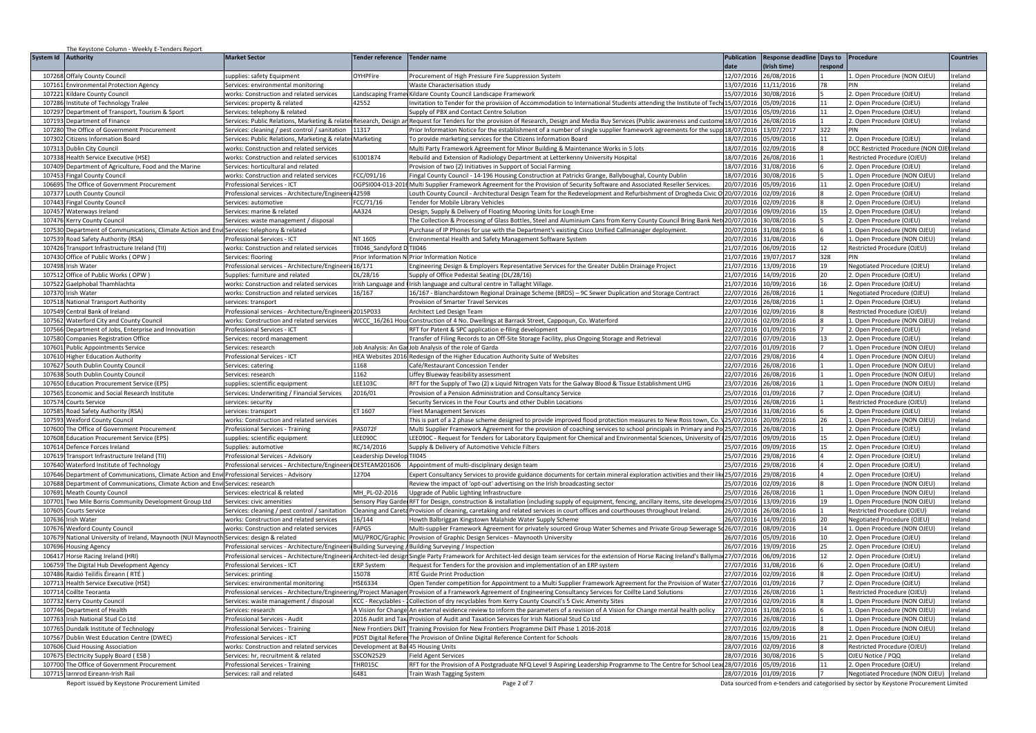|                        | The Keystone Column - Weekly E-Tenders Report                                          |                                                                                                      |                                     |                                                                                                                                                                                                                                                                                                                 |                                     |                           |                 |                                                             |                    |
|------------------------|----------------------------------------------------------------------------------------|------------------------------------------------------------------------------------------------------|-------------------------------------|-----------------------------------------------------------------------------------------------------------------------------------------------------------------------------------------------------------------------------------------------------------------------------------------------------------------|-------------------------------------|---------------------------|-----------------|-------------------------------------------------------------|--------------------|
| System Id<br>Authority |                                                                                        | <b>Market Sector</b>                                                                                 | <b>Fender reference</b>             | Tender name                                                                                                                                                                                                                                                                                                     | <b>Publication</b>                  | Response deadline Days to |                 | Procedure                                                   | <b>Countries</b>   |
|                        |                                                                                        |                                                                                                      |                                     |                                                                                                                                                                                                                                                                                                                 | <b>date</b>                         | Irish time)               | respond         |                                                             |                    |
| 107268                 | Offaly County Council                                                                  | supplies: safety Equipment                                                                           | OYHPFire                            | Procurement of High Pressure Fire Suppression System                                                                                                                                                                                                                                                            | 2/07/2016                           | 6/08/2016                 |                 | 1. Open Procedure (NON OJEU)                                | Ireland            |
| 107161                 | <b>Environmental Protection Agency</b>                                                 | Services: environmental monitoring                                                                   |                                     | <b>Naste Characterisation study</b>                                                                                                                                                                                                                                                                             | 13/07/2016                          | 11/11/2016                | 78              |                                                             | Ireland            |
| 107221<br>107286       | ildare County Council<br>nstitute of Technology Tralee                                 | vorks: Construction and related services<br>ervices: property & related                              | andscaping Frame<br>42552           | Kildare County Council Landscape Framework<br>nvitation to Tender for the provision of Accommodation to International Students attending the Institute of Tech                                                                                                                                                  | 15/07/2016<br>15/07/2016            | 30/08/2016<br>5/09/2016   | 11              | 2. Open Procedure (OJEU)<br>2. Open Procedure (OJEU)        | reland<br>reland   |
| 107297                 | Department of Transport, Tourism & Sport                                               |                                                                                                      |                                     | Supply of PBX and Contact Centre Solution                                                                                                                                                                                                                                                                       | 5/07/2016                           | 05/09/2016                | 11              | 2. Open Procedure (OJEU)                                    | Ireland            |
|                        |                                                                                        | ervices: telephony & related                                                                         |                                     |                                                                                                                                                                                                                                                                                                                 | 18/07/2016                          | 26/08/2016                |                 | 2. Open Procedure (OJEU)                                    | Ireland            |
|                        | 107193 Department of Finance<br>107280 The Office of Government Procurement            | Services: cleaning / pest control / sanitation                                                       | 11317                               | Services: Public Relations, Marketing & relatedResearch, Design an Request for Tenders for the provision of Research, Design and Media Buy Services (Public awareness and custome<br>Prior Information Notice for the establishment of a number of single supplier framework agreements for the supp 18/07/2016 |                                     | 13/07/2017                | 322             | PIN                                                         | Ireland            |
| 107302                 | <b>Citizens Information Board</b>                                                      | ervices: Public Relations, Marketing & related Marketing                                             |                                     | To provide marketing services for the Citizens Information Board                                                                                                                                                                                                                                                | 18/07/2016                          | 05/09/2016                | 11              | 2. Open Procedure (OJEU)                                    | Ireland            |
| 107313                 | Dublin City Council                                                                    | works: Construction and related services                                                             |                                     | Multi Party Framework Agreement for Minor Building & Maintenance Works in 5 lots                                                                                                                                                                                                                                | 18/07/2016                          | 02/09/2016                |                 | DCC Restricted Procedure (NON OJI                           | lIreland           |
| 107338                 | Health Service Executive (HSE)                                                         | works: Construction and related services                                                             | 1001874                             | Rebuild and Extension of Radiology Department at Letterkenny University Hospital                                                                                                                                                                                                                                | 8/07/2016                           | 26/08/2016                |                 | Restricted Procedure (OJEU)                                 | Ireland            |
| 107409                 | Department of Agriculture, Food and the Marine                                         | Services: horticultural and related                                                                  |                                     | Provision of two (2) Initiatives in Support of Social Farming                                                                                                                                                                                                                                                   | 8/07/2016                           | 31/08/2016                |                 | 2. Open Procedure (OJEU)                                    | reland             |
| 107453                 | Fingal County Council                                                                  | works: Construction and related services                                                             | FCC/091/16                          | Fingal County Council - 14-196 Housing Construction at Patricks Grange, Ballyboughal, County Dublin                                                                                                                                                                                                             | 18/07/2016 30/08/2016               |                           |                 | 1. Open Procedure (NON OJEU)                                | Ireland            |
| 106695                 | he Office of Government Procurement                                                    | rofessional Services - ICT                                                                           |                                     | OGPSI004-013-2016 Multi Supplier Framework Agreement for the Provision of Security Software and Associated Reseller Services.                                                                                                                                                                                   | 0/07/2016                           | 05/09/2016                | 11              | 2. Open Procedure (OJEU)                                    | reland             |
| 107377                 | <b>Louth County Council</b>                                                            | Professional services - Architecture/Engineeri                                                       | 42598                               | outh County Council - Architectural Design Team for the Redevelopment and Refurbishment of Drogheda Civic O                                                                                                                                                                                                     | 20/07/2016 02/09/2016               |                           |                 | 2. Open Procedure (OJEU)                                    | reland             |
| 107443                 | Fingal County Council                                                                  | Services: automotive                                                                                 | CC/71/16                            | Fender for Mobile Library Vehicles                                                                                                                                                                                                                                                                              |                                     | 20/07/2016 02/09/2016     |                 | 2. Open Procedure (OJEU)                                    | Ireland            |
| 107457                 | Waterways Ireland                                                                      | Services: marine & related                                                                           | AA324                               | Design, Supply & Delivery of Floating Mooring Units for Lough Erne                                                                                                                                                                                                                                              | 20/07/2016                          | 09/09/2016                | 15              | 2. Open Procedure (OJEU)                                    | Ireland            |
| 107476                 | Kerry County Council                                                                   | Services: waste management / disposal                                                                |                                     | The Collection & Processing of Glass Bottles, Steel and Aluminium Cans from Kerry County Council Bring Bank Net                                                                                                                                                                                                 | 20/07/2016                          | 30/08/2016                |                 | 2. Open Procedure (OJEU)                                    | Ireland            |
| 10753                  | Department of Communications, Climate Action and Env                                   | Services: telephony & related                                                                        |                                     | Purchase of IP Phones for use with the Department's existing Cisco Unified Callmanager deployment.                                                                                                                                                                                                              | 0/07/2016                           | 1/08/2016                 |                 | 1. Open Procedure (NON OJEU)                                | Ireland            |
| 107539                 | Road Safety Authority (RSA)                                                            | Professional Services - ICT                                                                          | NT 1605                             | Environmental Health and Safety Management Software System                                                                                                                                                                                                                                                      | 0/07/2016                           | 1/08/2016                 |                 | 1. Open Procedure (NON OJEU)                                | Ireland            |
| 107426                 | ransport Infrastructure Ireland (TII)                                                  | works: Construction and related services                                                             | 11046_Sandyford D                   | <b>TII046</b>                                                                                                                                                                                                                                                                                                   | 1/07/2016                           | 16/09/2016                | 12              | Restricted Procedure (OJEU)                                 | Ireland            |
|                        | 107430 Office of Public Works (OPW)                                                    | Services: floorina                                                                                   |                                     | Prior Information N Prior Information Notice                                                                                                                                                                                                                                                                    | 21/07/2016                          | 19/07/2017                | 328             | PIN                                                         | Ireland            |
| 107498                 | Irish Water                                                                            | rofessional services - Architecture/Engineer                                                         | 16/171                              | Engineering Design & Employers Representative Services for the Greater Dublin Drainage Project                                                                                                                                                                                                                  | 21/07/2016                          | 3/09/2016                 | 19              | Negotiated Procedure (OJEU)                                 | reland             |
| 107512                 | Office of Public Works (OPW)                                                           | Supplies: furniture and related                                                                      | L/28/16                             | Supply of Office Pedestal Seating (DL/28/16)                                                                                                                                                                                                                                                                    | 1/07/2016                           | 14/09/2016                | 20              | 2. Open Procedure (OJEU)                                    | reland             |
| 107522                 | Gaelphobal Thamhlachta                                                                 | works: Construction and related services                                                             |                                     | rish Language and Irish language and cultural centre in Tallaght Village.                                                                                                                                                                                                                                       | 1/07/2016                           | 10/09/2016                | 16              | 2. Open Procedure (OJEU)                                    | reland             |
| 107370 Irish Water     |                                                                                        | works: Construction and related services                                                             | 16/167                              | 16/167 - Blanchardstown Regional Drainage Scheme (BRDS) - 9C Sewer Duplication and Storage Contract                                                                                                                                                                                                             |                                     | 22/07/2016 26/08/2016     |                 | Negotiated Procedure (OJEU)                                 | Ireland            |
| 107518                 | <b>National Transport Authority</b>                                                    | services: transport                                                                                  |                                     | Provision of Smarter Travel Services                                                                                                                                                                                                                                                                            | 22/07/2016 26/08/2016               |                           |                 | 2. Open Procedure (OJEU)                                    | Ireland            |
| 107549                 | Central Bank of Ireland                                                                | Professional services - Architecture/Engineer                                                        | 2015P033                            | Architect Led Design Team                                                                                                                                                                                                                                                                                       | 22/07/2016                          | 02/09/2016                |                 | Restricted Procedure (OJEU)                                 | Ireland            |
| 107562                 | Waterford City and County Council                                                      | works: Construction and related services                                                             |                                     | VCCC_16/261 Hous Construction of 4 No. Dwellings at Barrack Street, Cappoqun, Co. Waterford                                                                                                                                                                                                                     | 22/07/2016                          | 02/09/2016                |                 | 1. Open Procedure (NON OJEU)                                | Ireland            |
| 107566                 | Department of Jobs, Enterprise and Innovation                                          | Professional Services - ICT                                                                          |                                     | RFT for Patent & SPC application e-filing developmen                                                                                                                                                                                                                                                            |                                     | 2/07/2016 01/09/2016      |                 | 2. Open Procedure (OJEU)                                    | Ireland            |
| 107580                 | <b>Companies Registration Office</b>                                                   | Services: record management                                                                          |                                     | Fransfer of Filing Records to an Off-Site Storage Facility, plus Ongoing Storage and Retrieval                                                                                                                                                                                                                  | 22/07/2016                          | 07/09/2016                | 13              | 2. Open Procedure (OJEU)                                    | reland             |
| 107601                 | <b>Public Appointments Service</b>                                                     | Services: research                                                                                   | Job Analysis: An Gar                | Job Analysis of the role of Garda                                                                                                                                                                                                                                                                               | 22/07/2016 01/09/2016               |                           |                 | 1. Open Procedure (NON OJEU)                                | Ireland            |
| 107610                 | <b>Higher Education Authority</b>                                                      | rofessional Services - ICT                                                                           |                                     | HEA Websites 2016 Redesign of the Higher Education Authority Suite of Websites                                                                                                                                                                                                                                  | 22/07/2016                          | 29/08/2016                |                 | 1. Open Procedure (NON OJEU)                                | reland             |
| 107627                 | South Dublin County Council                                                            | ervices: catering                                                                                    | 168                                 | Café/Restaurant Concession Tender                                                                                                                                                                                                                                                                               |                                     | 2/07/2016 26/08/2016      |                 | 1. Open Procedure (NON OJEU)                                | reland             |
| 107638                 | South Dublin County Council                                                            | Services: research                                                                                   | 162                                 | iffey Blueway feasibility assessment                                                                                                                                                                                                                                                                            |                                     | 22/07/2016 26/08/2016     |                 | 1. Open Procedure (NON OJEU)                                | Ireland            |
| 107650                 | <b>Education Procurement Service (EPS)</b>                                             | supplies: scientific equipment                                                                       | <b>LEE1030</b>                      | RFT for the Supply of Two (2) x Liquid Nitrogen Vats for the Galway Blood & Tissue Establishment UHG                                                                                                                                                                                                            | 23/07/2016 26/08/2016               |                           |                 | 1. Open Procedure (NON OJEU)                                | Ireland            |
| 107565                 | Economic and Social Research Institute                                                 | Services: Underwriting / Financial Services                                                          | 2016/01                             | Provision of a Pension Administration and Consultancy Service                                                                                                                                                                                                                                                   | 25/07/2016                          | 01/09/2016                |                 | 2. Open Procedure (OJEU)                                    | Ireland            |
| 107574                 | <b>Courts Service</b>                                                                  | services: securitv                                                                                   |                                     | Security Services in the Four Courts and other Dublin Locations                                                                                                                                                                                                                                                 | 25/07/2016                          | 6/08/2016                 |                 | Restricted Procedure (OJEU)                                 | Ireland            |
| 107585                 | Road Safety Authority (RSA)                                                            | services: transport                                                                                  | ET 1607                             | leet Management Services                                                                                                                                                                                                                                                                                        | 5/07/2016                           | 1/08/2016                 |                 | 2. Open Procedure (OJEU)                                    | Ireland            |
| 107593                 | Wexford County Council                                                                 | works: Construction and related services                                                             |                                     | This is part of a 2 phase scheme designed to provide improved flood protection measures to New Ross town, Co.                                                                                                                                                                                                   | !5/07/2016                          | 0/09/2016                 | 26              | 1. Open Procedure (NON OJEU)                                | Ireland            |
| 107600                 | The Office of Government Procurement                                                   | Professional Services - Training                                                                     | PAS072F                             | Multi Supplier Framework Agreement for the provision of coaching services to school principals in Primary and Pol                                                                                                                                                                                               | 25/07/2016                          | 26/08/2016                |                 | 2. Open Procedure (OJEU)                                    | Ireland            |
| 107608                 | ducation Procurement Service (EPS)                                                     | upplies: scientific equipment                                                                        | <b>FF0900</b>                       | EE090C - Request for Tenders for Laboratory Equipment for Chemical and Environmental Sciences, University of 125/07/2016                                                                                                                                                                                        |                                     | 9/09/2016                 | 15              | 2. Open Procedure (OJEU)                                    | reland             |
| 107614                 | Defence Forces Ireland                                                                 | supplies: automotive                                                                                 | C/14/2016                           | Supply & Delivery of Automotive Vehicle Filters                                                                                                                                                                                                                                                                 | 5/07/2016                           | 19/09/2016                | 15              | 2. Open Procedure (OJEU)                                    | reland             |
| 107619                 | Transport Infrastructure Ireland (TII)                                                 | Professional Services - Advisory                                                                     | eadership Develo                    | TII045                                                                                                                                                                                                                                                                                                          | 5/07/2016                           | 29/08/2016                |                 | 2. Open Procedure (OJEU)                                    | Ireland            |
|                        | 107640 Waterford Institute of Technology                                               | Professional services - Architecture/Engineeri DESTEAM201606                                         |                                     | Appointment of multi-disciplinary design team                                                                                                                                                                                                                                                                   | 15/07/2016                          | 29/08/2016                |                 | 2. Open Procedure (OJEU)                                    | Ireland            |
| 107646                 | Department of Communications, Climate Action and Envi Professional Services - Advisory |                                                                                                      | 12704                               | Expert Consultancy Services to provide guidance documents for certain mineral exploration activities and their like                                                                                                                                                                                             | 25/07/2016                          | 29/08/2016                |                 | 2. Open Procedure (OJEU)                                    | Ireland            |
| 107688                 | Department of Communications, Climate Action and Envi                                  | Services: research                                                                                   |                                     | Review the impact of 'opt-out' advertising on the Irish broadcasting sector                                                                                                                                                                                                                                     | 15/07/2016                          | 2/09/2016                 |                 | 1. Open Procedure (NON OJEU)                                | Ireland            |
| 107691                 | Meath County Council                                                                   | Services: electrical & related                                                                       | MH PL-02-2016                       | Upgrade of Public Lighting Infrastructure                                                                                                                                                                                                                                                                       | 25/07/2016                          | 26/08/2016                | 19              | 1. Open Procedure (NON OJEU)                                | Ireland            |
| 107701                 | wo Mile Borris Community Development Group Ltd                                         | ervices: civic amenities                                                                             | ensory Play Garde                   | RFT for Design, construction & installation (including supply of equipment, fencing, ancillary items, site developn                                                                                                                                                                                             | 5/07/2016                           | 3/09/2016                 |                 | 1. Open Procedure (NON OJEU)                                | Ireland            |
| 107605                 | Courts Service                                                                         | Services: cleaning / pest control / sanitation                                                       |                                     | Cleaning and Careta Provision of cleaning, caretaking and related services in court offices and courthouses throughout Ireland.                                                                                                                                                                                 | 16/07/2016                          | 26/08/2016                |                 | Restricted Procedure (OJEU)                                 | reland             |
| 107636                 | rish Water                                                                             | works: Construction and related services                                                             | 6/144                               | Howth Balbriggan Kingstown Malahide Water Supply Scheme                                                                                                                                                                                                                                                         | 6/07/2016                           | 14/09/2016                | 20              | Negotiated Procedure (OJEU)                                 | reland             |
| 107676                 | <b>Wexford County Council</b>                                                          | works: Construction and related services                                                             | APGS                                | . Multi-supplier Framework Agreement for privately sourced Group Water Schemes and Private Group Sewerage                                                                                                                                                                                                       | 6/07/2016                           | 08/09/2016                | 14              | 1. Open Procedure (NON OJEU)                                | reland             |
| 107679                 | National University of Ireland, Maynooth (NUI Maynooth Services: design & related      |                                                                                                      |                                     | MU/PROC/Graphic Provision of Graphic Design Services - Maynooth University                                                                                                                                                                                                                                      | 6/07/2016                           | 05/09/2016                | 10 <sup>1</sup> | 2. Open Procedure (OJEU)                                    | reland             |
| 107696                 | <b>Housing Agency</b>                                                                  | Professional services - Architecture/Engineerii Building Surveying / Building Surveying / Inspection |                                     |                                                                                                                                                                                                                                                                                                                 | 26/07/2016                          | 19/09/2016                | 25              | 2. Open Procedure (OJEU)                                    | Ireland            |
| 106417<br>106759       | Horse Racing Ireland (HRI)                                                             |                                                                                                      |                                     | Professional services - Architecture/EngineerilArchitect-led designSingle Party Framework for Architect-led design team services for the extension of Horse Racing Ireland's Ballymal 27/07/2016                                                                                                                |                                     | 06/09/2016                | 12              | 2. Open Procedure (OJEU)                                    | Ireland            |
| 107486                 | The Digital Hub Development Agency<br>Raidió Teilifís Éireann ( RTÉ )                  | Professional Services - ICT<br>ervices: printins                                                     | <b>ERP System</b><br>15078          | Request for Tenders for the provision and implementation of an ERP system<br>RTÉ Guide Print Production                                                                                                                                                                                                         | 27/07/2016<br>7/07/2016             | 31/08/2016<br>2/09/2016   |                 | 2. Open Procedure (OJEU)<br>2. Open Procedure (OJEU)        | Ireland<br>Ireland |
| 107713                 |                                                                                        |                                                                                                      | <b>HSE6334</b>                      |                                                                                                                                                                                                                                                                                                                 | 7/07/2016                           |                           |                 |                                                             | Ireland            |
| 107714                 | Health Service Executive (HSE)                                                         | ervices: environmental monitorina                                                                    |                                     | ) pen Tender competition for Appointment to a Multi Supplier Framework Agreement for the Provision of Water                                                                                                                                                                                                     | 7/07/2016                           | 1/09/2016<br>26/08/2016   |                 | 2. Open Procedure (OJEU)                                    | Ireland            |
| 107732                 | Coillte Teoranta<br>Kerry County Council                                               | Professional services - Architecture/Engineering/Project Manage                                      | <b>KCC - Recyclables</b>            | Provision of a Framework Agreement of Engineering Consultancy Services for Coillte Land Solutions                                                                                                                                                                                                               | 27/07/2016                          | 02/09/2016                |                 | Restricted Procedure (OJEU)<br>1. Open Procedure (NON OJEU) | Ireland            |
| 107746                 | Department of Health                                                                   | ervices: waste management / disposal<br>ervices: research                                            | Vision for Change                   | ollection of dry recyclables from Kerry County Council's 5 Civic Amenity Sites                                                                                                                                                                                                                                  | 7/07/2016                           | 1/08/2016                 |                 | 1. Open Procedure (NON OJEU)                                | reland             |
| 107763                 | Irish National Stud Co Ltd.                                                            | rofessional Services - Audit                                                                         | 016 Audit and Tax                   | An external evidence review to inform the parameters of a revision of A Vision for Change mental health policy<br>Provision of Audit and Taxation Services for Irish National Stud Co Ltd                                                                                                                       | 7/07/2016                           | 26/08/2016                |                 | 1. Open Procedure (NON OJEU)                                | reland             |
| 107765                 |                                                                                        |                                                                                                      | <b>New Frontiers DkIT</b>           |                                                                                                                                                                                                                                                                                                                 | 7/07/2016                           |                           |                 | 1. Open Procedure (NON OJEU)                                | Ireland            |
|                        | Dundalk Institute of Technology<br>107567 Dublin West Education Centre (DWEC)          | Professional Services - Training<br>Professional Services - ICT                                      |                                     | Training Provision for New Frontiers Programme DkIT Phase 1 2016-2018                                                                                                                                                                                                                                           | 28/07/2016                          | 02/09/2016<br>15/09/2016  | 21              | 2. Open Procedure (OJEU)                                    | Ireland            |
| 107606                 |                                                                                        |                                                                                                      |                                     | PDST Digital Referer The Provision of Online Digital Reference Content for Schools                                                                                                                                                                                                                              | 28/07/2016                          |                           |                 |                                                             | Ireland            |
| 10767                  | <b>Cluid Housing Association</b>                                                       | works: Construction and related services                                                             | Development at Bal 45 Housing Units |                                                                                                                                                                                                                                                                                                                 |                                     | 02/09/2016                |                 | Restricted Procedure (OJEU)                                 |                    |
|                        |                                                                                        |                                                                                                      |                                     |                                                                                                                                                                                                                                                                                                                 |                                     |                           |                 |                                                             |                    |
|                        | lectricity Supply Board ( FSB                                                          | ervices: hr. recruitment & related                                                                   | SCON2529                            | ield Agent Services                                                                                                                                                                                                                                                                                             | 18/07/2016                          | 0/08/2016                 |                 | OJEU Notice / PQQ                                           | Ireland            |
| 107700                 | he Office of Government Procurement<br>107715 larnrod Eireann-Irish Rail               | Professional Services - Training<br>Services: rail and related                                       | HR015C<br>6481                      | RFT for the Provision of A Postgraduate NFQ Level 9 Aspiring Leadership Programme to The Centre for School Le<br>Train Wash Tagging System                                                                                                                                                                      | 28/07/2016<br>28/07/2016 01/09/2016 | 05/09/2016                |                 | 2. Open Procedure (OJEU)<br>Negotiated Procedure (NON OJEU) | reland<br>Ireland  |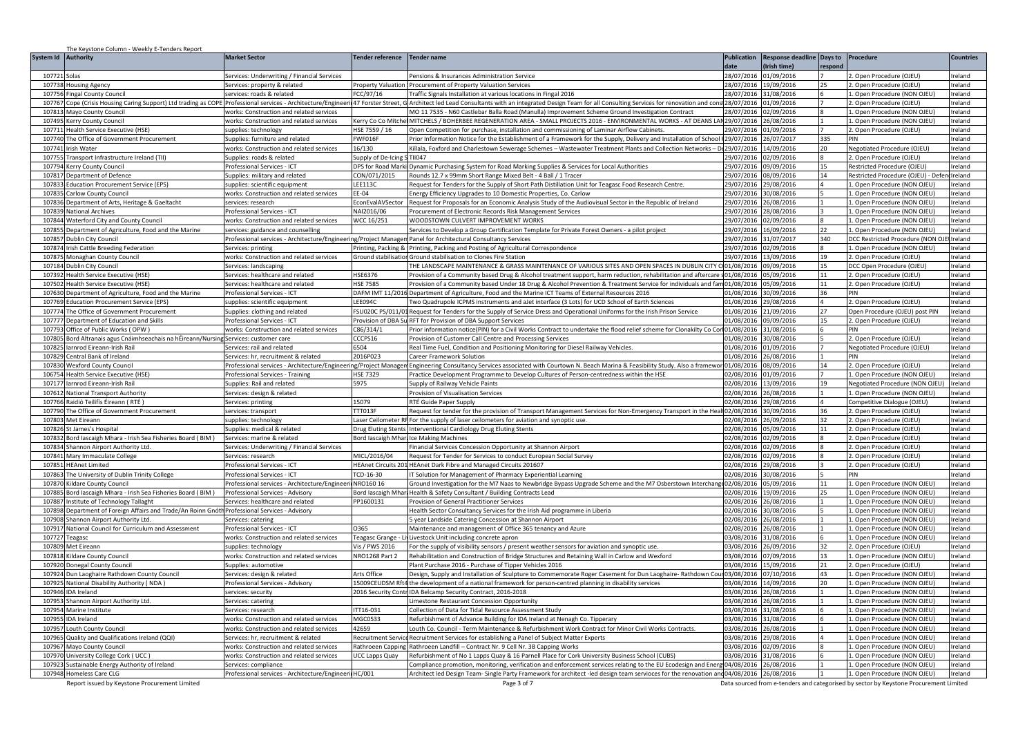| The Keystone Column - Weekly E-Tenders Report                                                                     |                                                                                                               |                                            |                                                                                                                                                                                                       |                                                |                                                    |          |                                                                   |                    |
|-------------------------------------------------------------------------------------------------------------------|---------------------------------------------------------------------------------------------------------------|--------------------------------------------|-------------------------------------------------------------------------------------------------------------------------------------------------------------------------------------------------------|------------------------------------------------|----------------------------------------------------|----------|-------------------------------------------------------------------|--------------------|
| System Id<br><b>Authority</b>                                                                                     | <b>Market Sector</b>                                                                                          | <b>Tender reference</b>                    | <b>Tender name</b>                                                                                                                                                                                    | <b>Publication</b>                             | Response deadline Days to Procedure<br>Irish time) | respon   |                                                                   | <b>Countries</b>   |
| 107721 Solas                                                                                                      | Services: Underwriting / Financial Services                                                                   |                                            | Pensions & Insurances Administration Service                                                                                                                                                          |                                                | 28/07/2016 01/09/2016                              |          | 2. Open Procedure (OJEU)                                          | reland             |
| 107738 Housing Agency                                                                                             | Services: property & related                                                                                  | Property Valuation                         | Procurement of Property Valuation Services                                                                                                                                                            |                                                | 28/07/2016 19/09/2016                              | 25       | 2. Open Procedure (OJEU)                                          | reland             |
| 107756 Fingal County Council                                                                                      | services: roads & related                                                                                     | FCC/97/16                                  | Traffic Signals Installation at various locations in Fingal 2016                                                                                                                                      |                                                | 28/07/2016 31/08/2016                              |          | 1. Open Procedure (NON OJEU)                                      | Ireland            |
| 107767<br>Cope (Crisis Housing Caring Support) Ltd trading as COPE Professional services - Architecture/Engineeri |                                                                                                               |                                            | 47 Forster Street, G Architect led Lead Consultants with an integrated Design Team for all Consulting Services for renovation and cons                                                                | 28/07/2016 01/09/2016                          |                                                    |          | 2. Open Procedure (OJEU)                                          | Ireland            |
| 107813<br>Mayo County Council                                                                                     | works: Construction and related services                                                                      |                                            | MO 11 7535 - N60 Castlebar Balla Road (Manulla) Improvement Scheme Ground Investigation Contract                                                                                                      | 28/07/2016 02/09/2016                          |                                                    |          | 1. Open Procedure (NON OJEU)                                      | Ireland            |
| 107495<br>Kerry County Council                                                                                    | vorks: Construction and related services                                                                      |                                            | Kerry Co Co Mitchel MITCHELS / BOHERBEE REGENERATION AREA - SMALL PROJECTS 2016 - ENVIRONMENTAL WORKS - AT DEANS LAN 29/07/2016 26/08/2016                                                            |                                                |                                                    |          | Open Procedure (NON OJEU)                                         | reland             |
| 107711<br>Health Service Executive (HSE)                                                                          | supplies: technology                                                                                          | HSE 7559 / 16                              | Open Competition for purchase, installation and commissioning of Laminar Airflow Cabinets.                                                                                                            |                                                | 29/07/2016 01/09/2016                              |          | 2. Open Procedure (OJEU)                                          | Ireland            |
| 107740 The Office of Government Procurement                                                                       | Supplies: furniture and related                                                                               | FWF016F                                    | Prior Information Notice for the Establishment of a Framework for the Supply, Delivery and Installation of School                                                                                     | 29/07/2016 26/07/2017                          |                                                    | 335      |                                                                   | reland             |
| 107741 Irish Water<br>107755                                                                                      | works: Construction and related services                                                                      | 16/130                                     | (illala, Foxford and Charlestown Sewerage Schemes - Wastewater Treatment Plants and Collection Networks - D: 29/07/2016 14/09/2016                                                                    |                                                |                                                    | 20       | Negotiated Procedure (OJEU)                                       | Ireland            |
| Transport Infrastructure Ireland (TII)<br>107794                                                                  | Supplies: roads & related                                                                                     | Supply of De-Icing S<br>DPS for Road Marki | TII047                                                                                                                                                                                                | 29/07/2016 02/09/2016                          |                                                    | 15       | 2. Open Procedure (OJEU)                                          | Ireland<br>Ireland |
| Kerry County Council<br>10781<br>Department of Defence                                                            | Professional Services - ICT<br>Supplies: military and related                                                 | CON/071/2015                               | Dynamic Purchasing System for Road Marking Supplies & Services for Local Authorities<br>Rounds 12.7 x 99mm Short Range Mixed Belt - 4 Ball / 1 Tracer                                                 | 29/07/2016 09/09/2016<br>29/07/2016 08/09/2016 |                                                    | 14       | Restricted Procedure (OJEU)<br>Restricted Procedure (OJEU) - Defe | Ireland            |
| 10783<br><b>Education Procurement Service (EPS)</b>                                                               | upplies: scientific equipment                                                                                 | LEE113C                                    | lequest for Tenders for the Supply of Short Path Distillation Unit for Teagasc Food Research Centre                                                                                                   | 29/07/2016                                     | 29/08/2016                                         |          | L. Open Procedure (NON OJEU)                                      | Ireland            |
| 107835<br>arlow County Council                                                                                    | vorks: Construction and related services                                                                      | EE-04                                      | nergy Efficiency Upgrades to 10 Domestic Properties, Co. Carlow                                                                                                                                       | 29/07/2016                                     | 30/08/2016                                         |          | Open Procedure (NON OJEU)                                         | Ireland            |
| 107836<br>Department of Arts, Heritage & Gaeltacht                                                                | services: research                                                                                            | EconEvalAVSector                           | Request for Proposals for an Economic Analysis Study of the Audiovisual Sector in the Republic of Ireland                                                                                             | 29/07/2016                                     | 26/08/2016                                         |          | 1. Open Procedure (NON OJEU)                                      | Ireland            |
| 10783<br><b>National Archives</b>                                                                                 | rofessional Services - ICT                                                                                    | NAI2016/06                                 | Procurement of Electronic Records Risk Management Services                                                                                                                                            | 29/07/2016                                     | 28/08/2016                                         |          | L. Open Procedure (NON OJEU)                                      | reland             |
| 107844 Waterford City and County Council                                                                          | vorks: Construction and related services                                                                      | WCC 16/251                                 | <b>NOODSTOWN CULVERT IMPROVEMENT WORKS</b>                                                                                                                                                            |                                                | 29/07/2016 02/09/2016                              |          | L. Open Procedure (NON OJEU)                                      | reland             |
| 107855<br>Department of Agriculture, Food and the Marine                                                          | services: guidance and counselling                                                                            |                                            | Services to Develop a Group Certification Template for Private Forest Owners - a pilot project                                                                                                        |                                                | 29/07/2016 16/09/2016                              | 22       | 1. Open Procedure (NON OJEU)                                      | Ireland            |
| 10785<br>Dublin City Council                                                                                      | Professional services - Architecture/Engineering/Project Managem Panel for Architectural Consultancy Services |                                            |                                                                                                                                                                                                       | 29/07/2016 31/07/2017                          |                                                    | 340      | DCC Restricted Procedure (NON O.                                  | Ireland            |
| 107874<br>Irish Cattle Breeding Federation                                                                        | Services: printins                                                                                            | Printing, Packing &                        | Printing, Packing and Posting of Agricultural Correspondence                                                                                                                                          | 29/07/2016 02/09/2016                          |                                                    |          | 1. Open Procedure (NON OJEU)                                      | Ireland            |
| 107875<br>Monaghan County Council                                                                                 | vorks: Construction and related services                                                                      |                                            | Ground stabilisation Ground stabilisation to Clones Fire Station                                                                                                                                      | 29/07/2016                                     | 13/09/2016                                         | 19       | Open Procedure (OJEU)                                             | Ireland            |
| 107184<br>Dublin City Council                                                                                     | ervices: landscaping                                                                                          |                                            | THE LANDSCAPE MAINTENANCE & GRASS MAINTENANCE OF VARIOUS SITES AND OPEN SPACES IN DUBLIN CITY C 01/08/2016                                                                                            |                                                | 09/09/2016                                         | 15       | DCC Open Procedure (OJEU)                                         | Ireland            |
| 107392<br>lealth Service Executive (HSE)                                                                          | Services: healthcare and related                                                                              | HSE6376                                    | 2005/05/2016 Provision of a Community based Drug & Alcohol treatment support, harm reduction, rehabilitation and aftercare (01/08/2016 05/09/2016                                                     |                                                |                                                    | 11       | 2. Open Procedure (OJEU)                                          | reland             |
| 107502<br>Health Service Executive (HSE)                                                                          | Services: healthcare and related                                                                              | <b>HSE 7585</b>                            | 2009/2016 Provision of a Community based Under 18 Drug & Alcohol Prevention & Treatment Service for individuals and fam                                                                               |                                                |                                                    | 11       | 2. Open Procedure (OJEU)                                          | Ireland            |
| 107630<br>Department of Agriculture, Food and the Marine                                                          | Professional Services - ICT                                                                                   |                                            | DAFM IMT 11/2016 Department of Agriculture, Food and the Marine ICT Teams of External Resources 2016                                                                                                  | 01/08/2016 30/09/2016                          |                                                    | 36       | PIN                                                               | Ireland            |
| 107769<br><b>Education Procurement Service (EPS)</b>                                                              | supplies: scientific equipment                                                                                | LEE094C                                    | Two Quadrupole ICPMS instruments and aJet interface (3 Lots) for UCD School of Earth Sciences                                                                                                         | 01/08/2016 29/08/2016                          |                                                    |          | 2. Open Procedure (OJEU)                                          | Ireland            |
| 107774<br>The Office of Government Procurement<br>Department of Education and Skills<br>107777                    | Supplies: clothing and related                                                                                |                                            | FSU020C PS/011/01 Request for Tenders for the Supply of Service Dress and Operational Uniforms for the Irish Prison Service                                                                           | 01/08/2016<br>01/08/2016                       | 21/09/2016                                         | 27<br>15 | Open Procedure (OJEU) post PIN                                    | Ireland<br>Ireland |
| 107793                                                                                                            | Professional Services - ICT                                                                                   | C86/314/1                                  | Provision of DBA Su RFT for Provision of DBA Support Services<br>Prior information notice(PIN) for a Civil Works Contract to undertake the flood relief scheme for Clonakilty Co Cor101/08/2016       |                                                | 09/09/2016                                         |          | 2. Open Procedure (OJEU)                                          |                    |
| Office of Public Works (OPW)<br>10780<br>Iord Altranais agus Cnáimhseachais na hÉireann/Nursin;                   | vorks: Construction and related services<br>Services: customer care                                           | CCCPS16                                    | rovision of Customer Call Centre and Processing Services                                                                                                                                              | 01/08/2016                                     | 31/08/2016<br>30/08/2016                           |          | 2. Open Procedure (OJEU)                                          | Ireland<br>reland  |
| 107825<br>larnrod Eireann-Irish Rail                                                                              | Services: rail and related                                                                                    | 6504                                       | Real Time Fuel, Condition and Positioning Monitoring for Diesel Railway Vehicles.                                                                                                                     | 01/08/2016 01/09/2016                          |                                                    |          | Negotiated Procedure (OJEU)                                       | Ireland            |
| 107829<br>Central Bank of Ireland                                                                                 | Services: hr, recruitment & related                                                                           | 2016P023                                   | Career Framework Solution                                                                                                                                                                             | 01/08/2016 26/08/2016                          |                                                    |          | PIN                                                               | Ireland            |
| 107830 Wexford County Council                                                                                     |                                                                                                               |                                            | Professional services - Architecture/Engineering/Project Managem Engineering Consultancy Services associated with Courtown N. Beach Marina & Feasibility Study. Also a framewor 01/08/2016 08/09/2016 |                                                |                                                    | 14       | 2. Open Procedure (OJEU)                                          | Ireland            |
| 10675<br>Health Service Executive (HSE)                                                                           | Professional Services - Training                                                                              | <b>HSE 7329</b>                            | Practice Development Programme to Develop Cultures of Person-centredness within the HSE                                                                                                               | 02/08/2016                                     | 01/09/2016                                         |          | 1. Open Procedure (NON OJEU)                                      | Ireland            |
| 10717<br>larnrod Fireann-Irish Rail                                                                               | upplies: Rail and related                                                                                     | 5975                                       | upply of Railway Vehicle Paints                                                                                                                                                                       | 02/08/2016 13/09/2016                          |                                                    | 19       | Negotiated Procedure (NON OJEU                                    | Ireland            |
| 10761<br>National Transport Authority                                                                             | Services: design & related                                                                                    |                                            | Provision of Visualisation Services                                                                                                                                                                   | 02/08/2016 26/08/2016                          |                                                    |          | L. Open Procedure (NON OJEU)                                      | Ireland            |
| 107766<br>Raidió Teilifís Éireann ( RTÉ )                                                                         | Services: printing                                                                                            | 15079                                      | RTÉ Guide Paper Supply                                                                                                                                                                                | 02/08/2016 29/08/2016                          |                                                    |          | Competitive Dialogue (OJEU)                                       | Ireland            |
| 107790<br>The Office of Government Procurement                                                                    | services: transport                                                                                           | TTT013F                                    | lequest for tender for the provision of Transport Management Services for Non-Emergency Transport in the Heal 02/08/2016 30/09/2016                                                                   |                                                |                                                    | 36       | 2. Open Procedure (OJEU)                                          | reland             |
| 107803 Met Eireann                                                                                                | supplies: technology                                                                                          | aser Ceilometer RI                         | For the supply of laser ceilometers for aviation and synoptic use.                                                                                                                                    |                                                | 02/08/2016 26/09/2016                              | 32       | 2. Open Procedure (OJEU)                                          | Ireland            |
| 107826<br>St James's Hospital                                                                                     | Supplies: medical & related                                                                                   | Drug Eluting Stents                        | Interventional Cardiology Drug Eluting Stents                                                                                                                                                         | 02/08/2016 05/09/2016                          |                                                    | 11       | 2. Open Procedure (OJEU)                                          | Ireland            |
| Bord lascaigh Mhara - Irish Sea Fisheries Board (BIM)<br>10783                                                    | Services: marine & related                                                                                    | Bord lascaigh Mhar.                        | Ice Making Machines                                                                                                                                                                                   | 02/08/2016 02/09/2016                          |                                                    |          | 2. Open Procedure (OJEU)                                          | Ireland            |
| 107834<br>Shannon Airport Authority Ltd.                                                                          | Services: Underwriting / Financial Services                                                                   |                                            | inancial Services Concession Opportunity at Shannon Airport                                                                                                                                           | 02/08/2016 02/09/2016                          |                                                    |          | 2. Open Procedure (OJEU)                                          | Ireland            |
| 107841<br>Mary Immaculate College                                                                                 | iervices: research                                                                                            | MICL/2016/04                               | lequest for Tender for Services to conduct European Social Survey                                                                                                                                     | 02/08/2016 02/09/2016                          |                                                    |          | . Open Procedure (OJEU)                                           | Ireland            |
| 107851<br><b>HEAnet Limited</b><br>10786                                                                          | Professional Services - ICT<br>Professional Services - ICT                                                    |                                            | HEAnet Circuits 201 HEAnet Dark Fibre and Managed Circuits 201607                                                                                                                                     | 02/08/2016                                     | 29/08/2016<br>30/08/2016                           |          | 2. Open Procedure (OJEU)                                          | Ireland<br>reland  |
| The University of Dublin Trinity College<br>107870<br>Kildare County Council                                      | Professional services - Architecture/Engineeri                                                                | TCD-16-30<br>NRO16016                      | T Solution for Management of Pharmacy Experiential Learning<br>Fround Investigation for the M7 Naas to Newbridge Bypass Upgrade Scheme and the M7 Osberstown Interchang                               | 02/08/2016<br>02/08/2016 05/09/2016            |                                                    |          | 1. Open Procedure (NON OJEU)                                      | reland             |
| Bord lascaigh Mhara - Irish Sea Fisheries Board (BIM)<br>107885                                                   | Professional Services - Advisory                                                                              | Bord lascaigh Mhar                         | Health & Safety Consultant / Building Contracts Lead                                                                                                                                                  | 02/08/2016 19/09/2016                          |                                                    | 25       | 1. Open Procedure (NON OJEU)                                      | reland             |
| 107887 Institute of Technology Tallaght                                                                           | Services: healthcare and related                                                                              | PP1600131                                  | Provision of General Practitioner Services                                                                                                                                                            | 02/08/2016 26/08/2016                          |                                                    |          | 1. Open Procedure (NON OJEU)                                      | Ireland            |
| 10789<br>Department of Foreign Affairs and Trade/An Roinn Gnóth Professional Services - Advisory                  |                                                                                                               |                                            | Health Sector Consultancy Services for the Irish Aid programme in Liberia                                                                                                                             | 02/08/2016 30/08/2016                          |                                                    |          | 1. Open Procedure (NON OJEU)                                      | Ireland            |
| 107908<br>Shannon Airport Authority Ltd.                                                                          | ervices: catering                                                                                             |                                            | year Landside Catering Concession at Shannon Airport                                                                                                                                                  | 02/08/2016                                     | 26/08/2016                                         |          | . Open Procedure (NON OJEU)                                       | Ireland            |
| 107917<br>National Council for Curriculum and Assessment                                                          | Professional Services - ICT                                                                                   | 0365                                       | Maintenance and management of Office 365 tenancy and Azure                                                                                                                                            | 02/08/2016 26/08/2016                          |                                                    |          | Open Procedure (NON OJEU)                                         | Ireland            |
| 107727<br>Teagasc                                                                                                 | works: Construction and related services                                                                      | Teagasc Grange - L                         | ivestock Unit including concrete apron.                                                                                                                                                               | 03/08/2016 31/08/2016                          |                                                    |          | L. Open Procedure (NON OJEU)                                      | reland             |
| 107809<br>Met Eireann                                                                                             | supplies: technology                                                                                          | /is / PWS 2016                             | For the supply of visibility sensors / present weather sensors for aviation and synoptic use.                                                                                                         |                                                | 03/08/2016 26/09/2016                              | 32       | 2. Open Procedure (OJEU)                                          | reland             |
| 107818 Kildare County Council                                                                                     | works: Construction and related services                                                                      | NRO1268 Part 2                             | Rehabilitation and Construction of Bridge Structures and Retaining Wall in Carlow and Wexford                                                                                                         |                                                | 03/08/2016 07/09/2016                              | 13       | 1. Open Procedure (NON OJEU)                                      | Ireland            |
| 107920<br><b>Donegal County Council</b>                                                                           | Supplies: automotive                                                                                          |                                            | Plant Purchase 2016 - Purchase of Tipper Vehicles 2016                                                                                                                                                | 03/08/2016 15/09/2016                          |                                                    | 21       | 2. Open Procedure (OJEU)                                          | Ireland            |
| 107924<br>Dun Laoghaire Rathdown County Council                                                                   | Services: design & related                                                                                    | Arts Office                                | 07/10/2016 Jessign, Supply and Installation of Sculpture to Commemorate Roger Casement for Dun Laoghaire- Rathdown Cour 03/08/2016   07/10/2016                                                       |                                                |                                                    | 43       | 1. Open Procedure (NON OJEU)                                      | Ireland            |
| 107925<br>National Disability Authority (NDA)                                                                     | Professional Services - Advisory                                                                              |                                            | 15009CEUDSM Rft4 the development of a national framework for person-centred planning in disability services                                                                                           | 03/08/2016                                     | 14/09/2016                                         | 20       | 1. Open Procedure (NON OJEU)                                      | Ireland            |
| 107946<br><b>IDA</b> Ireland                                                                                      | services: securitv                                                                                            |                                            | 2016 Security Contr IDA Belcamp Security Contract, 2016-2018                                                                                                                                          | 03/08/2016 26/08/2016                          |                                                    |          | L. Open Procedure (NON OJEU)                                      | Ireland            |
| 107953<br>Shannon Airport Authority Ltd.                                                                          | Services: catering                                                                                            |                                            | imestone Restaurant Concession Opportunity                                                                                                                                                            | 03/08/2016                                     | 26/08/2016                                         |          | L. Open Procedure (NON OJEU)                                      | Ireland            |
| 10795<br>Marine Institute<br><b>IDA</b> Ireland                                                                   | Services: research<br>works: Construction and related services                                                | ITT16-031                                  | ollection of Data for Tidal Resource Assessment Study                                                                                                                                                 | 03/08/2016                                     | 31/08/2016                                         |          | . Open Procedure (NON OJEU)                                       | reland             |
| 107955<br>107957                                                                                                  |                                                                                                               | MGC0533<br>42659                           | lefurbishment of Advance Building for IDA Ireland at Nenagh Co. Tipperary<br>outh Co. Council - Term Maintenance & Refurbishment Work Contract for Minor Civil Works Contracts.                       | 03/08/2016 26/08/2016                          | 03/08/2016 31/08/2016                              |          | 1. Open Procedure (NON OJEU)<br>1. Open Procedure (NON OJEU)      | Ireland<br>Ireland |
| Louth County Council<br>107965 Quality and Qualifications Ireland (QQI)                                           | works: Construction and related services<br>Services: hr. recruitment & related                               | Recruitment Service                        | Recruitment Services for establishing a Panel of Subject Matter Experts                                                                                                                               | 03/08/2016 29/08/2016                          |                                                    |          | 1. Open Procedure (NON OJEU)                                      | Ireland            |
| 10796<br>Mayo County Council                                                                                      | works: Construction and related services                                                                      | Rathroeen Capping                          | Rathroeen Landfill - Contract Nr. 9 Cell Nr. 3B Capping Works                                                                                                                                         | 03/08/2016 02/09/2016                          |                                                    |          | L. Open Procedure (NON OJEU)                                      | Ireland            |
| 10797<br>niversity College Cork (UCC)                                                                             | works: Construction and related services                                                                      | <b>JCC Lapps Quay</b>                      | Refurbishment of No 1 Lapps Quay & 16 Parnell Place for Cork University Business School (CUBS)                                                                                                        | 03/08/2016 31/08/2016                          |                                                    |          | L. Open Procedure (NON OJEU)                                      | reland             |
| Sustainable Energy Authority of Ireland<br>107923                                                                 | Services: compliance                                                                                          |                                            | Compliance promotion, monitoring, verification and enforcement services relating to the EU Ecodesign and Energ 04/08/2016 26/08/2016                                                                  |                                                |                                                    |          | 1. Open Procedure (NON OJEU)                                      | Ireland            |
| 107948 Homeless Care CLG                                                                                          | Professional services - Architecture/Engineeri HC/001                                                         |                                            | Architect led Design Team-Single Party Framework for architect -led design team servioces for the renovation and 04/08/2016 26/08/2016                                                                |                                                |                                                    |          | 1. Open Procedure (NON OJEU)                                      | Ireland            |

Report issued by Keystone Procurement Limited **Exercise 2.000** Page 3 of 7 Data sourced from e-tenders and categorised by sector by Keystone Procurement Limited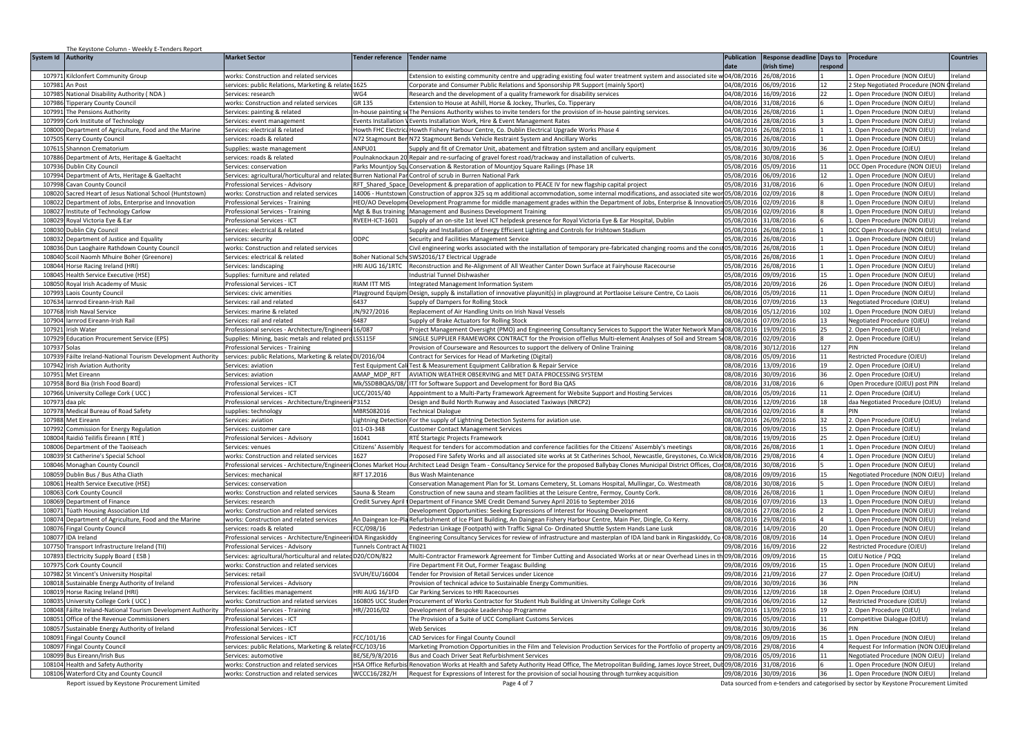| System Id Authority<br>Response deadline Days to<br>Procedure<br>date<br>Irish time]<br>espone<br>04/08/2016<br>Ireland<br>10797<br>Kilclonfert Community Group<br>6/08/2016<br>. Open Procedure (NON OJEU)<br>works: Construction and related services<br>Extension to existing community centre and upgrading existing foul water treatment system and associated site '<br>107981<br>An Post<br>ervices: public Relations, Marketing & related 1625<br>Corporate and Consumer Public Relations and Sponsorship PR Support (mainly Sport)<br>04/08/2016<br>06/09/2016<br>12<br>2 Step Negotiated Procedure (NON<br>Ireland<br>10798<br>National Disability Authority (NDA)<br>ervices: research<br>NG4<br>Research and the development of a quality framework for disability services<br>04/08/2016<br>6/09/2016<br>22<br>Open Procedure (NON OJEU)<br>eland<br>10798<br>works: Construction and related services<br>GR 135<br>Extension to House at Ashill, Horse & Jockey, Thurles, Co. Tipperary<br>04/08/2016<br>1/08/2016<br>Open Procedure (NON OJEU)<br>reland<br>ipperary County Council<br>04/08/2016<br>6/08/2016<br>. Open Procedure (NON OJEU)<br>107991<br>The Pensions Authority<br>Services: painting & related<br>The Pensions Authority wishes to invite tenders for the provision of in-house painting services.<br>Ireland<br>n-house painting s<br>04/08/2016<br>28/08/2016<br>. Open Procedure (NON OJEU)<br>107999 Cork Institute of Technology<br>Services: event management<br>vents Installation<br>Events Installation Work, Hire & Event Management Rates<br>Ireland<br>108000 Department of Agriculture, Food and the Marine<br>Services: electrical & related<br>Howth FHC Electrica Howth Fishery Harbour Centre, Co. Dublin Electrical Upgrade Works Phase 4<br>04/08/2016<br>16/08/2016<br>1. Open Procedure (NON OJEU)<br>Ireland<br>107505 Kerry County Council<br>services: roads & related<br>172 Stagmount Ben N72 Stagmount Bends Vehicle Restraint System and Ancillary Works<br>05/08/2016<br>16/08/2016<br>Open Procedure (NON OJEU)<br>Ireland<br>ANPU01<br>Supply and fit of Cremator Unit, abatement and filtration system and ancillary equipment<br>05/08/2016<br>0/09/2016<br>36<br>. Open Procedure (OJEU)<br>Ireland<br>107615 Shannon Crematorium<br>Supplies: waste management<br>0/08/2016<br>107886<br>Department of Arts, Heritage & Gaeltacht<br>05/08/2016<br>Open Procedure (NON OJEU)<br>reland<br>ervices: roads & related<br>oulnaknockaun 20<br>Repair and re-surfacing of gravel forest road/trackway and installation of culverts<br>05/08/2016<br>5/09/2016<br>107936<br>Dublin City Council<br>Parks Mountjoy Squ<br>Conservation & Restoration of Mountjoy Square Railings (Phase 1R<br>11<br><b>OCC Open Procedure (NON OJEU</b><br>reland<br>ervices: conservation<br>107994<br>Department of Arts, Heritage & Gaeltacht<br>Services: agricultural/horticultural and relate<br>Burren National Par Control of scrub in Burren National Park<br>05/08/2016<br>6/09/2016<br>12<br>. Open Procedure (NON OJEU)<br>eland<br>107998<br>avan County Council<br>rofessional Services - Advisory<br>RFT Shared Space<br>Development & preparation of application to PEACE IV for new flagship capital project<br>05/08/2016<br>1/08/2016<br>Open Procedure (NON OJEU)<br>eland<br>108020 Sacred Heart of Jesus National School (Huntstown)<br>4006 - Huntstown Construction of approx 325 sq m additional accommodation, some internal modifications, and associated site won05/08/2016<br>2/09/2016<br>. Open Procedure (NON OJEU)<br>reland<br>works: Construction and related services<br>108022 Department of Jobs, Enterprise and Innovation<br>02/09/2016<br>HEO/AO DevelopmeDevelopment Programme for middle management grades within the Department of Jobs, Enterprise & Innovation05/08/2016<br>. Open Procedure (NON OJEU)<br>Ireland<br>Professional Services - Training<br>108027 Institute of Technology Carlow<br>Professional Services - Training<br>Mgt & Bus training<br>Management and Business Development Training<br>05/08/2016<br>02/09/2016<br>1. Open Procedure (NON OJEU)<br>Ireland<br>108029 Royal Victoria Eye & Ear<br>Professional Services - ICT<br>RVEEH-ICT-1601<br>Supply of an on-site 1st level ICT helpdesk presence for Royal Victoria Eye & Ear Hospital, Dublin<br>05/08/2016<br>31/08/2016<br>1. Open Procedure (NON OJEU)<br>Ireland<br>10803<br>Dublin City Council<br>ervices: electrical & related<br>Supply and Installation of Energy Efficient Lighting and Controls for Irishtown Stadium<br>05/08/2016<br>6/08/2016<br>DCC Open Procedure (NON OJEU<br>reland<br>05/08/2016<br>10803<br>Department of Justice and Equality<br><b>ODPC</b><br>6/08/2016<br>Open Procedure (NON OJEU)<br>reland<br>Security and Facilities Management Service<br>ervices: security<br>108036<br>Civil engineering works associated with the installation of temporary pre-fabricated changing rooms and the consi<br>05/08/2016<br>6/08/2016<br>Open Procedure (NON OJEU)<br>Ireland<br>Dun Laoghaire Rathdown County Council<br>vorks: Construction and related services<br>108040<br>Scoil Naomh Mhuire Boher (Greenore)<br>Boher National SchcSWS2016/17 Electrical Upgrade<br>05/08/2016<br>6/08/2016<br>. Open Procedure (NON OJEU)<br>reland<br>iervices: electrical & related<br>108044<br>Horse Racing Ireland (HRI)<br>ervices: landscaping<br><b>HRI AUG 16/1RTC</b><br>Reconstruction and Re-Alignment of All Weather Canter Down Surface at Fairyhouse Racecourse<br>05/08/2016<br>6/08/2016<br>Open Procedure (NON OJEU)<br>eland<br>108045<br><b>Health Service Executive (HSE)</b><br>Supplies: furniture and related<br>Industrial Tunnel Dishwasher<br>05/08/2016<br>9/09/2016<br>. Open Procedure (NON OJEU)<br>reland<br>15<br>108050 Royal Irish Academy of Music<br>Professional Services - ICT<br><b>RIAM ITT MIS</b><br>Integrated Management Information System<br>05/08/2016<br>0/09/2016<br>. Open Procedure (NON OJEU)<br>Ireland<br>26<br>107993 Laois County Council<br>Services: civic amenities<br><sup>9</sup> layground Equipm Design, supply & installation of innovative playunit(s) in playground at Portlaoise Leisure Centre, Co Laois<br>06/08/2016<br>05/09/2016<br>11<br>Open Procedure (NON OJEU)<br>Ireland<br>107634 larnrod Eireann-Irish Rail<br>Services: rail and related<br>Supply of Dampers for Rolling Stock<br>08/08/2016<br>07/09/2016<br>13<br>Negotiated Procedure (OJEU)<br>Ireland<br>6437<br>107768 Irish Naval Service<br>Services: marine & related<br>JN/927/2016<br>Replacement of Air Handling Units on Irish Naval Vessels<br>08/08/2016<br>05/12/2016<br>102<br>. Open Procedure (NON OJEU)<br>Ireland<br>107904 larnrod Eireann-Irish Rail<br>6487<br>Supply of Brake Actuators for Rolling Stock<br>08/08/2016<br>7/09/2016<br>13<br>legotiated Procedure (OJEU)<br>Ireland<br>Services: rail and related<br>107921<br>6/087<br>Project Management Oversight (PMO) and Engineering Consultancy Services to Support the Water Network Man<br>08/08/2016<br>9/09/2016<br>25<br>Open Procedure (OJEU)<br>reland<br>Irish Water<br>Professional services - Architecture/Engineer<br>107929<br>ducation Procurement Service (EPS)<br>Supplies: Mining, basic metals and related pro<br>SS115F<br>SINGLE SUPPLIER FRAMEWORK CONTRACT for the Provision of Tellus Multi-element Analyses of Soil and Stream Se<br>08/08/2016<br>2/09/2016<br>. Open Procedure (OJEU)<br>reland<br>127<br>eland<br>10793<br>Solas<br>Professional Services - Training<br>Provision of Courseware and Resources to support the delivery of Online Training<br>08/08/2016<br>0/12/2016<br>PIN<br>10793<br>Fáilte Ireland-National Tourism Development Authority<br>services: public Relations, Marketing & related<br>) /2016/04<br>Contract for Services for Head of Marketing (Digital)<br>08/08/2016<br>5/09/2016<br>11<br>Restricted Procedure (OJEU)<br>eland<br>107942 Irish Aviation Authority<br>08/08/2016<br>3/09/2016<br>. Open Procedure (OJEU)<br>Ireland<br>est Equipment Cal<br>Test & Measurement Equipment Calibration & Repair Service<br>19<br>Services: aviation<br>107951 Met Eireann<br>AMAP MDP RFT<br>AVIATION WEATHER OBSERVING and MET DATA PROCESSING SYSTEM<br>08/08/2016<br>30/09/2016<br>Ireland<br>Services: aviation<br>36<br>Open Procedure (OJEU)<br>107958 Bord Bia (Irish Food Board)<br>Professional Services - ICT<br>Mk/SSDBBQAS/08/<br>ITT for Software Support and Development for Bord Bia QAS<br>08/08/2016<br>31/08/2016<br>Open Procedure (OJEU) post PIN<br>Ireland<br>107966<br>University College Cork (UCC<br>Professional Services - ICT<br>UCC/2015/40<br>Appointment to a Multi-Party Framework Agreement for Website Support and Hosting Services<br>08/08/2016<br>05/09/2016<br>11<br>2. Open Procedure (OJEU)<br>Ireland<br>10797<br>Professional services - Architecture/Engineeri<br>P3152<br>Design and Build North Runway and Associated Taxiways (NRCP2)<br>08/08/2016<br>2/09/2016<br>18<br>daa Negotiated Procedure (OJEU)<br>Ireland<br>daa plc<br>MBRS082016<br>08/08/2016<br>2/09/2016<br>107978<br>Medical Bureau of Road Safety<br>Fechnical Dialogue<br>reland<br>upplies: technology<br>PIN<br>107988 Met Eireann<br>32<br>08/08/2016<br>26/09/2016<br>. Open Procedure (OJEU)<br>Ireland<br>Services: aviation<br>ightning Detection For the supply of Lightning Detection Systems for aviation use.<br>ommission for Energy Regulation<br>011-03-348<br>Customer Contact Management Services<br>08/08/2016<br>9/09/2016<br>15<br>. Open Procedure (OJEU)<br>reland<br>10799<br>ervices: customer care<br>108004 Raidió Teilifís Éireann (RTÉ)<br>rofessional Services - Advisory<br>16041<br>08/08/2016<br>9/09/2016<br>25<br>Open Procedure (OJEU)<br>eland<br>RTÉ Startegic Proiects Framework<br>108006 Department of the Taoiseach<br>itizens' Assembly<br>Request for tenders for accommodation and conference facilities for the Citizens' Assembly's meetings<br>08/08/2016<br>6/08/2016<br>. Open Procedure (NON OJEU)<br>reland<br>Services: venues<br>108039 St Catherine's Special School<br>627<br>Proposed Fire Safety Works and all associated site works at St Catherines School, Newcastle, Greystones, Co.Wick 08/08/2016<br>9/08/2016<br>. Open Procedure (NON OJEU)<br>reland<br>works: Construction and related services<br>108046 Monaghan County Council<br>Professional services - Architecture/Engineeri<br>Clones Market Hous Architect Lead Design Team - Consultancy Service for the proposed Ballybay Clones Municipal District Offices, Clon08/08/2016<br>30/08/2016<br>. Open Procedure (NON OJEU)<br>reland<br>Dublin Bus / Bus Atha Cliath<br>RFT 17.2016<br>09/09/2016<br><b>Negotiated Procedure (NON OJEL</b><br>Ireland<br>108059<br>Services: mechanical<br><b>Bus Wash Maintenance</b><br>08/08/2016<br>15<br>108061 Health Service Executive (HSE)<br>Conservation Management Plan for St. Lomans Cemetery, St. Lomans Hospital, Mullingar, Co. Westmeath<br>08/08/2016<br>30/08/2016<br>Open Procedure (NON OJEU)<br>reland<br>ervices: conservation<br>108063 Cork County Council<br>08/08/2016<br>6/08/2016<br>Open Procedure (NON OJEU)<br>works: Construction and related services<br>Sauna & Steam<br>Construction of new sauna and steam facilities at the Leisure Centre, Fermoy, County Cork.<br>reland<br>108069<br>08/08/2016<br>07/09/2016<br>13<br>Open Procedure (NON OJEU)<br>Department of Finance<br>redit Survey April<br>Department of Finance SME Credit Demand Survey April 2016 to September 2016<br>reland<br>Services: research<br>108071<br>works: Construction and related services<br>Development Opportunities: Seeking Expressions of Interest for Housing Development<br>08/08/2016<br>27/08/2016<br>. Open Procedure (NON OJEU)<br>reland<br>「úath Housing Association Ltd<br>108074 Department of Agriculture, Food and the Marine<br>08/08/2016<br>19/08/2016<br>works: Construction and related services<br>An Daingean Ice-Pla Refurbishment of Ice Plant Building, An Daingean Fishery Harbour Centre, Main Pier, Dingle, Co Kerry.<br>. Open Procedure (NON OJEU)<br>eland<br>108076<br><b>Fingal County Council</b><br>CC/098/16<br>Pedestrian Linkage (Footpath) with Traffic Signal Co- Ordinated Shuttle System Hands Lane Lusk<br>08/08/2016<br>4/09/2016<br>20<br>. Open Procedure (NON OJEU)<br>eland<br>services: roads & related<br>108077 IDA Ireland<br><b>IDA Ringaskiddy</b><br>08/08/2016<br>8/09/2016<br>Professional services - Architecture/Engineeri<br>Engineering Consultancy Services for review of infrastructure and masterplan of IDA land bank in Ringaskiddy, Co<br>14<br>. Open Procedure (NON OJEU)<br>reland<br>107750<br>09/08/2016<br>16/09/2016<br>Restricted Procedure (OJEU)<br>Fransport Infrastructure Ireland (TII)<br>Professional Services - Advisory<br>unnels Contract A<br>TII021<br>22<br>reland<br>107893<br>Electricity Supply Board (ESB)<br>Services: agricultural/horticultural and related D20/CON/822<br>Multi-Contractor Framework Agreement for Timber Cutting and Associated Works at or near Overhead Lines in th09/08/2016<br>09/09/2016<br>OJEU Notice / PQQ<br>Ireland<br>15<br>107975<br><b>Cork County Council</b><br>works: Construction and related services<br>Fire Department Fit Out, Former Teagasc Building<br>09/08/2016<br>9/09/2016<br>15<br>. Open Procedure (NON OJEU)<br>Ireland<br>107982<br>VUH/EU/16004<br><b>Fender for Provision of Retail Services under Licence</b><br>09/08/2016<br>1/09/2016<br>27<br>. Open Procedure (OJEU)<br>Ireland<br>St Vincent's University Hospital<br>Services: retail<br>09/08/2016<br>0/09/2016<br>36<br>108018<br>Sustainable Energy Authority of Ireland<br>Provision of technical advice to Sustainable Energy Communities.<br>PIN<br>reland<br>rofessional Services - Advisory<br>108019<br>HRI AUG 16/1FD<br>09/08/2016<br>12/09/2016<br>18<br>Ireland<br>Horse Racing Ireland (HRI)<br>Services: facilities management<br>Car Parking Services to HRI Racecourses<br>. Open Procedure (OJEU)<br>University College Cork (UCC<br>160805 UCC Stude<br>Procurement of Works Contractor for Student Hub Building at University College Cork<br>09/08/2016<br>6/09/2016<br>12<br>reland<br>10803<br>works: Construction and related services<br>Restricted Procedure (OJEU<br>108048<br>Fáilte Ireland-National Tourism Development Authority<br>Professional Services - Training<br>HR//2016/02<br>Development of Bespoke Leadershop Programme<br>09/08/2016<br>3/09/2016<br>19<br>. Open Procedure (OJEU)<br>eland<br>108051<br>The Provision of a Suite of UCC Compliant Customs Services<br>09/08/2016<br>5/09/2016<br>Competitive Dialogue (OJEU)<br>reland<br>Office of the Revenue Commissioners<br>rofessional Services - ICT<br>11<br>09/08/2016<br>30/09/2016<br>108057<br>Sustainable Energy Authority of Ireland<br>rofessional Services - ICT<br>36<br>reland<br>Web Services<br>PIN<br>108091 Fingal County Council<br>Professional Services - ICT<br>CC/101/16<br>CAD Services for Fingal County Council<br>09/08/2016<br>09/09/2016<br>15<br>. Open Procedure (NON OJEU)<br>Ireland<br>FCC/103/16<br>Marketing Promotion Opportunities in the Film and Television Production Services for the Portfolio of property ar<br>09/08/2016<br>9/08/2016<br>Ireland<br>108097 Fingal County Council<br>services: public Relations, Marketing & related<br>Request For Information (NON OJI<br>108099 Bus Eireann/Irish Bus<br>E/SE/9/8/2016<br>Bus and Coach Driver Seat Refurbishment Services<br>09/08/2016<br>5/09/2016<br><b>Jegotiated Procedure (NON OJEL</b><br>Ireland<br>11<br>Services: automotive<br>09/08/2016<br>31/08/2016<br>. Open Procedure (NON OJEU)<br>108104 Health and Safety Authority<br><b>ISA Office Refurbi</b><br>Renovation Works at Health and Safety Authority Head Office, The Metropolitan Building, James Joyce Street, Du<br>reland<br>vorks: Construction and related services<br>108106 Waterford City and County Council<br>WCCC16/282/H<br>09/08/2016 30/09/2016<br>36<br>Request for Expressions of Interest for the provision of social housing through turnkey acquisition<br>1. Open Procedure (NON OJEU)<br>Ireland<br>works: Construction and related services | The Keystone Column - Weekly E-Tenders Report |                      |                         |                    |                    |  |                  |
|--------------------------------------------------------------------------------------------------------------------------------------------------------------------------------------------------------------------------------------------------------------------------------------------------------------------------------------------------------------------------------------------------------------------------------------------------------------------------------------------------------------------------------------------------------------------------------------------------------------------------------------------------------------------------------------------------------------------------------------------------------------------------------------------------------------------------------------------------------------------------------------------------------------------------------------------------------------------------------------------------------------------------------------------------------------------------------------------------------------------------------------------------------------------------------------------------------------------------------------------------------------------------------------------------------------------------------------------------------------------------------------------------------------------------------------------------------------------------------------------------------------------------------------------------------------------------------------------------------------------------------------------------------------------------------------------------------------------------------------------------------------------------------------------------------------------------------------------------------------------------------------------------------------------------------------------------------------------------------------------------------------------------------------------------------------------------------------------------------------------------------------------------------------------------------------------------------------------------------------------------------------------------------------------------------------------------------------------------------------------------------------------------------------------------------------------------------------------------------------------------------------------------------------------------------------------------------------------------------------------------------------------------------------------------------------------------------------------------------------------------------------------------------------------------------------------------------------------------------------------------------------------------------------------------------------------------------------------------------------------------------------------------------------------------------------------------------------------------------------------------------------------------------------------------------------------------------------------------------------------------------------------------------------------------------------------------------------------------------------------------------------------------------------------------------------------------------------------------------------------------------------------------------------------------------------------------------------------------------------------------------------------------------------------------------------------------------------------------------------------------------------------------------------------------------------------------------------------------------------------------------------------------------------------------------------------------------------------------------------------------------------------------------------------------------------------------------------------------------------------------------------------------------------------------------------------------------------------------------------------------------------------------------------------------------------------------------------------------------------------------------------------------------------------------------------------------------------------------------------------------------------------------------------------------------------------------------------------------------------------------------------------------------------------------------------------------------------------------------------------------------------------------------------------------------------------------------------------------------------------------------------------------------------------------------------------------------------------------------------------------------------------------------------------------------------------------------------------------------------------------------------------------------------------------------------------------------------------------------------------------------------------------------------------------------------------------------------------------------------------------------------------------------------------------------------------------------------------------------------------------------------------------------------------------------------------------------------------------------------------------------------------------------------------------------------------------------------------------------------------------------------------------------------------------------------------------------------------------------------------------------------------------------------------------------------------------------------------------------------------------------------------------------------------------------------------------------------------------------------------------------------------------------------------------------------------------------------------------------------------------------------------------------------------------------------------------------------------------------------------------------------------------------------------------------------------------------------------------------------------------------------------------------------------------------------------------------------------------------------------------------------------------------------------------------------------------------------------------------------------------------------------------------------------------------------------------------------------------------------------------------------------------------------------------------------------------------------------------------------------------------------------------------------------------------------------------------------------------------------------------------------------------------------------------------------------------------------------------------------------------------------------------------------------------------------------------------------------------------------------------------------------------------------------------------------------------------------------------------------------------------------------------------------------------------------------------------------------------------------------------------------------------------------------------------------------------------------------------------------------------------------------------------------------------------------------------------------------------------------------------------------------------------------------------------------------------------------------------------------------------------------------------------------------------------------------------------------------------------------------------------------------------------------------------------------------------------------------------------------------------------------------------------------------------------------------------------------------------------------------------------------------------------------------------------------------------------------------------------------------------------------------------------------------------------------------------------------------------------------------------------------------------------------------------------------------------------------------------------------------------------------------------------------------------------------------------------------------------------------------------------------------------------------------------------------------------------------------------------------------------------------------------------------------------------------------------------------------------------------------------------------------------------------------------------------------------------------------------------------------------------------------------------------------------------------------------------------------------------------------------------------------------------------------------------------------------------------------------------------------------------------------------------------------------------------------------------------------------------------------------------------------------------------------------------------------------------------------------------------------------------------------------------------------------------------------------------------------------------------------------------------------------------------------------------------------------------------------------------------------------------------------------------------------------------------------------------------------------------------------------------------------------------------------------------------------------------------------------------------------------------------------------------------------------------------------------------------------------------------------------------------------------------------------------------------------------------------------------------------------------------------------------------------------------------------------------------------------------------------------------------------------------------------------------------------------------------------------------------------------------------------------------------------------------------------------------------------------------------------------------------------------------------------------------------------------------------------------------------------------------------------------------------------------------------------------------------------------------------------------------------------------------------------------------------------------------------------------------------------------------------------------------------------------------------------------------------------------------------------------------------------------------------------------------------------------------------------------------------------------------------------------------------------------------------------------------------------------------------------------------------------------------------------------------------------------------------------------------------------------------------------------------------------------------------------------------------------------------------------------------------------------------------------------------------------------------------------------------------------------------------------------------------------------------------------------------------------------------------------------------------------------------------------------------------------------------------------------------------------------------------------------------------------------------------------------------------------------------------------------------------------------------------------------------------------------------------------------------------------------------------------------------------------------------------------------------------------------------------------------------------------------------------------------------------------------------------------------------------------------------------------------------------------------------------------------------------------------------------------------------------------------------------------------------------------------------------------------------------------------------------------------------------------------------------------------------------------------------------------------------------------------------------------------------------------------------------------------------------------------------------------------------------------------------------------------------------------------------------------------------------------------------------------------------------------------------------------------------------------------------------------------------------------------------------------------------------------------------------------------------------------------------------------------------------------------------------------------------------------------------------------------------------------------------------------------------------------------------------------------------------------------------------------------------------------------------------------------------------------------------------------------------------------------------------------------------------------------------------------------------------------------------------------------------------------------------------------------------------------------------------------------------------------------------------------------------------------------------------------------------------------------------------------------------------------------------------------------------------------------------------------------------------------------------------------------------------------------------------------------------------------------------------------------------------------------------------------------------------------------------------------------------------------------------------------------------------------------------------------------------------------------------------------------------------------------------------------------------------------------------------------------------------------------------------------------------------------------------------------------------------------------------------------------------------------------------------------------------------------------------------------------------------------------------------------------------------------------------------------------------------------------------------------------------------------------------------------------------------------------------------------------------------------------------------------------------------------------------------------------------------------------------------------------------------------------------------------------------------------------------------------------------------------------------------------------------------------------------------------------------------------------------------------------------------------------------------------------------------------------------------------------------------------------------------------------------------------------------------------------------------------------------------------------------------------------------------------------------------------------------------------------------------------------------------------------------------------------------------------------------------------------------------------------------------|-----------------------------------------------|----------------------|-------------------------|--------------------|--------------------|--|------------------|
|                                                                                                                                                                                                                                                                                                                                                                                                                                                                                                                                                                                                                                                                                                                                                                                                                                                                                                                                                                                                                                                                                                                                                                                                                                                                                                                                                                                                                                                                                                                                                                                                                                                                                                                                                                                                                                                                                                                                                                                                                                                                                                                                                                                                                                                                                                                                                                                                                                                                                                                                                                                                                                                                                                                                                                                                                                                                                                                                                                                                                                                                                                                                                                                                                                                                                                                                                                                                                                                                                                                                                                                                                                                                                                                                                                                                                                                                                                                                                                                                                                                                                                                                                                                                                                                                                                                                                                                                                                                                                                                                                                                                                                                                                                                                                                                                                                                                                                                                                                                                                                                                                                                                                                                                                                                                                                                                                                                                                                                                                                                                                                                                                                                                                                                                                                                                                                                                                                                                                                                                                                                                                                                                                                                                                                                                                                                                                                                                                                                                                                                                                                                                                                                                                                                                                                                                                                                                                                                                                                                                                                                                                                                                                                                                                                                                                                                                                                                                                                                                                                                                                                                                                                                                                                                                                                                                                                                                                                                                                                                                                                                                                                                                                                                                                                                                                                                                                                                                                                                                                                                                                                                                                                                                                                                                                                                                                                                                                                                                                                                                                                                                                                                                                                                                                                                                                                                                                                                                                                                                                                                                                                                                                                                                                                                                                                                                                                                                                                                                                                                                                                                                                                                                                                                                                                                                                                                                                                                                                                                                                                                                                                                                                                                                                                                                                                                                                                                                                                                                                                                                                                                                                                                                                                                                                                                                                                                                                                                                                                                                                                                                                                                                                                                                                                                                                                                                                                                                                                                                                                                                                                                                                                                                                                                                                                                                                                                                                                                                                                                                                                                                                                                                                                                                                                                                                                                                                                                                                                                                                                                                                                                                                                                                                                                                                                                                                                                                                                                                                                                                                                                                                                                                                                                                                                                                                                                                                                                                                                                                                                                                                                                                                                                                                                                                                                                                                                                                                                                                                                                                                                                                                                                                                                                                                                                                                                                                                                                                                                                                                                                                                                                                                                                                                                                                                                                                                                                                                                                                                                                                                                                                                                                                                                                                                                                                                                                                                                                                                                                                                                                                                                                                                                                                                                                                                                                                                                                                                                                                                                |                                               | <b>Market Sector</b> | <b>Tender reference</b> | <b>Tender name</b> | <b>Publication</b> |  | <b>Countries</b> |
|                                                                                                                                                                                                                                                                                                                                                                                                                                                                                                                                                                                                                                                                                                                                                                                                                                                                                                                                                                                                                                                                                                                                                                                                                                                                                                                                                                                                                                                                                                                                                                                                                                                                                                                                                                                                                                                                                                                                                                                                                                                                                                                                                                                                                                                                                                                                                                                                                                                                                                                                                                                                                                                                                                                                                                                                                                                                                                                                                                                                                                                                                                                                                                                                                                                                                                                                                                                                                                                                                                                                                                                                                                                                                                                                                                                                                                                                                                                                                                                                                                                                                                                                                                                                                                                                                                                                                                                                                                                                                                                                                                                                                                                                                                                                                                                                                                                                                                                                                                                                                                                                                                                                                                                                                                                                                                                                                                                                                                                                                                                                                                                                                                                                                                                                                                                                                                                                                                                                                                                                                                                                                                                                                                                                                                                                                                                                                                                                                                                                                                                                                                                                                                                                                                                                                                                                                                                                                                                                                                                                                                                                                                                                                                                                                                                                                                                                                                                                                                                                                                                                                                                                                                                                                                                                                                                                                                                                                                                                                                                                                                                                                                                                                                                                                                                                                                                                                                                                                                                                                                                                                                                                                                                                                                                                                                                                                                                                                                                                                                                                                                                                                                                                                                                                                                                                                                                                                                                                                                                                                                                                                                                                                                                                                                                                                                                                                                                                                                                                                                                                                                                                                                                                                                                                                                                                                                                                                                                                                                                                                                                                                                                                                                                                                                                                                                                                                                                                                                                                                                                                                                                                                                                                                                                                                                                                                                                                                                                                                                                                                                                                                                                                                                                                                                                                                                                                                                                                                                                                                                                                                                                                                                                                                                                                                                                                                                                                                                                                                                                                                                                                                                                                                                                                                                                                                                                                                                                                                                                                                                                                                                                                                                                                                                                                                                                                                                                                                                                                                                                                                                                                                                                                                                                                                                                                                                                                                                                                                                                                                                                                                                                                                                                                                                                                                                                                                                                                                                                                                                                                                                                                                                                                                                                                                                                                                                                                                                                                                                                                                                                                                                                                                                                                                                                                                                                                                                                                                                                                                                                                                                                                                                                                                                                                                                                                                                                                                                                                                                                                                                                                                                                                                                                                                                                                                                                                                                                                                                                                                                |                                               |                      |                         |                    |                    |  |                  |
|                                                                                                                                                                                                                                                                                                                                                                                                                                                                                                                                                                                                                                                                                                                                                                                                                                                                                                                                                                                                                                                                                                                                                                                                                                                                                                                                                                                                                                                                                                                                                                                                                                                                                                                                                                                                                                                                                                                                                                                                                                                                                                                                                                                                                                                                                                                                                                                                                                                                                                                                                                                                                                                                                                                                                                                                                                                                                                                                                                                                                                                                                                                                                                                                                                                                                                                                                                                                                                                                                                                                                                                                                                                                                                                                                                                                                                                                                                                                                                                                                                                                                                                                                                                                                                                                                                                                                                                                                                                                                                                                                                                                                                                                                                                                                                                                                                                                                                                                                                                                                                                                                                                                                                                                                                                                                                                                                                                                                                                                                                                                                                                                                                                                                                                                                                                                                                                                                                                                                                                                                                                                                                                                                                                                                                                                                                                                                                                                                                                                                                                                                                                                                                                                                                                                                                                                                                                                                                                                                                                                                                                                                                                                                                                                                                                                                                                                                                                                                                                                                                                                                                                                                                                                                                                                                                                                                                                                                                                                                                                                                                                                                                                                                                                                                                                                                                                                                                                                                                                                                                                                                                                                                                                                                                                                                                                                                                                                                                                                                                                                                                                                                                                                                                                                                                                                                                                                                                                                                                                                                                                                                                                                                                                                                                                                                                                                                                                                                                                                                                                                                                                                                                                                                                                                                                                                                                                                                                                                                                                                                                                                                                                                                                                                                                                                                                                                                                                                                                                                                                                                                                                                                                                                                                                                                                                                                                                                                                                                                                                                                                                                                                                                                                                                                                                                                                                                                                                                                                                                                                                                                                                                                                                                                                                                                                                                                                                                                                                                                                                                                                                                                                                                                                                                                                                                                                                                                                                                                                                                                                                                                                                                                                                                                                                                                                                                                                                                                                                                                                                                                                                                                                                                                                                                                                                                                                                                                                                                                                                                                                                                                                                                                                                                                                                                                                                                                                                                                                                                                                                                                                                                                                                                                                                                                                                                                                                                                                                                                                                                                                                                                                                                                                                                                                                                                                                                                                                                                                                                                                                                                                                                                                                                                                                                                                                                                                                                                                                                                                                                                                                                                                                                                                                                                                                                                                                                                                                                                                                                                                |                                               |                      |                         |                    |                    |  |                  |
|                                                                                                                                                                                                                                                                                                                                                                                                                                                                                                                                                                                                                                                                                                                                                                                                                                                                                                                                                                                                                                                                                                                                                                                                                                                                                                                                                                                                                                                                                                                                                                                                                                                                                                                                                                                                                                                                                                                                                                                                                                                                                                                                                                                                                                                                                                                                                                                                                                                                                                                                                                                                                                                                                                                                                                                                                                                                                                                                                                                                                                                                                                                                                                                                                                                                                                                                                                                                                                                                                                                                                                                                                                                                                                                                                                                                                                                                                                                                                                                                                                                                                                                                                                                                                                                                                                                                                                                                                                                                                                                                                                                                                                                                                                                                                                                                                                                                                                                                                                                                                                                                                                                                                                                                                                                                                                                                                                                                                                                                                                                                                                                                                                                                                                                                                                                                                                                                                                                                                                                                                                                                                                                                                                                                                                                                                                                                                                                                                                                                                                                                                                                                                                                                                                                                                                                                                                                                                                                                                                                                                                                                                                                                                                                                                                                                                                                                                                                                                                                                                                                                                                                                                                                                                                                                                                                                                                                                                                                                                                                                                                                                                                                                                                                                                                                                                                                                                                                                                                                                                                                                                                                                                                                                                                                                                                                                                                                                                                                                                                                                                                                                                                                                                                                                                                                                                                                                                                                                                                                                                                                                                                                                                                                                                                                                                                                                                                                                                                                                                                                                                                                                                                                                                                                                                                                                                                                                                                                                                                                                                                                                                                                                                                                                                                                                                                                                                                                                                                                                                                                                                                                                                                                                                                                                                                                                                                                                                                                                                                                                                                                                                                                                                                                                                                                                                                                                                                                                                                                                                                                                                                                                                                                                                                                                                                                                                                                                                                                                                                                                                                                                                                                                                                                                                                                                                                                                                                                                                                                                                                                                                                                                                                                                                                                                                                                                                                                                                                                                                                                                                                                                                                                                                                                                                                                                                                                                                                                                                                                                                                                                                                                                                                                                                                                                                                                                                                                                                                                                                                                                                                                                                                                                                                                                                                                                                                                                                                                                                                                                                                                                                                                                                                                                                                                                                                                                                                                                                                                                                                                                                                                                                                                                                                                                                                                                                                                                                                                                                                                                                                                                                                                                                                                                                                                                                                                                                                                                                                                                                                |                                               |                      |                         |                    |                    |  |                  |
|                                                                                                                                                                                                                                                                                                                                                                                                                                                                                                                                                                                                                                                                                                                                                                                                                                                                                                                                                                                                                                                                                                                                                                                                                                                                                                                                                                                                                                                                                                                                                                                                                                                                                                                                                                                                                                                                                                                                                                                                                                                                                                                                                                                                                                                                                                                                                                                                                                                                                                                                                                                                                                                                                                                                                                                                                                                                                                                                                                                                                                                                                                                                                                                                                                                                                                                                                                                                                                                                                                                                                                                                                                                                                                                                                                                                                                                                                                                                                                                                                                                                                                                                                                                                                                                                                                                                                                                                                                                                                                                                                                                                                                                                                                                                                                                                                                                                                                                                                                                                                                                                                                                                                                                                                                                                                                                                                                                                                                                                                                                                                                                                                                                                                                                                                                                                                                                                                                                                                                                                                                                                                                                                                                                                                                                                                                                                                                                                                                                                                                                                                                                                                                                                                                                                                                                                                                                                                                                                                                                                                                                                                                                                                                                                                                                                                                                                                                                                                                                                                                                                                                                                                                                                                                                                                                                                                                                                                                                                                                                                                                                                                                                                                                                                                                                                                                                                                                                                                                                                                                                                                                                                                                                                                                                                                                                                                                                                                                                                                                                                                                                                                                                                                                                                                                                                                                                                                                                                                                                                                                                                                                                                                                                                                                                                                                                                                                                                                                                                                                                                                                                                                                                                                                                                                                                                                                                                                                                                                                                                                                                                                                                                                                                                                                                                                                                                                                                                                                                                                                                                                                                                                                                                                                                                                                                                                                                                                                                                                                                                                                                                                                                                                                                                                                                                                                                                                                                                                                                                                                                                                                                                                                                                                                                                                                                                                                                                                                                                                                                                                                                                                                                                                                                                                                                                                                                                                                                                                                                                                                                                                                                                                                                                                                                                                                                                                                                                                                                                                                                                                                                                                                                                                                                                                                                                                                                                                                                                                                                                                                                                                                                                                                                                                                                                                                                                                                                                                                                                                                                                                                                                                                                                                                                                                                                                                                                                                                                                                                                                                                                                                                                                                                                                                                                                                                                                                                                                                                                                                                                                                                                                                                                                                                                                                                                                                                                                                                                                                                                                                                                                                                                                                                                                                                                                                                                                                                                                                                                                                                |                                               |                      |                         |                    |                    |  |                  |
|                                                                                                                                                                                                                                                                                                                                                                                                                                                                                                                                                                                                                                                                                                                                                                                                                                                                                                                                                                                                                                                                                                                                                                                                                                                                                                                                                                                                                                                                                                                                                                                                                                                                                                                                                                                                                                                                                                                                                                                                                                                                                                                                                                                                                                                                                                                                                                                                                                                                                                                                                                                                                                                                                                                                                                                                                                                                                                                                                                                                                                                                                                                                                                                                                                                                                                                                                                                                                                                                                                                                                                                                                                                                                                                                                                                                                                                                                                                                                                                                                                                                                                                                                                                                                                                                                                                                                                                                                                                                                                                                                                                                                                                                                                                                                                                                                                                                                                                                                                                                                                                                                                                                                                                                                                                                                                                                                                                                                                                                                                                                                                                                                                                                                                                                                                                                                                                                                                                                                                                                                                                                                                                                                                                                                                                                                                                                                                                                                                                                                                                                                                                                                                                                                                                                                                                                                                                                                                                                                                                                                                                                                                                                                                                                                                                                                                                                                                                                                                                                                                                                                                                                                                                                                                                                                                                                                                                                                                                                                                                                                                                                                                                                                                                                                                                                                                                                                                                                                                                                                                                                                                                                                                                                                                                                                                                                                                                                                                                                                                                                                                                                                                                                                                                                                                                                                                                                                                                                                                                                                                                                                                                                                                                                                                                                                                                                                                                                                                                                                                                                                                                                                                                                                                                                                                                                                                                                                                                                                                                                                                                                                                                                                                                                                                                                                                                                                                                                                                                                                                                                                                                                                                                                                                                                                                                                                                                                                                                                                                                                                                                                                                                                                                                                                                                                                                                                                                                                                                                                                                                                                                                                                                                                                                                                                                                                                                                                                                                                                                                                                                                                                                                                                                                                                                                                                                                                                                                                                                                                                                                                                                                                                                                                                                                                                                                                                                                                                                                                                                                                                                                                                                                                                                                                                                                                                                                                                                                                                                                                                                                                                                                                                                                                                                                                                                                                                                                                                                                                                                                                                                                                                                                                                                                                                                                                                                                                                                                                                                                                                                                                                                                                                                                                                                                                                                                                                                                                                                                                                                                                                                                                                                                                                                                                                                                                                                                                                                                                                                                                                                                                                                                                                                                                                                                                                                                                                                                                                                                                                                |                                               |                      |                         |                    |                    |  |                  |
|                                                                                                                                                                                                                                                                                                                                                                                                                                                                                                                                                                                                                                                                                                                                                                                                                                                                                                                                                                                                                                                                                                                                                                                                                                                                                                                                                                                                                                                                                                                                                                                                                                                                                                                                                                                                                                                                                                                                                                                                                                                                                                                                                                                                                                                                                                                                                                                                                                                                                                                                                                                                                                                                                                                                                                                                                                                                                                                                                                                                                                                                                                                                                                                                                                                                                                                                                                                                                                                                                                                                                                                                                                                                                                                                                                                                                                                                                                                                                                                                                                                                                                                                                                                                                                                                                                                                                                                                                                                                                                                                                                                                                                                                                                                                                                                                                                                                                                                                                                                                                                                                                                                                                                                                                                                                                                                                                                                                                                                                                                                                                                                                                                                                                                                                                                                                                                                                                                                                                                                                                                                                                                                                                                                                                                                                                                                                                                                                                                                                                                                                                                                                                                                                                                                                                                                                                                                                                                                                                                                                                                                                                                                                                                                                                                                                                                                                                                                                                                                                                                                                                                                                                                                                                                                                                                                                                                                                                                                                                                                                                                                                                                                                                                                                                                                                                                                                                                                                                                                                                                                                                                                                                                                                                                                                                                                                                                                                                                                                                                                                                                                                                                                                                                                                                                                                                                                                                                                                                                                                                                                                                                                                                                                                                                                                                                                                                                                                                                                                                                                                                                                                                                                                                                                                                                                                                                                                                                                                                                                                                                                                                                                                                                                                                                                                                                                                                                                                                                                                                                                                                                                                                                                                                                                                                                                                                                                                                                                                                                                                                                                                                                                                                                                                                                                                                                                                                                                                                                                                                                                                                                                                                                                                                                                                                                                                                                                                                                                                                                                                                                                                                                                                                                                                                                                                                                                                                                                                                                                                                                                                                                                                                                                                                                                                                                                                                                                                                                                                                                                                                                                                                                                                                                                                                                                                                                                                                                                                                                                                                                                                                                                                                                                                                                                                                                                                                                                                                                                                                                                                                                                                                                                                                                                                                                                                                                                                                                                                                                                                                                                                                                                                                                                                                                                                                                                                                                                                                                                                                                                                                                                                                                                                                                                                                                                                                                                                                                                                                                                                                                                                                                                                                                                                                                                                                                                                                                                                                                                                                                |                                               |                      |                         |                    |                    |  |                  |
|                                                                                                                                                                                                                                                                                                                                                                                                                                                                                                                                                                                                                                                                                                                                                                                                                                                                                                                                                                                                                                                                                                                                                                                                                                                                                                                                                                                                                                                                                                                                                                                                                                                                                                                                                                                                                                                                                                                                                                                                                                                                                                                                                                                                                                                                                                                                                                                                                                                                                                                                                                                                                                                                                                                                                                                                                                                                                                                                                                                                                                                                                                                                                                                                                                                                                                                                                                                                                                                                                                                                                                                                                                                                                                                                                                                                                                                                                                                                                                                                                                                                                                                                                                                                                                                                                                                                                                                                                                                                                                                                                                                                                                                                                                                                                                                                                                                                                                                                                                                                                                                                                                                                                                                                                                                                                                                                                                                                                                                                                                                                                                                                                                                                                                                                                                                                                                                                                                                                                                                                                                                                                                                                                                                                                                                                                                                                                                                                                                                                                                                                                                                                                                                                                                                                                                                                                                                                                                                                                                                                                                                                                                                                                                                                                                                                                                                                                                                                                                                                                                                                                                                                                                                                                                                                                                                                                                                                                                                                                                                                                                                                                                                                                                                                                                                                                                                                                                                                                                                                                                                                                                                                                                                                                                                                                                                                                                                                                                                                                                                                                                                                                                                                                                                                                                                                                                                                                                                                                                                                                                                                                                                                                                                                                                                                                                                                                                                                                                                                                                                                                                                                                                                                                                                                                                                                                                                                                                                                                                                                                                                                                                                                                                                                                                                                                                                                                                                                                                                                                                                                                                                                                                                                                                                                                                                                                                                                                                                                                                                                                                                                                                                                                                                                                                                                                                                                                                                                                                                                                                                                                                                                                                                                                                                                                                                                                                                                                                                                                                                                                                                                                                                                                                                                                                                                                                                                                                                                                                                                                                                                                                                                                                                                                                                                                                                                                                                                                                                                                                                                                                                                                                                                                                                                                                                                                                                                                                                                                                                                                                                                                                                                                                                                                                                                                                                                                                                                                                                                                                                                                                                                                                                                                                                                                                                                                                                                                                                                                                                                                                                                                                                                                                                                                                                                                                                                                                                                                                                                                                                                                                                                                                                                                                                                                                                                                                                                                                                                                                                                                                                                                                                                                                                                                                                                                                                                                                                                                                                                                                |                                               |                      |                         |                    |                    |  |                  |
|                                                                                                                                                                                                                                                                                                                                                                                                                                                                                                                                                                                                                                                                                                                                                                                                                                                                                                                                                                                                                                                                                                                                                                                                                                                                                                                                                                                                                                                                                                                                                                                                                                                                                                                                                                                                                                                                                                                                                                                                                                                                                                                                                                                                                                                                                                                                                                                                                                                                                                                                                                                                                                                                                                                                                                                                                                                                                                                                                                                                                                                                                                                                                                                                                                                                                                                                                                                                                                                                                                                                                                                                                                                                                                                                                                                                                                                                                                                                                                                                                                                                                                                                                                                                                                                                                                                                                                                                                                                                                                                                                                                                                                                                                                                                                                                                                                                                                                                                                                                                                                                                                                                                                                                                                                                                                                                                                                                                                                                                                                                                                                                                                                                                                                                                                                                                                                                                                                                                                                                                                                                                                                                                                                                                                                                                                                                                                                                                                                                                                                                                                                                                                                                                                                                                                                                                                                                                                                                                                                                                                                                                                                                                                                                                                                                                                                                                                                                                                                                                                                                                                                                                                                                                                                                                                                                                                                                                                                                                                                                                                                                                                                                                                                                                                                                                                                                                                                                                                                                                                                                                                                                                                                                                                                                                                                                                                                                                                                                                                                                                                                                                                                                                                                                                                                                                                                                                                                                                                                                                                                                                                                                                                                                                                                                                                                                                                                                                                                                                                                                                                                                                                                                                                                                                                                                                                                                                                                                                                                                                                                                                                                                                                                                                                                                                                                                                                                                                                                                                                                                                                                                                                                                                                                                                                                                                                                                                                                                                                                                                                                                                                                                                                                                                                                                                                                                                                                                                                                                                                                                                                                                                                                                                                                                                                                                                                                                                                                                                                                                                                                                                                                                                                                                                                                                                                                                                                                                                                                                                                                                                                                                                                                                                                                                                                                                                                                                                                                                                                                                                                                                                                                                                                                                                                                                                                                                                                                                                                                                                                                                                                                                                                                                                                                                                                                                                                                                                                                                                                                                                                                                                                                                                                                                                                                                                                                                                                                                                                                                                                                                                                                                                                                                                                                                                                                                                                                                                                                                                                                                                                                                                                                                                                                                                                                                                                                                                                                                                                                                                                                                                                                                                                                                                                                                                                                                                                                                                                                                                                                |                                               |                      |                         |                    |                    |  |                  |
|                                                                                                                                                                                                                                                                                                                                                                                                                                                                                                                                                                                                                                                                                                                                                                                                                                                                                                                                                                                                                                                                                                                                                                                                                                                                                                                                                                                                                                                                                                                                                                                                                                                                                                                                                                                                                                                                                                                                                                                                                                                                                                                                                                                                                                                                                                                                                                                                                                                                                                                                                                                                                                                                                                                                                                                                                                                                                                                                                                                                                                                                                                                                                                                                                                                                                                                                                                                                                                                                                                                                                                                                                                                                                                                                                                                                                                                                                                                                                                                                                                                                                                                                                                                                                                                                                                                                                                                                                                                                                                                                                                                                                                                                                                                                                                                                                                                                                                                                                                                                                                                                                                                                                                                                                                                                                                                                                                                                                                                                                                                                                                                                                                                                                                                                                                                                                                                                                                                                                                                                                                                                                                                                                                                                                                                                                                                                                                                                                                                                                                                                                                                                                                                                                                                                                                                                                                                                                                                                                                                                                                                                                                                                                                                                                                                                                                                                                                                                                                                                                                                                                                                                                                                                                                                                                                                                                                                                                                                                                                                                                                                                                                                                                                                                                                                                                                                                                                                                                                                                                                                                                                                                                                                                                                                                                                                                                                                                                                                                                                                                                                                                                                                                                                                                                                                                                                                                                                                                                                                                                                                                                                                                                                                                                                                                                                                                                                                                                                                                                                                                                                                                                                                                                                                                                                                                                                                                                                                                                                                                                                                                                                                                                                                                                                                                                                                                                                                                                                                                                                                                                                                                                                                                                                                                                                                                                                                                                                                                                                                                                                                                                                                                                                                                                                                                                                                                                                                                                                                                                                                                                                                                                                                                                                                                                                                                                                                                                                                                                                                                                                                                                                                                                                                                                                                                                                                                                                                                                                                                                                                                                                                                                                                                                                                                                                                                                                                                                                                                                                                                                                                                                                                                                                                                                                                                                                                                                                                                                                                                                                                                                                                                                                                                                                                                                                                                                                                                                                                                                                                                                                                                                                                                                                                                                                                                                                                                                                                                                                                                                                                                                                                                                                                                                                                                                                                                                                                                                                                                                                                                                                                                                                                                                                                                                                                                                                                                                                                                                                                                                                                                                                                                                                                                                                                                                                                                                                                                                                                                                                |                                               |                      |                         |                    |                    |  |                  |
|                                                                                                                                                                                                                                                                                                                                                                                                                                                                                                                                                                                                                                                                                                                                                                                                                                                                                                                                                                                                                                                                                                                                                                                                                                                                                                                                                                                                                                                                                                                                                                                                                                                                                                                                                                                                                                                                                                                                                                                                                                                                                                                                                                                                                                                                                                                                                                                                                                                                                                                                                                                                                                                                                                                                                                                                                                                                                                                                                                                                                                                                                                                                                                                                                                                                                                                                                                                                                                                                                                                                                                                                                                                                                                                                                                                                                                                                                                                                                                                                                                                                                                                                                                                                                                                                                                                                                                                                                                                                                                                                                                                                                                                                                                                                                                                                                                                                                                                                                                                                                                                                                                                                                                                                                                                                                                                                                                                                                                                                                                                                                                                                                                                                                                                                                                                                                                                                                                                                                                                                                                                                                                                                                                                                                                                                                                                                                                                                                                                                                                                                                                                                                                                                                                                                                                                                                                                                                                                                                                                                                                                                                                                                                                                                                                                                                                                                                                                                                                                                                                                                                                                                                                                                                                                                                                                                                                                                                                                                                                                                                                                                                                                                                                                                                                                                                                                                                                                                                                                                                                                                                                                                                                                                                                                                                                                                                                                                                                                                                                                                                                                                                                                                                                                                                                                                                                                                                                                                                                                                                                                                                                                                                                                                                                                                                                                                                                                                                                                                                                                                                                                                                                                                                                                                                                                                                                                                                                                                                                                                                                                                                                                                                                                                                                                                                                                                                                                                                                                                                                                                                                                                                                                                                                                                                                                                                                                                                                                                                                                                                                                                                                                                                                                                                                                                                                                                                                                                                                                                                                                                                                                                                                                                                                                                                                                                                                                                                                                                                                                                                                                                                                                                                                                                                                                                                                                                                                                                                                                                                                                                                                                                                                                                                                                                                                                                                                                                                                                                                                                                                                                                                                                                                                                                                                                                                                                                                                                                                                                                                                                                                                                                                                                                                                                                                                                                                                                                                                                                                                                                                                                                                                                                                                                                                                                                                                                                                                                                                                                                                                                                                                                                                                                                                                                                                                                                                                                                                                                                                                                                                                                                                                                                                                                                                                                                                                                                                                                                                                                                                                                                                                                                                                                                                                                                                                                                                                                                                                                                                                |                                               |                      |                         |                    |                    |  |                  |
|                                                                                                                                                                                                                                                                                                                                                                                                                                                                                                                                                                                                                                                                                                                                                                                                                                                                                                                                                                                                                                                                                                                                                                                                                                                                                                                                                                                                                                                                                                                                                                                                                                                                                                                                                                                                                                                                                                                                                                                                                                                                                                                                                                                                                                                                                                                                                                                                                                                                                                                                                                                                                                                                                                                                                                                                                                                                                                                                                                                                                                                                                                                                                                                                                                                                                                                                                                                                                                                                                                                                                                                                                                                                                                                                                                                                                                                                                                                                                                                                                                                                                                                                                                                                                                                                                                                                                                                                                                                                                                                                                                                                                                                                                                                                                                                                                                                                                                                                                                                                                                                                                                                                                                                                                                                                                                                                                                                                                                                                                                                                                                                                                                                                                                                                                                                                                                                                                                                                                                                                                                                                                                                                                                                                                                                                                                                                                                                                                                                                                                                                                                                                                                                                                                                                                                                                                                                                                                                                                                                                                                                                                                                                                                                                                                                                                                                                                                                                                                                                                                                                                                                                                                                                                                                                                                                                                                                                                                                                                                                                                                                                                                                                                                                                                                                                                                                                                                                                                                                                                                                                                                                                                                                                                                                                                                                                                                                                                                                                                                                                                                                                                                                                                                                                                                                                                                                                                                                                                                                                                                                                                                                                                                                                                                                                                                                                                                                                                                                                                                                                                                                                                                                                                                                                                                                                                                                                                                                                                                                                                                                                                                                                                                                                                                                                                                                                                                                                                                                                                                                                                                                                                                                                                                                                                                                                                                                                                                                                                                                                                                                                                                                                                                                                                                                                                                                                                                                                                                                                                                                                                                                                                                                                                                                                                                                                                                                                                                                                                                                                                                                                                                                                                                                                                                                                                                                                                                                                                                                                                                                                                                                                                                                                                                                                                                                                                                                                                                                                                                                                                                                                                                                                                                                                                                                                                                                                                                                                                                                                                                                                                                                                                                                                                                                                                                                                                                                                                                                                                                                                                                                                                                                                                                                                                                                                                                                                                                                                                                                                                                                                                                                                                                                                                                                                                                                                                                                                                                                                                                                                                                                                                                                                                                                                                                                                                                                                                                                                                                                                                                                                                                                                                                                                                                                                                                                                                                                                                                                                                                |                                               |                      |                         |                    |                    |  |                  |
|                                                                                                                                                                                                                                                                                                                                                                                                                                                                                                                                                                                                                                                                                                                                                                                                                                                                                                                                                                                                                                                                                                                                                                                                                                                                                                                                                                                                                                                                                                                                                                                                                                                                                                                                                                                                                                                                                                                                                                                                                                                                                                                                                                                                                                                                                                                                                                                                                                                                                                                                                                                                                                                                                                                                                                                                                                                                                                                                                                                                                                                                                                                                                                                                                                                                                                                                                                                                                                                                                                                                                                                                                                                                                                                                                                                                                                                                                                                                                                                                                                                                                                                                                                                                                                                                                                                                                                                                                                                                                                                                                                                                                                                                                                                                                                                                                                                                                                                                                                                                                                                                                                                                                                                                                                                                                                                                                                                                                                                                                                                                                                                                                                                                                                                                                                                                                                                                                                                                                                                                                                                                                                                                                                                                                                                                                                                                                                                                                                                                                                                                                                                                                                                                                                                                                                                                                                                                                                                                                                                                                                                                                                                                                                                                                                                                                                                                                                                                                                                                                                                                                                                                                                                                                                                                                                                                                                                                                                                                                                                                                                                                                                                                                                                                                                                                                                                                                                                                                                                                                                                                                                                                                                                                                                                                                                                                                                                                                                                                                                                                                                                                                                                                                                                                                                                                                                                                                                                                                                                                                                                                                                                                                                                                                                                                                                                                                                                                                                                                                                                                                                                                                                                                                                                                                                                                                                                                                                                                                                                                                                                                                                                                                                                                                                                                                                                                                                                                                                                                                                                                                                                                                                                                                                                                                                                                                                                                                                                                                                                                                                                                                                                                                                                                                                                                                                                                                                                                                                                                                                                                                                                                                                                                                                                                                                                                                                                                                                                                                                                                                                                                                                                                                                                                                                                                                                                                                                                                                                                                                                                                                                                                                                                                                                                                                                                                                                                                                                                                                                                                                                                                                                                                                                                                                                                                                                                                                                                                                                                                                                                                                                                                                                                                                                                                                                                                                                                                                                                                                                                                                                                                                                                                                                                                                                                                                                                                                                                                                                                                                                                                                                                                                                                                                                                                                                                                                                                                                                                                                                                                                                                                                                                                                                                                                                                                                                                                                                                                                                                                                                                                                                                                                                                                                                                                                                                                                                                                                                                                                                |                                               |                      |                         |                    |                    |  |                  |
|                                                                                                                                                                                                                                                                                                                                                                                                                                                                                                                                                                                                                                                                                                                                                                                                                                                                                                                                                                                                                                                                                                                                                                                                                                                                                                                                                                                                                                                                                                                                                                                                                                                                                                                                                                                                                                                                                                                                                                                                                                                                                                                                                                                                                                                                                                                                                                                                                                                                                                                                                                                                                                                                                                                                                                                                                                                                                                                                                                                                                                                                                                                                                                                                                                                                                                                                                                                                                                                                                                                                                                                                                                                                                                                                                                                                                                                                                                                                                                                                                                                                                                                                                                                                                                                                                                                                                                                                                                                                                                                                                                                                                                                                                                                                                                                                                                                                                                                                                                                                                                                                                                                                                                                                                                                                                                                                                                                                                                                                                                                                                                                                                                                                                                                                                                                                                                                                                                                                                                                                                                                                                                                                                                                                                                                                                                                                                                                                                                                                                                                                                                                                                                                                                                                                                                                                                                                                                                                                                                                                                                                                                                                                                                                                                                                                                                                                                                                                                                                                                                                                                                                                                                                                                                                                                                                                                                                                                                                                                                                                                                                                                                                                                                                                                                                                                                                                                                                                                                                                                                                                                                                                                                                                                                                                                                                                                                                                                                                                                                                                                                                                                                                                                                                                                                                                                                                                                                                                                                                                                                                                                                                                                                                                                                                                                                                                                                                                                                                                                                                                                                                                                                                                                                                                                                                                                                                                                                                                                                                                                                                                                                                                                                                                                                                                                                                                                                                                                                                                                                                                                                                                                                                                                                                                                                                                                                                                                                                                                                                                                                                                                                                                                                                                                                                                                                                                                                                                                                                                                                                                                                                                                                                                                                                                                                                                                                                                                                                                                                                                                                                                                                                                                                                                                                                                                                                                                                                                                                                                                                                                                                                                                                                                                                                                                                                                                                                                                                                                                                                                                                                                                                                                                                                                                                                                                                                                                                                                                                                                                                                                                                                                                                                                                                                                                                                                                                                                                                                                                                                                                                                                                                                                                                                                                                                                                                                                                                                                                                                                                                                                                                                                                                                                                                                                                                                                                                                                                                                                                                                                                                                                                                                                                                                                                                                                                                                                                                                                                                                                                                                                                                                                                                                                                                                                                                                                                                                                                                                                                                |                                               |                      |                         |                    |                    |  |                  |
|                                                                                                                                                                                                                                                                                                                                                                                                                                                                                                                                                                                                                                                                                                                                                                                                                                                                                                                                                                                                                                                                                                                                                                                                                                                                                                                                                                                                                                                                                                                                                                                                                                                                                                                                                                                                                                                                                                                                                                                                                                                                                                                                                                                                                                                                                                                                                                                                                                                                                                                                                                                                                                                                                                                                                                                                                                                                                                                                                                                                                                                                                                                                                                                                                                                                                                                                                                                                                                                                                                                                                                                                                                                                                                                                                                                                                                                                                                                                                                                                                                                                                                                                                                                                                                                                                                                                                                                                                                                                                                                                                                                                                                                                                                                                                                                                                                                                                                                                                                                                                                                                                                                                                                                                                                                                                                                                                                                                                                                                                                                                                                                                                                                                                                                                                                                                                                                                                                                                                                                                                                                                                                                                                                                                                                                                                                                                                                                                                                                                                                                                                                                                                                                                                                                                                                                                                                                                                                                                                                                                                                                                                                                                                                                                                                                                                                                                                                                                                                                                                                                                                                                                                                                                                                                                                                                                                                                                                                                                                                                                                                                                                                                                                                                                                                                                                                                                                                                                                                                                                                                                                                                                                                                                                                                                                                                                                                                                                                                                                                                                                                                                                                                                                                                                                                                                                                                                                                                                                                                                                                                                                                                                                                                                                                                                                                                                                                                                                                                                                                                                                                                                                                                                                                                                                                                                                                                                                                                                                                                                                                                                                                                                                                                                                                                                                                                                                                                                                                                                                                                                                                                                                                                                                                                                                                                                                                                                                                                                                                                                                                                                                                                                                                                                                                                                                                                                                                                                                                                                                                                                                                                                                                                                                                                                                                                                                                                                                                                                                                                                                                                                                                                                                                                                                                                                                                                                                                                                                                                                                                                                                                                                                                                                                                                                                                                                                                                                                                                                                                                                                                                                                                                                                                                                                                                                                                                                                                                                                                                                                                                                                                                                                                                                                                                                                                                                                                                                                                                                                                                                                                                                                                                                                                                                                                                                                                                                                                                                                                                                                                                                                                                                                                                                                                                                                                                                                                                                                                                                                                                                                                                                                                                                                                                                                                                                                                                                                                                                                                                                                                                                                                                                                                                                                                                                                                                                                                                                                                                                                                |                                               |                      |                         |                    |                    |  |                  |
|                                                                                                                                                                                                                                                                                                                                                                                                                                                                                                                                                                                                                                                                                                                                                                                                                                                                                                                                                                                                                                                                                                                                                                                                                                                                                                                                                                                                                                                                                                                                                                                                                                                                                                                                                                                                                                                                                                                                                                                                                                                                                                                                                                                                                                                                                                                                                                                                                                                                                                                                                                                                                                                                                                                                                                                                                                                                                                                                                                                                                                                                                                                                                                                                                                                                                                                                                                                                                                                                                                                                                                                                                                                                                                                                                                                                                                                                                                                                                                                                                                                                                                                                                                                                                                                                                                                                                                                                                                                                                                                                                                                                                                                                                                                                                                                                                                                                                                                                                                                                                                                                                                                                                                                                                                                                                                                                                                                                                                                                                                                                                                                                                                                                                                                                                                                                                                                                                                                                                                                                                                                                                                                                                                                                                                                                                                                                                                                                                                                                                                                                                                                                                                                                                                                                                                                                                                                                                                                                                                                                                                                                                                                                                                                                                                                                                                                                                                                                                                                                                                                                                                                                                                                                                                                                                                                                                                                                                                                                                                                                                                                                                                                                                                                                                                                                                                                                                                                                                                                                                                                                                                                                                                                                                                                                                                                                                                                                                                                                                                                                                                                                                                                                                                                                                                                                                                                                                                                                                                                                                                                                                                                                                                                                                                                                                                                                                                                                                                                                                                                                                                                                                                                                                                                                                                                                                                                                                                                                                                                                                                                                                                                                                                                                                                                                                                                                                                                                                                                                                                                                                                                                                                                                                                                                                                                                                                                                                                                                                                                                                                                                                                                                                                                                                                                                                                                                                                                                                                                                                                                                                                                                                                                                                                                                                                                                                                                                                                                                                                                                                                                                                                                                                                                                                                                                                                                                                                                                                                                                                                                                                                                                                                                                                                                                                                                                                                                                                                                                                                                                                                                                                                                                                                                                                                                                                                                                                                                                                                                                                                                                                                                                                                                                                                                                                                                                                                                                                                                                                                                                                                                                                                                                                                                                                                                                                                                                                                                                                                                                                                                                                                                                                                                                                                                                                                                                                                                                                                                                                                                                                                                                                                                                                                                                                                                                                                                                                                                                                                                                                                                                                                                                                                                                                                                                                                                                                                                                                                                                                                |                                               |                      |                         |                    |                    |  |                  |
|                                                                                                                                                                                                                                                                                                                                                                                                                                                                                                                                                                                                                                                                                                                                                                                                                                                                                                                                                                                                                                                                                                                                                                                                                                                                                                                                                                                                                                                                                                                                                                                                                                                                                                                                                                                                                                                                                                                                                                                                                                                                                                                                                                                                                                                                                                                                                                                                                                                                                                                                                                                                                                                                                                                                                                                                                                                                                                                                                                                                                                                                                                                                                                                                                                                                                                                                                                                                                                                                                                                                                                                                                                                                                                                                                                                                                                                                                                                                                                                                                                                                                                                                                                                                                                                                                                                                                                                                                                                                                                                                                                                                                                                                                                                                                                                                                                                                                                                                                                                                                                                                                                                                                                                                                                                                                                                                                                                                                                                                                                                                                                                                                                                                                                                                                                                                                                                                                                                                                                                                                                                                                                                                                                                                                                                                                                                                                                                                                                                                                                                                                                                                                                                                                                                                                                                                                                                                                                                                                                                                                                                                                                                                                                                                                                                                                                                                                                                                                                                                                                                                                                                                                                                                                                                                                                                                                                                                                                                                                                                                                                                                                                                                                                                                                                                                                                                                                                                                                                                                                                                                                                                                                                                                                                                                                                                                                                                                                                                                                                                                                                                                                                                                                                                                                                                                                                                                                                                                                                                                                                                                                                                                                                                                                                                                                                                                                                                                                                                                                                                                                                                                                                                                                                                                                                                                                                                                                                                                                                                                                                                                                                                                                                                                                                                                                                                                                                                                                                                                                                                                                                                                                                                                                                                                                                                                                                                                                                                                                                                                                                                                                                                                                                                                                                                                                                                                                                                                                                                                                                                                                                                                                                                                                                                                                                                                                                                                                                                                                                                                                                                                                                                                                                                                                                                                                                                                                                                                                                                                                                                                                                                                                                                                                                                                                                                                                                                                                                                                                                                                                                                                                                                                                                                                                                                                                                                                                                                                                                                                                                                                                                                                                                                                                                                                                                                                                                                                                                                                                                                                                                                                                                                                                                                                                                                                                                                                                                                                                                                                                                                                                                                                                                                                                                                                                                                                                                                                                                                                                                                                                                                                                                                                                                                                                                                                                                                                                                                                                                                                                                                                                                                                                                                                                                                                                                                                                                                                                                                                                                |                                               |                      |                         |                    |                    |  |                  |
|                                                                                                                                                                                                                                                                                                                                                                                                                                                                                                                                                                                                                                                                                                                                                                                                                                                                                                                                                                                                                                                                                                                                                                                                                                                                                                                                                                                                                                                                                                                                                                                                                                                                                                                                                                                                                                                                                                                                                                                                                                                                                                                                                                                                                                                                                                                                                                                                                                                                                                                                                                                                                                                                                                                                                                                                                                                                                                                                                                                                                                                                                                                                                                                                                                                                                                                                                                                                                                                                                                                                                                                                                                                                                                                                                                                                                                                                                                                                                                                                                                                                                                                                                                                                                                                                                                                                                                                                                                                                                                                                                                                                                                                                                                                                                                                                                                                                                                                                                                                                                                                                                                                                                                                                                                                                                                                                                                                                                                                                                                                                                                                                                                                                                                                                                                                                                                                                                                                                                                                                                                                                                                                                                                                                                                                                                                                                                                                                                                                                                                                                                                                                                                                                                                                                                                                                                                                                                                                                                                                                                                                                                                                                                                                                                                                                                                                                                                                                                                                                                                                                                                                                                                                                                                                                                                                                                                                                                                                                                                                                                                                                                                                                                                                                                                                                                                                                                                                                                                                                                                                                                                                                                                                                                                                                                                                                                                                                                                                                                                                                                                                                                                                                                                                                                                                                                                                                                                                                                                                                                                                                                                                                                                                                                                                                                                                                                                                                                                                                                                                                                                                                                                                                                                                                                                                                                                                                                                                                                                                                                                                                                                                                                                                                                                                                                                                                                                                                                                                                                                                                                                                                                                                                                                                                                                                                                                                                                                                                                                                                                                                                                                                                                                                                                                                                                                                                                                                                                                                                                                                                                                                                                                                                                                                                                                                                                                                                                                                                                                                                                                                                                                                                                                                                                                                                                                                                                                                                                                                                                                                                                                                                                                                                                                                                                                                                                                                                                                                                                                                                                                                                                                                                                                                                                                                                                                                                                                                                                                                                                                                                                                                                                                                                                                                                                                                                                                                                                                                                                                                                                                                                                                                                                                                                                                                                                                                                                                                                                                                                                                                                                                                                                                                                                                                                                                                                                                                                                                                                                                                                                                                                                                                                                                                                                                                                                                                                                                                                                                                                                                                                                                                                                                                                                                                                                                                                                                                                                                                                                                |                                               |                      |                         |                    |                    |  |                  |
|                                                                                                                                                                                                                                                                                                                                                                                                                                                                                                                                                                                                                                                                                                                                                                                                                                                                                                                                                                                                                                                                                                                                                                                                                                                                                                                                                                                                                                                                                                                                                                                                                                                                                                                                                                                                                                                                                                                                                                                                                                                                                                                                                                                                                                                                                                                                                                                                                                                                                                                                                                                                                                                                                                                                                                                                                                                                                                                                                                                                                                                                                                                                                                                                                                                                                                                                                                                                                                                                                                                                                                                                                                                                                                                                                                                                                                                                                                                                                                                                                                                                                                                                                                                                                                                                                                                                                                                                                                                                                                                                                                                                                                                                                                                                                                                                                                                                                                                                                                                                                                                                                                                                                                                                                                                                                                                                                                                                                                                                                                                                                                                                                                                                                                                                                                                                                                                                                                                                                                                                                                                                                                                                                                                                                                                                                                                                                                                                                                                                                                                                                                                                                                                                                                                                                                                                                                                                                                                                                                                                                                                                                                                                                                                                                                                                                                                                                                                                                                                                                                                                                                                                                                                                                                                                                                                                                                                                                                                                                                                                                                                                                                                                                                                                                                                                                                                                                                                                                                                                                                                                                                                                                                                                                                                                                                                                                                                                                                                                                                                                                                                                                                                                                                                                                                                                                                                                                                                                                                                                                                                                                                                                                                                                                                                                                                                                                                                                                                                                                                                                                                                                                                                                                                                                                                                                                                                                                                                                                                                                                                                                                                                                                                                                                                                                                                                                                                                                                                                                                                                                                                                                                                                                                                                                                                                                                                                                                                                                                                                                                                                                                                                                                                                                                                                                                                                                                                                                                                                                                                                                                                                                                                                                                                                                                                                                                                                                                                                                                                                                                                                                                                                                                                                                                                                                                                                                                                                                                                                                                                                                                                                                                                                                                                                                                                                                                                                                                                                                                                                                                                                                                                                                                                                                                                                                                                                                                                                                                                                                                                                                                                                                                                                                                                                                                                                                                                                                                                                                                                                                                                                                                                                                                                                                                                                                                                                                                                                                                                                                                                                                                                                                                                                                                                                                                                                                                                                                                                                                                                                                                                                                                                                                                                                                                                                                                                                                                                                                                                                                                                                                                                                                                                                                                                                                                                                                                                                                                                                                                                |                                               |                      |                         |                    |                    |  |                  |
|                                                                                                                                                                                                                                                                                                                                                                                                                                                                                                                                                                                                                                                                                                                                                                                                                                                                                                                                                                                                                                                                                                                                                                                                                                                                                                                                                                                                                                                                                                                                                                                                                                                                                                                                                                                                                                                                                                                                                                                                                                                                                                                                                                                                                                                                                                                                                                                                                                                                                                                                                                                                                                                                                                                                                                                                                                                                                                                                                                                                                                                                                                                                                                                                                                                                                                                                                                                                                                                                                                                                                                                                                                                                                                                                                                                                                                                                                                                                                                                                                                                                                                                                                                                                                                                                                                                                                                                                                                                                                                                                                                                                                                                                                                                                                                                                                                                                                                                                                                                                                                                                                                                                                                                                                                                                                                                                                                                                                                                                                                                                                                                                                                                                                                                                                                                                                                                                                                                                                                                                                                                                                                                                                                                                                                                                                                                                                                                                                                                                                                                                                                                                                                                                                                                                                                                                                                                                                                                                                                                                                                                                                                                                                                                                                                                                                                                                                                                                                                                                                                                                                                                                                                                                                                                                                                                                                                                                                                                                                                                                                                                                                                                                                                                                                                                                                                                                                                                                                                                                                                                                                                                                                                                                                                                                                                                                                                                                                                                                                                                                                                                                                                                                                                                                                                                                                                                                                                                                                                                                                                                                                                                                                                                                                                                                                                                                                                                                                                                                                                                                                                                                                                                                                                                                                                                                                                                                                                                                                                                                                                                                                                                                                                                                                                                                                                                                                                                                                                                                                                                                                                                                                                                                                                                                                                                                                                                                                                                                                                                                                                                                                                                                                                                                                                                                                                                                                                                                                                                                                                                                                                                                                                                                                                                                                                                                                                                                                                                                                                                                                                                                                                                                                                                                                                                                                                                                                                                                                                                                                                                                                                                                                                                                                                                                                                                                                                                                                                                                                                                                                                                                                                                                                                                                                                                                                                                                                                                                                                                                                                                                                                                                                                                                                                                                                                                                                                                                                                                                                                                                                                                                                                                                                                                                                                                                                                                                                                                                                                                                                                                                                                                                                                                                                                                                                                                                                                                                                                                                                                                                                                                                                                                                                                                                                                                                                                                                                                                                                                                                                                                                                                                                                                                                                                                                                                                                                                                                                                                                                                |                                               |                      |                         |                    |                    |  |                  |
|                                                                                                                                                                                                                                                                                                                                                                                                                                                                                                                                                                                                                                                                                                                                                                                                                                                                                                                                                                                                                                                                                                                                                                                                                                                                                                                                                                                                                                                                                                                                                                                                                                                                                                                                                                                                                                                                                                                                                                                                                                                                                                                                                                                                                                                                                                                                                                                                                                                                                                                                                                                                                                                                                                                                                                                                                                                                                                                                                                                                                                                                                                                                                                                                                                                                                                                                                                                                                                                                                                                                                                                                                                                                                                                                                                                                                                                                                                                                                                                                                                                                                                                                                                                                                                                                                                                                                                                                                                                                                                                                                                                                                                                                                                                                                                                                                                                                                                                                                                                                                                                                                                                                                                                                                                                                                                                                                                                                                                                                                                                                                                                                                                                                                                                                                                                                                                                                                                                                                                                                                                                                                                                                                                                                                                                                                                                                                                                                                                                                                                                                                                                                                                                                                                                                                                                                                                                                                                                                                                                                                                                                                                                                                                                                                                                                                                                                                                                                                                                                                                                                                                                                                                                                                                                                                                                                                                                                                                                                                                                                                                                                                                                                                                                                                                                                                                                                                                                                                                                                                                                                                                                                                                                                                                                                                                                                                                                                                                                                                                                                                                                                                                                                                                                                                                                                                                                                                                                                                                                                                                                                                                                                                                                                                                                                                                                                                                                                                                                                                                                                                                                                                                                                                                                                                                                                                                                                                                                                                                                                                                                                                                                                                                                                                                                                                                                                                                                                                                                                                                                                                                                                                                                                                                                                                                                                                                                                                                                                                                                                                                                                                                                                                                                                                                                                                                                                                                                                                                                                                                                                                                                                                                                                                                                                                                                                                                                                                                                                                                                                                                                                                                                                                                                                                                                                                                                                                                                                                                                                                                                                                                                                                                                                                                                                                                                                                                                                                                                                                                                                                                                                                                                                                                                                                                                                                                                                                                                                                                                                                                                                                                                                                                                                                                                                                                                                                                                                                                                                                                                                                                                                                                                                                                                                                                                                                                                                                                                                                                                                                                                                                                                                                                                                                                                                                                                                                                                                                                                                                                                                                                                                                                                                                                                                                                                                                                                                                                                                                                                                                                                                                                                                                                                                                                                                                                                                                                                                                                                                                                |                                               |                      |                         |                    |                    |  |                  |
|                                                                                                                                                                                                                                                                                                                                                                                                                                                                                                                                                                                                                                                                                                                                                                                                                                                                                                                                                                                                                                                                                                                                                                                                                                                                                                                                                                                                                                                                                                                                                                                                                                                                                                                                                                                                                                                                                                                                                                                                                                                                                                                                                                                                                                                                                                                                                                                                                                                                                                                                                                                                                                                                                                                                                                                                                                                                                                                                                                                                                                                                                                                                                                                                                                                                                                                                                                                                                                                                                                                                                                                                                                                                                                                                                                                                                                                                                                                                                                                                                                                                                                                                                                                                                                                                                                                                                                                                                                                                                                                                                                                                                                                                                                                                                                                                                                                                                                                                                                                                                                                                                                                                                                                                                                                                                                                                                                                                                                                                                                                                                                                                                                                                                                                                                                                                                                                                                                                                                                                                                                                                                                                                                                                                                                                                                                                                                                                                                                                                                                                                                                                                                                                                                                                                                                                                                                                                                                                                                                                                                                                                                                                                                                                                                                                                                                                                                                                                                                                                                                                                                                                                                                                                                                                                                                                                                                                                                                                                                                                                                                                                                                                                                                                                                                                                                                                                                                                                                                                                                                                                                                                                                                                                                                                                                                                                                                                                                                                                                                                                                                                                                                                                                                                                                                                                                                                                                                                                                                                                                                                                                                                                                                                                                                                                                                                                                                                                                                                                                                                                                                                                                                                                                                                                                                                                                                                                                                                                                                                                                                                                                                                                                                                                                                                                                                                                                                                                                                                                                                                                                                                                                                                                                                                                                                                                                                                                                                                                                                                                                                                                                                                                                                                                                                                                                                                                                                                                                                                                                                                                                                                                                                                                                                                                                                                                                                                                                                                                                                                                                                                                                                                                                                                                                                                                                                                                                                                                                                                                                                                                                                                                                                                                                                                                                                                                                                                                                                                                                                                                                                                                                                                                                                                                                                                                                                                                                                                                                                                                                                                                                                                                                                                                                                                                                                                                                                                                                                                                                                                                                                                                                                                                                                                                                                                                                                                                                                                                                                                                                                                                                                                                                                                                                                                                                                                                                                                                                                                                                                                                                                                                                                                                                                                                                                                                                                                                                                                                                                                                                                                                                                                                                                                                                                                                                                                                                                                                                                                                                                |                                               |                      |                         |                    |                    |  |                  |
|                                                                                                                                                                                                                                                                                                                                                                                                                                                                                                                                                                                                                                                                                                                                                                                                                                                                                                                                                                                                                                                                                                                                                                                                                                                                                                                                                                                                                                                                                                                                                                                                                                                                                                                                                                                                                                                                                                                                                                                                                                                                                                                                                                                                                                                                                                                                                                                                                                                                                                                                                                                                                                                                                                                                                                                                                                                                                                                                                                                                                                                                                                                                                                                                                                                                                                                                                                                                                                                                                                                                                                                                                                                                                                                                                                                                                                                                                                                                                                                                                                                                                                                                                                                                                                                                                                                                                                                                                                                                                                                                                                                                                                                                                                                                                                                                                                                                                                                                                                                                                                                                                                                                                                                                                                                                                                                                                                                                                                                                                                                                                                                                                                                                                                                                                                                                                                                                                                                                                                                                                                                                                                                                                                                                                                                                                                                                                                                                                                                                                                                                                                                                                                                                                                                                                                                                                                                                                                                                                                                                                                                                                                                                                                                                                                                                                                                                                                                                                                                                                                                                                                                                                                                                                                                                                                                                                                                                                                                                                                                                                                                                                                                                                                                                                                                                                                                                                                                                                                                                                                                                                                                                                                                                                                                                                                                                                                                                                                                                                                                                                                                                                                                                                                                                                                                                                                                                                                                                                                                                                                                                                                                                                                                                                                                                                                                                                                                                                                                                                                                                                                                                                                                                                                                                                                                                                                                                                                                                                                                                                                                                                                                                                                                                                                                                                                                                                                                                                                                                                                                                                                                                                                                                                                                                                                                                                                                                                                                                                                                                                                                                                                                                                                                                                                                                                                                                                                                                                                                                                                                                                                                                                                                                                                                                                                                                                                                                                                                                                                                                                                                                                                                                                                                                                                                                                                                                                                                                                                                                                                                                                                                                                                                                                                                                                                                                                                                                                                                                                                                                                                                                                                                                                                                                                                                                                                                                                                                                                                                                                                                                                                                                                                                                                                                                                                                                                                                                                                                                                                                                                                                                                                                                                                                                                                                                                                                                                                                                                                                                                                                                                                                                                                                                                                                                                                                                                                                                                                                                                                                                                                                                                                                                                                                                                                                                                                                                                                                                                                                                                                                                                                                                                                                                                                                                                                                                                                                                                                                                                                |                                               |                      |                         |                    |                    |  |                  |
|                                                                                                                                                                                                                                                                                                                                                                                                                                                                                                                                                                                                                                                                                                                                                                                                                                                                                                                                                                                                                                                                                                                                                                                                                                                                                                                                                                                                                                                                                                                                                                                                                                                                                                                                                                                                                                                                                                                                                                                                                                                                                                                                                                                                                                                                                                                                                                                                                                                                                                                                                                                                                                                                                                                                                                                                                                                                                                                                                                                                                                                                                                                                                                                                                                                                                                                                                                                                                                                                                                                                                                                                                                                                                                                                                                                                                                                                                                                                                                                                                                                                                                                                                                                                                                                                                                                                                                                                                                                                                                                                                                                                                                                                                                                                                                                                                                                                                                                                                                                                                                                                                                                                                                                                                                                                                                                                                                                                                                                                                                                                                                                                                                                                                                                                                                                                                                                                                                                                                                                                                                                                                                                                                                                                                                                                                                                                                                                                                                                                                                                                                                                                                                                                                                                                                                                                                                                                                                                                                                                                                                                                                                                                                                                                                                                                                                                                                                                                                                                                                                                                                                                                                                                                                                                                                                                                                                                                                                                                                                                                                                                                                                                                                                                                                                                                                                                                                                                                                                                                                                                                                                                                                                                                                                                                                                                                                                                                                                                                                                                                                                                                                                                                                                                                                                                                                                                                                                                                                                                                                                                                                                                                                                                                                                                                                                                                                                                                                                                                                                                                                                                                                                                                                                                                                                                                                                                                                                                                                                                                                                                                                                                                                                                                                                                                                                                                                                                                                                                                                                                                                                                                                                                                                                                                                                                                                                                                                                                                                                                                                                                                                                                                                                                                                                                                                                                                                                                                                                                                                                                                                                                                                                                                                                                                                                                                                                                                                                                                                                                                                                                                                                                                                                                                                                                                                                                                                                                                                                                                                                                                                                                                                                                                                                                                                                                                                                                                                                                                                                                                                                                                                                                                                                                                                                                                                                                                                                                                                                                                                                                                                                                                                                                                                                                                                                                                                                                                                                                                                                                                                                                                                                                                                                                                                                                                                                                                                                                                                                                                                                                                                                                                                                                                                                                                                                                                                                                                                                                                                                                                                                                                                                                                                                                                                                                                                                                                                                                                                                                                                                                                                                                                                                                                                                                                                                                                                                                                                                                                                                |                                               |                      |                         |                    |                    |  |                  |
|                                                                                                                                                                                                                                                                                                                                                                                                                                                                                                                                                                                                                                                                                                                                                                                                                                                                                                                                                                                                                                                                                                                                                                                                                                                                                                                                                                                                                                                                                                                                                                                                                                                                                                                                                                                                                                                                                                                                                                                                                                                                                                                                                                                                                                                                                                                                                                                                                                                                                                                                                                                                                                                                                                                                                                                                                                                                                                                                                                                                                                                                                                                                                                                                                                                                                                                                                                                                                                                                                                                                                                                                                                                                                                                                                                                                                                                                                                                                                                                                                                                                                                                                                                                                                                                                                                                                                                                                                                                                                                                                                                                                                                                                                                                                                                                                                                                                                                                                                                                                                                                                                                                                                                                                                                                                                                                                                                                                                                                                                                                                                                                                                                                                                                                                                                                                                                                                                                                                                                                                                                                                                                                                                                                                                                                                                                                                                                                                                                                                                                                                                                                                                                                                                                                                                                                                                                                                                                                                                                                                                                                                                                                                                                                                                                                                                                                                                                                                                                                                                                                                                                                                                                                                                                                                                                                                                                                                                                                                                                                                                                                                                                                                                                                                                                                                                                                                                                                                                                                                                                                                                                                                                                                                                                                                                                                                                                                                                                                                                                                                                                                                                                                                                                                                                                                                                                                                                                                                                                                                                                                                                                                                                                                                                                                                                                                                                                                                                                                                                                                                                                                                                                                                                                                                                                                                                                                                                                                                                                                                                                                                                                                                                                                                                                                                                                                                                                                                                                                                                                                                                                                                                                                                                                                                                                                                                                                                                                                                                                                                                                                                                                                                                                                                                                                                                                                                                                                                                                                                                                                                                                                                                                                                                                                                                                                                                                                                                                                                                                                                                                                                                                                                                                                                                                                                                                                                                                                                                                                                                                                                                                                                                                                                                                                                                                                                                                                                                                                                                                                                                                                                                                                                                                                                                                                                                                                                                                                                                                                                                                                                                                                                                                                                                                                                                                                                                                                                                                                                                                                                                                                                                                                                                                                                                                                                                                                                                                                                                                                                                                                                                                                                                                                                                                                                                                                                                                                                                                                                                                                                                                                                                                                                                                                                                                                                                                                                                                                                                                                                                                                                                                                                                                                                                                                                                                                                                                                                                                                                                                |                                               |                      |                         |                    |                    |  |                  |
|                                                                                                                                                                                                                                                                                                                                                                                                                                                                                                                                                                                                                                                                                                                                                                                                                                                                                                                                                                                                                                                                                                                                                                                                                                                                                                                                                                                                                                                                                                                                                                                                                                                                                                                                                                                                                                                                                                                                                                                                                                                                                                                                                                                                                                                                                                                                                                                                                                                                                                                                                                                                                                                                                                                                                                                                                                                                                                                                                                                                                                                                                                                                                                                                                                                                                                                                                                                                                                                                                                                                                                                                                                                                                                                                                                                                                                                                                                                                                                                                                                                                                                                                                                                                                                                                                                                                                                                                                                                                                                                                                                                                                                                                                                                                                                                                                                                                                                                                                                                                                                                                                                                                                                                                                                                                                                                                                                                                                                                                                                                                                                                                                                                                                                                                                                                                                                                                                                                                                                                                                                                                                                                                                                                                                                                                                                                                                                                                                                                                                                                                                                                                                                                                                                                                                                                                                                                                                                                                                                                                                                                                                                                                                                                                                                                                                                                                                                                                                                                                                                                                                                                                                                                                                                                                                                                                                                                                                                                                                                                                                                                                                                                                                                                                                                                                                                                                                                                                                                                                                                                                                                                                                                                                                                                                                                                                                                                                                                                                                                                                                                                                                                                                                                                                                                                                                                                                                                                                                                                                                                                                                                                                                                                                                                                                                                                                                                                                                                                                                                                                                                                                                                                                                                                                                                                                                                                                                                                                                                                                                                                                                                                                                                                                                                                                                                                                                                                                                                                                                                                                                                                                                                                                                                                                                                                                                                                                                                                                                                                                                                                                                                                                                                                                                                                                                                                                                                                                                                                                                                                                                                                                                                                                                                                                                                                                                                                                                                                                                                                                                                                                                                                                                                                                                                                                                                                                                                                                                                                                                                                                                                                                                                                                                                                                                                                                                                                                                                                                                                                                                                                                                                                                                                                                                                                                                                                                                                                                                                                                                                                                                                                                                                                                                                                                                                                                                                                                                                                                                                                                                                                                                                                                                                                                                                                                                                                                                                                                                                                                                                                                                                                                                                                                                                                                                                                                                                                                                                                                                                                                                                                                                                                                                                                                                                                                                                                                                                                                                                                                                                                                                                                                                                                                                                                                                                                                                                                                                                                                                                |                                               |                      |                         |                    |                    |  |                  |
|                                                                                                                                                                                                                                                                                                                                                                                                                                                                                                                                                                                                                                                                                                                                                                                                                                                                                                                                                                                                                                                                                                                                                                                                                                                                                                                                                                                                                                                                                                                                                                                                                                                                                                                                                                                                                                                                                                                                                                                                                                                                                                                                                                                                                                                                                                                                                                                                                                                                                                                                                                                                                                                                                                                                                                                                                                                                                                                                                                                                                                                                                                                                                                                                                                                                                                                                                                                                                                                                                                                                                                                                                                                                                                                                                                                                                                                                                                                                                                                                                                                                                                                                                                                                                                                                                                                                                                                                                                                                                                                                                                                                                                                                                                                                                                                                                                                                                                                                                                                                                                                                                                                                                                                                                                                                                                                                                                                                                                                                                                                                                                                                                                                                                                                                                                                                                                                                                                                                                                                                                                                                                                                                                                                                                                                                                                                                                                                                                                                                                                                                                                                                                                                                                                                                                                                                                                                                                                                                                                                                                                                                                                                                                                                                                                                                                                                                                                                                                                                                                                                                                                                                                                                                                                                                                                                                                                                                                                                                                                                                                                                                                                                                                                                                                                                                                                                                                                                                                                                                                                                                                                                                                                                                                                                                                                                                                                                                                                                                                                                                                                                                                                                                                                                                                                                                                                                                                                                                                                                                                                                                                                                                                                                                                                                                                                                                                                                                                                                                                                                                                                                                                                                                                                                                                                                                                                                                                                                                                                                                                                                                                                                                                                                                                                                                                                                                                                                                                                                                                                                                                                                                                                                                                                                                                                                                                                                                                                                                                                                                                                                                                                                                                                                                                                                                                                                                                                                                                                                                                                                                                                                                                                                                                                                                                                                                                                                                                                                                                                                                                                                                                                                                                                                                                                                                                                                                                                                                                                                                                                                                                                                                                                                                                                                                                                                                                                                                                                                                                                                                                                                                                                                                                                                                                                                                                                                                                                                                                                                                                                                                                                                                                                                                                                                                                                                                                                                                                                                                                                                                                                                                                                                                                                                                                                                                                                                                                                                                                                                                                                                                                                                                                                                                                                                                                                                                                                                                                                                                                                                                                                                                                                                                                                                                                                                                                                                                                                                                                                                                                                                                                                                                                                                                                                                                                                                                                                                                                                                                                                |                                               |                      |                         |                    |                    |  |                  |
|                                                                                                                                                                                                                                                                                                                                                                                                                                                                                                                                                                                                                                                                                                                                                                                                                                                                                                                                                                                                                                                                                                                                                                                                                                                                                                                                                                                                                                                                                                                                                                                                                                                                                                                                                                                                                                                                                                                                                                                                                                                                                                                                                                                                                                                                                                                                                                                                                                                                                                                                                                                                                                                                                                                                                                                                                                                                                                                                                                                                                                                                                                                                                                                                                                                                                                                                                                                                                                                                                                                                                                                                                                                                                                                                                                                                                                                                                                                                                                                                                                                                                                                                                                                                                                                                                                                                                                                                                                                                                                                                                                                                                                                                                                                                                                                                                                                                                                                                                                                                                                                                                                                                                                                                                                                                                                                                                                                                                                                                                                                                                                                                                                                                                                                                                                                                                                                                                                                                                                                                                                                                                                                                                                                                                                                                                                                                                                                                                                                                                                                                                                                                                                                                                                                                                                                                                                                                                                                                                                                                                                                                                                                                                                                                                                                                                                                                                                                                                                                                                                                                                                                                                                                                                                                                                                                                                                                                                                                                                                                                                                                                                                                                                                                                                                                                                                                                                                                                                                                                                                                                                                                                                                                                                                                                                                                                                                                                                                                                                                                                                                                                                                                                                                                                                                                                                                                                                                                                                                                                                                                                                                                                                                                                                                                                                                                                                                                                                                                                                                                                                                                                                                                                                                                                                                                                                                                                                                                                                                                                                                                                                                                                                                                                                                                                                                                                                                                                                                                                                                                                                                                                                                                                                                                                                                                                                                                                                                                                                                                                                                                                                                                                                                                                                                                                                                                                                                                                                                                                                                                                                                                                                                                                                                                                                                                                                                                                                                                                                                                                                                                                                                                                                                                                                                                                                                                                                                                                                                                                                                                                                                                                                                                                                                                                                                                                                                                                                                                                                                                                                                                                                                                                                                                                                                                                                                                                                                                                                                                                                                                                                                                                                                                                                                                                                                                                                                                                                                                                                                                                                                                                                                                                                                                                                                                                                                                                                                                                                                                                                                                                                                                                                                                                                                                                                                                                                                                                                                                                                                                                                                                                                                                                                                                                                                                                                                                                                                                                                                                                                                                                                                                                                                                                                                                                                                                                                                                                                                                                                                |                                               |                      |                         |                    |                    |  |                  |
|                                                                                                                                                                                                                                                                                                                                                                                                                                                                                                                                                                                                                                                                                                                                                                                                                                                                                                                                                                                                                                                                                                                                                                                                                                                                                                                                                                                                                                                                                                                                                                                                                                                                                                                                                                                                                                                                                                                                                                                                                                                                                                                                                                                                                                                                                                                                                                                                                                                                                                                                                                                                                                                                                                                                                                                                                                                                                                                                                                                                                                                                                                                                                                                                                                                                                                                                                                                                                                                                                                                                                                                                                                                                                                                                                                                                                                                                                                                                                                                                                                                                                                                                                                                                                                                                                                                                                                                                                                                                                                                                                                                                                                                                                                                                                                                                                                                                                                                                                                                                                                                                                                                                                                                                                                                                                                                                                                                                                                                                                                                                                                                                                                                                                                                                                                                                                                                                                                                                                                                                                                                                                                                                                                                                                                                                                                                                                                                                                                                                                                                                                                                                                                                                                                                                                                                                                                                                                                                                                                                                                                                                                                                                                                                                                                                                                                                                                                                                                                                                                                                                                                                                                                                                                                                                                                                                                                                                                                                                                                                                                                                                                                                                                                                                                                                                                                                                                                                                                                                                                                                                                                                                                                                                                                                                                                                                                                                                                                                                                                                                                                                                                                                                                                                                                                                                                                                                                                                                                                                                                                                                                                                                                                                                                                                                                                                                                                                                                                                                                                                                                                                                                                                                                                                                                                                                                                                                                                                                                                                                                                                                                                                                                                                                                                                                                                                                                                                                                                                                                                                                                                                                                                                                                                                                                                                                                                                                                                                                                                                                                                                                                                                                                                                                                                                                                                                                                                                                                                                                                                                                                                                                                                                                                                                                                                                                                                                                                                                                                                                                                                                                                                                                                                                                                                                                                                                                                                                                                                                                                                                                                                                                                                                                                                                                                                                                                                                                                                                                                                                                                                                                                                                                                                                                                                                                                                                                                                                                                                                                                                                                                                                                                                                                                                                                                                                                                                                                                                                                                                                                                                                                                                                                                                                                                                                                                                                                                                                                                                                                                                                                                                                                                                                                                                                                                                                                                                                                                                                                                                                                                                                                                                                                                                                                                                                                                                                                                                                                                                                                                                                                                                                                                                                                                                                                                                                                                                                                                                                                                                |                                               |                      |                         |                    |                    |  |                  |
|                                                                                                                                                                                                                                                                                                                                                                                                                                                                                                                                                                                                                                                                                                                                                                                                                                                                                                                                                                                                                                                                                                                                                                                                                                                                                                                                                                                                                                                                                                                                                                                                                                                                                                                                                                                                                                                                                                                                                                                                                                                                                                                                                                                                                                                                                                                                                                                                                                                                                                                                                                                                                                                                                                                                                                                                                                                                                                                                                                                                                                                                                                                                                                                                                                                                                                                                                                                                                                                                                                                                                                                                                                                                                                                                                                                                                                                                                                                                                                                                                                                                                                                                                                                                                                                                                                                                                                                                                                                                                                                                                                                                                                                                                                                                                                                                                                                                                                                                                                                                                                                                                                                                                                                                                                                                                                                                                                                                                                                                                                                                                                                                                                                                                                                                                                                                                                                                                                                                                                                                                                                                                                                                                                                                                                                                                                                                                                                                                                                                                                                                                                                                                                                                                                                                                                                                                                                                                                                                                                                                                                                                                                                                                                                                                                                                                                                                                                                                                                                                                                                                                                                                                                                                                                                                                                                                                                                                                                                                                                                                                                                                                                                                                                                                                                                                                                                                                                                                                                                                                                                                                                                                                                                                                                                                                                                                                                                                                                                                                                                                                                                                                                                                                                                                                                                                                                                                                                                                                                                                                                                                                                                                                                                                                                                                                                                                                                                                                                                                                                                                                                                                                                                                                                                                                                                                                                                                                                                                                                                                                                                                                                                                                                                                                                                                                                                                                                                                                                                                                                                                                                                                                                                                                                                                                                                                                                                                                                                                                                                                                                                                                                                                                                                                                                                                                                                                                                                                                                                                                                                                                                                                                                                                                                                                                                                                                                                                                                                                                                                                                                                                                                                                                                                                                                                                                                                                                                                                                                                                                                                                                                                                                                                                                                                                                                                                                                                                                                                                                                                                                                                                                                                                                                                                                                                                                                                                                                                                                                                                                                                                                                                                                                                                                                                                                                                                                                                                                                                                                                                                                                                                                                                                                                                                                                                                                                                                                                                                                                                                                                                                                                                                                                                                                                                                                                                                                                                                                                                                                                                                                                                                                                                                                                                                                                                                                                                                                                                                                                                                                                                                                                                                                                                                                                                                                                                                                                                                                                                                                                |                                               |                      |                         |                    |                    |  |                  |
|                                                                                                                                                                                                                                                                                                                                                                                                                                                                                                                                                                                                                                                                                                                                                                                                                                                                                                                                                                                                                                                                                                                                                                                                                                                                                                                                                                                                                                                                                                                                                                                                                                                                                                                                                                                                                                                                                                                                                                                                                                                                                                                                                                                                                                                                                                                                                                                                                                                                                                                                                                                                                                                                                                                                                                                                                                                                                                                                                                                                                                                                                                                                                                                                                                                                                                                                                                                                                                                                                                                                                                                                                                                                                                                                                                                                                                                                                                                                                                                                                                                                                                                                                                                                                                                                                                                                                                                                                                                                                                                                                                                                                                                                                                                                                                                                                                                                                                                                                                                                                                                                                                                                                                                                                                                                                                                                                                                                                                                                                                                                                                                                                                                                                                                                                                                                                                                                                                                                                                                                                                                                                                                                                                                                                                                                                                                                                                                                                                                                                                                                                                                                                                                                                                                                                                                                                                                                                                                                                                                                                                                                                                                                                                                                                                                                                                                                                                                                                                                                                                                                                                                                                                                                                                                                                                                                                                                                                                                                                                                                                                                                                                                                                                                                                                                                                                                                                                                                                                                                                                                                                                                                                                                                                                                                                                                                                                                                                                                                                                                                                                                                                                                                                                                                                                                                                                                                                                                                                                                                                                                                                                                                                                                                                                                                                                                                                                                                                                                                                                                                                                                                                                                                                                                                                                                                                                                                                                                                                                                                                                                                                                                                                                                                                                                                                                                                                                                                                                                                                                                                                                                                                                                                                                                                                                                                                                                                                                                                                                                                                                                                                                                                                                                                                                                                                                                                                                                                                                                                                                                                                                                                                                                                                                                                                                                                                                                                                                                                                                                                                                                                                                                                                                                                                                                                                                                                                                                                                                                                                                                                                                                                                                                                                                                                                                                                                                                                                                                                                                                                                                                                                                                                                                                                                                                                                                                                                                                                                                                                                                                                                                                                                                                                                                                                                                                                                                                                                                                                                                                                                                                                                                                                                                                                                                                                                                                                                                                                                                                                                                                                                                                                                                                                                                                                                                                                                                                                                                                                                                                                                                                                                                                                                                                                                                                                                                                                                                                                                                                                                                                                                                                                                                                                                                                                                                                                                                                                                                                                                                |                                               |                      |                         |                    |                    |  |                  |
|                                                                                                                                                                                                                                                                                                                                                                                                                                                                                                                                                                                                                                                                                                                                                                                                                                                                                                                                                                                                                                                                                                                                                                                                                                                                                                                                                                                                                                                                                                                                                                                                                                                                                                                                                                                                                                                                                                                                                                                                                                                                                                                                                                                                                                                                                                                                                                                                                                                                                                                                                                                                                                                                                                                                                                                                                                                                                                                                                                                                                                                                                                                                                                                                                                                                                                                                                                                                                                                                                                                                                                                                                                                                                                                                                                                                                                                                                                                                                                                                                                                                                                                                                                                                                                                                                                                                                                                                                                                                                                                                                                                                                                                                                                                                                                                                                                                                                                                                                                                                                                                                                                                                                                                                                                                                                                                                                                                                                                                                                                                                                                                                                                                                                                                                                                                                                                                                                                                                                                                                                                                                                                                                                                                                                                                                                                                                                                                                                                                                                                                                                                                                                                                                                                                                                                                                                                                                                                                                                                                                                                                                                                                                                                                                                                                                                                                                                                                                                                                                                                                                                                                                                                                                                                                                                                                                                                                                                                                                                                                                                                                                                                                                                                                                                                                                                                                                                                                                                                                                                                                                                                                                                                                                                                                                                                                                                                                                                                                                                                                                                                                                                                                                                                                                                                                                                                                                                                                                                                                                                                                                                                                                                                                                                                                                                                                                                                                                                                                                                                                                                                                                                                                                                                                                                                                                                                                                                                                                                                                                                                                                                                                                                                                                                                                                                                                                                                                                                                                                                                                                                                                                                                                                                                                                                                                                                                                                                                                                                                                                                                                                                                                                                                                                                                                                                                                                                                                                                                                                                                                                                                                                                                                                                                                                                                                                                                                                                                                                                                                                                                                                                                                                                                                                                                                                                                                                                                                                                                                                                                                                                                                                                                                                                                                                                                                                                                                                                                                                                                                                                                                                                                                                                                                                                                                                                                                                                                                                                                                                                                                                                                                                                                                                                                                                                                                                                                                                                                                                                                                                                                                                                                                                                                                                                                                                                                                                                                                                                                                                                                                                                                                                                                                                                                                                                                                                                                                                                                                                                                                                                                                                                                                                                                                                                                                                                                                                                                                                                                                                                                                                                                                                                                                                                                                                                                                                                                                                                                                                                                |                                               |                      |                         |                    |                    |  |                  |
|                                                                                                                                                                                                                                                                                                                                                                                                                                                                                                                                                                                                                                                                                                                                                                                                                                                                                                                                                                                                                                                                                                                                                                                                                                                                                                                                                                                                                                                                                                                                                                                                                                                                                                                                                                                                                                                                                                                                                                                                                                                                                                                                                                                                                                                                                                                                                                                                                                                                                                                                                                                                                                                                                                                                                                                                                                                                                                                                                                                                                                                                                                                                                                                                                                                                                                                                                                                                                                                                                                                                                                                                                                                                                                                                                                                                                                                                                                                                                                                                                                                                                                                                                                                                                                                                                                                                                                                                                                                                                                                                                                                                                                                                                                                                                                                                                                                                                                                                                                                                                                                                                                                                                                                                                                                                                                                                                                                                                                                                                                                                                                                                                                                                                                                                                                                                                                                                                                                                                                                                                                                                                                                                                                                                                                                                                                                                                                                                                                                                                                                                                                                                                                                                                                                                                                                                                                                                                                                                                                                                                                                                                                                                                                                                                                                                                                                                                                                                                                                                                                                                                                                                                                                                                                                                                                                                                                                                                                                                                                                                                                                                                                                                                                                                                                                                                                                                                                                                                                                                                                                                                                                                                                                                                                                                                                                                                                                                                                                                                                                                                                                                                                                                                                                                                                                                                                                                                                                                                                                                                                                                                                                                                                                                                                                                                                                                                                                                                                                                                                                                                                                                                                                                                                                                                                                                                                                                                                                                                                                                                                                                                                                                                                                                                                                                                                                                                                                                                                                                                                                                                                                                                                                                                                                                                                                                                                                                                                                                                                                                                                                                                                                                                                                                                                                                                                                                                                                                                                                                                                                                                                                                                                                                                                                                                                                                                                                                                                                                                                                                                                                                                                                                                                                                                                                                                                                                                                                                                                                                                                                                                                                                                                                                                                                                                                                                                                                                                                                                                                                                                                                                                                                                                                                                                                                                                                                                                                                                                                                                                                                                                                                                                                                                                                                                                                                                                                                                                                                                                                                                                                                                                                                                                                                                                                                                                                                                                                                                                                                                                                                                                                                                                                                                                                                                                                                                                                                                                                                                                                                                                                                                                                                                                                                                                                                                                                                                                                                                                                                                                                                                                                                                                                                                                                                                                                                                                                                                                                                                                                |                                               |                      |                         |                    |                    |  |                  |
|                                                                                                                                                                                                                                                                                                                                                                                                                                                                                                                                                                                                                                                                                                                                                                                                                                                                                                                                                                                                                                                                                                                                                                                                                                                                                                                                                                                                                                                                                                                                                                                                                                                                                                                                                                                                                                                                                                                                                                                                                                                                                                                                                                                                                                                                                                                                                                                                                                                                                                                                                                                                                                                                                                                                                                                                                                                                                                                                                                                                                                                                                                                                                                                                                                                                                                                                                                                                                                                                                                                                                                                                                                                                                                                                                                                                                                                                                                                                                                                                                                                                                                                                                                                                                                                                                                                                                                                                                                                                                                                                                                                                                                                                                                                                                                                                                                                                                                                                                                                                                                                                                                                                                                                                                                                                                                                                                                                                                                                                                                                                                                                                                                                                                                                                                                                                                                                                                                                                                                                                                                                                                                                                                                                                                                                                                                                                                                                                                                                                                                                                                                                                                                                                                                                                                                                                                                                                                                                                                                                                                                                                                                                                                                                                                                                                                                                                                                                                                                                                                                                                                                                                                                                                                                                                                                                                                                                                                                                                                                                                                                                                                                                                                                                                                                                                                                                                                                                                                                                                                                                                                                                                                                                                                                                                                                                                                                                                                                                                                                                                                                                                                                                                                                                                                                                                                                                                                                                                                                                                                                                                                                                                                                                                                                                                                                                                                                                                                                                                                                                                                                                                                                                                                                                                                                                                                                                                                                                                                                                                                                                                                                                                                                                                                                                                                                                                                                                                                                                                                                                                                                                                                                                                                                                                                                                                                                                                                                                                                                                                                                                                                                                                                                                                                                                                                                                                                                                                                                                                                                                                                                                                                                                                                                                                                                                                                                                                                                                                                                                                                                                                                                                                                                                                                                                                                                                                                                                                                                                                                                                                                                                                                                                                                                                                                                                                                                                                                                                                                                                                                                                                                                                                                                                                                                                                                                                                                                                                                                                                                                                                                                                                                                                                                                                                                                                                                                                                                                                                                                                                                                                                                                                                                                                                                                                                                                                                                                                                                                                                                                                                                                                                                                                                                                                                                                                                                                                                                                                                                                                                                                                                                                                                                                                                                                                                                                                                                                                                                                                                                                                                                                                                                                                                                                                                                                                                                                                                                                                                                                |                                               |                      |                         |                    |                    |  |                  |
|                                                                                                                                                                                                                                                                                                                                                                                                                                                                                                                                                                                                                                                                                                                                                                                                                                                                                                                                                                                                                                                                                                                                                                                                                                                                                                                                                                                                                                                                                                                                                                                                                                                                                                                                                                                                                                                                                                                                                                                                                                                                                                                                                                                                                                                                                                                                                                                                                                                                                                                                                                                                                                                                                                                                                                                                                                                                                                                                                                                                                                                                                                                                                                                                                                                                                                                                                                                                                                                                                                                                                                                                                                                                                                                                                                                                                                                                                                                                                                                                                                                                                                                                                                                                                                                                                                                                                                                                                                                                                                                                                                                                                                                                                                                                                                                                                                                                                                                                                                                                                                                                                                                                                                                                                                                                                                                                                                                                                                                                                                                                                                                                                                                                                                                                                                                                                                                                                                                                                                                                                                                                                                                                                                                                                                                                                                                                                                                                                                                                                                                                                                                                                                                                                                                                                                                                                                                                                                                                                                                                                                                                                                                                                                                                                                                                                                                                                                                                                                                                                                                                                                                                                                                                                                                                                                                                                                                                                                                                                                                                                                                                                                                                                                                                                                                                                                                                                                                                                                                                                                                                                                                                                                                                                                                                                                                                                                                                                                                                                                                                                                                                                                                                                                                                                                                                                                                                                                                                                                                                                                                                                                                                                                                                                                                                                                                                                                                                                                                                                                                                                                                                                                                                                                                                                                                                                                                                                                                                                                                                                                                                                                                                                                                                                                                                                                                                                                                                                                                                                                                                                                                                                                                                                                                                                                                                                                                                                                                                                                                                                                                                                                                                                                                                                                                                                                                                                                                                                                                                                                                                                                                                                                                                                                                                                                                                                                                                                                                                                                                                                                                                                                                                                                                                                                                                                                                                                                                                                                                                                                                                                                                                                                                                                                                                                                                                                                                                                                                                                                                                                                                                                                                                                                                                                                                                                                                                                                                                                                                                                                                                                                                                                                                                                                                                                                                                                                                                                                                                                                                                                                                                                                                                                                                                                                                                                                                                                                                                                                                                                                                                                                                                                                                                                                                                                                                                                                                                                                                                                                                                                                                                                                                                                                                                                                                                                                                                                                                                                                                                                                                                                                                                                                                                                                                                                                                                                                                                                                                                                                |                                               |                      |                         |                    |                    |  |                  |
|                                                                                                                                                                                                                                                                                                                                                                                                                                                                                                                                                                                                                                                                                                                                                                                                                                                                                                                                                                                                                                                                                                                                                                                                                                                                                                                                                                                                                                                                                                                                                                                                                                                                                                                                                                                                                                                                                                                                                                                                                                                                                                                                                                                                                                                                                                                                                                                                                                                                                                                                                                                                                                                                                                                                                                                                                                                                                                                                                                                                                                                                                                                                                                                                                                                                                                                                                                                                                                                                                                                                                                                                                                                                                                                                                                                                                                                                                                                                                                                                                                                                                                                                                                                                                                                                                                                                                                                                                                                                                                                                                                                                                                                                                                                                                                                                                                                                                                                                                                                                                                                                                                                                                                                                                                                                                                                                                                                                                                                                                                                                                                                                                                                                                                                                                                                                                                                                                                                                                                                                                                                                                                                                                                                                                                                                                                                                                                                                                                                                                                                                                                                                                                                                                                                                                                                                                                                                                                                                                                                                                                                                                                                                                                                                                                                                                                                                                                                                                                                                                                                                                                                                                                                                                                                                                                                                                                                                                                                                                                                                                                                                                                                                                                                                                                                                                                                                                                                                                                                                                                                                                                                                                                                                                                                                                                                                                                                                                                                                                                                                                                                                                                                                                                                                                                                                                                                                                                                                                                                                                                                                                                                                                                                                                                                                                                                                                                                                                                                                                                                                                                                                                                                                                                                                                                                                                                                                                                                                                                                                                                                                                                                                                                                                                                                                                                                                                                                                                                                                                                                                                                                                                                                                                                                                                                                                                                                                                                                                                                                                                                                                                                                                                                                                                                                                                                                                                                                                                                                                                                                                                                                                                                                                                                                                                                                                                                                                                                                                                                                                                                                                                                                                                                                                                                                                                                                                                                                                                                                                                                                                                                                                                                                                                                                                                                                                                                                                                                                                                                                                                                                                                                                                                                                                                                                                                                                                                                                                                                                                                                                                                                                                                                                                                                                                                                                                                                                                                                                                                                                                                                                                                                                                                                                                                                                                                                                                                                                                                                                                                                                                                                                                                                                                                                                                                                                                                                                                                                                                                                                                                                                                                                                                                                                                                                                                                                                                                                                                                                                                                                                                                                                                                                                                                                                                                                                                                                                                                                                                                                |                                               |                      |                         |                    |                    |  |                  |
|                                                                                                                                                                                                                                                                                                                                                                                                                                                                                                                                                                                                                                                                                                                                                                                                                                                                                                                                                                                                                                                                                                                                                                                                                                                                                                                                                                                                                                                                                                                                                                                                                                                                                                                                                                                                                                                                                                                                                                                                                                                                                                                                                                                                                                                                                                                                                                                                                                                                                                                                                                                                                                                                                                                                                                                                                                                                                                                                                                                                                                                                                                                                                                                                                                                                                                                                                                                                                                                                                                                                                                                                                                                                                                                                                                                                                                                                                                                                                                                                                                                                                                                                                                                                                                                                                                                                                                                                                                                                                                                                                                                                                                                                                                                                                                                                                                                                                                                                                                                                                                                                                                                                                                                                                                                                                                                                                                                                                                                                                                                                                                                                                                                                                                                                                                                                                                                                                                                                                                                                                                                                                                                                                                                                                                                                                                                                                                                                                                                                                                                                                                                                                                                                                                                                                                                                                                                                                                                                                                                                                                                                                                                                                                                                                                                                                                                                                                                                                                                                                                                                                                                                                                                                                                                                                                                                                                                                                                                                                                                                                                                                                                                                                                                                                                                                                                                                                                                                                                                                                                                                                                                                                                                                                                                                                                                                                                                                                                                                                                                                                                                                                                                                                                                                                                                                                                                                                                                                                                                                                                                                                                                                                                                                                                                                                                                                                                                                                                                                                                                                                                                                                                                                                                                                                                                                                                                                                                                                                                                                                                                                                                                                                                                                                                                                                                                                                                                                                                                                                                                                                                                                                                                                                                                                                                                                                                                                                                                                                                                                                                                                                                                                                                                                                                                                                                                                                                                                                                                                                                                                                                                                                                                                                                                                                                                                                                                                                                                                                                                                                                                                                                                                                                                                                                                                                                                                                                                                                                                                                                                                                                                                                                                                                                                                                                                                                                                                                                                                                                                                                                                                                                                                                                                                                                                                                                                                                                                                                                                                                                                                                                                                                                                                                                                                                                                                                                                                                                                                                                                                                                                                                                                                                                                                                                                                                                                                                                                                                                                                                                                                                                                                                                                                                                                                                                                                                                                                                                                                                                                                                                                                                                                                                                                                                                                                                                                                                                                                                                                                                                                                                                                                                                                                                                                                                                                                                                                                                                                                                                |                                               |                      |                         |                    |                    |  |                  |
|                                                                                                                                                                                                                                                                                                                                                                                                                                                                                                                                                                                                                                                                                                                                                                                                                                                                                                                                                                                                                                                                                                                                                                                                                                                                                                                                                                                                                                                                                                                                                                                                                                                                                                                                                                                                                                                                                                                                                                                                                                                                                                                                                                                                                                                                                                                                                                                                                                                                                                                                                                                                                                                                                                                                                                                                                                                                                                                                                                                                                                                                                                                                                                                                                                                                                                                                                                                                                                                                                                                                                                                                                                                                                                                                                                                                                                                                                                                                                                                                                                                                                                                                                                                                                                                                                                                                                                                                                                                                                                                                                                                                                                                                                                                                                                                                                                                                                                                                                                                                                                                                                                                                                                                                                                                                                                                                                                                                                                                                                                                                                                                                                                                                                                                                                                                                                                                                                                                                                                                                                                                                                                                                                                                                                                                                                                                                                                                                                                                                                                                                                                                                                                                                                                                                                                                                                                                                                                                                                                                                                                                                                                                                                                                                                                                                                                                                                                                                                                                                                                                                                                                                                                                                                                                                                                                                                                                                                                                                                                                                                                                                                                                                                                                                                                                                                                                                                                                                                                                                                                                                                                                                                                                                                                                                                                                                                                                                                                                                                                                                                                                                                                                                                                                                                                                                                                                                                                                                                                                                                                                                                                                                                                                                                                                                                                                                                                                                                                                                                                                                                                                                                                                                                                                                                                                                                                                                                                                                                                                                                                                                                                                                                                                                                                                                                                                                                                                                                                                                                                                                                                                                                                                                                                                                                                                                                                                                                                                                                                                                                                                                                                                                                                                                                                                                                                                                                                                                                                                                                                                                                                                                                                                                                                                                                                                                                                                                                                                                                                                                                                                                                                                                                                                                                                                                                                                                                                                                                                                                                                                                                                                                                                                                                                                                                                                                                                                                                                                                                                                                                                                                                                                                                                                                                                                                                                                                                                                                                                                                                                                                                                                                                                                                                                                                                                                                                                                                                                                                                                                                                                                                                                                                                                                                                                                                                                                                                                                                                                                                                                                                                                                                                                                                                                                                                                                                                                                                                                                                                                                                                                                                                                                                                                                                                                                                                                                                                                                                                                                                                                                                                                                                                                                                                                                                                                                                                                                                                                                                                                |                                               |                      |                         |                    |                    |  |                  |
|                                                                                                                                                                                                                                                                                                                                                                                                                                                                                                                                                                                                                                                                                                                                                                                                                                                                                                                                                                                                                                                                                                                                                                                                                                                                                                                                                                                                                                                                                                                                                                                                                                                                                                                                                                                                                                                                                                                                                                                                                                                                                                                                                                                                                                                                                                                                                                                                                                                                                                                                                                                                                                                                                                                                                                                                                                                                                                                                                                                                                                                                                                                                                                                                                                                                                                                                                                                                                                                                                                                                                                                                                                                                                                                                                                                                                                                                                                                                                                                                                                                                                                                                                                                                                                                                                                                                                                                                                                                                                                                                                                                                                                                                                                                                                                                                                                                                                                                                                                                                                                                                                                                                                                                                                                                                                                                                                                                                                                                                                                                                                                                                                                                                                                                                                                                                                                                                                                                                                                                                                                                                                                                                                                                                                                                                                                                                                                                                                                                                                                                                                                                                                                                                                                                                                                                                                                                                                                                                                                                                                                                                                                                                                                                                                                                                                                                                                                                                                                                                                                                                                                                                                                                                                                                                                                                                                                                                                                                                                                                                                                                                                                                                                                                                                                                                                                                                                                                                                                                                                                                                                                                                                                                                                                                                                                                                                                                                                                                                                                                                                                                                                                                                                                                                                                                                                                                                                                                                                                                                                                                                                                                                                                                                                                                                                                                                                                                                                                                                                                                                                                                                                                                                                                                                                                                                                                                                                                                                                                                                                                                                                                                                                                                                                                                                                                                                                                                                                                                                                                                                                                                                                                                                                                                                                                                                                                                                                                                                                                                                                                                                                                                                                                                                                                                                                                                                                                                                                                                                                                                                                                                                                                                                                                                                                                                                                                                                                                                                                                                                                                                                                                                                                                                                                                                                                                                                                                                                                                                                                                                                                                                                                                                                                                                                                                                                                                                                                                                                                                                                                                                                                                                                                                                                                                                                                                                                                                                                                                                                                                                                                                                                                                                                                                                                                                                                                                                                                                                                                                                                                                                                                                                                                                                                                                                                                                                                                                                                                                                                                                                                                                                                                                                                                                                                                                                                                                                                                                                                                                                                                                                                                                                                                                                                                                                                                                                                                                                                                                                                                                                                                                                                                                                                                                                                                                                                                                                                                                                                                                |                                               |                      |                         |                    |                    |  |                  |
|                                                                                                                                                                                                                                                                                                                                                                                                                                                                                                                                                                                                                                                                                                                                                                                                                                                                                                                                                                                                                                                                                                                                                                                                                                                                                                                                                                                                                                                                                                                                                                                                                                                                                                                                                                                                                                                                                                                                                                                                                                                                                                                                                                                                                                                                                                                                                                                                                                                                                                                                                                                                                                                                                                                                                                                                                                                                                                                                                                                                                                                                                                                                                                                                                                                                                                                                                                                                                                                                                                                                                                                                                                                                                                                                                                                                                                                                                                                                                                                                                                                                                                                                                                                                                                                                                                                                                                                                                                                                                                                                                                                                                                                                                                                                                                                                                                                                                                                                                                                                                                                                                                                                                                                                                                                                                                                                                                                                                                                                                                                                                                                                                                                                                                                                                                                                                                                                                                                                                                                                                                                                                                                                                                                                                                                                                                                                                                                                                                                                                                                                                                                                                                                                                                                                                                                                                                                                                                                                                                                                                                                                                                                                                                                                                                                                                                                                                                                                                                                                                                                                                                                                                                                                                                                                                                                                                                                                                                                                                                                                                                                                                                                                                                                                                                                                                                                                                                                                                                                                                                                                                                                                                                                                                                                                                                                                                                                                                                                                                                                                                                                                                                                                                                                                                                                                                                                                                                                                                                                                                                                                                                                                                                                                                                                                                                                                                                                                                                                                                                                                                                                                                                                                                                                                                                                                                                                                                                                                                                                                                                                                                                                                                                                                                                                                                                                                                                                                                                                                                                                                                                                                                                                                                                                                                                                                                                                                                                                                                                                                                                                                                                                                                                                                                                                                                                                                                                                                                                                                                                                                                                                                                                                                                                                                                                                                                                                                                                                                                                                                                                                                                                                                                                                                                                                                                                                                                                                                                                                                                                                                                                                                                                                                                                                                                                                                                                                                                                                                                                                                                                                                                                                                                                                                                                                                                                                                                                                                                                                                                                                                                                                                                                                                                                                                                                                                                                                                                                                                                                                                                                                                                                                                                                                                                                                                                                                                                                                                                                                                                                                                                                                                                                                                                                                                                                                                                                                                                                                                                                                                                                                                                                                                                                                                                                                                                                                                                                                                                                                                                                                                                                                                                                                                                                                                                                                                                                                                                                                                                                |                                               |                      |                         |                    |                    |  |                  |
|                                                                                                                                                                                                                                                                                                                                                                                                                                                                                                                                                                                                                                                                                                                                                                                                                                                                                                                                                                                                                                                                                                                                                                                                                                                                                                                                                                                                                                                                                                                                                                                                                                                                                                                                                                                                                                                                                                                                                                                                                                                                                                                                                                                                                                                                                                                                                                                                                                                                                                                                                                                                                                                                                                                                                                                                                                                                                                                                                                                                                                                                                                                                                                                                                                                                                                                                                                                                                                                                                                                                                                                                                                                                                                                                                                                                                                                                                                                                                                                                                                                                                                                                                                                                                                                                                                                                                                                                                                                                                                                                                                                                                                                                                                                                                                                                                                                                                                                                                                                                                                                                                                                                                                                                                                                                                                                                                                                                                                                                                                                                                                                                                                                                                                                                                                                                                                                                                                                                                                                                                                                                                                                                                                                                                                                                                                                                                                                                                                                                                                                                                                                                                                                                                                                                                                                                                                                                                                                                                                                                                                                                                                                                                                                                                                                                                                                                                                                                                                                                                                                                                                                                                                                                                                                                                                                                                                                                                                                                                                                                                                                                                                                                                                                                                                                                                                                                                                                                                                                                                                                                                                                                                                                                                                                                                                                                                                                                                                                                                                                                                                                                                                                                                                                                                                                                                                                                                                                                                                                                                                                                                                                                                                                                                                                                                                                                                                                                                                                                                                                                                                                                                                                                                                                                                                                                                                                                                                                                                                                                                                                                                                                                                                                                                                                                                                                                                                                                                                                                                                                                                                                                                                                                                                                                                                                                                                                                                                                                                                                                                                                                                                                                                                                                                                                                                                                                                                                                                                                                                                                                                                                                                                                                                                                                                                                                                                                                                                                                                                                                                                                                                                                                                                                                                                                                                                                                                                                                                                                                                                                                                                                                                                                                                                                                                                                                                                                                                                                                                                                                                                                                                                                                                                                                                                                                                                                                                                                                                                                                                                                                                                                                                                                                                                                                                                                                                                                                                                                                                                                                                                                                                                                                                                                                                                                                                                                                                                                                                                                                                                                                                                                                                                                                                                                                                                                                                                                                                                                                                                                                                                                                                                                                                                                                                                                                                                                                                                                                                                                                                                                                                                                                                                                                                                                                                                                                                                                                                                                                                                |                                               |                      |                         |                    |                    |  |                  |
|                                                                                                                                                                                                                                                                                                                                                                                                                                                                                                                                                                                                                                                                                                                                                                                                                                                                                                                                                                                                                                                                                                                                                                                                                                                                                                                                                                                                                                                                                                                                                                                                                                                                                                                                                                                                                                                                                                                                                                                                                                                                                                                                                                                                                                                                                                                                                                                                                                                                                                                                                                                                                                                                                                                                                                                                                                                                                                                                                                                                                                                                                                                                                                                                                                                                                                                                                                                                                                                                                                                                                                                                                                                                                                                                                                                                                                                                                                                                                                                                                                                                                                                                                                                                                                                                                                                                                                                                                                                                                                                                                                                                                                                                                                                                                                                                                                                                                                                                                                                                                                                                                                                                                                                                                                                                                                                                                                                                                                                                                                                                                                                                                                                                                                                                                                                                                                                                                                                                                                                                                                                                                                                                                                                                                                                                                                                                                                                                                                                                                                                                                                                                                                                                                                                                                                                                                                                                                                                                                                                                                                                                                                                                                                                                                                                                                                                                                                                                                                                                                                                                                                                                                                                                                                                                                                                                                                                                                                                                                                                                                                                                                                                                                                                                                                                                                                                                                                                                                                                                                                                                                                                                                                                                                                                                                                                                                                                                                                                                                                                                                                                                                                                                                                                                                                                                                                                                                                                                                                                                                                                                                                                                                                                                                                                                                                                                                                                                                                                                                                                                                                                                                                                                                                                                                                                                                                                                                                                                                                                                                                                                                                                                                                                                                                                                                                                                                                                                                                                                                                                                                                                                                                                                                                                                                                                                                                                                                                                                                                                                                                                                                                                                                                                                                                                                                                                                                                                                                                                                                                                                                                                                                                                                                                                                                                                                                                                                                                                                                                                                                                                                                                                                                                                                                                                                                                                                                                                                                                                                                                                                                                                                                                                                                                                                                                                                                                                                                                                                                                                                                                                                                                                                                                                                                                                                                                                                                                                                                                                                                                                                                                                                                                                                                                                                                                                                                                                                                                                                                                                                                                                                                                                                                                                                                                                                                                                                                                                                                                                                                                                                                                                                                                                                                                                                                                                                                                                                                                                                                                                                                                                                                                                                                                                                                                                                                                                                                                                                                                                                                                                                                                                                                                                                                                                                                                                                                                                                                                                                                                |                                               |                      |                         |                    |                    |  |                  |
|                                                                                                                                                                                                                                                                                                                                                                                                                                                                                                                                                                                                                                                                                                                                                                                                                                                                                                                                                                                                                                                                                                                                                                                                                                                                                                                                                                                                                                                                                                                                                                                                                                                                                                                                                                                                                                                                                                                                                                                                                                                                                                                                                                                                                                                                                                                                                                                                                                                                                                                                                                                                                                                                                                                                                                                                                                                                                                                                                                                                                                                                                                                                                                                                                                                                                                                                                                                                                                                                                                                                                                                                                                                                                                                                                                                                                                                                                                                                                                                                                                                                                                                                                                                                                                                                                                                                                                                                                                                                                                                                                                                                                                                                                                                                                                                                                                                                                                                                                                                                                                                                                                                                                                                                                                                                                                                                                                                                                                                                                                                                                                                                                                                                                                                                                                                                                                                                                                                                                                                                                                                                                                                                                                                                                                                                                                                                                                                                                                                                                                                                                                                                                                                                                                                                                                                                                                                                                                                                                                                                                                                                                                                                                                                                                                                                                                                                                                                                                                                                                                                                                                                                                                                                                                                                                                                                                                                                                                                                                                                                                                                                                                                                                                                                                                                                                                                                                                                                                                                                                                                                                                                                                                                                                                                                                                                                                                                                                                                                                                                                                                                                                                                                                                                                                                                                                                                                                                                                                                                                                                                                                                                                                                                                                                                                                                                                                                                                                                                                                                                                                                                                                                                                                                                                                                                                                                                                                                                                                                                                                                                                                                                                                                                                                                                                                                                                                                                                                                                                                                                                                                                                                                                                                                                                                                                                                                                                                                                                                                                                                                                                                                                                                                                                                                                                                                                                                                                                                                                                                                                                                                                                                                                                                                                                                                                                                                                                                                                                                                                                                                                                                                                                                                                                                                                                                                                                                                                                                                                                                                                                                                                                                                                                                                                                                                                                                                                                                                                                                                                                                                                                                                                                                                                                                                                                                                                                                                                                                                                                                                                                                                                                                                                                                                                                                                                                                                                                                                                                                                                                                                                                                                                                                                                                                                                                                                                                                                                                                                                                                                                                                                                                                                                                                                                                                                                                                                                                                                                                                                                                                                                                                                                                                                                                                                                                                                                                                                                                                                                                                                                                                                                                                                                                                                                                                                                                                                                                                                                                                                |                                               |                      |                         |                    |                    |  |                  |
|                                                                                                                                                                                                                                                                                                                                                                                                                                                                                                                                                                                                                                                                                                                                                                                                                                                                                                                                                                                                                                                                                                                                                                                                                                                                                                                                                                                                                                                                                                                                                                                                                                                                                                                                                                                                                                                                                                                                                                                                                                                                                                                                                                                                                                                                                                                                                                                                                                                                                                                                                                                                                                                                                                                                                                                                                                                                                                                                                                                                                                                                                                                                                                                                                                                                                                                                                                                                                                                                                                                                                                                                                                                                                                                                                                                                                                                                                                                                                                                                                                                                                                                                                                                                                                                                                                                                                                                                                                                                                                                                                                                                                                                                                                                                                                                                                                                                                                                                                                                                                                                                                                                                                                                                                                                                                                                                                                                                                                                                                                                                                                                                                                                                                                                                                                                                                                                                                                                                                                                                                                                                                                                                                                                                                                                                                                                                                                                                                                                                                                                                                                                                                                                                                                                                                                                                                                                                                                                                                                                                                                                                                                                                                                                                                                                                                                                                                                                                                                                                                                                                                                                                                                                                                                                                                                                                                                                                                                                                                                                                                                                                                                                                                                                                                                                                                                                                                                                                                                                                                                                                                                                                                                                                                                                                                                                                                                                                                                                                                                                                                                                                                                                                                                                                                                                                                                                                                                                                                                                                                                                                                                                                                                                                                                                                                                                                                                                                                                                                                                                                                                                                                                                                                                                                                                                                                                                                                                                                                                                                                                                                                                                                                                                                                                                                                                                                                                                                                                                                                                                                                                                                                                                                                                                                                                                                                                                                                                                                                                                                                                                                                                                                                                                                                                                                                                                                                                                                                                                                                                                                                                                                                                                                                                                                                                                                                                                                                                                                                                                                                                                                                                                                                                                                                                                                                                                                                                                                                                                                                                                                                                                                                                                                                                                                                                                                                                                                                                                                                                                                                                                                                                                                                                                                                                                                                                                                                                                                                                                                                                                                                                                                                                                                                                                                                                                                                                                                                                                                                                                                                                                                                                                                                                                                                                                                                                                                                                                                                                                                                                                                                                                                                                                                                                                                                                                                                                                                                                                                                                                                                                                                                                                                                                                                                                                                                                                                                                                                                                                                                                                                                                                                                                                                                                                                                                                                                                                                                                                                                                |                                               |                      |                         |                    |                    |  |                  |
|                                                                                                                                                                                                                                                                                                                                                                                                                                                                                                                                                                                                                                                                                                                                                                                                                                                                                                                                                                                                                                                                                                                                                                                                                                                                                                                                                                                                                                                                                                                                                                                                                                                                                                                                                                                                                                                                                                                                                                                                                                                                                                                                                                                                                                                                                                                                                                                                                                                                                                                                                                                                                                                                                                                                                                                                                                                                                                                                                                                                                                                                                                                                                                                                                                                                                                                                                                                                                                                                                                                                                                                                                                                                                                                                                                                                                                                                                                                                                                                                                                                                                                                                                                                                                                                                                                                                                                                                                                                                                                                                                                                                                                                                                                                                                                                                                                                                                                                                                                                                                                                                                                                                                                                                                                                                                                                                                                                                                                                                                                                                                                                                                                                                                                                                                                                                                                                                                                                                                                                                                                                                                                                                                                                                                                                                                                                                                                                                                                                                                                                                                                                                                                                                                                                                                                                                                                                                                                                                                                                                                                                                                                                                                                                                                                                                                                                                                                                                                                                                                                                                                                                                                                                                                                                                                                                                                                                                                                                                                                                                                                                                                                                                                                                                                                                                                                                                                                                                                                                                                                                                                                                                                                                                                                                                                                                                                                                                                                                                                                                                                                                                                                                                                                                                                                                                                                                                                                                                                                                                                                                                                                                                                                                                                                                                                                                                                                                                                                                                                                                                                                                                                                                                                                                                                                                                                                                                                                                                                                                                                                                                                                                                                                                                                                                                                                                                                                                                                                                                                                                                                                                                                                                                                                                                                                                                                                                                                                                                                                                                                                                                                                                                                                                                                                                                                                                                                                                                                                                                                                                                                                                                                                                                                                                                                                                                                                                                                                                                                                                                                                                                                                                                                                                                                                                                                                                                                                                                                                                                                                                                                                                                                                                                                                                                                                                                                                                                                                                                                                                                                                                                                                                                                                                                                                                                                                                                                                                                                                                                                                                                                                                                                                                                                                                                                                                                                                                                                                                                                                                                                                                                                                                                                                                                                                                                                                                                                                                                                                                                                                                                                                                                                                                                                                                                                                                                                                                                                                                                                                                                                                                                                                                                                                                                                                                                                                                                                                                                                                                                                                                                                                                                                                                                                                                                                                                                                                                                                                                                                                |                                               |                      |                         |                    |                    |  |                  |
|                                                                                                                                                                                                                                                                                                                                                                                                                                                                                                                                                                                                                                                                                                                                                                                                                                                                                                                                                                                                                                                                                                                                                                                                                                                                                                                                                                                                                                                                                                                                                                                                                                                                                                                                                                                                                                                                                                                                                                                                                                                                                                                                                                                                                                                                                                                                                                                                                                                                                                                                                                                                                                                                                                                                                                                                                                                                                                                                                                                                                                                                                                                                                                                                                                                                                                                                                                                                                                                                                                                                                                                                                                                                                                                                                                                                                                                                                                                                                                                                                                                                                                                                                                                                                                                                                                                                                                                                                                                                                                                                                                                                                                                                                                                                                                                                                                                                                                                                                                                                                                                                                                                                                                                                                                                                                                                                                                                                                                                                                                                                                                                                                                                                                                                                                                                                                                                                                                                                                                                                                                                                                                                                                                                                                                                                                                                                                                                                                                                                                                                                                                                                                                                                                                                                                                                                                                                                                                                                                                                                                                                                                                                                                                                                                                                                                                                                                                                                                                                                                                                                                                                                                                                                                                                                                                                                                                                                                                                                                                                                                                                                                                                                                                                                                                                                                                                                                                                                                                                                                                                                                                                                                                                                                                                                                                                                                                                                                                                                                                                                                                                                                                                                                                                                                                                                                                                                                                                                                                                                                                                                                                                                                                                                                                                                                                                                                                                                                                                                                                                                                                                                                                                                                                                                                                                                                                                                                                                                                                                                                                                                                                                                                                                                                                                                                                                                                                                                                                                                                                                                                                                                                                                                                                                                                                                                                                                                                                                                                                                                                                                                                                                                                                                                                                                                                                                                                                                                                                                                                                                                                                                                                                                                                                                                                                                                                                                                                                                                                                                                                                                                                                                                                                                                                                                                                                                                                                                                                                                                                                                                                                                                                                                                                                                                                                                                                                                                                                                                                                                                                                                                                                                                                                                                                                                                                                                                                                                                                                                                                                                                                                                                                                                                                                                                                                                                                                                                                                                                                                                                                                                                                                                                                                                                                                                                                                                                                                                                                                                                                                                                                                                                                                                                                                                                                                                                                                                                                                                                                                                                                                                                                                                                                                                                                                                                                                                                                                                                                                                                                                                                                                                                                                                                                                                                                                                                                                                                                                                                                                |                                               |                      |                         |                    |                    |  |                  |
|                                                                                                                                                                                                                                                                                                                                                                                                                                                                                                                                                                                                                                                                                                                                                                                                                                                                                                                                                                                                                                                                                                                                                                                                                                                                                                                                                                                                                                                                                                                                                                                                                                                                                                                                                                                                                                                                                                                                                                                                                                                                                                                                                                                                                                                                                                                                                                                                                                                                                                                                                                                                                                                                                                                                                                                                                                                                                                                                                                                                                                                                                                                                                                                                                                                                                                                                                                                                                                                                                                                                                                                                                                                                                                                                                                                                                                                                                                                                                                                                                                                                                                                                                                                                                                                                                                                                                                                                                                                                                                                                                                                                                                                                                                                                                                                                                                                                                                                                                                                                                                                                                                                                                                                                                                                                                                                                                                                                                                                                                                                                                                                                                                                                                                                                                                                                                                                                                                                                                                                                                                                                                                                                                                                                                                                                                                                                                                                                                                                                                                                                                                                                                                                                                                                                                                                                                                                                                                                                                                                                                                                                                                                                                                                                                                                                                                                                                                                                                                                                                                                                                                                                                                                                                                                                                                                                                                                                                                                                                                                                                                                                                                                                                                                                                                                                                                                                                                                                                                                                                                                                                                                                                                                                                                                                                                                                                                                                                                                                                                                                                                                                                                                                                                                                                                                                                                                                                                                                                                                                                                                                                                                                                                                                                                                                                                                                                                                                                                                                                                                                                                                                                                                                                                                                                                                                                                                                                                                                                                                                                                                                                                                                                                                                                                                                                                                                                                                                                                                                                                                                                                                                                                                                                                                                                                                                                                                                                                                                                                                                                                                                                                                                                                                                                                                                                                                                                                                                                                                                                                                                                                                                                                                                                                                                                                                                                                                                                                                                                                                                                                                                                                                                                                                                                                                                                                                                                                                                                                                                                                                                                                                                                                                                                                                                                                                                                                                                                                                                                                                                                                                                                                                                                                                                                                                                                                                                                                                                                                                                                                                                                                                                                                                                                                                                                                                                                                                                                                                                                                                                                                                                                                                                                                                                                                                                                                                                                                                                                                                                                                                                                                                                                                                                                                                                                                                                                                                                                                                                                                                                                                                                                                                                                                                                                                                                                                                                                                                                                                                                                                                                                                                                                                                                                                                                                                                                                                                                                                                                                                |                                               |                      |                         |                    |                    |  |                  |
|                                                                                                                                                                                                                                                                                                                                                                                                                                                                                                                                                                                                                                                                                                                                                                                                                                                                                                                                                                                                                                                                                                                                                                                                                                                                                                                                                                                                                                                                                                                                                                                                                                                                                                                                                                                                                                                                                                                                                                                                                                                                                                                                                                                                                                                                                                                                                                                                                                                                                                                                                                                                                                                                                                                                                                                                                                                                                                                                                                                                                                                                                                                                                                                                                                                                                                                                                                                                                                                                                                                                                                                                                                                                                                                                                                                                                                                                                                                                                                                                                                                                                                                                                                                                                                                                                                                                                                                                                                                                                                                                                                                                                                                                                                                                                                                                                                                                                                                                                                                                                                                                                                                                                                                                                                                                                                                                                                                                                                                                                                                                                                                                                                                                                                                                                                                                                                                                                                                                                                                                                                                                                                                                                                                                                                                                                                                                                                                                                                                                                                                                                                                                                                                                                                                                                                                                                                                                                                                                                                                                                                                                                                                                                                                                                                                                                                                                                                                                                                                                                                                                                                                                                                                                                                                                                                                                                                                                                                                                                                                                                                                                                                                                                                                                                                                                                                                                                                                                                                                                                                                                                                                                                                                                                                                                                                                                                                                                                                                                                                                                                                                                                                                                                                                                                                                                                                                                                                                                                                                                                                                                                                                                                                                                                                                                                                                                                                                                                                                                                                                                                                                                                                                                                                                                                                                                                                                                                                                                                                                                                                                                                                                                                                                                                                                                                                                                                                                                                                                                                                                                                                                                                                                                                                                                                                                                                                                                                                                                                                                                                                                                                                                                                                                                                                                                                                                                                                                                                                                                                                                                                                                                                                                                                                                                                                                                                                                                                                                                                                                                                                                                                                                                                                                                                                                                                                                                                                                                                                                                                                                                                                                                                                                                                                                                                                                                                                                                                                                                                                                                                                                                                                                                                                                                                                                                                                                                                                                                                                                                                                                                                                                                                                                                                                                                                                                                                                                                                                                                                                                                                                                                                                                                                                                                                                                                                                                                                                                                                                                                                                                                                                                                                                                                                                                                                                                                                                                                                                                                                                                                                                                                                                                                                                                                                                                                                                                                                                                                                                                                                                                                                                                                                                                                                                                                                                                                                                                                                                                                                                |                                               |                      |                         |                    |                    |  |                  |
|                                                                                                                                                                                                                                                                                                                                                                                                                                                                                                                                                                                                                                                                                                                                                                                                                                                                                                                                                                                                                                                                                                                                                                                                                                                                                                                                                                                                                                                                                                                                                                                                                                                                                                                                                                                                                                                                                                                                                                                                                                                                                                                                                                                                                                                                                                                                                                                                                                                                                                                                                                                                                                                                                                                                                                                                                                                                                                                                                                                                                                                                                                                                                                                                                                                                                                                                                                                                                                                                                                                                                                                                                                                                                                                                                                                                                                                                                                                                                                                                                                                                                                                                                                                                                                                                                                                                                                                                                                                                                                                                                                                                                                                                                                                                                                                                                                                                                                                                                                                                                                                                                                                                                                                                                                                                                                                                                                                                                                                                                                                                                                                                                                                                                                                                                                                                                                                                                                                                                                                                                                                                                                                                                                                                                                                                                                                                                                                                                                                                                                                                                                                                                                                                                                                                                                                                                                                                                                                                                                                                                                                                                                                                                                                                                                                                                                                                                                                                                                                                                                                                                                                                                                                                                                                                                                                                                                                                                                                                                                                                                                                                                                                                                                                                                                                                                                                                                                                                                                                                                                                                                                                                                                                                                                                                                                                                                                                                                                                                                                                                                                                                                                                                                                                                                                                                                                                                                                                                                                                                                                                                                                                                                                                                                                                                                                                                                                                                                                                                                                                                                                                                                                                                                                                                                                                                                                                                                                                                                                                                                                                                                                                                                                                                                                                                                                                                                                                                                                                                                                                                                                                                                                                                                                                                                                                                                                                                                                                                                                                                                                                                                                                                                                                                                                                                                                                                                                                                                                                                                                                                                                                                                                                                                                                                                                                                                                                                                                                                                                                                                                                                                                                                                                                                                                                                                                                                                                                                                                                                                                                                                                                                                                                                                                                                                                                                                                                                                                                                                                                                                                                                                                                                                                                                                                                                                                                                                                                                                                                                                                                                                                                                                                                                                                                                                                                                                                                                                                                                                                                                                                                                                                                                                                                                                                                                                                                                                                                                                                                                                                                                                                                                                                                                                                                                                                                                                                                                                                                                                                                                                                                                                                                                                                                                                                                                                                                                                                                                                                                                                                                                                                                                                                                                                                                                                                                                                                                                                                                                                                |                                               |                      |                         |                    |                    |  |                  |
|                                                                                                                                                                                                                                                                                                                                                                                                                                                                                                                                                                                                                                                                                                                                                                                                                                                                                                                                                                                                                                                                                                                                                                                                                                                                                                                                                                                                                                                                                                                                                                                                                                                                                                                                                                                                                                                                                                                                                                                                                                                                                                                                                                                                                                                                                                                                                                                                                                                                                                                                                                                                                                                                                                                                                                                                                                                                                                                                                                                                                                                                                                                                                                                                                                                                                                                                                                                                                                                                                                                                                                                                                                                                                                                                                                                                                                                                                                                                                                                                                                                                                                                                                                                                                                                                                                                                                                                                                                                                                                                                                                                                                                                                                                                                                                                                                                                                                                                                                                                                                                                                                                                                                                                                                                                                                                                                                                                                                                                                                                                                                                                                                                                                                                                                                                                                                                                                                                                                                                                                                                                                                                                                                                                                                                                                                                                                                                                                                                                                                                                                                                                                                                                                                                                                                                                                                                                                                                                                                                                                                                                                                                                                                                                                                                                                                                                                                                                                                                                                                                                                                                                                                                                                                                                                                                                                                                                                                                                                                                                                                                                                                                                                                                                                                                                                                                                                                                                                                                                                                                                                                                                                                                                                                                                                                                                                                                                                                                                                                                                                                                                                                                                                                                                                                                                                                                                                                                                                                                                                                                                                                                                                                                                                                                                                                                                                                                                                                                                                                                                                                                                                                                                                                                                                                                                                                                                                                                                                                                                                                                                                                                                                                                                                                                                                                                                                                                                                                                                                                                                                                                                                                                                                                                                                                                                                                                                                                                                                                                                                                                                                                                                                                                                                                                                                                                                                                                                                                                                                                                                                                                                                                                                                                                                                                                                                                                                                                                                                                                                                                                                                                                                                                                                                                                                                                                                                                                                                                                                                                                                                                                                                                                                                                                                                                                                                                                                                                                                                                                                                                                                                                                                                                                                                                                                                                                                                                                                                                                                                                                                                                                                                                                                                                                                                                                                                                                                                                                                                                                                                                                                                                                                                                                                                                                                                                                                                                                                                                                                                                                                                                                                                                                                                                                                                                                                                                                                                                                                                                                                                                                                                                                                                                                                                                                                                                                                                                                                                                                                                                                                                                                                                                                                                                                                                                                                                                                                                                                                                                                |                                               |                      |                         |                    |                    |  |                  |
|                                                                                                                                                                                                                                                                                                                                                                                                                                                                                                                                                                                                                                                                                                                                                                                                                                                                                                                                                                                                                                                                                                                                                                                                                                                                                                                                                                                                                                                                                                                                                                                                                                                                                                                                                                                                                                                                                                                                                                                                                                                                                                                                                                                                                                                                                                                                                                                                                                                                                                                                                                                                                                                                                                                                                                                                                                                                                                                                                                                                                                                                                                                                                                                                                                                                                                                                                                                                                                                                                                                                                                                                                                                                                                                                                                                                                                                                                                                                                                                                                                                                                                                                                                                                                                                                                                                                                                                                                                                                                                                                                                                                                                                                                                                                                                                                                                                                                                                                                                                                                                                                                                                                                                                                                                                                                                                                                                                                                                                                                                                                                                                                                                                                                                                                                                                                                                                                                                                                                                                                                                                                                                                                                                                                                                                                                                                                                                                                                                                                                                                                                                                                                                                                                                                                                                                                                                                                                                                                                                                                                                                                                                                                                                                                                                                                                                                                                                                                                                                                                                                                                                                                                                                                                                                                                                                                                                                                                                                                                                                                                                                                                                                                                                                                                                                                                                                                                                                                                                                                                                                                                                                                                                                                                                                                                                                                                                                                                                                                                                                                                                                                                                                                                                                                                                                                                                                                                                                                                                                                                                                                                                                                                                                                                                                                                                                                                                                                                                                                                                                                                                                                                                                                                                                                                                                                                                                                                                                                                                                                                                                                                                                                                                                                                                                                                                                                                                                                                                                                                                                                                                                                                                                                                                                                                                                                                                                                                                                                                                                                                                                                                                                                                                                                                                                                                                                                                                                                                                                                                                                                                                                                                                                                                                                                                                                                                                                                                                                                                                                                                                                                                                                                                                                                                                                                                                                                                                                                                                                                                                                                                                                                                                                                                                                                                                                                                                                                                                                                                                                                                                                                                                                                                                                                                                                                                                                                                                                                                                                                                                                                                                                                                                                                                                                                                                                                                                                                                                                                                                                                                                                                                                                                                                                                                                                                                                                                                                                                                                                                                                                                                                                                                                                                                                                                                                                                                                                                                                                                                                                                                                                                                                                                                                                                                                                                                                                                                                                                                                                                                                                                                                                                                                                                                                                                                                                                                                                                                                                                                                |                                               |                      |                         |                    |                    |  |                  |
|                                                                                                                                                                                                                                                                                                                                                                                                                                                                                                                                                                                                                                                                                                                                                                                                                                                                                                                                                                                                                                                                                                                                                                                                                                                                                                                                                                                                                                                                                                                                                                                                                                                                                                                                                                                                                                                                                                                                                                                                                                                                                                                                                                                                                                                                                                                                                                                                                                                                                                                                                                                                                                                                                                                                                                                                                                                                                                                                                                                                                                                                                                                                                                                                                                                                                                                                                                                                                                                                                                                                                                                                                                                                                                                                                                                                                                                                                                                                                                                                                                                                                                                                                                                                                                                                                                                                                                                                                                                                                                                                                                                                                                                                                                                                                                                                                                                                                                                                                                                                                                                                                                                                                                                                                                                                                                                                                                                                                                                                                                                                                                                                                                                                                                                                                                                                                                                                                                                                                                                                                                                                                                                                                                                                                                                                                                                                                                                                                                                                                                                                                                                                                                                                                                                                                                                                                                                                                                                                                                                                                                                                                                                                                                                                                                                                                                                                                                                                                                                                                                                                                                                                                                                                                                                                                                                                                                                                                                                                                                                                                                                                                                                                                                                                                                                                                                                                                                                                                                                                                                                                                                                                                                                                                                                                                                                                                                                                                                                                                                                                                                                                                                                                                                                                                                                                                                                                                                                                                                                                                                                                                                                                                                                                                                                                                                                                                                                                                                                                                                                                                                                                                                                                                                                                                                                                                                                                                                                                                                                                                                                                                                                                                                                                                                                                                                                                                                                                                                                                                                                                                                                                                                                                                                                                                                                                                                                                                                                                                                                                                                                                                                                                                                                                                                                                                                                                                                                                                                                                                                                                                                                                                                                                                                                                                                                                                                                                                                                                                                                                                                                                                                                                                                                                                                                                                                                                                                                                                                                                                                                                                                                                                                                                                                                                                                                                                                                                                                                                                                                                                                                                                                                                                                                                                                                                                                                                                                                                                                                                                                                                                                                                                                                                                                                                                                                                                                                                                                                                                                                                                                                                                                                                                                                                                                                                                                                                                                                                                                                                                                                                                                                                                                                                                                                                                                                                                                                                                                                                                                                                                                                                                                                                                                                                                                                                                                                                                                                                                                                                                                                                                                                                                                                                                                                                                                                                                                                                                                                                                                |                                               |                      |                         |                    |                    |  |                  |
|                                                                                                                                                                                                                                                                                                                                                                                                                                                                                                                                                                                                                                                                                                                                                                                                                                                                                                                                                                                                                                                                                                                                                                                                                                                                                                                                                                                                                                                                                                                                                                                                                                                                                                                                                                                                                                                                                                                                                                                                                                                                                                                                                                                                                                                                                                                                                                                                                                                                                                                                                                                                                                                                                                                                                                                                                                                                                                                                                                                                                                                                                                                                                                                                                                                                                                                                                                                                                                                                                                                                                                                                                                                                                                                                                                                                                                                                                                                                                                                                                                                                                                                                                                                                                                                                                                                                                                                                                                                                                                                                                                                                                                                                                                                                                                                                                                                                                                                                                                                                                                                                                                                                                                                                                                                                                                                                                                                                                                                                                                                                                                                                                                                                                                                                                                                                                                                                                                                                                                                                                                                                                                                                                                                                                                                                                                                                                                                                                                                                                                                                                                                                                                                                                                                                                                                                                                                                                                                                                                                                                                                                                                                                                                                                                                                                                                                                                                                                                                                                                                                                                                                                                                                                                                                                                                                                                                                                                                                                                                                                                                                                                                                                                                                                                                                                                                                                                                                                                                                                                                                                                                                                                                                                                                                                                                                                                                                                                                                                                                                                                                                                                                                                                                                                                                                                                                                                                                                                                                                                                                                                                                                                                                                                                                                                                                                                                                                                                                                                                                                                                                                                                                                                                                                                                                                                                                                                                                                                                                                                                                                                                                                                                                                                                                                                                                                                                                                                                                                                                                                                                                                                                                                                                                                                                                                                                                                                                                                                                                                                                                                                                                                                                                                                                                                                                                                                                                                                                                                                                                                                                                                                                                                                                                                                                                                                                                                                                                                                                                                                                                                                                                                                                                                                                                                                                                                                                                                                                                                                                                                                                                                                                                                                                                                                                                                                                                                                                                                                                                                                                                                                                                                                                                                                                                                                                                                                                                                                                                                                                                                                                                                                                                                                                                                                                                                                                                                                                                                                                                                                                                                                                                                                                                                                                                                                                                                                                                                                                                                                                                                                                                                                                                                                                                                                                                                                                                                                                                                                                                                                                                                                                                                                                                                                                                                                                                                                                                                                                                                                                                                                                                                                                                                                                                                                                                                                                                                                                                                                                                |                                               |                      |                         |                    |                    |  |                  |
|                                                                                                                                                                                                                                                                                                                                                                                                                                                                                                                                                                                                                                                                                                                                                                                                                                                                                                                                                                                                                                                                                                                                                                                                                                                                                                                                                                                                                                                                                                                                                                                                                                                                                                                                                                                                                                                                                                                                                                                                                                                                                                                                                                                                                                                                                                                                                                                                                                                                                                                                                                                                                                                                                                                                                                                                                                                                                                                                                                                                                                                                                                                                                                                                                                                                                                                                                                                                                                                                                                                                                                                                                                                                                                                                                                                                                                                                                                                                                                                                                                                                                                                                                                                                                                                                                                                                                                                                                                                                                                                                                                                                                                                                                                                                                                                                                                                                                                                                                                                                                                                                                                                                                                                                                                                                                                                                                                                                                                                                                                                                                                                                                                                                                                                                                                                                                                                                                                                                                                                                                                                                                                                                                                                                                                                                                                                                                                                                                                                                                                                                                                                                                                                                                                                                                                                                                                                                                                                                                                                                                                                                                                                                                                                                                                                                                                                                                                                                                                                                                                                                                                                                                                                                                                                                                                                                                                                                                                                                                                                                                                                                                                                                                                                                                                                                                                                                                                                                                                                                                                                                                                                                                                                                                                                                                                                                                                                                                                                                                                                                                                                                                                                                                                                                                                                                                                                                                                                                                                                                                                                                                                                                                                                                                                                                                                                                                                                                                                                                                                                                                                                                                                                                                                                                                                                                                                                                                                                                                                                                                                                                                                                                                                                                                                                                                                                                                                                                                                                                                                                                                                                                                                                                                                                                                                                                                                                                                                                                                                                                                                                                                                                                                                                                                                                                                                                                                                                                                                                                                                                                                                                                                                                                                                                                                                                                                                                                                                                                                                                                                                                                                                                                                                                                                                                                                                                                                                                                                                                                                                                                                                                                                                                                                                                                                                                                                                                                                                                                                                                                                                                                                                                                                                                                                                                                                                                                                                                                                                                                                                                                                                                                                                                                                                                                                                                                                                                                                                                                                                                                                                                                                                                                                                                                                                                                                                                                                                                                                                                                                                                                                                                                                                                                                                                                                                                                                                                                                                                                                                                                                                                                                                                                                                                                                                                                                                                                                                                                                                                                                                                                                                                                                                                                                                                                                                                                                                                                                                                                                                |                                               |                      |                         |                    |                    |  |                  |
|                                                                                                                                                                                                                                                                                                                                                                                                                                                                                                                                                                                                                                                                                                                                                                                                                                                                                                                                                                                                                                                                                                                                                                                                                                                                                                                                                                                                                                                                                                                                                                                                                                                                                                                                                                                                                                                                                                                                                                                                                                                                                                                                                                                                                                                                                                                                                                                                                                                                                                                                                                                                                                                                                                                                                                                                                                                                                                                                                                                                                                                                                                                                                                                                                                                                                                                                                                                                                                                                                                                                                                                                                                                                                                                                                                                                                                                                                                                                                                                                                                                                                                                                                                                                                                                                                                                                                                                                                                                                                                                                                                                                                                                                                                                                                                                                                                                                                                                                                                                                                                                                                                                                                                                                                                                                                                                                                                                                                                                                                                                                                                                                                                                                                                                                                                                                                                                                                                                                                                                                                                                                                                                                                                                                                                                                                                                                                                                                                                                                                                                                                                                                                                                                                                                                                                                                                                                                                                                                                                                                                                                                                                                                                                                                                                                                                                                                                                                                                                                                                                                                                                                                                                                                                                                                                                                                                                                                                                                                                                                                                                                                                                                                                                                                                                                                                                                                                                                                                                                                                                                                                                                                                                                                                                                                                                                                                                                                                                                                                                                                                                                                                                                                                                                                                                                                                                                                                                                                                                                                                                                                                                                                                                                                                                                                                                                                                                                                                                                                                                                                                                                                                                                                                                                                                                                                                                                                                                                                                                                                                                                                                                                                                                                                                                                                                                                                                                                                                                                                                                                                                                                                                                                                                                                                                                                                                                                                                                                                                                                                                                                                                                                                                                                                                                                                                                                                                                                                                                                                                                                                                                                                                                                                                                                                                                                                                                                                                                                                                                                                                                                                                                                                                                                                                                                                                                                                                                                                                                                                                                                                                                                                                                                                                                                                                                                                                                                                                                                                                                                                                                                                                                                                                                                                                                                                                                                                                                                                                                                                                                                                                                                                                                                                                                                                                                                                                                                                                                                                                                                                                                                                                                                                                                                                                                                                                                                                                                                                                                                                                                                                                                                                                                                                                                                                                                                                                                                                                                                                                                                                                                                                                                                                                                                                                                                                                                                                                                                                                                                                                                                                                                                                                                                                                                                                                                                                                                                                                                                                                                |                                               |                      |                         |                    |                    |  |                  |
|                                                                                                                                                                                                                                                                                                                                                                                                                                                                                                                                                                                                                                                                                                                                                                                                                                                                                                                                                                                                                                                                                                                                                                                                                                                                                                                                                                                                                                                                                                                                                                                                                                                                                                                                                                                                                                                                                                                                                                                                                                                                                                                                                                                                                                                                                                                                                                                                                                                                                                                                                                                                                                                                                                                                                                                                                                                                                                                                                                                                                                                                                                                                                                                                                                                                                                                                                                                                                                                                                                                                                                                                                                                                                                                                                                                                                                                                                                                                                                                                                                                                                                                                                                                                                                                                                                                                                                                                                                                                                                                                                                                                                                                                                                                                                                                                                                                                                                                                                                                                                                                                                                                                                                                                                                                                                                                                                                                                                                                                                                                                                                                                                                                                                                                                                                                                                                                                                                                                                                                                                                                                                                                                                                                                                                                                                                                                                                                                                                                                                                                                                                                                                                                                                                                                                                                                                                                                                                                                                                                                                                                                                                                                                                                                                                                                                                                                                                                                                                                                                                                                                                                                                                                                                                                                                                                                                                                                                                                                                                                                                                                                                                                                                                                                                                                                                                                                                                                                                                                                                                                                                                                                                                                                                                                                                                                                                                                                                                                                                                                                                                                                                                                                                                                                                                                                                                                                                                                                                                                                                                                                                                                                                                                                                                                                                                                                                                                                                                                                                                                                                                                                                                                                                                                                                                                                                                                                                                                                                                                                                                                                                                                                                                                                                                                                                                                                                                                                                                                                                                                                                                                                                                                                                                                                                                                                                                                                                                                                                                                                                                                                                                                                                                                                                                                                                                                                                                                                                                                                                                                                                                                                                                                                                                                                                                                                                                                                                                                                                                                                                                                                                                                                                                                                                                                                                                                                                                                                                                                                                                                                                                                                                                                                                                                                                                                                                                                                                                                                                                                                                                                                                                                                                                                                                                                                                                                                                                                                                                                                                                                                                                                                                                                                                                                                                                                                                                                                                                                                                                                                                                                                                                                                                                                                                                                                                                                                                                                                                                                                                                                                                                                                                                                                                                                                                                                                                                                                                                                                                                                                                                                                                                                                                                                                                                                                                                                                                                                                                                                                                                                                                                                                                                                                                                                                                                                                                                                                                                                                                                |                                               |                      |                         |                    |                    |  |                  |
|                                                                                                                                                                                                                                                                                                                                                                                                                                                                                                                                                                                                                                                                                                                                                                                                                                                                                                                                                                                                                                                                                                                                                                                                                                                                                                                                                                                                                                                                                                                                                                                                                                                                                                                                                                                                                                                                                                                                                                                                                                                                                                                                                                                                                                                                                                                                                                                                                                                                                                                                                                                                                                                                                                                                                                                                                                                                                                                                                                                                                                                                                                                                                                                                                                                                                                                                                                                                                                                                                                                                                                                                                                                                                                                                                                                                                                                                                                                                                                                                                                                                                                                                                                                                                                                                                                                                                                                                                                                                                                                                                                                                                                                                                                                                                                                                                                                                                                                                                                                                                                                                                                                                                                                                                                                                                                                                                                                                                                                                                                                                                                                                                                                                                                                                                                                                                                                                                                                                                                                                                                                                                                                                                                                                                                                                                                                                                                                                                                                                                                                                                                                                                                                                                                                                                                                                                                                                                                                                                                                                                                                                                                                                                                                                                                                                                                                                                                                                                                                                                                                                                                                                                                                                                                                                                                                                                                                                                                                                                                                                                                                                                                                                                                                                                                                                                                                                                                                                                                                                                                                                                                                                                                                                                                                                                                                                                                                                                                                                                                                                                                                                                                                                                                                                                                                                                                                                                                                                                                                                                                                                                                                                                                                                                                                                                                                                                                                                                                                                                                                                                                                                                                                                                                                                                                                                                                                                                                                                                                                                                                                                                                                                                                                                                                                                                                                                                                                                                                                                                                                                                                                                                                                                                                                                                                                                                                                                                                                                                                                                                                                                                                                                                                                                                                                                                                                                                                                                                                                                                                                                                                                                                                                                                                                                                                                                                                                                                                                                                                                                                                                                                                                                                                                                                                                                                                                                                                                                                                                                                                                                                                                                                                                                                                                                                                                                                                                                                                                                                                                                                                                                                                                                                                                                                                                                                                                                                                                                                                                                                                                                                                                                                                                                                                                                                                                                                                                                                                                                                                                                                                                                                                                                                                                                                                                                                                                                                                                                                                                                                                                                                                                                                                                                                                                                                                                                                                                                                                                                                                                                                                                                                                                                                                                                                                                                                                                                                                                                                                                                                                                                                                                                                                                                                                                                                                                                                                                                                                                                                                |                                               |                      |                         |                    |                    |  |                  |
|                                                                                                                                                                                                                                                                                                                                                                                                                                                                                                                                                                                                                                                                                                                                                                                                                                                                                                                                                                                                                                                                                                                                                                                                                                                                                                                                                                                                                                                                                                                                                                                                                                                                                                                                                                                                                                                                                                                                                                                                                                                                                                                                                                                                                                                                                                                                                                                                                                                                                                                                                                                                                                                                                                                                                                                                                                                                                                                                                                                                                                                                                                                                                                                                                                                                                                                                                                                                                                                                                                                                                                                                                                                                                                                                                                                                                                                                                                                                                                                                                                                                                                                                                                                                                                                                                                                                                                                                                                                                                                                                                                                                                                                                                                                                                                                                                                                                                                                                                                                                                                                                                                                                                                                                                                                                                                                                                                                                                                                                                                                                                                                                                                                                                                                                                                                                                                                                                                                                                                                                                                                                                                                                                                                                                                                                                                                                                                                                                                                                                                                                                                                                                                                                                                                                                                                                                                                                                                                                                                                                                                                                                                                                                                                                                                                                                                                                                                                                                                                                                                                                                                                                                                                                                                                                                                                                                                                                                                                                                                                                                                                                                                                                                                                                                                                                                                                                                                                                                                                                                                                                                                                                                                                                                                                                                                                                                                                                                                                                                                                                                                                                                                                                                                                                                                                                                                                                                                                                                                                                                                                                                                                                                                                                                                                                                                                                                                                                                                                                                                                                                                                                                                                                                                                                                                                                                                                                                                                                                                                                                                                                                                                                                                                                                                                                                                                                                                                                                                                                                                                                                                                                                                                                                                                                                                                                                                                                                                                                                                                                                                                                                                                                                                                                                                                                                                                                                                                                                                                                                                                                                                                                                                                                                                                                                                                                                                                                                                                                                                                                                                                                                                                                                                                                                                                                                                                                                                                                                                                                                                                                                                                                                                                                                                                                                                                                                                                                                                                                                                                                                                                                                                                                                                                                                                                                                                                                                                                                                                                                                                                                                                                                                                                                                                                                                                                                                                                                                                                                                                                                                                                                                                                                                                                                                                                                                                                                                                                                                                                                                                                                                                                                                                                                                                                                                                                                                                                                                                                                                                                                                                                                                                                                                                                                                                                                                                                                                                                                                                                                                                                                                                                                                                                                                                                                                                                                                                                                                                                                                                |                                               |                      |                         |                    |                    |  |                  |
|                                                                                                                                                                                                                                                                                                                                                                                                                                                                                                                                                                                                                                                                                                                                                                                                                                                                                                                                                                                                                                                                                                                                                                                                                                                                                                                                                                                                                                                                                                                                                                                                                                                                                                                                                                                                                                                                                                                                                                                                                                                                                                                                                                                                                                                                                                                                                                                                                                                                                                                                                                                                                                                                                                                                                                                                                                                                                                                                                                                                                                                                                                                                                                                                                                                                                                                                                                                                                                                                                                                                                                                                                                                                                                                                                                                                                                                                                                                                                                                                                                                                                                                                                                                                                                                                                                                                                                                                                                                                                                                                                                                                                                                                                                                                                                                                                                                                                                                                                                                                                                                                                                                                                                                                                                                                                                                                                                                                                                                                                                                                                                                                                                                                                                                                                                                                                                                                                                                                                                                                                                                                                                                                                                                                                                                                                                                                                                                                                                                                                                                                                                                                                                                                                                                                                                                                                                                                                                                                                                                                                                                                                                                                                                                                                                                                                                                                                                                                                                                                                                                                                                                                                                                                                                                                                                                                                                                                                                                                                                                                                                                                                                                                                                                                                                                                                                                                                                                                                                                                                                                                                                                                                                                                                                                                                                                                                                                                                                                                                                                                                                                                                                                                                                                                                                                                                                                                                                                                                                                                                                                                                                                                                                                                                                                                                                                                                                                                                                                                                                                                                                                                                                                                                                                                                                                                                                                                                                                                                                                                                                                                                                                                                                                                                                                                                                                                                                                                                                                                                                                                                                                                                                                                                                                                                                                                                                                                                                                                                                                                                                                                                                                                                                                                                                                                                                                                                                                                                                                                                                                                                                                                                                                                                                                                                                                                                                                                                                                                                                                                                                                                                                                                                                                                                                                                                                                                                                                                                                                                                                                                                                                                                                                                                                                                                                                                                                                                                                                                                                                                                                                                                                                                                                                                                                                                                                                                                                                                                                                                                                                                                                                                                                                                                                                                                                                                                                                                                                                                                                                                                                                                                                                                                                                                                                                                                                                                                                                                                                                                                                                                                                                                                                                                                                                                                                                                                                                                                                                                                                                                                                                                                                                                                                                                                                                                                                                                                                                                                                                                                                                                                                                                                                                                                                                                                                                                                                                                                                                                                                |                                               |                      |                         |                    |                    |  |                  |
|                                                                                                                                                                                                                                                                                                                                                                                                                                                                                                                                                                                                                                                                                                                                                                                                                                                                                                                                                                                                                                                                                                                                                                                                                                                                                                                                                                                                                                                                                                                                                                                                                                                                                                                                                                                                                                                                                                                                                                                                                                                                                                                                                                                                                                                                                                                                                                                                                                                                                                                                                                                                                                                                                                                                                                                                                                                                                                                                                                                                                                                                                                                                                                                                                                                                                                                                                                                                                                                                                                                                                                                                                                                                                                                                                                                                                                                                                                                                                                                                                                                                                                                                                                                                                                                                                                                                                                                                                                                                                                                                                                                                                                                                                                                                                                                                                                                                                                                                                                                                                                                                                                                                                                                                                                                                                                                                                                                                                                                                                                                                                                                                                                                                                                                                                                                                                                                                                                                                                                                                                                                                                                                                                                                                                                                                                                                                                                                                                                                                                                                                                                                                                                                                                                                                                                                                                                                                                                                                                                                                                                                                                                                                                                                                                                                                                                                                                                                                                                                                                                                                                                                                                                                                                                                                                                                                                                                                                                                                                                                                                                                                                                                                                                                                                                                                                                                                                                                                                                                                                                                                                                                                                                                                                                                                                                                                                                                                                                                                                                                                                                                                                                                                                                                                                                                                                                                                                                                                                                                                                                                                                                                                                                                                                                                                                                                                                                                                                                                                                                                                                                                                                                                                                                                                                                                                                                                                                                                                                                                                                                                                                                                                                                                                                                                                                                                                                                                                                                                                                                                                                                                                                                                                                                                                                                                                                                                                                                                                                                                                                                                                                                                                                                                                                                                                                                                                                                                                                                                                                                                                                                                                                                                                                                                                                                                                                                                                                                                                                                                                                                                                                                                                                                                                                                                                                                                                                                                                                                                                                                                                                                                                                                                                                                                                                                                                                                                                                                                                                                                                                                                                                                                                                                                                                                                                                                                                                                                                                                                                                                                                                                                                                                                                                                                                                                                                                                                                                                                                                                                                                                                                                                                                                                                                                                                                                                                                                                                                                                                                                                                                                                                                                                                                                                                                                                                                                                                                                                                                                                                                                                                                                                                                                                                                                                                                                                                                                                                                                                                                                                                                                                                                                                                                                                                                                                                                                                                                                                                                                                |                                               |                      |                         |                    |                    |  |                  |
|                                                                                                                                                                                                                                                                                                                                                                                                                                                                                                                                                                                                                                                                                                                                                                                                                                                                                                                                                                                                                                                                                                                                                                                                                                                                                                                                                                                                                                                                                                                                                                                                                                                                                                                                                                                                                                                                                                                                                                                                                                                                                                                                                                                                                                                                                                                                                                                                                                                                                                                                                                                                                                                                                                                                                                                                                                                                                                                                                                                                                                                                                                                                                                                                                                                                                                                                                                                                                                                                                                                                                                                                                                                                                                                                                                                                                                                                                                                                                                                                                                                                                                                                                                                                                                                                                                                                                                                                                                                                                                                                                                                                                                                                                                                                                                                                                                                                                                                                                                                                                                                                                                                                                                                                                                                                                                                                                                                                                                                                                                                                                                                                                                                                                                                                                                                                                                                                                                                                                                                                                                                                                                                                                                                                                                                                                                                                                                                                                                                                                                                                                                                                                                                                                                                                                                                                                                                                                                                                                                                                                                                                                                                                                                                                                                                                                                                                                                                                                                                                                                                                                                                                                                                                                                                                                                                                                                                                                                                                                                                                                                                                                                                                                                                                                                                                                                                                                                                                                                                                                                                                                                                                                                                                                                                                                                                                                                                                                                                                                                                                                                                                                                                                                                                                                                                                                                                                                                                                                                                                                                                                                                                                                                                                                                                                                                                                                                                                                                                                                                                                                                                                                                                                                                                                                                                                                                                                                                                                                                                                                                                                                                                                                                                                                                                                                                                                                                                                                                                                                                                                                                                                                                                                                                                                                                                                                                                                                                                                                                                                                                                                                                                                                                                                                                                                                                                                                                                                                                                                                                                                                                                                                                                                                                                                                                                                                                                                                                                                                                                                                                                                                                                                                                                                                                                                                                                                                                                                                                                                                                                                                                                                                                                                                                                                                                                                                                                                                                                                                                                                                                                                                                                                                                                                                                                                                                                                                                                                                                                                                                                                                                                                                                                                                                                                                                                                                                                                                                                                                                                                                                                                                                                                                                                                                                                                                                                                                                                                                                                                                                                                                                                                                                                                                                                                                                                                                                                                                                                                                                                                                                                                                                                                                                                                                                                                                                                                                                                                                                                                                                                                                                                                                                                                                                                                                                                                                                                                                                                                                                |                                               |                      |                         |                    |                    |  |                  |
|                                                                                                                                                                                                                                                                                                                                                                                                                                                                                                                                                                                                                                                                                                                                                                                                                                                                                                                                                                                                                                                                                                                                                                                                                                                                                                                                                                                                                                                                                                                                                                                                                                                                                                                                                                                                                                                                                                                                                                                                                                                                                                                                                                                                                                                                                                                                                                                                                                                                                                                                                                                                                                                                                                                                                                                                                                                                                                                                                                                                                                                                                                                                                                                                                                                                                                                                                                                                                                                                                                                                                                                                                                                                                                                                                                                                                                                                                                                                                                                                                                                                                                                                                                                                                                                                                                                                                                                                                                                                                                                                                                                                                                                                                                                                                                                                                                                                                                                                                                                                                                                                                                                                                                                                                                                                                                                                                                                                                                                                                                                                                                                                                                                                                                                                                                                                                                                                                                                                                                                                                                                                                                                                                                                                                                                                                                                                                                                                                                                                                                                                                                                                                                                                                                                                                                                                                                                                                                                                                                                                                                                                                                                                                                                                                                                                                                                                                                                                                                                                                                                                                                                                                                                                                                                                                                                                                                                                                                                                                                                                                                                                                                                                                                                                                                                                                                                                                                                                                                                                                                                                                                                                                                                                                                                                                                                                                                                                                                                                                                                                                                                                                                                                                                                                                                                                                                                                                                                                                                                                                                                                                                                                                                                                                                                                                                                                                                                                                                                                                                                                                                                                                                                                                                                                                                                                                                                                                                                                                                                                                                                                                                                                                                                                                                                                                                                                                                                                                                                                                                                                                                                                                                                                                                                                                                                                                                                                                                                                                                                                                                                                                                                                                                                                                                                                                                                                                                                                                                                                                                                                                                                                                                                                                                                                                                                                                                                                                                                                                                                                                                                                                                                                                                                                                                                                                                                                                                                                                                                                                                                                                                                                                                                                                                                                                                                                                                                                                                                                                                                                                                                                                                                                                                                                                                                                                                                                                                                                                                                                                                                                                                                                                                                                                                                                                                                                                                                                                                                                                                                                                                                                                                                                                                                                                                                                                                                                                                                                                                                                                                                                                                                                                                                                                                                                                                                                                                                                                                                                                                                                                                                                                                                                                                                                                                                                                                                                                                                                                                                                                                                                                                                                                                                                                                                                                                                                                                                                                                                                                                |                                               |                      |                         |                    |                    |  |                  |
|                                                                                                                                                                                                                                                                                                                                                                                                                                                                                                                                                                                                                                                                                                                                                                                                                                                                                                                                                                                                                                                                                                                                                                                                                                                                                                                                                                                                                                                                                                                                                                                                                                                                                                                                                                                                                                                                                                                                                                                                                                                                                                                                                                                                                                                                                                                                                                                                                                                                                                                                                                                                                                                                                                                                                                                                                                                                                                                                                                                                                                                                                                                                                                                                                                                                                                                                                                                                                                                                                                                                                                                                                                                                                                                                                                                                                                                                                                                                                                                                                                                                                                                                                                                                                                                                                                                                                                                                                                                                                                                                                                                                                                                                                                                                                                                                                                                                                                                                                                                                                                                                                                                                                                                                                                                                                                                                                                                                                                                                                                                                                                                                                                                                                                                                                                                                                                                                                                                                                                                                                                                                                                                                                                                                                                                                                                                                                                                                                                                                                                                                                                                                                                                                                                                                                                                                                                                                                                                                                                                                                                                                                                                                                                                                                                                                                                                                                                                                                                                                                                                                                                                                                                                                                                                                                                                                                                                                                                                                                                                                                                                                                                                                                                                                                                                                                                                                                                                                                                                                                                                                                                                                                                                                                                                                                                                                                                                                                                                                                                                                                                                                                                                                                                                                                                                                                                                                                                                                                                                                                                                                                                                                                                                                                                                                                                                                                                                                                                                                                                                                                                                                                                                                                                                                                                                                                                                                                                                                                                                                                                                                                                                                                                                                                                                                                                                                                                                                                                                                                                                                                                                                                                                                                                                                                                                                                                                                                                                                                                                                                                                                                                                                                                                                                                                                                                                                                                                                                                                                                                                                                                                                                                                                                                                                                                                                                                                                                                                                                                                                                                                                                                                                                                                                                                                                                                                                                                                                                                                                                                                                                                                                                                                                                                                                                                                                                                                                                                                                                                                                                                                                                                                                                                                                                                                                                                                                                                                                                                                                                                                                                                                                                                                                                                                                                                                                                                                                                                                                                                                                                                                                                                                                                                                                                                                                                                                                                                                                                                                                                                                                                                                                                                                                                                                                                                                                                                                                                                                                                                                                                                                                                                                                                                                                                                                                                                                                                                                                                                                                                                                                                                                                                                                                                                                                                                                                                                                                                                                                                                |                                               |                      |                         |                    |                    |  |                  |
|                                                                                                                                                                                                                                                                                                                                                                                                                                                                                                                                                                                                                                                                                                                                                                                                                                                                                                                                                                                                                                                                                                                                                                                                                                                                                                                                                                                                                                                                                                                                                                                                                                                                                                                                                                                                                                                                                                                                                                                                                                                                                                                                                                                                                                                                                                                                                                                                                                                                                                                                                                                                                                                                                                                                                                                                                                                                                                                                                                                                                                                                                                                                                                                                                                                                                                                                                                                                                                                                                                                                                                                                                                                                                                                                                                                                                                                                                                                                                                                                                                                                                                                                                                                                                                                                                                                                                                                                                                                                                                                                                                                                                                                                                                                                                                                                                                                                                                                                                                                                                                                                                                                                                                                                                                                                                                                                                                                                                                                                                                                                                                                                                                                                                                                                                                                                                                                                                                                                                                                                                                                                                                                                                                                                                                                                                                                                                                                                                                                                                                                                                                                                                                                                                                                                                                                                                                                                                                                                                                                                                                                                                                                                                                                                                                                                                                                                                                                                                                                                                                                                                                                                                                                                                                                                                                                                                                                                                                                                                                                                                                                                                                                                                                                                                                                                                                                                                                                                                                                                                                                                                                                                                                                                                                                                                                                                                                                                                                                                                                                                                                                                                                                                                                                                                                                                                                                                                                                                                                                                                                                                                                                                                                                                                                                                                                                                                                                                                                                                                                                                                                                                                                                                                                                                                                                                                                                                                                                                                                                                                                                                                                                                                                                                                                                                                                                                                                                                                                                                                                                                                                                                                                                                                                                                                                                                                                                                                                                                                                                                                                                                                                                                                                                                                                                                                                                                                                                                                                                                                                                                                                                                                                                                                                                                                                                                                                                                                                                                                                                                                                                                                                                                                                                                                                                                                                                                                                                                                                                                                                                                                                                                                                                                                                                                                                                                                                                                                                                                                                                                                                                                                                                                                                                                                                                                                                                                                                                                                                                                                                                                                                                                                                                                                                                                                                                                                                                                                                                                                                                                                                                                                                                                                                                                                                                                                                                                                                                                                                                                                                                                                                                                                                                                                                                                                                                                                                                                                                                                                                                                                                                                                                                                                                                                                                                                                                                                                                                                                                                                                                                                                                                                                                                                                                                                                                                                                                                                                                                                                                |                                               |                      |                         |                    |                    |  |                  |
|                                                                                                                                                                                                                                                                                                                                                                                                                                                                                                                                                                                                                                                                                                                                                                                                                                                                                                                                                                                                                                                                                                                                                                                                                                                                                                                                                                                                                                                                                                                                                                                                                                                                                                                                                                                                                                                                                                                                                                                                                                                                                                                                                                                                                                                                                                                                                                                                                                                                                                                                                                                                                                                                                                                                                                                                                                                                                                                                                                                                                                                                                                                                                                                                                                                                                                                                                                                                                                                                                                                                                                                                                                                                                                                                                                                                                                                                                                                                                                                                                                                                                                                                                                                                                                                                                                                                                                                                                                                                                                                                                                                                                                                                                                                                                                                                                                                                                                                                                                                                                                                                                                                                                                                                                                                                                                                                                                                                                                                                                                                                                                                                                                                                                                                                                                                                                                                                                                                                                                                                                                                                                                                                                                                                                                                                                                                                                                                                                                                                                                                                                                                                                                                                                                                                                                                                                                                                                                                                                                                                                                                                                                                                                                                                                                                                                                                                                                                                                                                                                                                                                                                                                                                                                                                                                                                                                                                                                                                                                                                                                                                                                                                                                                                                                                                                                                                                                                                                                                                                                                                                                                                                                                                                                                                                                                                                                                                                                                                                                                                                                                                                                                                                                                                                                                                                                                                                                                                                                                                                                                                                                                                                                                                                                                                                                                                                                                                                                                                                                                                                                                                                                                                                                                                                                                                                                                                                                                                                                                                                                                                                                                                                                                                                                                                                                                                                                                                                                                                                                                                                                                                                                                                                                                                                                                                                                                                                                                                                                                                                                                                                                                                                                                                                                                                                                                                                                                                                                                                                                                                                                                                                                                                                                                                                                                                                                                                                                                                                                                                                                                                                                                                                                                                                                                                                                                                                                                                                                                                                                                                                                                                                                                                                                                                                                                                                                                                                                                                                                                                                                                                                                                                                                                                                                                                                                                                                                                                                                                                                                                                                                                                                                                                                                                                                                                                                                                                                                                                                                                                                                                                                                                                                                                                                                                                                                                                                                                                                                                                                                                                                                                                                                                                                                                                                                                                                                                                                                                                                                                                                                                                                                                                                                                                                                                                                                                                                                                                                                                                                                                                                                                                                                                                                                                                                                                                                                                                                                                                                                                |                                               |                      |                         |                    |                    |  |                  |
|                                                                                                                                                                                                                                                                                                                                                                                                                                                                                                                                                                                                                                                                                                                                                                                                                                                                                                                                                                                                                                                                                                                                                                                                                                                                                                                                                                                                                                                                                                                                                                                                                                                                                                                                                                                                                                                                                                                                                                                                                                                                                                                                                                                                                                                                                                                                                                                                                                                                                                                                                                                                                                                                                                                                                                                                                                                                                                                                                                                                                                                                                                                                                                                                                                                                                                                                                                                                                                                                                                                                                                                                                                                                                                                                                                                                                                                                                                                                                                                                                                                                                                                                                                                                                                                                                                                                                                                                                                                                                                                                                                                                                                                                                                                                                                                                                                                                                                                                                                                                                                                                                                                                                                                                                                                                                                                                                                                                                                                                                                                                                                                                                                                                                                                                                                                                                                                                                                                                                                                                                                                                                                                                                                                                                                                                                                                                                                                                                                                                                                                                                                                                                                                                                                                                                                                                                                                                                                                                                                                                                                                                                                                                                                                                                                                                                                                                                                                                                                                                                                                                                                                                                                                                                                                                                                                                                                                                                                                                                                                                                                                                                                                                                                                                                                                                                                                                                                                                                                                                                                                                                                                                                                                                                                                                                                                                                                                                                                                                                                                                                                                                                                                                                                                                                                                                                                                                                                                                                                                                                                                                                                                                                                                                                                                                                                                                                                                                                                                                                                                                                                                                                                                                                                                                                                                                                                                                                                                                                                                                                                                                                                                                                                                                                                                                                                                                                                                                                                                                                                                                                                                                                                                                                                                                                                                                                                                                                                                                                                                                                                                                                                                                                                                                                                                                                                                                                                                                                                                                                                                                                                                                                                                                                                                                                                                                                                                                                                                                                                                                                                                                                                                                                                                                                                                                                                                                                                                                                                                                                                                                                                                                                                                                                                                                                                                                                                                                                                                                                                                                                                                                                                                                                                                                                                                                                                                                                                                                                                                                                                                                                                                                                                                                                                                                                                                                                                                                                                                                                                                                                                                                                                                                                                                                                                                                                                                                                                                                                                                                                                                                                                                                                                                                                                                                                                                                                                                                                                                                                                                                                                                                                                                                                                                                                                                                                                                                                                                                                                                                                                                                                                                                                                                                                                                                                                                                                                                                                                                                                                |                                               |                      |                         |                    |                    |  |                  |
|                                                                                                                                                                                                                                                                                                                                                                                                                                                                                                                                                                                                                                                                                                                                                                                                                                                                                                                                                                                                                                                                                                                                                                                                                                                                                                                                                                                                                                                                                                                                                                                                                                                                                                                                                                                                                                                                                                                                                                                                                                                                                                                                                                                                                                                                                                                                                                                                                                                                                                                                                                                                                                                                                                                                                                                                                                                                                                                                                                                                                                                                                                                                                                                                                                                                                                                                                                                                                                                                                                                                                                                                                                                                                                                                                                                                                                                                                                                                                                                                                                                                                                                                                                                                                                                                                                                                                                                                                                                                                                                                                                                                                                                                                                                                                                                                                                                                                                                                                                                                                                                                                                                                                                                                                                                                                                                                                                                                                                                                                                                                                                                                                                                                                                                                                                                                                                                                                                                                                                                                                                                                                                                                                                                                                                                                                                                                                                                                                                                                                                                                                                                                                                                                                                                                                                                                                                                                                                                                                                                                                                                                                                                                                                                                                                                                                                                                                                                                                                                                                                                                                                                                                                                                                                                                                                                                                                                                                                                                                                                                                                                                                                                                                                                                                                                                                                                                                                                                                                                                                                                                                                                                                                                                                                                                                                                                                                                                                                                                                                                                                                                                                                                                                                                                                                                                                                                                                                                                                                                                                                                                                                                                                                                                                                                                                                                                                                                                                                                                                                                                                                                                                                                                                                                                                                                                                                                                                                                                                                                                                                                                                                                                                                                                                                                                                                                                                                                                                                                                                                                                                                                                                                                                                                                                                                                                                                                                                                                                                                                                                                                                                                                                                                                                                                                                                                                                                                                                                                                                                                                                                                                                                                                                                                                                                                                                                                                                                                                                                                                                                                                                                                                                                                                                                                                                                                                                                                                                                                                                                                                                                                                                                                                                                                                                                                                                                                                                                                                                                                                                                                                                                                                                                                                                                                                                                                                                                                                                                                                                                                                                                                                                                                                                                                                                                                                                                                                                                                                                                                                                                                                                                                                                                                                                                                                                                                                                                                                                                                                                                                                                                                                                                                                                                                                                                                                                                                                                                                                                                                                                                                                                                                                                                                                                                                                                                                                                                                                                                                                                                                                                                                                                                                                                                                                                                                                                                                                                                                                                                                |                                               |                      |                         |                    |                    |  |                  |
| Report issued by Keystone Procurement Limited<br>Page 4 of 7<br>Data sourced from e-tenders and categorised by sector by Keystone Procurement Limited                                                                                                                                                                                                                                                                                                                                                                                                                                                                                                                                                                                                                                                                                                                                                                                                                                                                                                                                                                                                                                                                                                                                                                                                                                                                                                                                                                                                                                                                                                                                                                                                                                                                                                                                                                                                                                                                                                                                                                                                                                                                                                                                                                                                                                                                                                                                                                                                                                                                                                                                                                                                                                                                                                                                                                                                                                                                                                                                                                                                                                                                                                                                                                                                                                                                                                                                                                                                                                                                                                                                                                                                                                                                                                                                                                                                                                                                                                                                                                                                                                                                                                                                                                                                                                                                                                                                                                                                                                                                                                                                                                                                                                                                                                                                                                                                                                                                                                                                                                                                                                                                                                                                                                                                                                                                                                                                                                                                                                                                                                                                                                                                                                                                                                                                                                                                                                                                                                                                                                                                                                                                                                                                                                                                                                                                                                                                                                                                                                                                                                                                                                                                                                                                                                                                                                                                                                                                                                                                                                                                                                                                                                                                                                                                                                                                                                                                                                                                                                                                                                                                                                                                                                                                                                                                                                                                                                                                                                                                                                                                                                                                                                                                                                                                                                                                                                                                                                                                                                                                                                                                                                                                                                                                                                                                                                                                                                                                                                                                                                                                                                                                                                                                                                                                                                                                                                                                                                                                                                                                                                                                                                                                                                                                                                                                                                                                                                                                                                                                                                                                                                                                                                                                                                                                                                                                                                                                                                                                                                                                                                                                                                                                                                                                                                                                                                                                                                                                                                                                                                                                                                                                                                                                                                                                                                                                                                                                                                                                                                                                                                                                                                                                                                                                                                                                                                                                                                                                                                                                                                                                                                                                                                                                                                                                                                                                                                                                                                                                                                                                                                                                                                                                                                                                                                                                                                                                                                                                                                                                                                                                                                                                                                                                                                                                                                                                                                                                                                                                                                                                                                                                                                                                                                                                                                                                                                                                                                                                                                                                                                                                                                                                                                                                                                                                                                                                                                                                                                                                                                                                                                                                                                                                                                                                                                                                                                                                                                                                                                                                                                                                                                                                                                                                                                                                                                                                                                                                                                                                                                                                                                                                                                                                                                                                                                                                                                                                                                                                                                                                                                                                                                                                                                                                                                                                                                                                          |                                               |                      |                         |                    |                    |  |                  |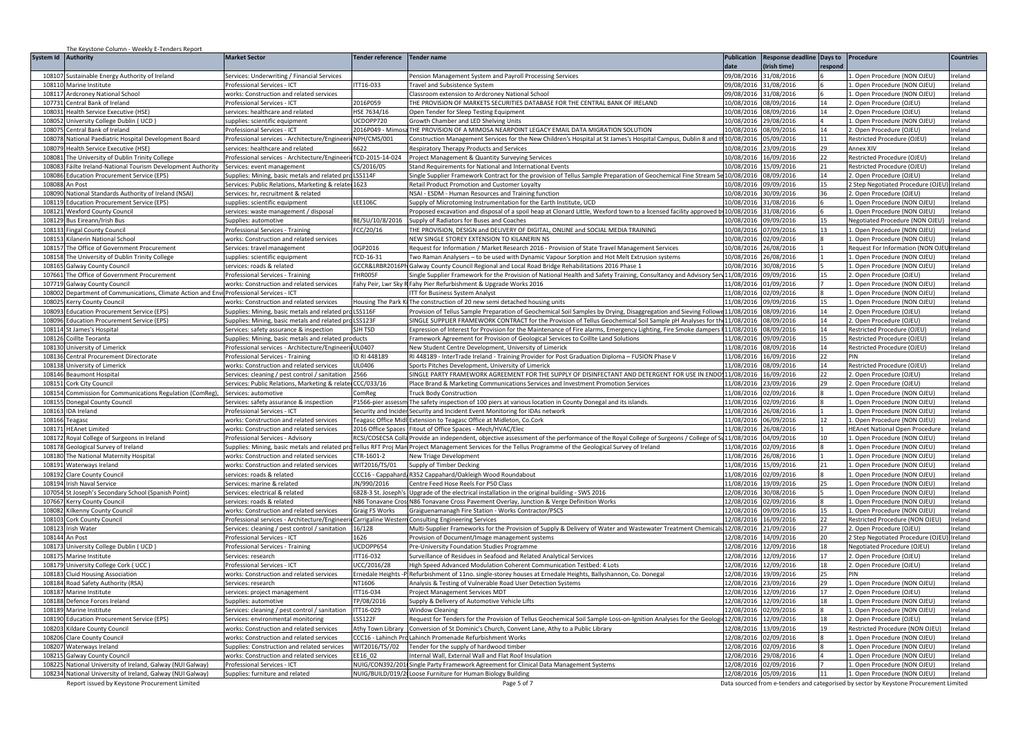|                  | The Keystone Column - Weekly E-Tenders Report                                            |                                                                                                          |                              |                                                                                                                                                                                                                                                      |                          |                          |          |                                                                                       |                    |
|------------------|------------------------------------------------------------------------------------------|----------------------------------------------------------------------------------------------------------|------------------------------|------------------------------------------------------------------------------------------------------------------------------------------------------------------------------------------------------------------------------------------------------|--------------------------|--------------------------|----------|---------------------------------------------------------------------------------------|--------------------|
| System Id        | <b>Authority</b>                                                                         | <b>Market Sector</b>                                                                                     | Tender reference             | <b>Tender name</b>                                                                                                                                                                                                                                   | <b>Publication</b>       | <b>Response deadline</b> | Days to  | Procedure                                                                             | <b>Countries</b>   |
|                  |                                                                                          |                                                                                                          |                              |                                                                                                                                                                                                                                                      | date                     | Irish timel              | respond  |                                                                                       |                    |
| 10810            | Sustainable Energy Authority of Ireland                                                  | Services: Underwriting / Financial Services                                                              |                              | Pension Management System and Payroll Processing Services                                                                                                                                                                                            | 09/08/2016               | 31/08/2016               |          | 1. Open Procedure (NON OJEU)                                                          | Ireland            |
| 108110           | Marine Institute                                                                         | Professional Services - ICT                                                                              | TT16-033                     | Travel and Subsistence System                                                                                                                                                                                                                        | 09/08/2016               | 31/08/2016               |          | 1. Open Procedure (NON OJEU                                                           | Ireland            |
| 10811            | Ardcroney National School                                                                | vorks: Construction and related services                                                                 |                              | Classroom extension to Ardcroney National Schoo                                                                                                                                                                                                      | 09/08/2016               | 31/08/2016               |          | . Open Procedure (NON OJEU)                                                           | reland             |
| 10773            | entral Bank of Ireland                                                                   | Professional Services - ICT                                                                              | 2016P059                     | THE PROVISION OF MARKETS SECURITIES DATABASE FOR THE CENTRAL BANK OF IRELAND                                                                                                                                                                         | 10/08/2016               | 08/09/2016               | 14       | 2. Open Procedure (OJEU)                                                              | reland             |
| 10803            | lealth Service Executive (HSE)                                                           | ervices: healthcare and related                                                                          | HSE 7634/16                  | Open Tender for Sleep Testing Equipment                                                                                                                                                                                                              | 0/08/2016                | 8/09/2016                | 14       | . Open Procedure (OJEU)                                                               | eland              |
| 108052           | Iniversity College Dublin (UCD)                                                          | upplies: scientific equipment                                                                            | CDOPP720                     | Growth Chamber and LED Shelving Units                                                                                                                                                                                                                | 0/08/2016                | 9/08/2016                |          | . Open Procedure (NON OJEU)                                                           | eland              |
| 10807            | entral Bank of Ireland                                                                   | Professional Services - ICT                                                                              | 2016P049 - Mimos             | THE PROVISION OF A MIMOSA NEARPOINT LEGACY EMAIL DATA MIGRATION SOLUTION                                                                                                                                                                             | 0/08/2016                | 08/09/2016               | 14       | 2. Open Procedure (OJEU)                                                              | Ireland            |
| 108078           | National Paediatric Hospital Development Board                                           | Professional services - Architecture/Engineer                                                            | NPH/CMS/001                  | Construction Management Services for the New Children's Hospital at St James's Hospital Campus, Dublin 8 and th10/08/2016                                                                                                                            |                          | 05/09/2016               | 11       | Restricted Procedure (OJEU)                                                           | Ireland            |
| 108079           | Health Service Executive (HSE)                                                           | services: healthcare and related                                                                         | 6622                         | Respiratory Therapy Products and Services                                                                                                                                                                                                            | 10/08/2016               | 23/09/2016               | 29       | Annex XIV                                                                             | Ireland            |
| 10808            | The University of Dublin Trinity College                                                 | Professional services - Architecture/Engineeri                                                           | TCD-2015-14-024              | Project Management & Quantity Surveying Services                                                                                                                                                                                                     | 10/08/2016               | 16/09/2016               | 22       | Restricted Procedure (OJEU)                                                           | reland             |
| 108083<br>108086 | Fáilte Ireland-National Tourism Development Authority                                    | Services: event management                                                                               | CS/2016/05<br><b>LSS114F</b> | Stand Requirements for National and International Events                                                                                                                                                                                             | 10/08/2016               | 5/09/2016                | 21<br>14 | Restricted Procedure (OJEU)                                                           | reland             |
|                  | ducation Procurement Service (EPS)                                                       | Supplies: Mining, basic metals and related pro                                                           |                              | Single Supplier Framework Contract for the provision of Tellus Sample Preparation of Geochemical Fine Stream S                                                                                                                                       | 0/08/2016                | 08/09/2016               |          | 2. Open Procedure (OJEU)                                                              | reland             |
| 108088           | An Post                                                                                  | Services: Public Relations, Marketing & related 1623                                                     |                              | Retail Product Promotion and Customer Loyalty                                                                                                                                                                                                        | 10/08/2016               | 09/09/2016               | 15       | 2 Step Negotiated Procedure (OJEU                                                     | Ireland            |
| 108090<br>10811  | <b>Jational Standards Authority of Ireland (NSAI)</b>                                    | Services: hr, recruitment & related                                                                      | LEE106C                      | NSAI - ESDM - Human Resources and Training function                                                                                                                                                                                                  | 10/08/2016<br>10/08/2016 | 30/09/2016<br>31/08/2016 | 36       | 2. Open Procedure (OJEU)                                                              | eland<br>eland     |
| 108121           | ducation Procurement Service (EPS)                                                       | upplies: scientific equipment                                                                            |                              | Supply of Microtoming Instrumentation for the Earth Institute, UCD                                                                                                                                                                                   |                          | 31/08/2016               |          | Open Procedure (NON OJEU)<br>1. Open Procedure (NON OJEU)                             | Ireland            |
| 108129           | <b>Wexford County Council</b>                                                            | services: waste management / disposal                                                                    | BE/SU/10/8/2016              | Proposed excavation and disposal of a spoil heap at Clonard Little, Wexford town to a licensed facility approved by 10/08/2016                                                                                                                       | 10/08/2016               | 09/09/2016               | 15       |                                                                                       | Ireland            |
|                  | <b>Bus Eireann/Irish Bus</b>                                                             | Supplies: automotive                                                                                     |                              | Supply of Radiators for Buses and Coaches                                                                                                                                                                                                            |                          |                          |          | Negotiated Procedure (NON OJEU                                                        |                    |
| 108133<br>108153 | <b>Fingal County Council</b><br>Kilanerin National Schoo                                 | Professional Services - Training                                                                         | FCC/20/16                    | THE PROVISION, DESIGN and DELIVERY OF DIGITAL, ONLINE and SOCIAL MEDIA TRAINING                                                                                                                                                                      | 10/08/2016<br>10/08/2016 | 07/09/2016               | 13       | 1. Open Procedure (NON OJEU)                                                          | Ireland<br>Ireland |
| 10815            | The Office of Government Procurement                                                     | works: Construction and related services<br>Services: travel management                                  | OGP2016                      | NEW SINGLE STOREY EXTENSION TO KILANERIN NS<br>Request for Information / Market Research 2016 - Provision of State Travel Management Services                                                                                                        | 10/08/2016               | 02/09/2016<br>26/08/2016 |          | 1. Open Procedure (NON OJEU)<br>Request For Information (NON OJ                       | Ireland            |
| 108158           | The University of Dublin Trinity College                                                 |                                                                                                          | TCD-16-31                    |                                                                                                                                                                                                                                                      | 10/08/201                | 6/08/2016                |          | 1. Open Procedure (NON OJEU)                                                          | reland             |
| 10816            |                                                                                          | supplies: scientific equipment                                                                           | GCCR&LRBR2016Ph              | Two Raman Analysers - to be used with Dynamic Vapour Sorption and Hot Melt Extrusion systems                                                                                                                                                         |                          |                          |          |                                                                                       |                    |
|                  | ialway County Council                                                                    | ervices: roads & related<br>Professional Services - Trainini                                             |                              | Galway County Council Regional and Local Road Bridge Rehabilitations 2016 Phase :                                                                                                                                                                    | 10/08/2016               | 30/08/2016               | 15       | . Open Procedure (NON OJEU)                                                           | reland             |
| 10766<br>10771   | he Office of Government Procurement<br>ialway County Council                             | vorks: Construction and related services                                                                 | THR005F                      | Single Supplier Framework for the Provision of National Health and Safety Training, Consultancy and Advisory Serv 11/08/2016<br>Fahy Peir, Lwr Sky R Fahy Pier Refurbishment & Upgrade Works 2016                                                    | 1/08/2016                | 09/09/2016<br>1/09/2016  |          | 2. Open Procedure (OJEU)<br>Open Procedure (NON OJEU)                                 | reland<br>eland    |
| 108002           | Department of Communications, Climate Action and Envil Professional Services - ICT       |                                                                                                          |                              |                                                                                                                                                                                                                                                      | 11/08/2016               | 02/09/2016               |          | . Open Procedure (NON OJEU)                                                           | reland             |
| 10802            | <b>Kerry County Council</b>                                                              | works: Construction and related services                                                                 |                              | TT for Business System Analyst<br>Housing The Park KilThe construction of 20 new semi detached housing units                                                                                                                                         | 11/08/2016               | 09/09/2016               | 15       | 1. Open Procedure (NON OJEU)                                                          | Ireland            |
| 108093           |                                                                                          |                                                                                                          |                              |                                                                                                                                                                                                                                                      |                          |                          | 14       |                                                                                       |                    |
| 108096           | <b>Education Procurement Service (EPS)</b><br><b>Education Procurement Service (EPS)</b> | Supplies: Mining, basic metals and related pro<br>Supplies: Mining, basic metals and related pro LSS123F | <b>LSS116F</b>               | Provision of Tellus Sample Preparation of Geochemical Soil Samples by Drying, Disaggregation and Sieving Followe 11/08/2016<br>SINGLE SUPPLIER FRAMEWORK CONTRACT for the Provision of Tellus Geochemical Soil Sample pH Analyses for the 11/08/2016 |                          | 08/09/2016<br>08/09/2016 | 14       | 2. Open Procedure (OJEU)<br>2. Open Procedure (OJEU)                                  | reland<br>Ireland  |
| 10811            | St James's Hospital                                                                      | Services: safety assurance & inspection                                                                  | SIH TSD                      | Expression of Interest for Provision for the Maintenance of Fire alarms, Emergency Lighting, Fire Smoke dampers (11/08/2016                                                                                                                          |                          | 08/09/2016               | 14       | Restricted Procedure (OJEU)                                                           | reland             |
| 108126           |                                                                                          | upplies: Mining, basic metals and related products                                                       |                              |                                                                                                                                                                                                                                                      | 11/08/2016               | 09/09/2016               | 15       | Restricted Procedure (OJEU)                                                           | reland             |
| 108130           | Coillte Teoranta                                                                         |                                                                                                          | UL0407                       | Framework Agreement for Provision of Geological Services to Coillte Land Solutions                                                                                                                                                                   | 11/08/2016               | 08/09/2016               | 14       |                                                                                       | Ireland            |
| 10813            | niversity of Limerick                                                                    | Professional services - Architecture/Engineeri                                                           | ID RI 448189                 | New Student Centre Development, University of Limerick                                                                                                                                                                                               |                          |                          | 22       | Restricted Procedure (OJEU)<br>PIN                                                    |                    |
| 108138           | entral Procurement Directorate                                                           | Professional Services - Training                                                                         | JL0406                       | RI 448189 - InterTrade Ireland - Training Provider for Post Graduation Diploma - FUSION Phase V                                                                                                                                                      | 11/08/2016               | 6/09/2016<br>08/09/2016  | 14       |                                                                                       | reland             |
| 108146           | Iniversity of Limerick<br>Beaumont Hospital                                              | works: Construction and related services<br>Services: cleaning / pest control / sanitation               | 2566                         | Sports Pitches Development, University of Limerick<br>SINGLE PARTY FRAMEWORK AGREEMENT FOR THE SUPPLY OF DISINFECTANT AND DETERGENT FOR USE IN ENDO:                                                                                                 | 11/08/2016<br>11/08/2016 | 6/09/2016                | 22       | Restricted Procedure (OJEU)<br>. Open Procedure (OJEU)                                | eland<br>eland     |
| 10815            | Cork City Council                                                                        | Services: Public Relations, Marketing & related CCC/033/16                                               |                              | Place Brand & Marketing Communications Services and Investment Promotion Services                                                                                                                                                                    | 11/08/2016               | 23/09/2016               | 29       | 2. Open Procedure (OJEU)                                                              | Ireland            |
| 108154           | Commission for Communications Regulation (ComReg),                                       | Services: automotive                                                                                     | ComReg                       | <b>Truck Body Construction</b>                                                                                                                                                                                                                       | 11/08/2016               | 02/09/2016               |          | 1. Open Procedure (NON OJEU)                                                          | Ireland            |
| 108155           | Donegal County Council                                                                   |                                                                                                          |                              | P1566-pier assessm The safety inspection of 100 piers at various location in County Donegal and its islands.                                                                                                                                         | 11/08/2016               | 02/09/2016               | 8        | 1. Open Procedure (NON OJEU)                                                          | Ireland            |
| 108163           | IDA Ireland                                                                              | Services: safety assurance & inspection<br>Professional Services - ICT                                   |                              | Security and Incider Security and Incident Event Monitoring for IDAs network                                                                                                                                                                         | 11/08/2016               | 26/08/2016               |          | 1. Open Procedure (NON OJEU)                                                          | Ireland            |
| 108166           | eagasc                                                                                   | works: Construction and related services                                                                 |                              | Teagasc Office Midl Extension to Teagasc Office at Midleton, Co.Cork                                                                                                                                                                                 | 11/08/2016               | 06/09/2016               | 12       | 1. Open Procedure (NON OJEU)                                                          | Ireland            |
| 10817            | <b>HEAnet Limited</b>                                                                    | works: Construction and related services                                                                 | 2016 Office Spaces           | Fitout of Office Spaces - Mech/HVAC/Elec                                                                                                                                                                                                             | 11/08/2016               | 6/08/2016                |          | <b>HEAnet National Open Procedure</b>                                                 | reland             |
| 10817            | loyal College of Surgeons in Ireland                                                     | Professional Services - Advisory                                                                         | RCSI/COSECSA Colla           | Provide an independent, objective assessment of the performance of the Royal College of Surgeons / College of Su                                                                                                                                     | 11/08/2016               | 04/09/2016               | 10       | 1. Open Procedure (NON OJEU)                                                          | reland             |
| 10817            | ieological Survev of Ireland                                                             | upplies: Mining, basic metals and related pr                                                             |                              | Tellus RFT Proj Man Project Management Services for the Tellus Programme of the Geological Survey of Ireland                                                                                                                                         | 11/08/2016               | 12/09/2016               |          | . Open Procedure (NON OJEU)                                                           | reland             |
| 10818            | he National Maternity Hospital                                                           | vorks: Construction and related services                                                                 | CTR-1601-2                   | <b>New Triage Development</b>                                                                                                                                                                                                                        | 11/08/2016               | 6/08/2016                |          | Open Procedure (NON OJEU)                                                             | eland              |
| 10819            | Waterways Ireland                                                                        | works: Construction and related services                                                                 | WIT2016/TS/01                | Supply of Timber Decking                                                                                                                                                                                                                             | 11/08/2016               | 5/09/2016                | 21       | Open Procedure (NON OJEU)                                                             | reland             |
| 108192           | Clare County Counci                                                                      | services: roads & related                                                                                |                              | CCC16 - Cappahard, R352 Cappahard/Oakleigh Wood Roundabout                                                                                                                                                                                           | 11/08/2016               | 02/09/2016               |          | 1. Open Procedure (NON OJEU)                                                          | reland             |
| 108194           | Irish Naval Service                                                                      | Services: marine & related                                                                               | JN/990/2016                  | Centre Feed Hose Reels For P50 Class                                                                                                                                                                                                                 | 11/08/2016               | 19/09/2016               | 25       | 1. Open Procedure (NON OJEU)                                                          | reland             |
| 107054           | St Joseph's Secondary School (Spanish Point)                                             | Services: electrical & related                                                                           | 6828-3 St. Joseph's          | Upgrade of the electrical installation in the original building - SWS 2016                                                                                                                                                                           | 12/08/2016               | 30/08/2016               |          | 1. Open Procedure (NON OJEU)                                                          | reland             |
| 10766            | Kerry County Council                                                                     | ervices: roads & related                                                                                 |                              | N86 Tonavane Cros: N86 Tonavane Cross Pavement Overlay, Junction & Verge Definition Works                                                                                                                                                            | 12/08/2016               | 02/09/2016               |          | Open Procedure (NON OJEU)                                                             | eland              |
| 108082           | Kilkenny County Counci                                                                   | works: Construction and related services                                                                 | Graig FS Works               | Graiguenamanagh Fire Station - Works Contractor/PSCS                                                                                                                                                                                                 | 2/08/2016                | 09/09/2016               | 15       | . Open Procedure (NON OJEU)                                                           | reland             |
| 108103           | ork County Council                                                                       | Professional services - Architecture/Engineer                                                            | Carrigaline Western          | <b>Consulting Engineering Services</b>                                                                                                                                                                                                               | 12/08/2016               | 16/09/2016               | 22       | Restricted Procedure (NON OJEU)                                                       | reland             |
| 108123           | ish Water                                                                                | Services: cleaning / pest control / sanitation                                                           | 16/128                       | Multi-Supplier Frameworks for the Provision of Supply & Delivery of Water and Wastewater Treatment Chemicals 12/08/2016                                                                                                                              |                          | 21/09/2016               | 27       | 2. Open Procedure (OJEU)                                                              | reland             |
| 108144           | An Post                                                                                  | Professional Services - ICT                                                                              | 1626                         | Provision of Document/Image management systems                                                                                                                                                                                                       | 12/08/2016               | 14/09/2016               | 20       | 2 Step Negotiated Procedure (OJEU                                                     | eland              |
| 10817            | Jniversity College Dublin (UCD)                                                          | rofessional Services - Training                                                                          | UCDOPP654                    | <b>Pre-University Foundation Studies Programme</b>                                                                                                                                                                                                   | 12/08/2016               | 12/09/2016               | 18       | Negotiated Procedure (OJEU)                                                           | eland              |
| 10817            | Marine Institute                                                                         | Services: research                                                                                       | <b>ITT16-032</b>             | Surveillance of Residues in Seafood and Related Analytical Services                                                                                                                                                                                  | 2/08/2016                | 12/09/2016               | 17       | 2. Open Procedure (OJEU)                                                              | Ireland            |
| 108179           | Jniversity College Cork (UCC)                                                            | Professional Services - ICT                                                                              | UCC/2016/28                  | High Speed Advanced Modulation Coherent Communication Testbed: 4 Lots                                                                                                                                                                                | 12/08/2016               | 12/09/2016               | 18       | 2. Open Procedure (OJEU)                                                              | Ireland            |
| 108183           | <b>Cluid Housing Association</b>                                                         | works: Construction and related services                                                                 |                              | Ernedale Heights -P Refurbishment of 11no. single-storey houses at Ernedale Heights, Ballyshannon, Co. Donegal                                                                                                                                       | 12/08/2016               | 19/09/2016               | 25       | PIN                                                                                   | Ireland            |
| 108184           | Road Safety Authority (RSA)                                                              | Services: research                                                                                       | NT1606                       | Analysis & Testing of Vulnerable Road User Detection Systems                                                                                                                                                                                         | 12/08/2016               | 23/09/2016               | 29       | 1. Open Procedure (NON OJEU)                                                          | Ireland            |
| 108187           | Marine Institute                                                                         | services: project management                                                                             | TT16-034                     | <b>Project Management Services MDT</b>                                                                                                                                                                                                               | 12/08/2016               | 2/09/2016                | 17       | 2. Open Procedure (OJEU)                                                              | Ireland            |
| 10818            | efence Forces Ireland                                                                    | iupplies: automotive                                                                                     | TP/08/2016                   | Supply & Delivery of Automotive Vehicle Lifts                                                                                                                                                                                                        | 12/08/2016               | 2/09/2016                | 18       | 1. Open Procedure (NON OJEU)                                                          | reland             |
| 108189           | Marine Institute                                                                         | ervices: cleaning / pest control / sanitation                                                            | ITT16-029                    | <b>Window Cleaning</b>                                                                                                                                                                                                                               | 12/08/2016               | 2/09/2016                |          | 1. Open Procedure (NON OJEU)                                                          | reland             |
| 10819            | ducation Procurement Service (EPS)                                                       | iervices: environmental monitorin                                                                        | SS122F                       | Request for Tenders for the Provision of Tellus Geochemical Soil Sample Loss-on-Ignition Analyses for the Geolog                                                                                                                                     | 12/08/2016               | 2/09/2016                | 18       | 2. Open Procedure (OJEU                                                               | reland             |
| 10820            | ildare County Council                                                                    | works: Construction and related services                                                                 | Athy Town Library            | Conversion of St Dominic's Church, Convent Lane, Athy to a Public Library                                                                                                                                                                            | 2/08/2016                | 3/09/2016                | 19       | Restricted Procedure (NON OJEU)                                                       | eland              |
| 108206           | Clare County Council                                                                     | works: Construction and related services                                                                 | CCC16 - Lahinch Pro          | Lahinch Promenade Refurbishment Works                                                                                                                                                                                                                | 2/08/2016                | 02/09/2016               |          | Open Procedure (NON OJEU)                                                             | reland             |
| 108207           | Waterways Ireland                                                                        | Supplies: Construction and related services                                                              | WIT2016/TS//02               | Tender for the supply of hardwood timber                                                                                                                                                                                                             | 12/08/2016               | 02/09/2016               |          | 1. Open Procedure (NON OJEU)                                                          | reland             |
| 108215           | <b>Galway County Council</b>                                                             | works: Construction and related services                                                                 | EE16 02                      | Internal Wall, External Wall and Flat Roof Insulation                                                                                                                                                                                                | 12/08/2016               | 29/08/2016               |          | 1. Open Procedure (NON OJEU)                                                          | Ireland            |
| 10822            | National University of Ireland, Galway (NUI Galway)                                      | Professional Services - ICT                                                                              |                              | NUIG/CON392/2011 Single Party Framework Agreement for Clinical Data Management Systems                                                                                                                                                               | 12/08/2016               | 02/09/2016               |          | 1. Open Procedure (NON OJEU)                                                          | reland             |
|                  | 108234 National University of Ireland, Galway (NUI Galway)                               | Supplies: furniture and related                                                                          |                              | NUIG/BUILD/019/21 Loose Furniture for Human Biology Building                                                                                                                                                                                         | 12/08/2016               | 05/09/2016               | 11       | 1. Open Procedure (NON OJEU)                                                          | Ireland            |
|                  | Report issued by Keystone Procurement Limited                                            |                                                                                                          |                              | Page 5 of 7                                                                                                                                                                                                                                          |                          |                          |          | Data sourced from e-tenders and categorised by sector by Keystone Procurement Limited |                    |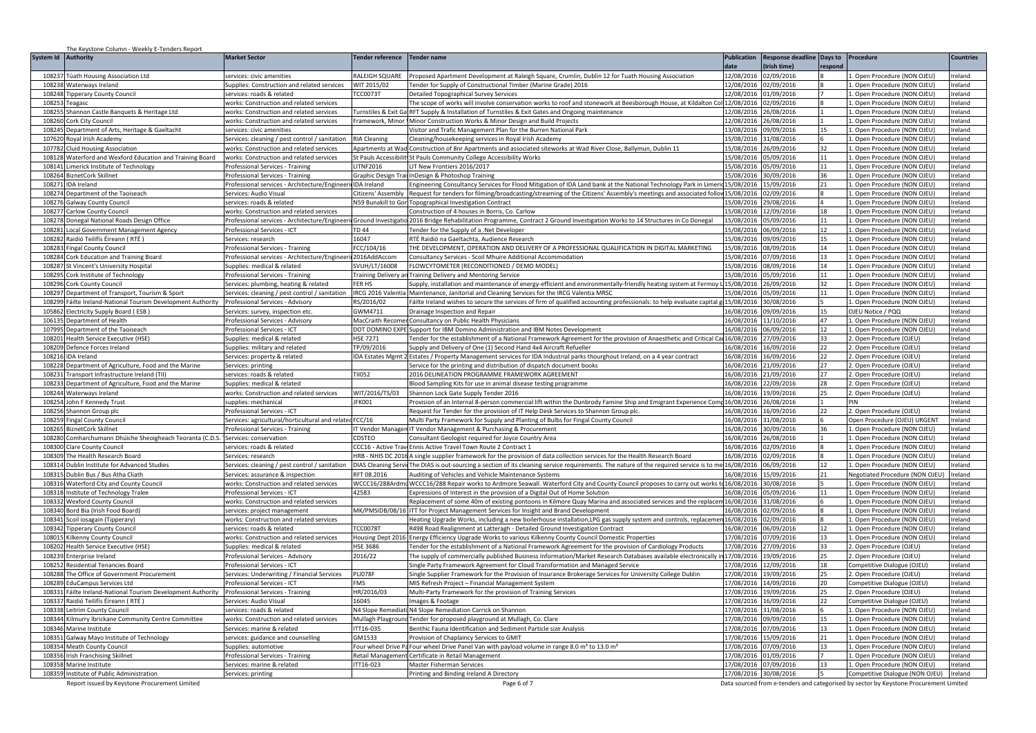| System Id Authority<br><b>Market Sector</b><br><b>Tender reference</b><br><b>Tender name</b><br><b>Publication</b><br>Response deadline Days to Procedure<br><b>Countries</b><br>(Irish time)<br>date<br>respond<br>RALEIGH SQUARE<br>12/08/2016<br>Open Procedure (NON OJEU)<br>Ireland<br>10823<br>úath Housing Association Ltd<br>Proposed Apartment Development at Raleigh Square, Crumlin, Dublin 12 for Tuath Housing Association<br>02/09/2016<br>services: civic amenities<br>108238 Waterways Ireland<br>Supplies: Construction and related services<br>WIT 2015/02<br>ender for Supply of Constructional Timber (Marine Grade) 2016<br>12/08/2016<br>02/09/2016<br>1. Open Procedure (NON OJEU)<br>Ireland<br>12/08/2016<br>108248<br>ipperary County Council<br>ervices: roads & related<br><b>CC0073T</b><br>Detailed Topographical Survey Services<br>01/09/2016<br>L. Open Procedure (NON OJEU)<br>reland<br>108253<br>vorks: Construction and related services<br>he scope of works will involve conservation works to roof and stonework at Beesborough House, at Kildalton Co'<br>2/08/2016<br>02/09/2016<br>Open Procedure (NON OJEU)<br>reland<br>eagasc<br>108255<br>RFT Supply & Installation of Turnstiles & Exit Gates and Ongoing maintenance<br>2/08/2016 26/08/2016<br>1. Open Procedure (NON OJEU)<br>Shannon Castle Banquets & Heritage Ltd<br>works: Construction and related services<br>reland<br><b>Turnstiles &amp; Exit Ga</b><br>2/08/2016 26/08/2016<br>108260 Cork City Council<br>Framework, Minor   Minor Construction Works & Minor Design and Build Projects<br>1. Open Procedure (NON OJEU)<br>reland<br>works: Construction and related services<br>108245 Department of Arts, Heritage & Gaeltacht<br>Visitor and Trafic Management Plan for the Burren National Park<br>13/08/2016 09/09/2016<br>15<br>1. Open Procedure (NON OJEU)<br>Ireland<br>services: civic amenities<br>5/08/2016<br>31/08/2016<br>107620 Royal Irish Academy<br>Services: cleaning / pest control / sanitation<br><b>RIA Cleaning</b><br>Cleaning/housekeeping services in Royal Irish Academy<br>1. Open Procedure (NON OJEU)<br>Ireland<br>107782<br><b>Cluid Housing Association</b><br>works: Construction and related services<br>Apartments at Wad Construction of 8nr Apartments and associated siteworks at Wad River Close, Ballymun, Dublin 11<br>5/08/2016<br>26/09/2016<br>32<br>1. Open Procedure (NON OJEU)<br>Ireland<br>5/08/2016<br>108128<br>Waterford and Wexford Education and Training Board<br>St Pauls Accessibilit St Pauls Community College Accessibility Works<br>05/09/2016<br>11<br>1. Open Procedure (NON OJEU)<br>reland<br>works: Construction and related services<br>11<br>108141<br>LITNF2016<br>IT New Frontiers 2016/2017<br>5/08/2016 05/09/2016<br>L. Open Procedure (NON OJEU)<br>Limerick Institute of Technology<br>Professional Services - Training<br>reland<br>36<br>108264<br><b>BiznetCork Skillnet</b><br>Professional Services - Training<br>Graphic Design Trail InDesign & Photoshop Training<br>15/08/2016 30/09/2016<br>1. Open Procedure (NON OJEU)<br>Ireland<br>ingineering Consultancy Services for Flood Mitigation of IDA Land bank at the National Technology Park in Limer<br>108271<br><b>DA</b> Ireland<br>Professional services - Architecture/Engineeri<br><b>IDA</b> Ireland<br>5/08/2016 15/09/2016<br>21<br>1. Open Procedure (NON OJEU)<br>reland<br>108274<br>Department of the Taoiseach<br>equest for tenders for filming/broadcasting/streaming of the Citizens' Assembly's meetings and associated follow 15/08/2016   02/09/2016<br>1. Open Procedure (NON OJEU)<br>Services: Audio Visual<br>Citizens' Assembly<br>reland<br>N59 Bunakill to Gor<br>108276<br>5/08/2016 29/08/2016<br>1. Open Procedure (NON OJEU)<br>reland<br><b>Galway County Council</b><br>services: roads & related<br>Topographical Investigation Contract<br>108277<br>15/08/2016 12/09/2016<br>Carlow County Council<br>works: Construction and related services<br>Construction of 4 houses in Borris, Co. Carlow<br>18<br>1. Open Procedure (NON OJEU)<br>Ireland<br>108278<br>Donegal National Roads Design Office<br>Professional services - Architecture/Engineeri Ground Investigatio<br>2016 Bridge Rehabilitation Programme, Contract 2 Ground Investigation Works to 14 Structures in Co Donegal<br>15/08/2016<br>05/09/2016<br>11<br>1. Open Procedure (NON OJEU)<br>Ireland<br><b>TD 44</b><br>06/09/2016<br>108281<br>Local Government Management Agency<br>Professional Services - ICT<br>ender for the Supply of a .Net Developer<br>15/08/2016<br>12<br>1. Open Procedure (NON OJEU)<br>Ireland<br>108282<br>Raidió Teilifís Éireann (RTÉ)<br>16047<br>RTÉ Raidió na Gaeltachta. Audience Research<br>15/08/2016<br>09/09/2016<br>15<br>1. Open Procedure (NON OJEU)<br>Ireland<br>Services: research<br>FCC/104/16<br>THE DEVELOPMENT, OPERATION AND DELIVERY OF A PROFESSIONAL QUALIFICATION IN DIGITAL MARKETING<br>10828<br>5/08/2016<br>08/09/2016<br>14<br>1. Open Procedure (NON OJEU)<br>Ireland<br>ingal County Council<br>Professional Services - Training<br>13<br>108284<br>Professional services - Architecture/Engineeri 2016AddAccom<br>1. Open Procedure (NON OJEU)<br>Cork Education and Training Board<br>Consultancy Services - Scoil Mhuire Additional Accommodation<br>15/08/2016<br>17/09/2016<br>Ireland<br>SVUH/LT/16008<br>FLOWCYTOMETER (RECONDITIONED / DEMO MODEL)<br>15/08/2016<br>8/09/2016<br>14<br>108287<br>St Vincent's University Hospital<br>supplies: medical & related<br>1. Open Procedure (NON OJEU<br>reland<br>10829<br>Cork Institute of Technology<br>Professional Services - Training<br>Fraining Delivery ar<br>Fraining Delivery and Mentoring Service<br>5/08/2016<br>5/09/2016<br>11<br>. Open Procedure (NON OJEU)<br>reland<br>108296<br>Services: plumbing, heating & related<br><b>FER HS</b><br>iupply, installation and maintenance of energy-efficient and environmentally-friendly heating system at Fermoy<br>15/08/2016<br>26/09/2016<br>32<br>1. Open Procedure (NON OJEU)<br>Cork County Council<br>reland<br>108297 Department of Transport, Tourism & Sport<br>IRCG 2016 Valentia<br>5/08/2016 05/09/2016<br>Services: cleaning / pest control / sanitation<br>Maintenance, Janitorial and Cleaning Services for the IRCG Valentia MRSC<br>11<br>1. Open Procedure (NON OJEU)<br>reland<br>15/08/2016 30/08/2016<br>108299 Fáilte Ireland-National Tourism Development Authority<br>Professional Services - Advisory<br>RS/2016/02<br>Fáilte Ireland wishes to secure the services of firm of qualified accounting professionals: to help evaluate capital g<br>1. Open Procedure (NON OJEU)<br>Ireland<br>GWM4711<br>6/08/2016 09/09/2016<br>OJEU Notice / PQQ<br>105862<br>Electricity Supply Board (ESB)<br>Services: survey, inspection etc.<br>Drainage Inspection and Repair<br>15<br>Ireland<br>106135<br>Department of Health<br>Professional Services - Advisory<br>MacCraith Recome<br>Consultancy on Public Health Physicians<br>16/08/2016 11/10/2016<br>47<br>1. Open Procedure (NON OJEU)<br>Ireland<br>DOT DOMINO EXPE<br>Support for IBM Domino Administration and IBM Notes Development<br>6/08/2016<br>06/09/2016<br>12 <sup>2</sup><br>1. Open Procedure (NON OJEU)<br>10799<br><b>Department of the Taoiseach</b><br>Professional Services - ICT<br>reland<br><b>HSE 7271</b><br>16/08/2016<br>27/09/2016<br>33<br>10820<br>Health Service Executive (HSE)<br>ender for the establishment of a National Framework Agreement for the provision of Anaesthetic and Critical Ca<br>2. Open Procedure (OJEU)<br>supplies: medical & related<br>reland<br>22<br>TP/09/2016<br>108209<br>Defence Forces Ireland<br>Supplies: military and related<br>Supply and Delivery of One (1) Second Hand 4x4 Aircraft Refueller<br>16/08/2016 16/09/2016<br>2. Open Procedure (OJEU)<br>Ireland<br><b>IDA Estates Mgmt 2</b><br>Estates / Property Management services for IDA Industrial parks thourghout Ireland, on a 4 year contract<br>16/08/2016 16/09/2016<br>22<br>2. Open Procedure (OJEU)<br>reland<br>108216<br><b>IDA</b> Ireland<br>Services: property & related<br>108228<br>Department of Agriculture, Food and the Marine<br>ervice for the printing and distribution of dispatch document books<br>6/08/2016 21/09/2016<br>27<br>2. Open Procedure (OJEU)<br>reland<br>Services: printing<br>108231<br><b>TII052</b><br>2016 DELINEATION PROGRAMME FRAMEWORK AGREEMENT<br>16/08/2016 21/09/2016<br>reland<br>Fransport Infrastructure Ireland (TII)<br>services: roads & related<br>27<br>2. Open Procedure (OJEU)<br>108233<br>Department of Agriculture, Food and the Marine<br>16/08/2016 22/09/2016<br>28<br>2. Open Procedure (OJEU)<br>Ireland<br>Supplies: medical & related<br>Blood Sampling Kits for use in animal disease testing programme<br>108244<br>Waterways Ireland<br>works: Construction and related services<br>WIT/2016/TS/03<br>Shannon Lock Gate Supply Tender 2016<br>16/08/2016<br>19/09/2016<br>25<br>2. Open Procedure (OJEU)<br>Ireland<br>108254<br>ohn F Kennedy Trust<br>JFK001<br>Provision of an Internal 8-person commercial lift within the Dunbrody Famine Ship and Emigrant Experience Com<br>16/08/2016<br>26/08/2016<br>supplies: mechanical<br><b>PIN</b><br>Ireland<br>108256<br>Shannon Group plc<br>Professional Services - ICT<br>Request for Tender for the provision of IT Help Desk Services to Shannon Group plc<br>6/08/2016<br>16/09/2016<br>22<br>2. Open Procedure (OJEU)<br>Ireland<br>Services: agricultural/horticultural and related FCC/16<br>31/08/2016<br>Open Procedure (OJEU) URGENT<br>108259<br>Multi Party Framework for Supply and Planting of Bulbs for Fingal County Council<br>6/08/2016<br>Ireland<br>ingal County Council<br>1. Open Procedure (NON OJEU)<br>108265<br><b>BiznetCork Skillnet</b><br><b>IT Vendor Manager</b><br>IT Vendor Management & Purchasing & Procurement<br>6/08/2016<br>30/09/2016<br>36<br>Ireland<br>Professional Services - Training<br>108280<br>Comharchumann Dhúiche Sheoigheach Teoranta (C.D.S<br>CDSTEO<br>onsultant Geologist required for Joyce Country Area<br>16/08/2016<br>26/08/2016<br>1. Open Procedure (NON OJEU)<br>Services: conservation<br>Ireland<br>108300<br>Clare County Council<br>services: roads & related<br>CCC16 - Active Trav<br>Innis Active Travel Town Route 2 Contract 1<br>6/08/2016<br>2/09/2016<br>Open Procedure (NON OJEU)<br>reland<br>108309<br>he Health Research Board<br><b>HRB - NHIS DC 2016</b><br>A single supplier framework for the provision of data collection services for the Health Research Board<br>6/08/2016<br>2/09/2016<br>L. Open Procedure (NON OJEU)<br>reland<br>Services: research<br>108314<br>16/08/2016<br>06/09/2016<br>1. Open Procedure (NON OJEU)<br>Dublin Institute for Advanced Studies<br>Services: cleaning / pest control / sanitation<br><b>DIAS Cleaning Servi</b><br>The DIAS is out-sourcing a section of its cleaning service requirements. The nature of the required service is to me<br>12<br>reland<br>108315 Dublin Bus / Bus Atha Cliath<br>RFT 08.2016<br>6/08/2016<br>15/09/2016<br>Negotiated Procedure (NON OJEU<br>Services: assurance & inspection<br>Auditing of Vehicles and Vehicle Maintenance Systems<br>21<br>Ireland<br>108316 Waterford City and County Council<br>works: Construction and related services<br>WCCC16/288Ardmq WCCC16/288 Repair works to Ardmore Seawall. Waterford City and County Council proposes to carry out works to 16/08/2016<br>30/08/2016<br>1. Open Procedure (NON OJEU)<br>Ireland<br>6/08/2016<br>108318<br>Institute of Technology Tralee<br>Professional Services - ICT<br>42583<br>Expressions of Interest in the provision of a Digital Out of Home Solution<br>05/09/2016<br>11<br>1. Open Procedure (NON OJEU)<br>Ireland<br>108333<br><b>Nexford County Council</b><br>Replacement of some 40m of existing pontoons in Kilmore Quay Marina and associated services and the replacer<br>16/08/2016<br>31/08/2016<br>1. Open Procedure (NON OJEU)<br>reland<br>works: Construction and related services<br>MK/PMSIDB/08/1<br>6/08/2016<br>Open Procedure (NON OJEU)<br>108340<br>Bord Bia (Irish Food Board)<br>TT for Project Management Services for Insight and Brand Development<br>02/09/2016<br>reland<br>ervices: project management<br>108341<br>16/08/2016 02/09/2016<br>1. Open Procedure (NON OJEU)<br>Scoil iosagain (Tipperary)<br>works: Construction and related services<br>Heating Upgrade Works, including a new boilerhouse installation,LPG gas supply system and controls, replacemen<br>Ireland<br>108342<br><b>TCC0078T</b><br>R498 Road Realignment at Latteragh - Detailed Ground Investigation Contract<br>16/08/2016 06/09/2016<br>12<br>1. Open Procedure (NON OJEU)<br>reland<br><b>Fipperary County Council</b><br>ervices: roads & related<br>108015<br>Kilkenny County Council<br>works: Construction and related services<br>Housing Dept 2016<br>Energy Efficiency Upgrade Works to various Kilkenny County Council Domestic Properties<br>7/08/2016 07/09/2016<br>13<br>1. Open Procedure (NON OJEU)<br>reland<br>108202<br>Health Service Executive (HSE)<br>Supplies: medical & related<br><b>HSE 3686</b><br>Fender for the establishment of a National Framework Agreement for the provision of Cardiology Products<br>7/08/2016 27/09/2016<br>33<br>2. Open Procedure (OJEU)<br>Ireland<br>108239<br>2016/22<br>The supply of commercially published Business Information/Market Research Databases available electronically in 17/08/2016 19/09/2016<br>Ireland<br>Professional Services - Advisory<br>25<br>2. Open Procedure (OJEU)<br>Enterprise Ireland<br>108252 Residential Tenancies Board<br>Professional Services - ICT<br>Single Party Framework Agreement for Cloud Transformation and Managed Service<br>17/08/2016 12/09/2016<br>18<br>Competitive Dialogue (OJEU)<br>Ireland<br>108288<br>The Office of Government Procurement<br>Services: Underwriting / Financial Services<br>PLI078F<br>Single Supplier Framework for the Provision of Insurance Brokerage Services for University College Dublin<br>17/08/2016 19/09/2016<br>25<br>2. Open Procedure (OJEU)<br>Ireland<br>108289<br>EduCampus Services Ltd<br>Professional Services - ICT<br>FMS<br>MIS Refresh Project - Financial Management System<br>17/08/2016<br>14/09/2016<br>20<br>Competitive Dialogue (OJEU)<br>Ireland<br>108331<br>Fáilte Ireland-National Tourism Development Authority<br>HR/2016/03<br>Multi-Party Framework for the provision of Training Services<br>7/08/2016<br>19/09/2016<br>25<br>2. Open Procedure (OJEU)<br>Professional Services - Training<br>Ireland<br>$\overline{22}$<br>10833<br>Raidió Teilifís Éireann (RTÉ)<br>16045<br>7/08/2016<br>16/09/2016<br>Ireland<br>Services: Audio Visual<br>mages & Footage<br>Competitive Dialogue (OJEU)<br>108338<br>N4 Slope Remediati<br>N4 Slope Remediation Carrick on Shannon<br>7/08/2016<br>31/08/2016<br>1. Open Procedure (NON OJEU)<br>Ireland<br>eitrim County Council.<br>ervices: roads & related<br>10834<br>ilmurry Ibrickane Community Centre Committee<br>works: Construction and related services<br>7/08/2016<br>1. Open Procedure (NON OJEU)<br>Mullagh Playground<br>Tender for proposed playground at Mullagh, Co. Clare<br>09/09/2016<br>15<br>reland<br>108346<br>Marine Institute<br>Services: marine & related<br>TT16-035<br>enthic Fauna Identification and Sediment Particle size Analysis<br>7/08/2016<br>7/09/2016<br>13<br>Open Procedure (NON OJEU)<br>reland<br>108351<br>Galway Mayo Institute of Technology<br>GM1533<br>7/08/2016<br>15/09/2016<br>1. Open Procedure (NON OJEU)<br>services: guidance and counselling<br>Provision of Chaplaincy Services to GMIT<br>21<br>reland<br>108354<br>Four wheel Drive Panel Van with payload volume in range 8.0 m <sup>3</sup> to 13.0 m <sup>3</sup><br>7/08/2016<br>07/09/2016<br>1. Open Procedure (NON OJEU)<br>reland<br>Meath County Council<br>supplies: automotive<br>Four wheel Drive P<br>13<br>108356 Irish Franchising Skillnet<br>Professional Services - Training<br>Retail Management Certificate in Retail Management<br>17/08/2016 01/09/2016<br>1. Open Procedure (NON OJEU)<br>Ireland<br>108358<br>Marine Institute<br>Services: marine & related<br>ITT16-023<br>Master Fisherman Services<br>7/08/2016<br>07/09/2016<br>13<br>1. Open Procedure (NON OJEU)<br>Ireland<br>108359 Institute of Public Administration<br>Services: printing<br>Printing and Binding Ireland A Directory<br>17/08/2016 30/08/2016<br>Competitive Dialogue (NON OJEU)<br>Ireland<br>Data sourced from e-tenders and categorised by sector by Keystone Procurement Limited | The Keystone Column - Weekly E-Tenders Report |  |             |  |  |  |
|----------------------------------------------------------------------------------------------------------------------------------------------------------------------------------------------------------------------------------------------------------------------------------------------------------------------------------------------------------------------------------------------------------------------------------------------------------------------------------------------------------------------------------------------------------------------------------------------------------------------------------------------------------------------------------------------------------------------------------------------------------------------------------------------------------------------------------------------------------------------------------------------------------------------------------------------------------------------------------------------------------------------------------------------------------------------------------------------------------------------------------------------------------------------------------------------------------------------------------------------------------------------------------------------------------------------------------------------------------------------------------------------------------------------------------------------------------------------------------------------------------------------------------------------------------------------------------------------------------------------------------------------------------------------------------------------------------------------------------------------------------------------------------------------------------------------------------------------------------------------------------------------------------------------------------------------------------------------------------------------------------------------------------------------------------------------------------------------------------------------------------------------------------------------------------------------------------------------------------------------------------------------------------------------------------------------------------------------------------------------------------------------------------------------------------------------------------------------------------------------------------------------------------------------------------------------------------------------------------------------------------------------------------------------------------------------------------------------------------------------------------------------------------------------------------------------------------------------------------------------------------------------------------------------------------------------------------------------------------------------------------------------------------------------------------------------------------------------------------------------------------------------------------------------------------------------------------------------------------------------------------------------------------------------------------------------------------------------------------------------------------------------------------------------------------------------------------------------------------------------------------------------------------------------------------------------------------------------------------------------------------------------------------------------------------------------------------------------------------------------------------------------------------------------------------------------------------------------------------------------------------------------------------------------------------------------------------------------------------------------------------------------------------------------------------------------------------------------------------------------------------------------------------------------------------------------------------------------------------------------------------------------------------------------------------------------------------------------------------------------------------------------------------------------------------------------------------------------------------------------------------------------------------------------------------------------------------------------------------------------------------------------------------------------------------------------------------------------------------------------------------------------------------------------------------------------------------------------------------------------------------------------------------------------------------------------------------------------------------------------------------------------------------------------------------------------------------------------------------------------------------------------------------------------------------------------------------------------------------------------------------------------------------------------------------------------------------------------------------------------------------------------------------------------------------------------------------------------------------------------------------------------------------------------------------------------------------------------------------------------------------------------------------------------------------------------------------------------------------------------------------------------------------------------------------------------------------------------------------------------------------------------------------------------------------------------------------------------------------------------------------------------------------------------------------------------------------------------------------------------------------------------------------------------------------------------------------------------------------------------------------------------------------------------------------------------------------------------------------------------------------------------------------------------------------------------------------------------------------------------------------------------------------------------------------------------------------------------------------------------------------------------------------------------------------------------------------------------------------------------------------------------------------------------------------------------------------------------------------------------------------------------------------------------------------------------------------------------------------------------------------------------------------------------------------------------------------------------------------------------------------------------------------------------------------------------------------------------------------------------------------------------------------------------------------------------------------------------------------------------------------------------------------------------------------------------------------------------------------------------------------------------------------------------------------------------------------------------------------------------------------------------------------------------------------------------------------------------------------------------------------------------------------------------------------------------------------------------------------------------------------------------------------------------------------------------------------------------------------------------------------------------------------------------------------------------------------------------------------------------------------------------------------------------------------------------------------------------------------------------------------------------------------------------------------------------------------------------------------------------------------------------------------------------------------------------------------------------------------------------------------------------------------------------------------------------------------------------------------------------------------------------------------------------------------------------------------------------------------------------------------------------------------------------------------------------------------------------------------------------------------------------------------------------------------------------------------------------------------------------------------------------------------------------------------------------------------------------------------------------------------------------------------------------------------------------------------------------------------------------------------------------------------------------------------------------------------------------------------------------------------------------------------------------------------------------------------------------------------------------------------------------------------------------------------------------------------------------------------------------------------------------------------------------------------------------------------------------------------------------------------------------------------------------------------------------------------------------------------------------------------------------------------------------------------------------------------------------------------------------------------------------------------------------------------------------------------------------------------------------------------------------------------------------------------------------------------------------------------------------------------------------------------------------------------------------------------------------------------------------------------------------------------------------------------------------------------------------------------------------------------------------------------------------------------------------------------------------------------------------------------------------------------------------------------------------------------------------------------------------------------------------------------------------------------------------------------------------------------------------------------------------------------------------------------------------------------------------------------------------------------------------------------------------------------------------------------------------------------------------------------------------------------------------------------------------------------------------------------------------------------------------------------------------------------------------------------------------------------------------------------------------------------------------------------------------------------------------------------------------------------------------------------------------------------------------------------------------------------------------------------------------------------------------------------------------------------------------------------------------------------------------------------------------------------------------------------------------------------------------------------------------------------------------------------------------------------------------------------------------------------------------------------------------------------------------------------------------------------------------------------------------------------------------------------------------------------------------------------------------------------------------------------------------------------------------------------------------------------------------------------------------------------------------------------------------------------------------------------------------------------------------------------------------------------------------------------------------------------------------------------------------------------------------------------------------------------------------------------------------------------------------------------------------------------------------------------------------------------------------------------------------------------------------------------------------------------------------------------------------------------------------------------------------------------------------------------------------------------------------------------------------------------------------------------------------------------------------------------------------------------------------------------------------------------------------------------------------------------------------------------------------------------------------------------------------------------------------------------------------------------------------------------------------------------------------------------------------------------------------------------------------------------------------------------------------------------------------------------------------------------------------------------------------------------------------------------------------------------------------------------------------------------------------------------------------------------------------------------------------------------------------------------------------------------------------------------------------------------------------------------------------------------------------------------------------------------------------------------------------------------------------------------------------------------------------------------------------------------------------------------------------------------------------------------------------------------------------------------------------------------------------------------------------------------------------------------------------------------------------------------------------------------------------------------------------------------------------------------------------------------------------------------------------------------------------------------------------------------------------------------------------------------------------------------------------------------------------------------------------------------------------------------------------------------------------------------------------------------------------------------------------------------------------------------------------------------------------------------------------------------------------------------------------------------------------------------------------------------------------------------------------------------------------------------------------------------------------------------------------------------------------------------------------------------------------------------------------------------------------------------------------------------------------------------------------------------------------------------------------------------------------------------------------------------------------------------------------------------------------------------------------------------------------------------------------------------------------------------------------------------------------------------------------------------------------------------------------------------------------------------------------------------------------------------------------------------------------------------------------------------------------------------------------------------------------------------------------------------------------------------------------------------------------------------------------------------------------------------------------------------------------------------------------------------------------------------------------------------------------------------------------------------------------------------------------------------------------------------------------------------------------------------------------------------------------------------------------------------------------------------|-----------------------------------------------|--|-------------|--|--|--|
|                                                                                                                                                                                                                                                                                                                                                                                                                                                                                                                                                                                                                                                                                                                                                                                                                                                                                                                                                                                                                                                                                                                                                                                                                                                                                                                                                                                                                                                                                                                                                                                                                                                                                                                                                                                                                                                                                                                                                                                                                                                                                                                                                                                                                                                                                                                                                                                                                                                                                                                                                                                                                                                                                                                                                                                                                                                                                                                                                                                                                                                                                                                                                                                                                                                                                                                                                                                                                                                                                                                                                                                                                                                                                                                                                                                                                                                                                                                                                                                                                                                                                                                                                                                                                                                                                                                                                                                                                                                                                                                                                                                                                                                                                                                                                                                                                                                                                                                                                                                                                                                                                                                                                                                                                                                                                                                                                                                                                                                                                                                                                                                                                                                                                                                                                                                                                                                                                                                                                                                                                                                                                                                                                                                                                                                                                                                                                                                                                                                                                                                                                                                                                                                                                                                                                                                                                                                                                                                                                                                                                                                                                                                                                                                                                                                                                                                                                                                                                                                                                                                                                                                                                                                                                                                                                                                                                                                                                                                                                                                                                                                                                                                                                                                                                                                                                                                                                                                                                                                                                                                                                                                                                                                                                                                                                                                                                                                                                                                                                                                                                                                                                                                                                                                                                                                                                                                                                                                                                                                                                                                                                                                                                                                                                                                                                                                                                                                                                                                                                                                                                                                                                                                                                                                                                                                                                                                                                                                                                                                                                                                                                                                                                                                                                                                                                                                                                                                                                                                                                                                                                                                                                                                                                                                                                                                                                                                                                                                                                                                                                                                                                                                                                                                                                                                                                                                                                                                                                                                                                                                                                                                                                                                                                                                                                                                                                                                                                                                                                                                                                                                                                                                                                                                                                                                                                                                                                                                                                                                                                                                                                                                                                                                                                                                                                                                                                                                                                                                                                                                                                                                                                                                                                                                                                                                                                                                                                                                                                                                                                                                                                                                                                                                                                                                                                                                                                                                                                                                                                                                                                                                                                                                                                                                                                                                                                                                                                                                                                                                                                                                                                                                                                                                                                                                                                                                                                                                                                                                                                                                                                                                                                                                                                                                                                                                                                                                                                                                                                                                                                                                                                                                                                                                                                                                                                                                                                                                                                                                                                                                                                                                                                                                                                                                                                                                                                                                                                                                                                  |                                               |  |             |  |  |  |
|                                                                                                                                                                                                                                                                                                                                                                                                                                                                                                                                                                                                                                                                                                                                                                                                                                                                                                                                                                                                                                                                                                                                                                                                                                                                                                                                                                                                                                                                                                                                                                                                                                                                                                                                                                                                                                                                                                                                                                                                                                                                                                                                                                                                                                                                                                                                                                                                                                                                                                                                                                                                                                                                                                                                                                                                                                                                                                                                                                                                                                                                                                                                                                                                                                                                                                                                                                                                                                                                                                                                                                                                                                                                                                                                                                                                                                                                                                                                                                                                                                                                                                                                                                                                                                                                                                                                                                                                                                                                                                                                                                                                                                                                                                                                                                                                                                                                                                                                                                                                                                                                                                                                                                                                                                                                                                                                                                                                                                                                                                                                                                                                                                                                                                                                                                                                                                                                                                                                                                                                                                                                                                                                                                                                                                                                                                                                                                                                                                                                                                                                                                                                                                                                                                                                                                                                                                                                                                                                                                                                                                                                                                                                                                                                                                                                                                                                                                                                                                                                                                                                                                                                                                                                                                                                                                                                                                                                                                                                                                                                                                                                                                                                                                                                                                                                                                                                                                                                                                                                                                                                                                                                                                                                                                                                                                                                                                                                                                                                                                                                                                                                                                                                                                                                                                                                                                                                                                                                                                                                                                                                                                                                                                                                                                                                                                                                                                                                                                                                                                                                                                                                                                                                                                                                                                                                                                                                                                                                                                                                                                                                                                                                                                                                                                                                                                                                                                                                                                                                                                                                                                                                                                                                                                                                                                                                                                                                                                                                                                                                                                                                                                                                                                                                                                                                                                                                                                                                                                                                                                                                                                                                                                                                                                                                                                                                                                                                                                                                                                                                                                                                                                                                                                                                                                                                                                                                                                                                                                                                                                                                                                                                                                                                                                                                                                                                                                                                                                                                                                                                                                                                                                                                                                                                                                                                                                                                                                                                                                                                                                                                                                                                                                                                                                                                                                                                                                                                                                                                                                                                                                                                                                                                                                                                                                                                                                                                                                                                                                                                                                                                                                                                                                                                                                                                                                                                                                                                                                                                                                                                                                                                                                                                                                                                                                                                                                                                                                                                                                                                                                                                                                                                                                                                                                                                                                                                                                                                                                                                                                                                                                                                                                                                                                                                                                                                                                                                                                                                                  |                                               |  |             |  |  |  |
|                                                                                                                                                                                                                                                                                                                                                                                                                                                                                                                                                                                                                                                                                                                                                                                                                                                                                                                                                                                                                                                                                                                                                                                                                                                                                                                                                                                                                                                                                                                                                                                                                                                                                                                                                                                                                                                                                                                                                                                                                                                                                                                                                                                                                                                                                                                                                                                                                                                                                                                                                                                                                                                                                                                                                                                                                                                                                                                                                                                                                                                                                                                                                                                                                                                                                                                                                                                                                                                                                                                                                                                                                                                                                                                                                                                                                                                                                                                                                                                                                                                                                                                                                                                                                                                                                                                                                                                                                                                                                                                                                                                                                                                                                                                                                                                                                                                                                                                                                                                                                                                                                                                                                                                                                                                                                                                                                                                                                                                                                                                                                                                                                                                                                                                                                                                                                                                                                                                                                                                                                                                                                                                                                                                                                                                                                                                                                                                                                                                                                                                                                                                                                                                                                                                                                                                                                                                                                                                                                                                                                                                                                                                                                                                                                                                                                                                                                                                                                                                                                                                                                                                                                                                                                                                                                                                                                                                                                                                                                                                                                                                                                                                                                                                                                                                                                                                                                                                                                                                                                                                                                                                                                                                                                                                                                                                                                                                                                                                                                                                                                                                                                                                                                                                                                                                                                                                                                                                                                                                                                                                                                                                                                                                                                                                                                                                                                                                                                                                                                                                                                                                                                                                                                                                                                                                                                                                                                                                                                                                                                                                                                                                                                                                                                                                                                                                                                                                                                                                                                                                                                                                                                                                                                                                                                                                                                                                                                                                                                                                                                                                                                                                                                                                                                                                                                                                                                                                                                                                                                                                                                                                                                                                                                                                                                                                                                                                                                                                                                                                                                                                                                                                                                                                                                                                                                                                                                                                                                                                                                                                                                                                                                                                                                                                                                                                                                                                                                                                                                                                                                                                                                                                                                                                                                                                                                                                                                                                                                                                                                                                                                                                                                                                                                                                                                                                                                                                                                                                                                                                                                                                                                                                                                                                                                                                                                                                                                                                                                                                                                                                                                                                                                                                                                                                                                                                                                                                                                                                                                                                                                                                                                                                                                                                                                                                                                                                                                                                                                                                                                                                                                                                                                                                                                                                                                                                                                                                                                                                                                                                                                                                                                                                                                                                                                                                                                                                                                                                                                  |                                               |  |             |  |  |  |
|                                                                                                                                                                                                                                                                                                                                                                                                                                                                                                                                                                                                                                                                                                                                                                                                                                                                                                                                                                                                                                                                                                                                                                                                                                                                                                                                                                                                                                                                                                                                                                                                                                                                                                                                                                                                                                                                                                                                                                                                                                                                                                                                                                                                                                                                                                                                                                                                                                                                                                                                                                                                                                                                                                                                                                                                                                                                                                                                                                                                                                                                                                                                                                                                                                                                                                                                                                                                                                                                                                                                                                                                                                                                                                                                                                                                                                                                                                                                                                                                                                                                                                                                                                                                                                                                                                                                                                                                                                                                                                                                                                                                                                                                                                                                                                                                                                                                                                                                                                                                                                                                                                                                                                                                                                                                                                                                                                                                                                                                                                                                                                                                                                                                                                                                                                                                                                                                                                                                                                                                                                                                                                                                                                                                                                                                                                                                                                                                                                                                                                                                                                                                                                                                                                                                                                                                                                                                                                                                                                                                                                                                                                                                                                                                                                                                                                                                                                                                                                                                                                                                                                                                                                                                                                                                                                                                                                                                                                                                                                                                                                                                                                                                                                                                                                                                                                                                                                                                                                                                                                                                                                                                                                                                                                                                                                                                                                                                                                                                                                                                                                                                                                                                                                                                                                                                                                                                                                                                                                                                                                                                                                                                                                                                                                                                                                                                                                                                                                                                                                                                                                                                                                                                                                                                                                                                                                                                                                                                                                                                                                                                                                                                                                                                                                                                                                                                                                                                                                                                                                                                                                                                                                                                                                                                                                                                                                                                                                                                                                                                                                                                                                                                                                                                                                                                                                                                                                                                                                                                                                                                                                                                                                                                                                                                                                                                                                                                                                                                                                                                                                                                                                                                                                                                                                                                                                                                                                                                                                                                                                                                                                                                                                                                                                                                                                                                                                                                                                                                                                                                                                                                                                                                                                                                                                                                                                                                                                                                                                                                                                                                                                                                                                                                                                                                                                                                                                                                                                                                                                                                                                                                                                                                                                                                                                                                                                                                                                                                                                                                                                                                                                                                                                                                                                                                                                                                                                                                                                                                                                                                                                                                                                                                                                                                                                                                                                                                                                                                                                                                                                                                                                                                                                                                                                                                                                                                                                                                                                                                                                                                                                                                                                                                                                                                                                                                                                                                                                                                                  |                                               |  |             |  |  |  |
|                                                                                                                                                                                                                                                                                                                                                                                                                                                                                                                                                                                                                                                                                                                                                                                                                                                                                                                                                                                                                                                                                                                                                                                                                                                                                                                                                                                                                                                                                                                                                                                                                                                                                                                                                                                                                                                                                                                                                                                                                                                                                                                                                                                                                                                                                                                                                                                                                                                                                                                                                                                                                                                                                                                                                                                                                                                                                                                                                                                                                                                                                                                                                                                                                                                                                                                                                                                                                                                                                                                                                                                                                                                                                                                                                                                                                                                                                                                                                                                                                                                                                                                                                                                                                                                                                                                                                                                                                                                                                                                                                                                                                                                                                                                                                                                                                                                                                                                                                                                                                                                                                                                                                                                                                                                                                                                                                                                                                                                                                                                                                                                                                                                                                                                                                                                                                                                                                                                                                                                                                                                                                                                                                                                                                                                                                                                                                                                                                                                                                                                                                                                                                                                                                                                                                                                                                                                                                                                                                                                                                                                                                                                                                                                                                                                                                                                                                                                                                                                                                                                                                                                                                                                                                                                                                                                                                                                                                                                                                                                                                                                                                                                                                                                                                                                                                                                                                                                                                                                                                                                                                                                                                                                                                                                                                                                                                                                                                                                                                                                                                                                                                                                                                                                                                                                                                                                                                                                                                                                                                                                                                                                                                                                                                                                                                                                                                                                                                                                                                                                                                                                                                                                                                                                                                                                                                                                                                                                                                                                                                                                                                                                                                                                                                                                                                                                                                                                                                                                                                                                                                                                                                                                                                                                                                                                                                                                                                                                                                                                                                                                                                                                                                                                                                                                                                                                                                                                                                                                                                                                                                                                                                                                                                                                                                                                                                                                                                                                                                                                                                                                                                                                                                                                                                                                                                                                                                                                                                                                                                                                                                                                                                                                                                                                                                                                                                                                                                                                                                                                                                                                                                                                                                                                                                                                                                                                                                                                                                                                                                                                                                                                                                                                                                                                                                                                                                                                                                                                                                                                                                                                                                                                                                                                                                                                                                                                                                                                                                                                                                                                                                                                                                                                                                                                                                                                                                                                                                                                                                                                                                                                                                                                                                                                                                                                                                                                                                                                                                                                                                                                                                                                                                                                                                                                                                                                                                                                                                                                                                                                                                                                                                                                                                                                                                                                                                                                                                                                                                  |                                               |  |             |  |  |  |
|                                                                                                                                                                                                                                                                                                                                                                                                                                                                                                                                                                                                                                                                                                                                                                                                                                                                                                                                                                                                                                                                                                                                                                                                                                                                                                                                                                                                                                                                                                                                                                                                                                                                                                                                                                                                                                                                                                                                                                                                                                                                                                                                                                                                                                                                                                                                                                                                                                                                                                                                                                                                                                                                                                                                                                                                                                                                                                                                                                                                                                                                                                                                                                                                                                                                                                                                                                                                                                                                                                                                                                                                                                                                                                                                                                                                                                                                                                                                                                                                                                                                                                                                                                                                                                                                                                                                                                                                                                                                                                                                                                                                                                                                                                                                                                                                                                                                                                                                                                                                                                                                                                                                                                                                                                                                                                                                                                                                                                                                                                                                                                                                                                                                                                                                                                                                                                                                                                                                                                                                                                                                                                                                                                                                                                                                                                                                                                                                                                                                                                                                                                                                                                                                                                                                                                                                                                                                                                                                                                                                                                                                                                                                                                                                                                                                                                                                                                                                                                                                                                                                                                                                                                                                                                                                                                                                                                                                                                                                                                                                                                                                                                                                                                                                                                                                                                                                                                                                                                                                                                                                                                                                                                                                                                                                                                                                                                                                                                                                                                                                                                                                                                                                                                                                                                                                                                                                                                                                                                                                                                                                                                                                                                                                                                                                                                                                                                                                                                                                                                                                                                                                                                                                                                                                                                                                                                                                                                                                                                                                                                                                                                                                                                                                                                                                                                                                                                                                                                                                                                                                                                                                                                                                                                                                                                                                                                                                                                                                                                                                                                                                                                                                                                                                                                                                                                                                                                                                                                                                                                                                                                                                                                                                                                                                                                                                                                                                                                                                                                                                                                                                                                                                                                                                                                                                                                                                                                                                                                                                                                                                                                                                                                                                                                                                                                                                                                                                                                                                                                                                                                                                                                                                                                                                                                                                                                                                                                                                                                                                                                                                                                                                                                                                                                                                                                                                                                                                                                                                                                                                                                                                                                                                                                                                                                                                                                                                                                                                                                                                                                                                                                                                                                                                                                                                                                                                                                                                                                                                                                                                                                                                                                                                                                                                                                                                                                                                                                                                                                                                                                                                                                                                                                                                                                                                                                                                                                                                                                                                                                                                                                                                                                                                                                                                                                                                                                                                                                                                                  |                                               |  |             |  |  |  |
|                                                                                                                                                                                                                                                                                                                                                                                                                                                                                                                                                                                                                                                                                                                                                                                                                                                                                                                                                                                                                                                                                                                                                                                                                                                                                                                                                                                                                                                                                                                                                                                                                                                                                                                                                                                                                                                                                                                                                                                                                                                                                                                                                                                                                                                                                                                                                                                                                                                                                                                                                                                                                                                                                                                                                                                                                                                                                                                                                                                                                                                                                                                                                                                                                                                                                                                                                                                                                                                                                                                                                                                                                                                                                                                                                                                                                                                                                                                                                                                                                                                                                                                                                                                                                                                                                                                                                                                                                                                                                                                                                                                                                                                                                                                                                                                                                                                                                                                                                                                                                                                                                                                                                                                                                                                                                                                                                                                                                                                                                                                                                                                                                                                                                                                                                                                                                                                                                                                                                                                                                                                                                                                                                                                                                                                                                                                                                                                                                                                                                                                                                                                                                                                                                                                                                                                                                                                                                                                                                                                                                                                                                                                                                                                                                                                                                                                                                                                                                                                                                                                                                                                                                                                                                                                                                                                                                                                                                                                                                                                                                                                                                                                                                                                                                                                                                                                                                                                                                                                                                                                                                                                                                                                                                                                                                                                                                                                                                                                                                                                                                                                                                                                                                                                                                                                                                                                                                                                                                                                                                                                                                                                                                                                                                                                                                                                                                                                                                                                                                                                                                                                                                                                                                                                                                                                                                                                                                                                                                                                                                                                                                                                                                                                                                                                                                                                                                                                                                                                                                                                                                                                                                                                                                                                                                                                                                                                                                                                                                                                                                                                                                                                                                                                                                                                                                                                                                                                                                                                                                                                                                                                                                                                                                                                                                                                                                                                                                                                                                                                                                                                                                                                                                                                                                                                                                                                                                                                                                                                                                                                                                                                                                                                                                                                                                                                                                                                                                                                                                                                                                                                                                                                                                                                                                                                                                                                                                                                                                                                                                                                                                                                                                                                                                                                                                                                                                                                                                                                                                                                                                                                                                                                                                                                                                                                                                                                                                                                                                                                                                                                                                                                                                                                                                                                                                                                                                                                                                                                                                                                                                                                                                                                                                                                                                                                                                                                                                                                                                                                                                                                                                                                                                                                                                                                                                                                                                                                                                                                                                                                                                                                                                                                                                                                                                                                                                                                                                                                                                  |                                               |  |             |  |  |  |
|                                                                                                                                                                                                                                                                                                                                                                                                                                                                                                                                                                                                                                                                                                                                                                                                                                                                                                                                                                                                                                                                                                                                                                                                                                                                                                                                                                                                                                                                                                                                                                                                                                                                                                                                                                                                                                                                                                                                                                                                                                                                                                                                                                                                                                                                                                                                                                                                                                                                                                                                                                                                                                                                                                                                                                                                                                                                                                                                                                                                                                                                                                                                                                                                                                                                                                                                                                                                                                                                                                                                                                                                                                                                                                                                                                                                                                                                                                                                                                                                                                                                                                                                                                                                                                                                                                                                                                                                                                                                                                                                                                                                                                                                                                                                                                                                                                                                                                                                                                                                                                                                                                                                                                                                                                                                                                                                                                                                                                                                                                                                                                                                                                                                                                                                                                                                                                                                                                                                                                                                                                                                                                                                                                                                                                                                                                                                                                                                                                                                                                                                                                                                                                                                                                                                                                                                                                                                                                                                                                                                                                                                                                                                                                                                                                                                                                                                                                                                                                                                                                                                                                                                                                                                                                                                                                                                                                                                                                                                                                                                                                                                                                                                                                                                                                                                                                                                                                                                                                                                                                                                                                                                                                                                                                                                                                                                                                                                                                                                                                                                                                                                                                                                                                                                                                                                                                                                                                                                                                                                                                                                                                                                                                                                                                                                                                                                                                                                                                                                                                                                                                                                                                                                                                                                                                                                                                                                                                                                                                                                                                                                                                                                                                                                                                                                                                                                                                                                                                                                                                                                                                                                                                                                                                                                                                                                                                                                                                                                                                                                                                                                                                                                                                                                                                                                                                                                                                                                                                                                                                                                                                                                                                                                                                                                                                                                                                                                                                                                                                                                                                                                                                                                                                                                                                                                                                                                                                                                                                                                                                                                                                                                                                                                                                                                                                                                                                                                                                                                                                                                                                                                                                                                                                                                                                                                                                                                                                                                                                                                                                                                                                                                                                                                                                                                                                                                                                                                                                                                                                                                                                                                                                                                                                                                                                                                                                                                                                                                                                                                                                                                                                                                                                                                                                                                                                                                                                                                                                                                                                                                                                                                                                                                                                                                                                                                                                                                                                                                                                                                                                                                                                                                                                                                                                                                                                                                                                                                                                                                                                                                                                                                                                                                                                                                                                                                                                                                                                                                                  |                                               |  |             |  |  |  |
|                                                                                                                                                                                                                                                                                                                                                                                                                                                                                                                                                                                                                                                                                                                                                                                                                                                                                                                                                                                                                                                                                                                                                                                                                                                                                                                                                                                                                                                                                                                                                                                                                                                                                                                                                                                                                                                                                                                                                                                                                                                                                                                                                                                                                                                                                                                                                                                                                                                                                                                                                                                                                                                                                                                                                                                                                                                                                                                                                                                                                                                                                                                                                                                                                                                                                                                                                                                                                                                                                                                                                                                                                                                                                                                                                                                                                                                                                                                                                                                                                                                                                                                                                                                                                                                                                                                                                                                                                                                                                                                                                                                                                                                                                                                                                                                                                                                                                                                                                                                                                                                                                                                                                                                                                                                                                                                                                                                                                                                                                                                                                                                                                                                                                                                                                                                                                                                                                                                                                                                                                                                                                                                                                                                                                                                                                                                                                                                                                                                                                                                                                                                                                                                                                                                                                                                                                                                                                                                                                                                                                                                                                                                                                                                                                                                                                                                                                                                                                                                                                                                                                                                                                                                                                                                                                                                                                                                                                                                                                                                                                                                                                                                                                                                                                                                                                                                                                                                                                                                                                                                                                                                                                                                                                                                                                                                                                                                                                                                                                                                                                                                                                                                                                                                                                                                                                                                                                                                                                                                                                                                                                                                                                                                                                                                                                                                                                                                                                                                                                                                                                                                                                                                                                                                                                                                                                                                                                                                                                                                                                                                                                                                                                                                                                                                                                                                                                                                                                                                                                                                                                                                                                                                                                                                                                                                                                                                                                                                                                                                                                                                                                                                                                                                                                                                                                                                                                                                                                                                                                                                                                                                                                                                                                                                                                                                                                                                                                                                                                                                                                                                                                                                                                                                                                                                                                                                                                                                                                                                                                                                                                                                                                                                                                                                                                                                                                                                                                                                                                                                                                                                                                                                                                                                                                                                                                                                                                                                                                                                                                                                                                                                                                                                                                                                                                                                                                                                                                                                                                                                                                                                                                                                                                                                                                                                                                                                                                                                                                                                                                                                                                                                                                                                                                                                                                                                                                                                                                                                                                                                                                                                                                                                                                                                                                                                                                                                                                                                                                                                                                                                                                                                                                                                                                                                                                                                                                                                                                                                                                                                                                                                                                                                                                                                                                                                                                                                                                                                                                  |                                               |  |             |  |  |  |
|                                                                                                                                                                                                                                                                                                                                                                                                                                                                                                                                                                                                                                                                                                                                                                                                                                                                                                                                                                                                                                                                                                                                                                                                                                                                                                                                                                                                                                                                                                                                                                                                                                                                                                                                                                                                                                                                                                                                                                                                                                                                                                                                                                                                                                                                                                                                                                                                                                                                                                                                                                                                                                                                                                                                                                                                                                                                                                                                                                                                                                                                                                                                                                                                                                                                                                                                                                                                                                                                                                                                                                                                                                                                                                                                                                                                                                                                                                                                                                                                                                                                                                                                                                                                                                                                                                                                                                                                                                                                                                                                                                                                                                                                                                                                                                                                                                                                                                                                                                                                                                                                                                                                                                                                                                                                                                                                                                                                                                                                                                                                                                                                                                                                                                                                                                                                                                                                                                                                                                                                                                                                                                                                                                                                                                                                                                                                                                                                                                                                                                                                                                                                                                                                                                                                                                                                                                                                                                                                                                                                                                                                                                                                                                                                                                                                                                                                                                                                                                                                                                                                                                                                                                                                                                                                                                                                                                                                                                                                                                                                                                                                                                                                                                                                                                                                                                                                                                                                                                                                                                                                                                                                                                                                                                                                                                                                                                                                                                                                                                                                                                                                                                                                                                                                                                                                                                                                                                                                                                                                                                                                                                                                                                                                                                                                                                                                                                                                                                                                                                                                                                                                                                                                                                                                                                                                                                                                                                                                                                                                                                                                                                                                                                                                                                                                                                                                                                                                                                                                                                                                                                                                                                                                                                                                                                                                                                                                                                                                                                                                                                                                                                                                                                                                                                                                                                                                                                                                                                                                                                                                                                                                                                                                                                                                                                                                                                                                                                                                                                                                                                                                                                                                                                                                                                                                                                                                                                                                                                                                                                                                                                                                                                                                                                                                                                                                                                                                                                                                                                                                                                                                                                                                                                                                                                                                                                                                                                                                                                                                                                                                                                                                                                                                                                                                                                                                                                                                                                                                                                                                                                                                                                                                                                                                                                                                                                                                                                                                                                                                                                                                                                                                                                                                                                                                                                                                                                                                                                                                                                                                                                                                                                                                                                                                                                                                                                                                                                                                                                                                                                                                                                                                                                                                                                                                                                                                                                                                                                                                                                                                                                                                                                                                                                                                                                                                                                                                                                                                                  |                                               |  |             |  |  |  |
|                                                                                                                                                                                                                                                                                                                                                                                                                                                                                                                                                                                                                                                                                                                                                                                                                                                                                                                                                                                                                                                                                                                                                                                                                                                                                                                                                                                                                                                                                                                                                                                                                                                                                                                                                                                                                                                                                                                                                                                                                                                                                                                                                                                                                                                                                                                                                                                                                                                                                                                                                                                                                                                                                                                                                                                                                                                                                                                                                                                                                                                                                                                                                                                                                                                                                                                                                                                                                                                                                                                                                                                                                                                                                                                                                                                                                                                                                                                                                                                                                                                                                                                                                                                                                                                                                                                                                                                                                                                                                                                                                                                                                                                                                                                                                                                                                                                                                                                                                                                                                                                                                                                                                                                                                                                                                                                                                                                                                                                                                                                                                                                                                                                                                                                                                                                                                                                                                                                                                                                                                                                                                                                                                                                                                                                                                                                                                                                                                                                                                                                                                                                                                                                                                                                                                                                                                                                                                                                                                                                                                                                                                                                                                                                                                                                                                                                                                                                                                                                                                                                                                                                                                                                                                                                                                                                                                                                                                                                                                                                                                                                                                                                                                                                                                                                                                                                                                                                                                                                                                                                                                                                                                                                                                                                                                                                                                                                                                                                                                                                                                                                                                                                                                                                                                                                                                                                                                                                                                                                                                                                                                                                                                                                                                                                                                                                                                                                                                                                                                                                                                                                                                                                                                                                                                                                                                                                                                                                                                                                                                                                                                                                                                                                                                                                                                                                                                                                                                                                                                                                                                                                                                                                                                                                                                                                                                                                                                                                                                                                                                                                                                                                                                                                                                                                                                                                                                                                                                                                                                                                                                                                                                                                                                                                                                                                                                                                                                                                                                                                                                                                                                                                                                                                                                                                                                                                                                                                                                                                                                                                                                                                                                                                                                                                                                                                                                                                                                                                                                                                                                                                                                                                                                                                                                                                                                                                                                                                                                                                                                                                                                                                                                                                                                                                                                                                                                                                                                                                                                                                                                                                                                                                                                                                                                                                                                                                                                                                                                                                                                                                                                                                                                                                                                                                                                                                                                                                                                                                                                                                                                                                                                                                                                                                                                                                                                                                                                                                                                                                                                                                                                                                                                                                                                                                                                                                                                                                                                                                                                                                                                                                                                                                                                                                                                                                                                                                                                                                                                  |                                               |  |             |  |  |  |
|                                                                                                                                                                                                                                                                                                                                                                                                                                                                                                                                                                                                                                                                                                                                                                                                                                                                                                                                                                                                                                                                                                                                                                                                                                                                                                                                                                                                                                                                                                                                                                                                                                                                                                                                                                                                                                                                                                                                                                                                                                                                                                                                                                                                                                                                                                                                                                                                                                                                                                                                                                                                                                                                                                                                                                                                                                                                                                                                                                                                                                                                                                                                                                                                                                                                                                                                                                                                                                                                                                                                                                                                                                                                                                                                                                                                                                                                                                                                                                                                                                                                                                                                                                                                                                                                                                                                                                                                                                                                                                                                                                                                                                                                                                                                                                                                                                                                                                                                                                                                                                                                                                                                                                                                                                                                                                                                                                                                                                                                                                                                                                                                                                                                                                                                                                                                                                                                                                                                                                                                                                                                                                                                                                                                                                                                                                                                                                                                                                                                                                                                                                                                                                                                                                                                                                                                                                                                                                                                                                                                                                                                                                                                                                                                                                                                                                                                                                                                                                                                                                                                                                                                                                                                                                                                                                                                                                                                                                                                                                                                                                                                                                                                                                                                                                                                                                                                                                                                                                                                                                                                                                                                                                                                                                                                                                                                                                                                                                                                                                                                                                                                                                                                                                                                                                                                                                                                                                                                                                                                                                                                                                                                                                                                                                                                                                                                                                                                                                                                                                                                                                                                                                                                                                                                                                                                                                                                                                                                                                                                                                                                                                                                                                                                                                                                                                                                                                                                                                                                                                                                                                                                                                                                                                                                                                                                                                                                                                                                                                                                                                                                                                                                                                                                                                                                                                                                                                                                                                                                                                                                                                                                                                                                                                                                                                                                                                                                                                                                                                                                                                                                                                                                                                                                                                                                                                                                                                                                                                                                                                                                                                                                                                                                                                                                                                                                                                                                                                                                                                                                                                                                                                                                                                                                                                                                                                                                                                                                                                                                                                                                                                                                                                                                                                                                                                                                                                                                                                                                                                                                                                                                                                                                                                                                                                                                                                                                                                                                                                                                                                                                                                                                                                                                                                                                                                                                                                                                                                                                                                                                                                                                                                                                                                                                                                                                                                                                                                                                                                                                                                                                                                                                                                                                                                                                                                                                                                                                                                                                                                                                                                                                                                                                                                                                                                                                                                                                                                                                                  |                                               |  |             |  |  |  |
|                                                                                                                                                                                                                                                                                                                                                                                                                                                                                                                                                                                                                                                                                                                                                                                                                                                                                                                                                                                                                                                                                                                                                                                                                                                                                                                                                                                                                                                                                                                                                                                                                                                                                                                                                                                                                                                                                                                                                                                                                                                                                                                                                                                                                                                                                                                                                                                                                                                                                                                                                                                                                                                                                                                                                                                                                                                                                                                                                                                                                                                                                                                                                                                                                                                                                                                                                                                                                                                                                                                                                                                                                                                                                                                                                                                                                                                                                                                                                                                                                                                                                                                                                                                                                                                                                                                                                                                                                                                                                                                                                                                                                                                                                                                                                                                                                                                                                                                                                                                                                                                                                                                                                                                                                                                                                                                                                                                                                                                                                                                                                                                                                                                                                                                                                                                                                                                                                                                                                                                                                                                                                                                                                                                                                                                                                                                                                                                                                                                                                                                                                                                                                                                                                                                                                                                                                                                                                                                                                                                                                                                                                                                                                                                                                                                                                                                                                                                                                                                                                                                                                                                                                                                                                                                                                                                                                                                                                                                                                                                                                                                                                                                                                                                                                                                                                                                                                                                                                                                                                                                                                                                                                                                                                                                                                                                                                                                                                                                                                                                                                                                                                                                                                                                                                                                                                                                                                                                                                                                                                                                                                                                                                                                                                                                                                                                                                                                                                                                                                                                                                                                                                                                                                                                                                                                                                                                                                                                                                                                                                                                                                                                                                                                                                                                                                                                                                                                                                                                                                                                                                                                                                                                                                                                                                                                                                                                                                                                                                                                                                                                                                                                                                                                                                                                                                                                                                                                                                                                                                                                                                                                                                                                                                                                                                                                                                                                                                                                                                                                                                                                                                                                                                                                                                                                                                                                                                                                                                                                                                                                                                                                                                                                                                                                                                                                                                                                                                                                                                                                                                                                                                                                                                                                                                                                                                                                                                                                                                                                                                                                                                                                                                                                                                                                                                                                                                                                                                                                                                                                                                                                                                                                                                                                                                                                                                                                                                                                                                                                                                                                                                                                                                                                                                                                                                                                                                                                                                                                                                                                                                                                                                                                                                                                                                                                                                                                                                                                                                                                                                                                                                                                                                                                                                                                                                                                                                                                                                                                                                                                                                                                                                                                                                                                                                                                                                                                                                                                                                  |                                               |  |             |  |  |  |
|                                                                                                                                                                                                                                                                                                                                                                                                                                                                                                                                                                                                                                                                                                                                                                                                                                                                                                                                                                                                                                                                                                                                                                                                                                                                                                                                                                                                                                                                                                                                                                                                                                                                                                                                                                                                                                                                                                                                                                                                                                                                                                                                                                                                                                                                                                                                                                                                                                                                                                                                                                                                                                                                                                                                                                                                                                                                                                                                                                                                                                                                                                                                                                                                                                                                                                                                                                                                                                                                                                                                                                                                                                                                                                                                                                                                                                                                                                                                                                                                                                                                                                                                                                                                                                                                                                                                                                                                                                                                                                                                                                                                                                                                                                                                                                                                                                                                                                                                                                                                                                                                                                                                                                                                                                                                                                                                                                                                                                                                                                                                                                                                                                                                                                                                                                                                                                                                                                                                                                                                                                                                                                                                                                                                                                                                                                                                                                                                                                                                                                                                                                                                                                                                                                                                                                                                                                                                                                                                                                                                                                                                                                                                                                                                                                                                                                                                                                                                                                                                                                                                                                                                                                                                                                                                                                                                                                                                                                                                                                                                                                                                                                                                                                                                                                                                                                                                                                                                                                                                                                                                                                                                                                                                                                                                                                                                                                                                                                                                                                                                                                                                                                                                                                                                                                                                                                                                                                                                                                                                                                                                                                                                                                                                                                                                                                                                                                                                                                                                                                                                                                                                                                                                                                                                                                                                                                                                                                                                                                                                                                                                                                                                                                                                                                                                                                                                                                                                                                                                                                                                                                                                                                                                                                                                                                                                                                                                                                                                                                                                                                                                                                                                                                                                                                                                                                                                                                                                                                                                                                                                                                                                                                                                                                                                                                                                                                                                                                                                                                                                                                                                                                                                                                                                                                                                                                                                                                                                                                                                                                                                                                                                                                                                                                                                                                                                                                                                                                                                                                                                                                                                                                                                                                                                                                                                                                                                                                                                                                                                                                                                                                                                                                                                                                                                                                                                                                                                                                                                                                                                                                                                                                                                                                                                                                                                                                                                                                                                                                                                                                                                                                                                                                                                                                                                                                                                                                                                                                                                                                                                                                                                                                                                                                                                                                                                                                                                                                                                                                                                                                                                                                                                                                                                                                                                                                                                                                                                                                                                                                                                                                                                                                                                                                                                                                                                                                                                                                                                                  |                                               |  |             |  |  |  |
|                                                                                                                                                                                                                                                                                                                                                                                                                                                                                                                                                                                                                                                                                                                                                                                                                                                                                                                                                                                                                                                                                                                                                                                                                                                                                                                                                                                                                                                                                                                                                                                                                                                                                                                                                                                                                                                                                                                                                                                                                                                                                                                                                                                                                                                                                                                                                                                                                                                                                                                                                                                                                                                                                                                                                                                                                                                                                                                                                                                                                                                                                                                                                                                                                                                                                                                                                                                                                                                                                                                                                                                                                                                                                                                                                                                                                                                                                                                                                                                                                                                                                                                                                                                                                                                                                                                                                                                                                                                                                                                                                                                                                                                                                                                                                                                                                                                                                                                                                                                                                                                                                                                                                                                                                                                                                                                                                                                                                                                                                                                                                                                                                                                                                                                                                                                                                                                                                                                                                                                                                                                                                                                                                                                                                                                                                                                                                                                                                                                                                                                                                                                                                                                                                                                                                                                                                                                                                                                                                                                                                                                                                                                                                                                                                                                                                                                                                                                                                                                                                                                                                                                                                                                                                                                                                                                                                                                                                                                                                                                                                                                                                                                                                                                                                                                                                                                                                                                                                                                                                                                                                                                                                                                                                                                                                                                                                                                                                                                                                                                                                                                                                                                                                                                                                                                                                                                                                                                                                                                                                                                                                                                                                                                                                                                                                                                                                                                                                                                                                                                                                                                                                                                                                                                                                                                                                                                                                                                                                                                                                                                                                                                                                                                                                                                                                                                                                                                                                                                                                                                                                                                                                                                                                                                                                                                                                                                                                                                                                                                                                                                                                                                                                                                                                                                                                                                                                                                                                                                                                                                                                                                                                                                                                                                                                                                                                                                                                                                                                                                                                                                                                                                                                                                                                                                                                                                                                                                                                                                                                                                                                                                                                                                                                                                                                                                                                                                                                                                                                                                                                                                                                                                                                                                                                                                                                                                                                                                                                                                                                                                                                                                                                                                                                                                                                                                                                                                                                                                                                                                                                                                                                                                                                                                                                                                                                                                                                                                                                                                                                                                                                                                                                                                                                                                                                                                                                                                                                                                                                                                                                                                                                                                                                                                                                                                                                                                                                                                                                                                                                                                                                                                                                                                                                                                                                                                                                                                                                                                                                                                                                                                                                                                                                                                                                                                                                                                                                                                                                  |                                               |  |             |  |  |  |
|                                                                                                                                                                                                                                                                                                                                                                                                                                                                                                                                                                                                                                                                                                                                                                                                                                                                                                                                                                                                                                                                                                                                                                                                                                                                                                                                                                                                                                                                                                                                                                                                                                                                                                                                                                                                                                                                                                                                                                                                                                                                                                                                                                                                                                                                                                                                                                                                                                                                                                                                                                                                                                                                                                                                                                                                                                                                                                                                                                                                                                                                                                                                                                                                                                                                                                                                                                                                                                                                                                                                                                                                                                                                                                                                                                                                                                                                                                                                                                                                                                                                                                                                                                                                                                                                                                                                                                                                                                                                                                                                                                                                                                                                                                                                                                                                                                                                                                                                                                                                                                                                                                                                                                                                                                                                                                                                                                                                                                                                                                                                                                                                                                                                                                                                                                                                                                                                                                                                                                                                                                                                                                                                                                                                                                                                                                                                                                                                                                                                                                                                                                                                                                                                                                                                                                                                                                                                                                                                                                                                                                                                                                                                                                                                                                                                                                                                                                                                                                                                                                                                                                                                                                                                                                                                                                                                                                                                                                                                                                                                                                                                                                                                                                                                                                                                                                                                                                                                                                                                                                                                                                                                                                                                                                                                                                                                                                                                                                                                                                                                                                                                                                                                                                                                                                                                                                                                                                                                                                                                                                                                                                                                                                                                                                                                                                                                                                                                                                                                                                                                                                                                                                                                                                                                                                                                                                                                                                                                                                                                                                                                                                                                                                                                                                                                                                                                                                                                                                                                                                                                                                                                                                                                                                                                                                                                                                                                                                                                                                                                                                                                                                                                                                                                                                                                                                                                                                                                                                                                                                                                                                                                                                                                                                                                                                                                                                                                                                                                                                                                                                                                                                                                                                                                                                                                                                                                                                                                                                                                                                                                                                                                                                                                                                                                                                                                                                                                                                                                                                                                                                                                                                                                                                                                                                                                                                                                                                                                                                                                                                                                                                                                                                                                                                                                                                                                                                                                                                                                                                                                                                                                                                                                                                                                                                                                                                                                                                                                                                                                                                                                                                                                                                                                                                                                                                                                                                                                                                                                                                                                                                                                                                                                                                                                                                                                                                                                                                                                                                                                                                                                                                                                                                                                                                                                                                                                                                                                                                                                                                                                                                                                                                                                                                                                                                                                                                                                                                                                                  |                                               |  |             |  |  |  |
|                                                                                                                                                                                                                                                                                                                                                                                                                                                                                                                                                                                                                                                                                                                                                                                                                                                                                                                                                                                                                                                                                                                                                                                                                                                                                                                                                                                                                                                                                                                                                                                                                                                                                                                                                                                                                                                                                                                                                                                                                                                                                                                                                                                                                                                                                                                                                                                                                                                                                                                                                                                                                                                                                                                                                                                                                                                                                                                                                                                                                                                                                                                                                                                                                                                                                                                                                                                                                                                                                                                                                                                                                                                                                                                                                                                                                                                                                                                                                                                                                                                                                                                                                                                                                                                                                                                                                                                                                                                                                                                                                                                                                                                                                                                                                                                                                                                                                                                                                                                                                                                                                                                                                                                                                                                                                                                                                                                                                                                                                                                                                                                                                                                                                                                                                                                                                                                                                                                                                                                                                                                                                                                                                                                                                                                                                                                                                                                                                                                                                                                                                                                                                                                                                                                                                                                                                                                                                                                                                                                                                                                                                                                                                                                                                                                                                                                                                                                                                                                                                                                                                                                                                                                                                                                                                                                                                                                                                                                                                                                                                                                                                                                                                                                                                                                                                                                                                                                                                                                                                                                                                                                                                                                                                                                                                                                                                                                                                                                                                                                                                                                                                                                                                                                                                                                                                                                                                                                                                                                                                                                                                                                                                                                                                                                                                                                                                                                                                                                                                                                                                                                                                                                                                                                                                                                                                                                                                                                                                                                                                                                                                                                                                                                                                                                                                                                                                                                                                                                                                                                                                                                                                                                                                                                                                                                                                                                                                                                                                                                                                                                                                                                                                                                                                                                                                                                                                                                                                                                                                                                                                                                                                                                                                                                                                                                                                                                                                                                                                                                                                                                                                                                                                                                                                                                                                                                                                                                                                                                                                                                                                                                                                                                                                                                                                                                                                                                                                                                                                                                                                                                                                                                                                                                                                                                                                                                                                                                                                                                                                                                                                                                                                                                                                                                                                                                                                                                                                                                                                                                                                                                                                                                                                                                                                                                                                                                                                                                                                                                                                                                                                                                                                                                                                                                                                                                                                                                                                                                                                                                                                                                                                                                                                                                                                                                                                                                                                                                                                                                                                                                                                                                                                                                                                                                                                                                                                                                                                                                                                                                                                                                                                                                                                                                                                                                                                                                                                                                                                  |                                               |  |             |  |  |  |
|                                                                                                                                                                                                                                                                                                                                                                                                                                                                                                                                                                                                                                                                                                                                                                                                                                                                                                                                                                                                                                                                                                                                                                                                                                                                                                                                                                                                                                                                                                                                                                                                                                                                                                                                                                                                                                                                                                                                                                                                                                                                                                                                                                                                                                                                                                                                                                                                                                                                                                                                                                                                                                                                                                                                                                                                                                                                                                                                                                                                                                                                                                                                                                                                                                                                                                                                                                                                                                                                                                                                                                                                                                                                                                                                                                                                                                                                                                                                                                                                                                                                                                                                                                                                                                                                                                                                                                                                                                                                                                                                                                                                                                                                                                                                                                                                                                                                                                                                                                                                                                                                                                                                                                                                                                                                                                                                                                                                                                                                                                                                                                                                                                                                                                                                                                                                                                                                                                                                                                                                                                                                                                                                                                                                                                                                                                                                                                                                                                                                                                                                                                                                                                                                                                                                                                                                                                                                                                                                                                                                                                                                                                                                                                                                                                                                                                                                                                                                                                                                                                                                                                                                                                                                                                                                                                                                                                                                                                                                                                                                                                                                                                                                                                                                                                                                                                                                                                                                                                                                                                                                                                                                                                                                                                                                                                                                                                                                                                                                                                                                                                                                                                                                                                                                                                                                                                                                                                                                                                                                                                                                                                                                                                                                                                                                                                                                                                                                                                                                                                                                                                                                                                                                                                                                                                                                                                                                                                                                                                                                                                                                                                                                                                                                                                                                                                                                                                                                                                                                                                                                                                                                                                                                                                                                                                                                                                                                                                                                                                                                                                                                                                                                                                                                                                                                                                                                                                                                                                                                                                                                                                                                                                                                                                                                                                                                                                                                                                                                                                                                                                                                                                                                                                                                                                                                                                                                                                                                                                                                                                                                                                                                                                                                                                                                                                                                                                                                                                                                                                                                                                                                                                                                                                                                                                                                                                                                                                                                                                                                                                                                                                                                                                                                                                                                                                                                                                                                                                                                                                                                                                                                                                                                                                                                                                                                                                                                                                                                                                                                                                                                                                                                                                                                                                                                                                                                                                                                                                                                                                                                                                                                                                                                                                                                                                                                                                                                                                                                                                                                                                                                                                                                                                                                                                                                                                                                                                                                                                                                                                                                                                                                                                                                                                                                                                                                                                                                                                                                                  |                                               |  |             |  |  |  |
|                                                                                                                                                                                                                                                                                                                                                                                                                                                                                                                                                                                                                                                                                                                                                                                                                                                                                                                                                                                                                                                                                                                                                                                                                                                                                                                                                                                                                                                                                                                                                                                                                                                                                                                                                                                                                                                                                                                                                                                                                                                                                                                                                                                                                                                                                                                                                                                                                                                                                                                                                                                                                                                                                                                                                                                                                                                                                                                                                                                                                                                                                                                                                                                                                                                                                                                                                                                                                                                                                                                                                                                                                                                                                                                                                                                                                                                                                                                                                                                                                                                                                                                                                                                                                                                                                                                                                                                                                                                                                                                                                                                                                                                                                                                                                                                                                                                                                                                                                                                                                                                                                                                                                                                                                                                                                                                                                                                                                                                                                                                                                                                                                                                                                                                                                                                                                                                                                                                                                                                                                                                                                                                                                                                                                                                                                                                                                                                                                                                                                                                                                                                                                                                                                                                                                                                                                                                                                                                                                                                                                                                                                                                                                                                                                                                                                                                                                                                                                                                                                                                                                                                                                                                                                                                                                                                                                                                                                                                                                                                                                                                                                                                                                                                                                                                                                                                                                                                                                                                                                                                                                                                                                                                                                                                                                                                                                                                                                                                                                                                                                                                                                                                                                                                                                                                                                                                                                                                                                                                                                                                                                                                                                                                                                                                                                                                                                                                                                                                                                                                                                                                                                                                                                                                                                                                                                                                                                                                                                                                                                                                                                                                                                                                                                                                                                                                                                                                                                                                                                                                                                                                                                                                                                                                                                                                                                                                                                                                                                                                                                                                                                                                                                                                                                                                                                                                                                                                                                                                                                                                                                                                                                                                                                                                                                                                                                                                                                                                                                                                                                                                                                                                                                                                                                                                                                                                                                                                                                                                                                                                                                                                                                                                                                                                                                                                                                                                                                                                                                                                                                                                                                                                                                                                                                                                                                                                                                                                                                                                                                                                                                                                                                                                                                                                                                                                                                                                                                                                                                                                                                                                                                                                                                                                                                                                                                                                                                                                                                                                                                                                                                                                                                                                                                                                                                                                                                                                                                                                                                                                                                                                                                                                                                                                                                                                                                                                                                                                                                                                                                                                                                                                                                                                                                                                                                                                                                                                                                                                                                                                                                                                                                                                                                                                                                                                                                                                                                                                                                  |                                               |  |             |  |  |  |
|                                                                                                                                                                                                                                                                                                                                                                                                                                                                                                                                                                                                                                                                                                                                                                                                                                                                                                                                                                                                                                                                                                                                                                                                                                                                                                                                                                                                                                                                                                                                                                                                                                                                                                                                                                                                                                                                                                                                                                                                                                                                                                                                                                                                                                                                                                                                                                                                                                                                                                                                                                                                                                                                                                                                                                                                                                                                                                                                                                                                                                                                                                                                                                                                                                                                                                                                                                                                                                                                                                                                                                                                                                                                                                                                                                                                                                                                                                                                                                                                                                                                                                                                                                                                                                                                                                                                                                                                                                                                                                                                                                                                                                                                                                                                                                                                                                                                                                                                                                                                                                                                                                                                                                                                                                                                                                                                                                                                                                                                                                                                                                                                                                                                                                                                                                                                                                                                                                                                                                                                                                                                                                                                                                                                                                                                                                                                                                                                                                                                                                                                                                                                                                                                                                                                                                                                                                                                                                                                                                                                                                                                                                                                                                                                                                                                                                                                                                                                                                                                                                                                                                                                                                                                                                                                                                                                                                                                                                                                                                                                                                                                                                                                                                                                                                                                                                                                                                                                                                                                                                                                                                                                                                                                                                                                                                                                                                                                                                                                                                                                                                                                                                                                                                                                                                                                                                                                                                                                                                                                                                                                                                                                                                                                                                                                                                                                                                                                                                                                                                                                                                                                                                                                                                                                                                                                                                                                                                                                                                                                                                                                                                                                                                                                                                                                                                                                                                                                                                                                                                                                                                                                                                                                                                                                                                                                                                                                                                                                                                                                                                                                                                                                                                                                                                                                                                                                                                                                                                                                                                                                                                                                                                                                                                                                                                                                                                                                                                                                                                                                                                                                                                                                                                                                                                                                                                                                                                                                                                                                                                                                                                                                                                                                                                                                                                                                                                                                                                                                                                                                                                                                                                                                                                                                                                                                                                                                                                                                                                                                                                                                                                                                                                                                                                                                                                                                                                                                                                                                                                                                                                                                                                                                                                                                                                                                                                                                                                                                                                                                                                                                                                                                                                                                                                                                                                                                                                                                                                                                                                                                                                                                                                                                                                                                                                                                                                                                                                                                                                                                                                                                                                                                                                                                                                                                                                                                                                                                                                                                                                                                                                                                                                                                                                                                                                                                                                                                                                                                                  |                                               |  |             |  |  |  |
|                                                                                                                                                                                                                                                                                                                                                                                                                                                                                                                                                                                                                                                                                                                                                                                                                                                                                                                                                                                                                                                                                                                                                                                                                                                                                                                                                                                                                                                                                                                                                                                                                                                                                                                                                                                                                                                                                                                                                                                                                                                                                                                                                                                                                                                                                                                                                                                                                                                                                                                                                                                                                                                                                                                                                                                                                                                                                                                                                                                                                                                                                                                                                                                                                                                                                                                                                                                                                                                                                                                                                                                                                                                                                                                                                                                                                                                                                                                                                                                                                                                                                                                                                                                                                                                                                                                                                                                                                                                                                                                                                                                                                                                                                                                                                                                                                                                                                                                                                                                                                                                                                                                                                                                                                                                                                                                                                                                                                                                                                                                                                                                                                                                                                                                                                                                                                                                                                                                                                                                                                                                                                                                                                                                                                                                                                                                                                                                                                                                                                                                                                                                                                                                                                                                                                                                                                                                                                                                                                                                                                                                                                                                                                                                                                                                                                                                                                                                                                                                                                                                                                                                                                                                                                                                                                                                                                                                                                                                                                                                                                                                                                                                                                                                                                                                                                                                                                                                                                                                                                                                                                                                                                                                                                                                                                                                                                                                                                                                                                                                                                                                                                                                                                                                                                                                                                                                                                                                                                                                                                                                                                                                                                                                                                                                                                                                                                                                                                                                                                                                                                                                                                                                                                                                                                                                                                                                                                                                                                                                                                                                                                                                                                                                                                                                                                                                                                                                                                                                                                                                                                                                                                                                                                                                                                                                                                                                                                                                                                                                                                                                                                                                                                                                                                                                                                                                                                                                                                                                                                                                                                                                                                                                                                                                                                                                                                                                                                                                                                                                                                                                                                                                                                                                                                                                                                                                                                                                                                                                                                                                                                                                                                                                                                                                                                                                                                                                                                                                                                                                                                                                                                                                                                                                                                                                                                                                                                                                                                                                                                                                                                                                                                                                                                                                                                                                                                                                                                                                                                                                                                                                                                                                                                                                                                                                                                                                                                                                                                                                                                                                                                                                                                                                                                                                                                                                                                                                                                                                                                                                                                                                                                                                                                                                                                                                                                                                                                                                                                                                                                                                                                                                                                                                                                                                                                                                                                                                                                                                                                                                                                                                                                                                                                                                                                                                                                                                                                                                                                  |                                               |  |             |  |  |  |
|                                                                                                                                                                                                                                                                                                                                                                                                                                                                                                                                                                                                                                                                                                                                                                                                                                                                                                                                                                                                                                                                                                                                                                                                                                                                                                                                                                                                                                                                                                                                                                                                                                                                                                                                                                                                                                                                                                                                                                                                                                                                                                                                                                                                                                                                                                                                                                                                                                                                                                                                                                                                                                                                                                                                                                                                                                                                                                                                                                                                                                                                                                                                                                                                                                                                                                                                                                                                                                                                                                                                                                                                                                                                                                                                                                                                                                                                                                                                                                                                                                                                                                                                                                                                                                                                                                                                                                                                                                                                                                                                                                                                                                                                                                                                                                                                                                                                                                                                                                                                                                                                                                                                                                                                                                                                                                                                                                                                                                                                                                                                                                                                                                                                                                                                                                                                                                                                                                                                                                                                                                                                                                                                                                                                                                                                                                                                                                                                                                                                                                                                                                                                                                                                                                                                                                                                                                                                                                                                                                                                                                                                                                                                                                                                                                                                                                                                                                                                                                                                                                                                                                                                                                                                                                                                                                                                                                                                                                                                                                                                                                                                                                                                                                                                                                                                                                                                                                                                                                                                                                                                                                                                                                                                                                                                                                                                                                                                                                                                                                                                                                                                                                                                                                                                                                                                                                                                                                                                                                                                                                                                                                                                                                                                                                                                                                                                                                                                                                                                                                                                                                                                                                                                                                                                                                                                                                                                                                                                                                                                                                                                                                                                                                                                                                                                                                                                                                                                                                                                                                                                                                                                                                                                                                                                                                                                                                                                                                                                                                                                                                                                                                                                                                                                                                                                                                                                                                                                                                                                                                                                                                                                                                                                                                                                                                                                                                                                                                                                                                                                                                                                                                                                                                                                                                                                                                                                                                                                                                                                                                                                                                                                                                                                                                                                                                                                                                                                                                                                                                                                                                                                                                                                                                                                                                                                                                                                                                                                                                                                                                                                                                                                                                                                                                                                                                                                                                                                                                                                                                                                                                                                                                                                                                                                                                                                                                                                                                                                                                                                                                                                                                                                                                                                                                                                                                                                                                                                                                                                                                                                                                                                                                                                                                                                                                                                                                                                                                                                                                                                                                                                                                                                                                                                                                                                                                                                                                                                                                                                                                                                                                                                                                                                                                                                                                                                                                                                                                                                                  |                                               |  |             |  |  |  |
|                                                                                                                                                                                                                                                                                                                                                                                                                                                                                                                                                                                                                                                                                                                                                                                                                                                                                                                                                                                                                                                                                                                                                                                                                                                                                                                                                                                                                                                                                                                                                                                                                                                                                                                                                                                                                                                                                                                                                                                                                                                                                                                                                                                                                                                                                                                                                                                                                                                                                                                                                                                                                                                                                                                                                                                                                                                                                                                                                                                                                                                                                                                                                                                                                                                                                                                                                                                                                                                                                                                                                                                                                                                                                                                                                                                                                                                                                                                                                                                                                                                                                                                                                                                                                                                                                                                                                                                                                                                                                                                                                                                                                                                                                                                                                                                                                                                                                                                                                                                                                                                                                                                                                                                                                                                                                                                                                                                                                                                                                                                                                                                                                                                                                                                                                                                                                                                                                                                                                                                                                                                                                                                                                                                                                                                                                                                                                                                                                                                                                                                                                                                                                                                                                                                                                                                                                                                                                                                                                                                                                                                                                                                                                                                                                                                                                                                                                                                                                                                                                                                                                                                                                                                                                                                                                                                                                                                                                                                                                                                                                                                                                                                                                                                                                                                                                                                                                                                                                                                                                                                                                                                                                                                                                                                                                                                                                                                                                                                                                                                                                                                                                                                                                                                                                                                                                                                                                                                                                                                                                                                                                                                                                                                                                                                                                                                                                                                                                                                                                                                                                                                                                                                                                                                                                                                                                                                                                                                                                                                                                                                                                                                                                                                                                                                                                                                                                                                                                                                                                                                                                                                                                                                                                                                                                                                                                                                                                                                                                                                                                                                                                                                                                                                                                                                                                                                                                                                                                                                                                                                                                                                                                                                                                                                                                                                                                                                                                                                                                                                                                                                                                                                                                                                                                                                                                                                                                                                                                                                                                                                                                                                                                                                                                                                                                                                                                                                                                                                                                                                                                                                                                                                                                                                                                                                                                                                                                                                                                                                                                                                                                                                                                                                                                                                                                                                                                                                                                                                                                                                                                                                                                                                                                                                                                                                                                                                                                                                                                                                                                                                                                                                                                                                                                                                                                                                                                                                                                                                                                                                                                                                                                                                                                                                                                                                                                                                                                                                                                                                                                                                                                                                                                                                                                                                                                                                                                                                                                                                                                                                                                                                                                                                                                                                                                                                                                                                                                                                                                  |                                               |  |             |  |  |  |
|                                                                                                                                                                                                                                                                                                                                                                                                                                                                                                                                                                                                                                                                                                                                                                                                                                                                                                                                                                                                                                                                                                                                                                                                                                                                                                                                                                                                                                                                                                                                                                                                                                                                                                                                                                                                                                                                                                                                                                                                                                                                                                                                                                                                                                                                                                                                                                                                                                                                                                                                                                                                                                                                                                                                                                                                                                                                                                                                                                                                                                                                                                                                                                                                                                                                                                                                                                                                                                                                                                                                                                                                                                                                                                                                                                                                                                                                                                                                                                                                                                                                                                                                                                                                                                                                                                                                                                                                                                                                                                                                                                                                                                                                                                                                                                                                                                                                                                                                                                                                                                                                                                                                                                                                                                                                                                                                                                                                                                                                                                                                                                                                                                                                                                                                                                                                                                                                                                                                                                                                                                                                                                                                                                                                                                                                                                                                                                                                                                                                                                                                                                                                                                                                                                                                                                                                                                                                                                                                                                                                                                                                                                                                                                                                                                                                                                                                                                                                                                                                                                                                                                                                                                                                                                                                                                                                                                                                                                                                                                                                                                                                                                                                                                                                                                                                                                                                                                                                                                                                                                                                                                                                                                                                                                                                                                                                                                                                                                                                                                                                                                                                                                                                                                                                                                                                                                                                                                                                                                                                                                                                                                                                                                                                                                                                                                                                                                                                                                                                                                                                                                                                                                                                                                                                                                                                                                                                                                                                                                                                                                                                                                                                                                                                                                                                                                                                                                                                                                                                                                                                                                                                                                                                                                                                                                                                                                                                                                                                                                                                                                                                                                                                                                                                                                                                                                                                                                                                                                                                                                                                                                                                                                                                                                                                                                                                                                                                                                                                                                                                                                                                                                                                                                                                                                                                                                                                                                                                                                                                                                                                                                                                                                                                                                                                                                                                                                                                                                                                                                                                                                                                                                                                                                                                                                                                                                                                                                                                                                                                                                                                                                                                                                                                                                                                                                                                                                                                                                                                                                                                                                                                                                                                                                                                                                                                                                                                                                                                                                                                                                                                                                                                                                                                                                                                                                                                                                                                                                                                                                                                                                                                                                                                                                                                                                                                                                                                                                                                                                                                                                                                                                                                                                                                                                                                                                                                                                                                                                                                                                                                                                                                                                                                                                                                                                                                                                                                                                                                                  |                                               |  |             |  |  |  |
|                                                                                                                                                                                                                                                                                                                                                                                                                                                                                                                                                                                                                                                                                                                                                                                                                                                                                                                                                                                                                                                                                                                                                                                                                                                                                                                                                                                                                                                                                                                                                                                                                                                                                                                                                                                                                                                                                                                                                                                                                                                                                                                                                                                                                                                                                                                                                                                                                                                                                                                                                                                                                                                                                                                                                                                                                                                                                                                                                                                                                                                                                                                                                                                                                                                                                                                                                                                                                                                                                                                                                                                                                                                                                                                                                                                                                                                                                                                                                                                                                                                                                                                                                                                                                                                                                                                                                                                                                                                                                                                                                                                                                                                                                                                                                                                                                                                                                                                                                                                                                                                                                                                                                                                                                                                                                                                                                                                                                                                                                                                                                                                                                                                                                                                                                                                                                                                                                                                                                                                                                                                                                                                                                                                                                                                                                                                                                                                                                                                                                                                                                                                                                                                                                                                                                                                                                                                                                                                                                                                                                                                                                                                                                                                                                                                                                                                                                                                                                                                                                                                                                                                                                                                                                                                                                                                                                                                                                                                                                                                                                                                                                                                                                                                                                                                                                                                                                                                                                                                                                                                                                                                                                                                                                                                                                                                                                                                                                                                                                                                                                                                                                                                                                                                                                                                                                                                                                                                                                                                                                                                                                                                                                                                                                                                                                                                                                                                                                                                                                                                                                                                                                                                                                                                                                                                                                                                                                                                                                                                                                                                                                                                                                                                                                                                                                                                                                                                                                                                                                                                                                                                                                                                                                                                                                                                                                                                                                                                                                                                                                                                                                                                                                                                                                                                                                                                                                                                                                                                                                                                                                                                                                                                                                                                                                                                                                                                                                                                                                                                                                                                                                                                                                                                                                                                                                                                                                                                                                                                                                                                                                                                                                                                                                                                                                                                                                                                                                                                                                                                                                                                                                                                                                                                                                                                                                                                                                                                                                                                                                                                                                                                                                                                                                                                                                                                                                                                                                                                                                                                                                                                                                                                                                                                                                                                                                                                                                                                                                                                                                                                                                                                                                                                                                                                                                                                                                                                                                                                                                                                                                                                                                                                                                                                                                                                                                                                                                                                                                                                                                                                                                                                                                                                                                                                                                                                                                                                                                                                                                                                                                                                                                                                                                                                                                                                                                                                                                                                                                  |                                               |  |             |  |  |  |
|                                                                                                                                                                                                                                                                                                                                                                                                                                                                                                                                                                                                                                                                                                                                                                                                                                                                                                                                                                                                                                                                                                                                                                                                                                                                                                                                                                                                                                                                                                                                                                                                                                                                                                                                                                                                                                                                                                                                                                                                                                                                                                                                                                                                                                                                                                                                                                                                                                                                                                                                                                                                                                                                                                                                                                                                                                                                                                                                                                                                                                                                                                                                                                                                                                                                                                                                                                                                                                                                                                                                                                                                                                                                                                                                                                                                                                                                                                                                                                                                                                                                                                                                                                                                                                                                                                                                                                                                                                                                                                                                                                                                                                                                                                                                                                                                                                                                                                                                                                                                                                                                                                                                                                                                                                                                                                                                                                                                                                                                                                                                                                                                                                                                                                                                                                                                                                                                                                                                                                                                                                                                                                                                                                                                                                                                                                                                                                                                                                                                                                                                                                                                                                                                                                                                                                                                                                                                                                                                                                                                                                                                                                                                                                                                                                                                                                                                                                                                                                                                                                                                                                                                                                                                                                                                                                                                                                                                                                                                                                                                                                                                                                                                                                                                                                                                                                                                                                                                                                                                                                                                                                                                                                                                                                                                                                                                                                                                                                                                                                                                                                                                                                                                                                                                                                                                                                                                                                                                                                                                                                                                                                                                                                                                                                                                                                                                                                                                                                                                                                                                                                                                                                                                                                                                                                                                                                                                                                                                                                                                                                                                                                                                                                                                                                                                                                                                                                                                                                                                                                                                                                                                                                                                                                                                                                                                                                                                                                                                                                                                                                                                                                                                                                                                                                                                                                                                                                                                                                                                                                                                                                                                                                                                                                                                                                                                                                                                                                                                                                                                                                                                                                                                                                                                                                                                                                                                                                                                                                                                                                                                                                                                                                                                                                                                                                                                                                                                                                                                                                                                                                                                                                                                                                                                                                                                                                                                                                                                                                                                                                                                                                                                                                                                                                                                                                                                                                                                                                                                                                                                                                                                                                                                                                                                                                                                                                                                                                                                                                                                                                                                                                                                                                                                                                                                                                                                                                                                                                                                                                                                                                                                                                                                                                                                                                                                                                                                                                                                                                                                                                                                                                                                                                                                                                                                                                                                                                                                                                                                                                                                                                                                                                                                                                                                                                                                                                                                                                                                                  |                                               |  |             |  |  |  |
|                                                                                                                                                                                                                                                                                                                                                                                                                                                                                                                                                                                                                                                                                                                                                                                                                                                                                                                                                                                                                                                                                                                                                                                                                                                                                                                                                                                                                                                                                                                                                                                                                                                                                                                                                                                                                                                                                                                                                                                                                                                                                                                                                                                                                                                                                                                                                                                                                                                                                                                                                                                                                                                                                                                                                                                                                                                                                                                                                                                                                                                                                                                                                                                                                                                                                                                                                                                                                                                                                                                                                                                                                                                                                                                                                                                                                                                                                                                                                                                                                                                                                                                                                                                                                                                                                                                                                                                                                                                                                                                                                                                                                                                                                                                                                                                                                                                                                                                                                                                                                                                                                                                                                                                                                                                                                                                                                                                                                                                                                                                                                                                                                                                                                                                                                                                                                                                                                                                                                                                                                                                                                                                                                                                                                                                                                                                                                                                                                                                                                                                                                                                                                                                                                                                                                                                                                                                                                                                                                                                                                                                                                                                                                                                                                                                                                                                                                                                                                                                                                                                                                                                                                                                                                                                                                                                                                                                                                                                                                                                                                                                                                                                                                                                                                                                                                                                                                                                                                                                                                                                                                                                                                                                                                                                                                                                                                                                                                                                                                                                                                                                                                                                                                                                                                                                                                                                                                                                                                                                                                                                                                                                                                                                                                                                                                                                                                                                                                                                                                                                                                                                                                                                                                                                                                                                                                                                                                                                                                                                                                                                                                                                                                                                                                                                                                                                                                                                                                                                                                                                                                                                                                                                                                                                                                                                                                                                                                                                                                                                                                                                                                                                                                                                                                                                                                                                                                                                                                                                                                                                                                                                                                                                                                                                                                                                                                                                                                                                                                                                                                                                                                                                                                                                                                                                                                                                                                                                                                                                                                                                                                                                                                                                                                                                                                                                                                                                                                                                                                                                                                                                                                                                                                                                                                                                                                                                                                                                                                                                                                                                                                                                                                                                                                                                                                                                                                                                                                                                                                                                                                                                                                                                                                                                                                                                                                                                                                                                                                                                                                                                                                                                                                                                                                                                                                                                                                                                                                                                                                                                                                                                                                                                                                                                                                                                                                                                                                                                                                                                                                                                                                                                                                                                                                                                                                                                                                                                                                                                                                                                                                                                                                                                                                                                                                                                                                                                                                                                                                  |                                               |  |             |  |  |  |
|                                                                                                                                                                                                                                                                                                                                                                                                                                                                                                                                                                                                                                                                                                                                                                                                                                                                                                                                                                                                                                                                                                                                                                                                                                                                                                                                                                                                                                                                                                                                                                                                                                                                                                                                                                                                                                                                                                                                                                                                                                                                                                                                                                                                                                                                                                                                                                                                                                                                                                                                                                                                                                                                                                                                                                                                                                                                                                                                                                                                                                                                                                                                                                                                                                                                                                                                                                                                                                                                                                                                                                                                                                                                                                                                                                                                                                                                                                                                                                                                                                                                                                                                                                                                                                                                                                                                                                                                                                                                                                                                                                                                                                                                                                                                                                                                                                                                                                                                                                                                                                                                                                                                                                                                                                                                                                                                                                                                                                                                                                                                                                                                                                                                                                                                                                                                                                                                                                                                                                                                                                                                                                                                                                                                                                                                                                                                                                                                                                                                                                                                                                                                                                                                                                                                                                                                                                                                                                                                                                                                                                                                                                                                                                                                                                                                                                                                                                                                                                                                                                                                                                                                                                                                                                                                                                                                                                                                                                                                                                                                                                                                                                                                                                                                                                                                                                                                                                                                                                                                                                                                                                                                                                                                                                                                                                                                                                                                                                                                                                                                                                                                                                                                                                                                                                                                                                                                                                                                                                                                                                                                                                                                                                                                                                                                                                                                                                                                                                                                                                                                                                                                                                                                                                                                                                                                                                                                                                                                                                                                                                                                                                                                                                                                                                                                                                                                                                                                                                                                                                                                                                                                                                                                                                                                                                                                                                                                                                                                                                                                                                                                                                                                                                                                                                                                                                                                                                                                                                                                                                                                                                                                                                                                                                                                                                                                                                                                                                                                                                                                                                                                                                                                                                                                                                                                                                                                                                                                                                                                                                                                                                                                                                                                                                                                                                                                                                                                                                                                                                                                                                                                                                                                                                                                                                                                                                                                                                                                                                                                                                                                                                                                                                                                                                                                                                                                                                                                                                                                                                                                                                                                                                                                                                                                                                                                                                                                                                                                                                                                                                                                                                                                                                                                                                                                                                                                                                                                                                                                                                                                                                                                                                                                                                                                                                                                                                                                                                                                                                                                                                                                                                                                                                                                                                                                                                                                                                                                                                                                                                                                                                                                                                                                                                                                                                                                                                                                                                                                                  |                                               |  |             |  |  |  |
|                                                                                                                                                                                                                                                                                                                                                                                                                                                                                                                                                                                                                                                                                                                                                                                                                                                                                                                                                                                                                                                                                                                                                                                                                                                                                                                                                                                                                                                                                                                                                                                                                                                                                                                                                                                                                                                                                                                                                                                                                                                                                                                                                                                                                                                                                                                                                                                                                                                                                                                                                                                                                                                                                                                                                                                                                                                                                                                                                                                                                                                                                                                                                                                                                                                                                                                                                                                                                                                                                                                                                                                                                                                                                                                                                                                                                                                                                                                                                                                                                                                                                                                                                                                                                                                                                                                                                                                                                                                                                                                                                                                                                                                                                                                                                                                                                                                                                                                                                                                                                                                                                                                                                                                                                                                                                                                                                                                                                                                                                                                                                                                                                                                                                                                                                                                                                                                                                                                                                                                                                                                                                                                                                                                                                                                                                                                                                                                                                                                                                                                                                                                                                                                                                                                                                                                                                                                                                                                                                                                                                                                                                                                                                                                                                                                                                                                                                                                                                                                                                                                                                                                                                                                                                                                                                                                                                                                                                                                                                                                                                                                                                                                                                                                                                                                                                                                                                                                                                                                                                                                                                                                                                                                                                                                                                                                                                                                                                                                                                                                                                                                                                                                                                                                                                                                                                                                                                                                                                                                                                                                                                                                                                                                                                                                                                                                                                                                                                                                                                                                                                                                                                                                                                                                                                                                                                                                                                                                                                                                                                                                                                                                                                                                                                                                                                                                                                                                                                                                                                                                                                                                                                                                                                                                                                                                                                                                                                                                                                                                                                                                                                                                                                                                                                                                                                                                                                                                                                                                                                                                                                                                                                                                                                                                                                                                                                                                                                                                                                                                                                                                                                                                                                                                                                                                                                                                                                                                                                                                                                                                                                                                                                                                                                                                                                                                                                                                                                                                                                                                                                                                                                                                                                                                                                                                                                                                                                                                                                                                                                                                                                                                                                                                                                                                                                                                                                                                                                                                                                                                                                                                                                                                                                                                                                                                                                                                                                                                                                                                                                                                                                                                                                                                                                                                                                                                                                                                                                                                                                                                                                                                                                                                                                                                                                                                                                                                                                                                                                                                                                                                                                                                                                                                                                                                                                                                                                                                                                                                                                                                                                                                                                                                                                                                                                                                                                                                                                                                                                  |                                               |  |             |  |  |  |
|                                                                                                                                                                                                                                                                                                                                                                                                                                                                                                                                                                                                                                                                                                                                                                                                                                                                                                                                                                                                                                                                                                                                                                                                                                                                                                                                                                                                                                                                                                                                                                                                                                                                                                                                                                                                                                                                                                                                                                                                                                                                                                                                                                                                                                                                                                                                                                                                                                                                                                                                                                                                                                                                                                                                                                                                                                                                                                                                                                                                                                                                                                                                                                                                                                                                                                                                                                                                                                                                                                                                                                                                                                                                                                                                                                                                                                                                                                                                                                                                                                                                                                                                                                                                                                                                                                                                                                                                                                                                                                                                                                                                                                                                                                                                                                                                                                                                                                                                                                                                                                                                                                                                                                                                                                                                                                                                                                                                                                                                                                                                                                                                                                                                                                                                                                                                                                                                                                                                                                                                                                                                                                                                                                                                                                                                                                                                                                                                                                                                                                                                                                                                                                                                                                                                                                                                                                                                                                                                                                                                                                                                                                                                                                                                                                                                                                                                                                                                                                                                                                                                                                                                                                                                                                                                                                                                                                                                                                                                                                                                                                                                                                                                                                                                                                                                                                                                                                                                                                                                                                                                                                                                                                                                                                                                                                                                                                                                                                                                                                                                                                                                                                                                                                                                                                                                                                                                                                                                                                                                                                                                                                                                                                                                                                                                                                                                                                                                                                                                                                                                                                                                                                                                                                                                                                                                                                                                                                                                                                                                                                                                                                                                                                                                                                                                                                                                                                                                                                                                                                                                                                                                                                                                                                                                                                                                                                                                                                                                                                                                                                                                                                                                                                                                                                                                                                                                                                                                                                                                                                                                                                                                                                                                                                                                                                                                                                                                                                                                                                                                                                                                                                                                                                                                                                                                                                                                                                                                                                                                                                                                                                                                                                                                                                                                                                                                                                                                                                                                                                                                                                                                                                                                                                                                                                                                                                                                                                                                                                                                                                                                                                                                                                                                                                                                                                                                                                                                                                                                                                                                                                                                                                                                                                                                                                                                                                                                                                                                                                                                                                                                                                                                                                                                                                                                                                                                                                                                                                                                                                                                                                                                                                                                                                                                                                                                                                                                                                                                                                                                                                                                                                                                                                                                                                                                                                                                                                                                                                                                                                                                                                                                                                                                                                                                                                                                                                                                                                                                                  |                                               |  |             |  |  |  |
|                                                                                                                                                                                                                                                                                                                                                                                                                                                                                                                                                                                                                                                                                                                                                                                                                                                                                                                                                                                                                                                                                                                                                                                                                                                                                                                                                                                                                                                                                                                                                                                                                                                                                                                                                                                                                                                                                                                                                                                                                                                                                                                                                                                                                                                                                                                                                                                                                                                                                                                                                                                                                                                                                                                                                                                                                                                                                                                                                                                                                                                                                                                                                                                                                                                                                                                                                                                                                                                                                                                                                                                                                                                                                                                                                                                                                                                                                                                                                                                                                                                                                                                                                                                                                                                                                                                                                                                                                                                                                                                                                                                                                                                                                                                                                                                                                                                                                                                                                                                                                                                                                                                                                                                                                                                                                                                                                                                                                                                                                                                                                                                                                                                                                                                                                                                                                                                                                                                                                                                                                                                                                                                                                                                                                                                                                                                                                                                                                                                                                                                                                                                                                                                                                                                                                                                                                                                                                                                                                                                                                                                                                                                                                                                                                                                                                                                                                                                                                                                                                                                                                                                                                                                                                                                                                                                                                                                                                                                                                                                                                                                                                                                                                                                                                                                                                                                                                                                                                                                                                                                                                                                                                                                                                                                                                                                                                                                                                                                                                                                                                                                                                                                                                                                                                                                                                                                                                                                                                                                                                                                                                                                                                                                                                                                                                                                                                                                                                                                                                                                                                                                                                                                                                                                                                                                                                                                                                                                                                                                                                                                                                                                                                                                                                                                                                                                                                                                                                                                                                                                                                                                                                                                                                                                                                                                                                                                                                                                                                                                                                                                                                                                                                                                                                                                                                                                                                                                                                                                                                                                                                                                                                                                                                                                                                                                                                                                                                                                                                                                                                                                                                                                                                                                                                                                                                                                                                                                                                                                                                                                                                                                                                                                                                                                                                                                                                                                                                                                                                                                                                                                                                                                                                                                                                                                                                                                                                                                                                                                                                                                                                                                                                                                                                                                                                                                                                                                                                                                                                                                                                                                                                                                                                                                                                                                                                                                                                                                                                                                                                                                                                                                                                                                                                                                                                                                                                                                                                                                                                                                                                                                                                                                                                                                                                                                                                                                                                                                                                                                                                                                                                                                                                                                                                                                                                                                                                                                                                                                                                                                                                                                                                                                                                                                                                                                                                                                                                                                                                  |                                               |  |             |  |  |  |
|                                                                                                                                                                                                                                                                                                                                                                                                                                                                                                                                                                                                                                                                                                                                                                                                                                                                                                                                                                                                                                                                                                                                                                                                                                                                                                                                                                                                                                                                                                                                                                                                                                                                                                                                                                                                                                                                                                                                                                                                                                                                                                                                                                                                                                                                                                                                                                                                                                                                                                                                                                                                                                                                                                                                                                                                                                                                                                                                                                                                                                                                                                                                                                                                                                                                                                                                                                                                                                                                                                                                                                                                                                                                                                                                                                                                                                                                                                                                                                                                                                                                                                                                                                                                                                                                                                                                                                                                                                                                                                                                                                                                                                                                                                                                                                                                                                                                                                                                                                                                                                                                                                                                                                                                                                                                                                                                                                                                                                                                                                                                                                                                                                                                                                                                                                                                                                                                                                                                                                                                                                                                                                                                                                                                                                                                                                                                                                                                                                                                                                                                                                                                                                                                                                                                                                                                                                                                                                                                                                                                                                                                                                                                                                                                                                                                                                                                                                                                                                                                                                                                                                                                                                                                                                                                                                                                                                                                                                                                                                                                                                                                                                                                                                                                                                                                                                                                                                                                                                                                                                                                                                                                                                                                                                                                                                                                                                                                                                                                                                                                                                                                                                                                                                                                                                                                                                                                                                                                                                                                                                                                                                                                                                                                                                                                                                                                                                                                                                                                                                                                                                                                                                                                                                                                                                                                                                                                                                                                                                                                                                                                                                                                                                                                                                                                                                                                                                                                                                                                                                                                                                                                                                                                                                                                                                                                                                                                                                                                                                                                                                                                                                                                                                                                                                                                                                                                                                                                                                                                                                                                                                                                                                                                                                                                                                                                                                                                                                                                                                                                                                                                                                                                                                                                                                                                                                                                                                                                                                                                                                                                                                                                                                                                                                                                                                                                                                                                                                                                                                                                                                                                                                                                                                                                                                                                                                                                                                                                                                                                                                                                                                                                                                                                                                                                                                                                                                                                                                                                                                                                                                                                                                                                                                                                                                                                                                                                                                                                                                                                                                                                                                                                                                                                                                                                                                                                                                                                                                                                                                                                                                                                                                                                                                                                                                                                                                                                                                                                                                                                                                                                                                                                                                                                                                                                                                                                                                                                                                                                                                                                                                                                                                                                                                                                                                                                                                                                                                                                                  |                                               |  |             |  |  |  |
|                                                                                                                                                                                                                                                                                                                                                                                                                                                                                                                                                                                                                                                                                                                                                                                                                                                                                                                                                                                                                                                                                                                                                                                                                                                                                                                                                                                                                                                                                                                                                                                                                                                                                                                                                                                                                                                                                                                                                                                                                                                                                                                                                                                                                                                                                                                                                                                                                                                                                                                                                                                                                                                                                                                                                                                                                                                                                                                                                                                                                                                                                                                                                                                                                                                                                                                                                                                                                                                                                                                                                                                                                                                                                                                                                                                                                                                                                                                                                                                                                                                                                                                                                                                                                                                                                                                                                                                                                                                                                                                                                                                                                                                                                                                                                                                                                                                                                                                                                                                                                                                                                                                                                                                                                                                                                                                                                                                                                                                                                                                                                                                                                                                                                                                                                                                                                                                                                                                                                                                                                                                                                                                                                                                                                                                                                                                                                                                                                                                                                                                                                                                                                                                                                                                                                                                                                                                                                                                                                                                                                                                                                                                                                                                                                                                                                                                                                                                                                                                                                                                                                                                                                                                                                                                                                                                                                                                                                                                                                                                                                                                                                                                                                                                                                                                                                                                                                                                                                                                                                                                                                                                                                                                                                                                                                                                                                                                                                                                                                                                                                                                                                                                                                                                                                                                                                                                                                                                                                                                                                                                                                                                                                                                                                                                                                                                                                                                                                                                                                                                                                                                                                                                                                                                                                                                                                                                                                                                                                                                                                                                                                                                                                                                                                                                                                                                                                                                                                                                                                                                                                                                                                                                                                                                                                                                                                                                                                                                                                                                                                                                                                                                                                                                                                                                                                                                                                                                                                                                                                                                                                                                                                                                                                                                                                                                                                                                                                                                                                                                                                                                                                                                                                                                                                                                                                                                                                                                                                                                                                                                                                                                                                                                                                                                                                                                                                                                                                                                                                                                                                                                                                                                                                                                                                                                                                                                                                                                                                                                                                                                                                                                                                                                                                                                                                                                                                                                                                                                                                                                                                                                                                                                                                                                                                                                                                                                                                                                                                                                                                                                                                                                                                                                                                                                                                                                                                                                                                                                                                                                                                                                                                                                                                                                                                                                                                                                                                                                                                                                                                                                                                                                                                                                                                                                                                                                                                                                                                                                                                                                                                                                                                                                                                                                                                                                                                                                                                                                                                  |                                               |  |             |  |  |  |
|                                                                                                                                                                                                                                                                                                                                                                                                                                                                                                                                                                                                                                                                                                                                                                                                                                                                                                                                                                                                                                                                                                                                                                                                                                                                                                                                                                                                                                                                                                                                                                                                                                                                                                                                                                                                                                                                                                                                                                                                                                                                                                                                                                                                                                                                                                                                                                                                                                                                                                                                                                                                                                                                                                                                                                                                                                                                                                                                                                                                                                                                                                                                                                                                                                                                                                                                                                                                                                                                                                                                                                                                                                                                                                                                                                                                                                                                                                                                                                                                                                                                                                                                                                                                                                                                                                                                                                                                                                                                                                                                                                                                                                                                                                                                                                                                                                                                                                                                                                                                                                                                                                                                                                                                                                                                                                                                                                                                                                                                                                                                                                                                                                                                                                                                                                                                                                                                                                                                                                                                                                                                                                                                                                                                                                                                                                                                                                                                                                                                                                                                                                                                                                                                                                                                                                                                                                                                                                                                                                                                                                                                                                                                                                                                                                                                                                                                                                                                                                                                                                                                                                                                                                                                                                                                                                                                                                                                                                                                                                                                                                                                                                                                                                                                                                                                                                                                                                                                                                                                                                                                                                                                                                                                                                                                                                                                                                                                                                                                                                                                                                                                                                                                                                                                                                                                                                                                                                                                                                                                                                                                                                                                                                                                                                                                                                                                                                                                                                                                                                                                                                                                                                                                                                                                                                                                                                                                                                                                                                                                                                                                                                                                                                                                                                                                                                                                                                                                                                                                                                                                                                                                                                                                                                                                                                                                                                                                                                                                                                                                                                                                                                                                                                                                                                                                                                                                                                                                                                                                                                                                                                                                                                                                                                                                                                                                                                                                                                                                                                                                                                                                                                                                                                                                                                                                                                                                                                                                                                                                                                                                                                                                                                                                                                                                                                                                                                                                                                                                                                                                                                                                                                                                                                                                                                                                                                                                                                                                                                                                                                                                                                                                                                                                                                                                                                                                                                                                                                                                                                                                                                                                                                                                                                                                                                                                                                                                                                                                                                                                                                                                                                                                                                                                                                                                                                                                                                                                                                                                                                                                                                                                                                                                                                                                                                                                                                                                                                                                                                                                                                                                                                                                                                                                                                                                                                                                                                                                                                                                                                                                                                                                                                                                                                                                                                                                                                                                                                                                                  |                                               |  |             |  |  |  |
|                                                                                                                                                                                                                                                                                                                                                                                                                                                                                                                                                                                                                                                                                                                                                                                                                                                                                                                                                                                                                                                                                                                                                                                                                                                                                                                                                                                                                                                                                                                                                                                                                                                                                                                                                                                                                                                                                                                                                                                                                                                                                                                                                                                                                                                                                                                                                                                                                                                                                                                                                                                                                                                                                                                                                                                                                                                                                                                                                                                                                                                                                                                                                                                                                                                                                                                                                                                                                                                                                                                                                                                                                                                                                                                                                                                                                                                                                                                                                                                                                                                                                                                                                                                                                                                                                                                                                                                                                                                                                                                                                                                                                                                                                                                                                                                                                                                                                                                                                                                                                                                                                                                                                                                                                                                                                                                                                                                                                                                                                                                                                                                                                                                                                                                                                                                                                                                                                                                                                                                                                                                                                                                                                                                                                                                                                                                                                                                                                                                                                                                                                                                                                                                                                                                                                                                                                                                                                                                                                                                                                                                                                                                                                                                                                                                                                                                                                                                                                                                                                                                                                                                                                                                                                                                                                                                                                                                                                                                                                                                                                                                                                                                                                                                                                                                                                                                                                                                                                                                                                                                                                                                                                                                                                                                                                                                                                                                                                                                                                                                                                                                                                                                                                                                                                                                                                                                                                                                                                                                                                                                                                                                                                                                                                                                                                                                                                                                                                                                                                                                                                                                                                                                                                                                                                                                                                                                                                                                                                                                                                                                                                                                                                                                                                                                                                                                                                                                                                                                                                                                                                                                                                                                                                                                                                                                                                                                                                                                                                                                                                                                                                                                                                                                                                                                                                                                                                                                                                                                                                                                                                                                                                                                                                                                                                                                                                                                                                                                                                                                                                                                                                                                                                                                                                                                                                                                                                                                                                                                                                                                                                                                                                                                                                                                                                                                                                                                                                                                                                                                                                                                                                                                                                                                                                                                                                                                                                                                                                                                                                                                                                                                                                                                                                                                                                                                                                                                                                                                                                                                                                                                                                                                                                                                                                                                                                                                                                                                                                                                                                                                                                                                                                                                                                                                                                                                                                                                                                                                                                                                                                                                                                                                                                                                                                                                                                                                                                                                                                                                                                                                                                                                                                                                                                                                                                                                                                                                                                                                                                                                                                                                                                                                                                                                                                                                                                                                                                                                                                  |                                               |  |             |  |  |  |
|                                                                                                                                                                                                                                                                                                                                                                                                                                                                                                                                                                                                                                                                                                                                                                                                                                                                                                                                                                                                                                                                                                                                                                                                                                                                                                                                                                                                                                                                                                                                                                                                                                                                                                                                                                                                                                                                                                                                                                                                                                                                                                                                                                                                                                                                                                                                                                                                                                                                                                                                                                                                                                                                                                                                                                                                                                                                                                                                                                                                                                                                                                                                                                                                                                                                                                                                                                                                                                                                                                                                                                                                                                                                                                                                                                                                                                                                                                                                                                                                                                                                                                                                                                                                                                                                                                                                                                                                                                                                                                                                                                                                                                                                                                                                                                                                                                                                                                                                                                                                                                                                                                                                                                                                                                                                                                                                                                                                                                                                                                                                                                                                                                                                                                                                                                                                                                                                                                                                                                                                                                                                                                                                                                                                                                                                                                                                                                                                                                                                                                                                                                                                                                                                                                                                                                                                                                                                                                                                                                                                                                                                                                                                                                                                                                                                                                                                                                                                                                                                                                                                                                                                                                                                                                                                                                                                                                                                                                                                                                                                                                                                                                                                                                                                                                                                                                                                                                                                                                                                                                                                                                                                                                                                                                                                                                                                                                                                                                                                                                                                                                                                                                                                                                                                                                                                                                                                                                                                                                                                                                                                                                                                                                                                                                                                                                                                                                                                                                                                                                                                                                                                                                                                                                                                                                                                                                                                                                                                                                                                                                                                                                                                                                                                                                                                                                                                                                                                                                                                                                                                                                                                                                                                                                                                                                                                                                                                                                                                                                                                                                                                                                                                                                                                                                                                                                                                                                                                                                                                                                                                                                                                                                                                                                                                                                                                                                                                                                                                                                                                                                                                                                                                                                                                                                                                                                                                                                                                                                                                                                                                                                                                                                                                                                                                                                                                                                                                                                                                                                                                                                                                                                                                                                                                                                                                                                                                                                                                                                                                                                                                                                                                                                                                                                                                                                                                                                                                                                                                                                                                                                                                                                                                                                                                                                                                                                                                                                                                                                                                                                                                                                                                                                                                                                                                                                                                                                                                                                                                                                                                                                                                                                                                                                                                                                                                                                                                                                                                                                                                                                                                                                                                                                                                                                                                                                                                                                                                                                                                                                                                                                                                                                                                                                                                                                                                                                                                                                                                                  |                                               |  |             |  |  |  |
|                                                                                                                                                                                                                                                                                                                                                                                                                                                                                                                                                                                                                                                                                                                                                                                                                                                                                                                                                                                                                                                                                                                                                                                                                                                                                                                                                                                                                                                                                                                                                                                                                                                                                                                                                                                                                                                                                                                                                                                                                                                                                                                                                                                                                                                                                                                                                                                                                                                                                                                                                                                                                                                                                                                                                                                                                                                                                                                                                                                                                                                                                                                                                                                                                                                                                                                                                                                                                                                                                                                                                                                                                                                                                                                                                                                                                                                                                                                                                                                                                                                                                                                                                                                                                                                                                                                                                                                                                                                                                                                                                                                                                                                                                                                                                                                                                                                                                                                                                                                                                                                                                                                                                                                                                                                                                                                                                                                                                                                                                                                                                                                                                                                                                                                                                                                                                                                                                                                                                                                                                                                                                                                                                                                                                                                                                                                                                                                                                                                                                                                                                                                                                                                                                                                                                                                                                                                                                                                                                                                                                                                                                                                                                                                                                                                                                                                                                                                                                                                                                                                                                                                                                                                                                                                                                                                                                                                                                                                                                                                                                                                                                                                                                                                                                                                                                                                                                                                                                                                                                                                                                                                                                                                                                                                                                                                                                                                                                                                                                                                                                                                                                                                                                                                                                                                                                                                                                                                                                                                                                                                                                                                                                                                                                                                                                                                                                                                                                                                                                                                                                                                                                                                                                                                                                                                                                                                                                                                                                                                                                                                                                                                                                                                                                                                                                                                                                                                                                                                                                                                                                                                                                                                                                                                                                                                                                                                                                                                                                                                                                                                                                                                                                                                                                                                                                                                                                                                                                                                                                                                                                                                                                                                                                                                                                                                                                                                                                                                                                                                                                                                                                                                                                                                                                                                                                                                                                                                                                                                                                                                                                                                                                                                                                                                                                                                                                                                                                                                                                                                                                                                                                                                                                                                                                                                                                                                                                                                                                                                                                                                                                                                                                                                                                                                                                                                                                                                                                                                                                                                                                                                                                                                                                                                                                                                                                                                                                                                                                                                                                                                                                                                                                                                                                                                                                                                                                                                                                                                                                                                                                                                                                                                                                                                                                                                                                                                                                                                                                                                                                                                                                                                                                                                                                                                                                                                                                                                                                                                                                                                                                                                                                                                                                                                                                                                                                                                                                                                                                  |                                               |  |             |  |  |  |
|                                                                                                                                                                                                                                                                                                                                                                                                                                                                                                                                                                                                                                                                                                                                                                                                                                                                                                                                                                                                                                                                                                                                                                                                                                                                                                                                                                                                                                                                                                                                                                                                                                                                                                                                                                                                                                                                                                                                                                                                                                                                                                                                                                                                                                                                                                                                                                                                                                                                                                                                                                                                                                                                                                                                                                                                                                                                                                                                                                                                                                                                                                                                                                                                                                                                                                                                                                                                                                                                                                                                                                                                                                                                                                                                                                                                                                                                                                                                                                                                                                                                                                                                                                                                                                                                                                                                                                                                                                                                                                                                                                                                                                                                                                                                                                                                                                                                                                                                                                                                                                                                                                                                                                                                                                                                                                                                                                                                                                                                                                                                                                                                                                                                                                                                                                                                                                                                                                                                                                                                                                                                                                                                                                                                                                                                                                                                                                                                                                                                                                                                                                                                                                                                                                                                                                                                                                                                                                                                                                                                                                                                                                                                                                                                                                                                                                                                                                                                                                                                                                                                                                                                                                                                                                                                                                                                                                                                                                                                                                                                                                                                                                                                                                                                                                                                                                                                                                                                                                                                                                                                                                                                                                                                                                                                                                                                                                                                                                                                                                                                                                                                                                                                                                                                                                                                                                                                                                                                                                                                                                                                                                                                                                                                                                                                                                                                                                                                                                                                                                                                                                                                                                                                                                                                                                                                                                                                                                                                                                                                                                                                                                                                                                                                                                                                                                                                                                                                                                                                                                                                                                                                                                                                                                                                                                                                                                                                                                                                                                                                                                                                                                                                                                                                                                                                                                                                                                                                                                                                                                                                                                                                                                                                                                                                                                                                                                                                                                                                                                                                                                                                                                                                                                                                                                                                                                                                                                                                                                                                                                                                                                                                                                                                                                                                                                                                                                                                                                                                                                                                                                                                                                                                                                                                                                                                                                                                                                                                                                                                                                                                                                                                                                                                                                                                                                                                                                                                                                                                                                                                                                                                                                                                                                                                                                                                                                                                                                                                                                                                                                                                                                                                                                                                                                                                                                                                                                                                                                                                                                                                                                                                                                                                                                                                                                                                                                                                                                                                                                                                                                                                                                                                                                                                                                                                                                                                                                                                                                                                                                                                                                                                                                                                                                                                                                                                                                                                                                                                                  |                                               |  |             |  |  |  |
|                                                                                                                                                                                                                                                                                                                                                                                                                                                                                                                                                                                                                                                                                                                                                                                                                                                                                                                                                                                                                                                                                                                                                                                                                                                                                                                                                                                                                                                                                                                                                                                                                                                                                                                                                                                                                                                                                                                                                                                                                                                                                                                                                                                                                                                                                                                                                                                                                                                                                                                                                                                                                                                                                                                                                                                                                                                                                                                                                                                                                                                                                                                                                                                                                                                                                                                                                                                                                                                                                                                                                                                                                                                                                                                                                                                                                                                                                                                                                                                                                                                                                                                                                                                                                                                                                                                                                                                                                                                                                                                                                                                                                                                                                                                                                                                                                                                                                                                                                                                                                                                                                                                                                                                                                                                                                                                                                                                                                                                                                                                                                                                                                                                                                                                                                                                                                                                                                                                                                                                                                                                                                                                                                                                                                                                                                                                                                                                                                                                                                                                                                                                                                                                                                                                                                                                                                                                                                                                                                                                                                                                                                                                                                                                                                                                                                                                                                                                                                                                                                                                                                                                                                                                                                                                                                                                                                                                                                                                                                                                                                                                                                                                                                                                                                                                                                                                                                                                                                                                                                                                                                                                                                                                                                                                                                                                                                                                                                                                                                                                                                                                                                                                                                                                                                                                                                                                                                                                                                                                                                                                                                                                                                                                                                                                                                                                                                                                                                                                                                                                                                                                                                                                                                                                                                                                                                                                                                                                                                                                                                                                                                                                                                                                                                                                                                                                                                                                                                                                                                                                                                                                                                                                                                                                                                                                                                                                                                                                                                                                                                                                                                                                                                                                                                                                                                                                                                                                                                                                                                                                                                                                                                                                                                                                                                                                                                                                                                                                                                                                                                                                                                                                                                                                                                                                                                                                                                                                                                                                                                                                                                                                                                                                                                                                                                                                                                                                                                                                                                                                                                                                                                                                                                                                                                                                                                                                                                                                                                                                                                                                                                                                                                                                                                                                                                                                                                                                                                                                                                                                                                                                                                                                                                                                                                                                                                                                                                                                                                                                                                                                                                                                                                                                                                                                                                                                                                                                                                                                                                                                                                                                                                                                                                                                                                                                                                                                                                                                                                                                                                                                                                                                                                                                                                                                                                                                                                                                                                                                                                                                                                                                                                                                                                                                                                                                                                                                                                                                                                  |                                               |  |             |  |  |  |
|                                                                                                                                                                                                                                                                                                                                                                                                                                                                                                                                                                                                                                                                                                                                                                                                                                                                                                                                                                                                                                                                                                                                                                                                                                                                                                                                                                                                                                                                                                                                                                                                                                                                                                                                                                                                                                                                                                                                                                                                                                                                                                                                                                                                                                                                                                                                                                                                                                                                                                                                                                                                                                                                                                                                                                                                                                                                                                                                                                                                                                                                                                                                                                                                                                                                                                                                                                                                                                                                                                                                                                                                                                                                                                                                                                                                                                                                                                                                                                                                                                                                                                                                                                                                                                                                                                                                                                                                                                                                                                                                                                                                                                                                                                                                                                                                                                                                                                                                                                                                                                                                                                                                                                                                                                                                                                                                                                                                                                                                                                                                                                                                                                                                                                                                                                                                                                                                                                                                                                                                                                                                                                                                                                                                                                                                                                                                                                                                                                                                                                                                                                                                                                                                                                                                                                                                                                                                                                                                                                                                                                                                                                                                                                                                                                                                                                                                                                                                                                                                                                                                                                                                                                                                                                                                                                                                                                                                                                                                                                                                                                                                                                                                                                                                                                                                                                                                                                                                                                                                                                                                                                                                                                                                                                                                                                                                                                                                                                                                                                                                                                                                                                                                                                                                                                                                                                                                                                                                                                                                                                                                                                                                                                                                                                                                                                                                                                                                                                                                                                                                                                                                                                                                                                                                                                                                                                                                                                                                                                                                                                                                                                                                                                                                                                                                                                                                                                                                                                                                                                                                                                                                                                                                                                                                                                                                                                                                                                                                                                                                                                                                                                                                                                                                                                                                                                                                                                                                                                                                                                                                                                                                                                                                                                                                                                                                                                                                                                                                                                                                                                                                                                                                                                                                                                                                                                                                                                                                                                                                                                                                                                                                                                                                                                                                                                                                                                                                                                                                                                                                                                                                                                                                                                                                                                                                                                                                                                                                                                                                                                                                                                                                                                                                                                                                                                                                                                                                                                                                                                                                                                                                                                                                                                                                                                                                                                                                                                                                                                                                                                                                                                                                                                                                                                                                                                                                                                                                                                                                                                                                                                                                                                                                                                                                                                                                                                                                                                                                                                                                                                                                                                                                                                                                                                                                                                                                                                                                                                                                                                                                                                                                                                                                                                                                                                                                                                                                                                                                                  |                                               |  |             |  |  |  |
|                                                                                                                                                                                                                                                                                                                                                                                                                                                                                                                                                                                                                                                                                                                                                                                                                                                                                                                                                                                                                                                                                                                                                                                                                                                                                                                                                                                                                                                                                                                                                                                                                                                                                                                                                                                                                                                                                                                                                                                                                                                                                                                                                                                                                                                                                                                                                                                                                                                                                                                                                                                                                                                                                                                                                                                                                                                                                                                                                                                                                                                                                                                                                                                                                                                                                                                                                                                                                                                                                                                                                                                                                                                                                                                                                                                                                                                                                                                                                                                                                                                                                                                                                                                                                                                                                                                                                                                                                                                                                                                                                                                                                                                                                                                                                                                                                                                                                                                                                                                                                                                                                                                                                                                                                                                                                                                                                                                                                                                                                                                                                                                                                                                                                                                                                                                                                                                                                                                                                                                                                                                                                                                                                                                                                                                                                                                                                                                                                                                                                                                                                                                                                                                                                                                                                                                                                                                                                                                                                                                                                                                                                                                                                                                                                                                                                                                                                                                                                                                                                                                                                                                                                                                                                                                                                                                                                                                                                                                                                                                                                                                                                                                                                                                                                                                                                                                                                                                                                                                                                                                                                                                                                                                                                                                                                                                                                                                                                                                                                                                                                                                                                                                                                                                                                                                                                                                                                                                                                                                                                                                                                                                                                                                                                                                                                                                                                                                                                                                                                                                                                                                                                                                                                                                                                                                                                                                                                                                                                                                                                                                                                                                                                                                                                                                                                                                                                                                                                                                                                                                                                                                                                                                                                                                                                                                                                                                                                                                                                                                                                                                                                                                                                                                                                                                                                                                                                                                                                                                                                                                                                                                                                                                                                                                                                                                                                                                                                                                                                                                                                                                                                                                                                                                                                                                                                                                                                                                                                                                                                                                                                                                                                                                                                                                                                                                                                                                                                                                                                                                                                                                                                                                                                                                                                                                                                                                                                                                                                                                                                                                                                                                                                                                                                                                                                                                                                                                                                                                                                                                                                                                                                                                                                                                                                                                                                                                                                                                                                                                                                                                                                                                                                                                                                                                                                                                                                                                                                                                                                                                                                                                                                                                                                                                                                                                                                                                                                                                                                                                                                                                                                                                                                                                                                                                                                                                                                                                                                                                                                                                                                                                                                                                                                                                                                                                                                                                                                                                                                  |                                               |  |             |  |  |  |
|                                                                                                                                                                                                                                                                                                                                                                                                                                                                                                                                                                                                                                                                                                                                                                                                                                                                                                                                                                                                                                                                                                                                                                                                                                                                                                                                                                                                                                                                                                                                                                                                                                                                                                                                                                                                                                                                                                                                                                                                                                                                                                                                                                                                                                                                                                                                                                                                                                                                                                                                                                                                                                                                                                                                                                                                                                                                                                                                                                                                                                                                                                                                                                                                                                                                                                                                                                                                                                                                                                                                                                                                                                                                                                                                                                                                                                                                                                                                                                                                                                                                                                                                                                                                                                                                                                                                                                                                                                                                                                                                                                                                                                                                                                                                                                                                                                                                                                                                                                                                                                                                                                                                                                                                                                                                                                                                                                                                                                                                                                                                                                                                                                                                                                                                                                                                                                                                                                                                                                                                                                                                                                                                                                                                                                                                                                                                                                                                                                                                                                                                                                                                                                                                                                                                                                                                                                                                                                                                                                                                                                                                                                                                                                                                                                                                                                                                                                                                                                                                                                                                                                                                                                                                                                                                                                                                                                                                                                                                                                                                                                                                                                                                                                                                                                                                                                                                                                                                                                                                                                                                                                                                                                                                                                                                                                                                                                                                                                                                                                                                                                                                                                                                                                                                                                                                                                                                                                                                                                                                                                                                                                                                                                                                                                                                                                                                                                                                                                                                                                                                                                                                                                                                                                                                                                                                                                                                                                                                                                                                                                                                                                                                                                                                                                                                                                                                                                                                                                                                                                                                                                                                                                                                                                                                                                                                                                                                                                                                                                                                                                                                                                                                                                                                                                                                                                                                                                                                                                                                                                                                                                                                                                                                                                                                                                                                                                                                                                                                                                                                                                                                                                                                                                                                                                                                                                                                                                                                                                                                                                                                                                                                                                                                                                                                                                                                                                                                                                                                                                                                                                                                                                                                                                                                                                                                                                                                                                                                                                                                                                                                                                                                                                                                                                                                                                                                                                                                                                                                                                                                                                                                                                                                                                                                                                                                                                                                                                                                                                                                                                                                                                                                                                                                                                                                                                                                                                                                                                                                                                                                                                                                                                                                                                                                                                                                                                                                                                                                                                                                                                                                                                                                                                                                                                                                                                                                                                                                                                                                                                                                                                                                                                                                                                                                                                                                                                                                                                                                                  |                                               |  |             |  |  |  |
|                                                                                                                                                                                                                                                                                                                                                                                                                                                                                                                                                                                                                                                                                                                                                                                                                                                                                                                                                                                                                                                                                                                                                                                                                                                                                                                                                                                                                                                                                                                                                                                                                                                                                                                                                                                                                                                                                                                                                                                                                                                                                                                                                                                                                                                                                                                                                                                                                                                                                                                                                                                                                                                                                                                                                                                                                                                                                                                                                                                                                                                                                                                                                                                                                                                                                                                                                                                                                                                                                                                                                                                                                                                                                                                                                                                                                                                                                                                                                                                                                                                                                                                                                                                                                                                                                                                                                                                                                                                                                                                                                                                                                                                                                                                                                                                                                                                                                                                                                                                                                                                                                                                                                                                                                                                                                                                                                                                                                                                                                                                                                                                                                                                                                                                                                                                                                                                                                                                                                                                                                                                                                                                                                                                                                                                                                                                                                                                                                                                                                                                                                                                                                                                                                                                                                                                                                                                                                                                                                                                                                                                                                                                                                                                                                                                                                                                                                                                                                                                                                                                                                                                                                                                                                                                                                                                                                                                                                                                                                                                                                                                                                                                                                                                                                                                                                                                                                                                                                                                                                                                                                                                                                                                                                                                                                                                                                                                                                                                                                                                                                                                                                                                                                                                                                                                                                                                                                                                                                                                                                                                                                                                                                                                                                                                                                                                                                                                                                                                                                                                                                                                                                                                                                                                                                                                                                                                                                                                                                                                                                                                                                                                                                                                                                                                                                                                                                                                                                                                                                                                                                                                                                                                                                                                                                                                                                                                                                                                                                                                                                                                                                                                                                                                                                                                                                                                                                                                                                                                                                                                                                                                                                                                                                                                                                                                                                                                                                                                                                                                                                                                                                                                                                                                                                                                                                                                                                                                                                                                                                                                                                                                                                                                                                                                                                                                                                                                                                                                                                                                                                                                                                                                                                                                                                                                                                                                                                                                                                                                                                                                                                                                                                                                                                                                                                                                                                                                                                                                                                                                                                                                                                                                                                                                                                                                                                                                                                                                                                                                                                                                                                                                                                                                                                                                                                                                                                                                                                                                                                                                                                                                                                                                                                                                                                                                                                                                                                                                                                                                                                                                                                                                                                                                                                                                                                                                                                                                                                                                                                                                                                                                                                                                                                                                                                                                                                                                                                                                                                  |                                               |  |             |  |  |  |
|                                                                                                                                                                                                                                                                                                                                                                                                                                                                                                                                                                                                                                                                                                                                                                                                                                                                                                                                                                                                                                                                                                                                                                                                                                                                                                                                                                                                                                                                                                                                                                                                                                                                                                                                                                                                                                                                                                                                                                                                                                                                                                                                                                                                                                                                                                                                                                                                                                                                                                                                                                                                                                                                                                                                                                                                                                                                                                                                                                                                                                                                                                                                                                                                                                                                                                                                                                                                                                                                                                                                                                                                                                                                                                                                                                                                                                                                                                                                                                                                                                                                                                                                                                                                                                                                                                                                                                                                                                                                                                                                                                                                                                                                                                                                                                                                                                                                                                                                                                                                                                                                                                                                                                                                                                                                                                                                                                                                                                                                                                                                                                                                                                                                                                                                                                                                                                                                                                                                                                                                                                                                                                                                                                                                                                                                                                                                                                                                                                                                                                                                                                                                                                                                                                                                                                                                                                                                                                                                                                                                                                                                                                                                                                                                                                                                                                                                                                                                                                                                                                                                                                                                                                                                                                                                                                                                                                                                                                                                                                                                                                                                                                                                                                                                                                                                                                                                                                                                                                                                                                                                                                                                                                                                                                                                                                                                                                                                                                                                                                                                                                                                                                                                                                                                                                                                                                                                                                                                                                                                                                                                                                                                                                                                                                                                                                                                                                                                                                                                                                                                                                                                                                                                                                                                                                                                                                                                                                                                                                                                                                                                                                                                                                                                                                                                                                                                                                                                                                                                                                                                                                                                                                                                                                                                                                                                                                                                                                                                                                                                                                                                                                                                                                                                                                                                                                                                                                                                                                                                                                                                                                                                                                                                                                                                                                                                                                                                                                                                                                                                                                                                                                                                                                                                                                                                                                                                                                                                                                                                                                                                                                                                                                                                                                                                                                                                                                                                                                                                                                                                                                                                                                                                                                                                                                                                                                                                                                                                                                                                                                                                                                                                                                                                                                                                                                                                                                                                                                                                                                                                                                                                                                                                                                                                                                                                                                                                                                                                                                                                                                                                                                                                                                                                                                                                                                                                                                                                                                                                                                                                                                                                                                                                                                                                                                                                                                                                                                                                                                                                                                                                                                                                                                                                                                                                                                                                                                                                                                                                                                                                                                                                                                                                                                                                                                                                                                                                                                                                                  |                                               |  |             |  |  |  |
|                                                                                                                                                                                                                                                                                                                                                                                                                                                                                                                                                                                                                                                                                                                                                                                                                                                                                                                                                                                                                                                                                                                                                                                                                                                                                                                                                                                                                                                                                                                                                                                                                                                                                                                                                                                                                                                                                                                                                                                                                                                                                                                                                                                                                                                                                                                                                                                                                                                                                                                                                                                                                                                                                                                                                                                                                                                                                                                                                                                                                                                                                                                                                                                                                                                                                                                                                                                                                                                                                                                                                                                                                                                                                                                                                                                                                                                                                                                                                                                                                                                                                                                                                                                                                                                                                                                                                                                                                                                                                                                                                                                                                                                                                                                                                                                                                                                                                                                                                                                                                                                                                                                                                                                                                                                                                                                                                                                                                                                                                                                                                                                                                                                                                                                                                                                                                                                                                                                                                                                                                                                                                                                                                                                                                                                                                                                                                                                                                                                                                                                                                                                                                                                                                                                                                                                                                                                                                                                                                                                                                                                                                                                                                                                                                                                                                                                                                                                                                                                                                                                                                                                                                                                                                                                                                                                                                                                                                                                                                                                                                                                                                                                                                                                                                                                                                                                                                                                                                                                                                                                                                                                                                                                                                                                                                                                                                                                                                                                                                                                                                                                                                                                                                                                                                                                                                                                                                                                                                                                                                                                                                                                                                                                                                                                                                                                                                                                                                                                                                                                                                                                                                                                                                                                                                                                                                                                                                                                                                                                                                                                                                                                                                                                                                                                                                                                                                                                                                                                                                                                                                                                                                                                                                                                                                                                                                                                                                                                                                                                                                                                                                                                                                                                                                                                                                                                                                                                                                                                                                                                                                                                                                                                                                                                                                                                                                                                                                                                                                                                                                                                                                                                                                                                                                                                                                                                                                                                                                                                                                                                                                                                                                                                                                                                                                                                                                                                                                                                                                                                                                                                                                                                                                                                                                                                                                                                                                                                                                                                                                                                                                                                                                                                                                                                                                                                                                                                                                                                                                                                                                                                                                                                                                                                                                                                                                                                                                                                                                                                                                                                                                                                                                                                                                                                                                                                                                                                                                                                                                                                                                                                                                                                                                                                                                                                                                                                                                                                                                                                                                                                                                                                                                                                                                                                                                                                                                                                                                                                                                                                                                                                                                                                                                                                                                                                                                                                                                                                                                  |                                               |  |             |  |  |  |
|                                                                                                                                                                                                                                                                                                                                                                                                                                                                                                                                                                                                                                                                                                                                                                                                                                                                                                                                                                                                                                                                                                                                                                                                                                                                                                                                                                                                                                                                                                                                                                                                                                                                                                                                                                                                                                                                                                                                                                                                                                                                                                                                                                                                                                                                                                                                                                                                                                                                                                                                                                                                                                                                                                                                                                                                                                                                                                                                                                                                                                                                                                                                                                                                                                                                                                                                                                                                                                                                                                                                                                                                                                                                                                                                                                                                                                                                                                                                                                                                                                                                                                                                                                                                                                                                                                                                                                                                                                                                                                                                                                                                                                                                                                                                                                                                                                                                                                                                                                                                                                                                                                                                                                                                                                                                                                                                                                                                                                                                                                                                                                                                                                                                                                                                                                                                                                                                                                                                                                                                                                                                                                                                                                                                                                                                                                                                                                                                                                                                                                                                                                                                                                                                                                                                                                                                                                                                                                                                                                                                                                                                                                                                                                                                                                                                                                                                                                                                                                                                                                                                                                                                                                                                                                                                                                                                                                                                                                                                                                                                                                                                                                                                                                                                                                                                                                                                                                                                                                                                                                                                                                                                                                                                                                                                                                                                                                                                                                                                                                                                                                                                                                                                                                                                                                                                                                                                                                                                                                                                                                                                                                                                                                                                                                                                                                                                                                                                                                                                                                                                                                                                                                                                                                                                                                                                                                                                                                                                                                                                                                                                                                                                                                                                                                                                                                                                                                                                                                                                                                                                                                                                                                                                                                                                                                                                                                                                                                                                                                                                                                                                                                                                                                                                                                                                                                                                                                                                                                                                                                                                                                                                                                                                                                                                                                                                                                                                                                                                                                                                                                                                                                                                                                                                                                                                                                                                                                                                                                                                                                                                                                                                                                                                                                                                                                                                                                                                                                                                                                                                                                                                                                                                                                                                                                                                                                                                                                                                                                                                                                                                                                                                                                                                                                                                                                                                                                                                                                                                                                                                                                                                                                                                                                                                                                                                                                                                                                                                                                                                                                                                                                                                                                                                                                                                                                                                                                                                                                                                                                                                                                                                                                                                                                                                                                                                                                                                                                                                                                                                                                                                                                                                                                                                                                                                                                                                                                                                                                                                                                                                                                                                                                                                                                                                                                                                                                                                                                                                                  |                                               |  |             |  |  |  |
|                                                                                                                                                                                                                                                                                                                                                                                                                                                                                                                                                                                                                                                                                                                                                                                                                                                                                                                                                                                                                                                                                                                                                                                                                                                                                                                                                                                                                                                                                                                                                                                                                                                                                                                                                                                                                                                                                                                                                                                                                                                                                                                                                                                                                                                                                                                                                                                                                                                                                                                                                                                                                                                                                                                                                                                                                                                                                                                                                                                                                                                                                                                                                                                                                                                                                                                                                                                                                                                                                                                                                                                                                                                                                                                                                                                                                                                                                                                                                                                                                                                                                                                                                                                                                                                                                                                                                                                                                                                                                                                                                                                                                                                                                                                                                                                                                                                                                                                                                                                                                                                                                                                                                                                                                                                                                                                                                                                                                                                                                                                                                                                                                                                                                                                                                                                                                                                                                                                                                                                                                                                                                                                                                                                                                                                                                                                                                                                                                                                                                                                                                                                                                                                                                                                                                                                                                                                                                                                                                                                                                                                                                                                                                                                                                                                                                                                                                                                                                                                                                                                                                                                                                                                                                                                                                                                                                                                                                                                                                                                                                                                                                                                                                                                                                                                                                                                                                                                                                                                                                                                                                                                                                                                                                                                                                                                                                                                                                                                                                                                                                                                                                                                                                                                                                                                                                                                                                                                                                                                                                                                                                                                                                                                                                                                                                                                                                                                                                                                                                                                                                                                                                                                                                                                                                                                                                                                                                                                                                                                                                                                                                                                                                                                                                                                                                                                                                                                                                                                                                                                                                                                                                                                                                                                                                                                                                                                                                                                                                                                                                                                                                                                                                                                                                                                                                                                                                                                                                                                                                                                                                                                                                                                                                                                                                                                                                                                                                                                                                                                                                                                                                                                                                                                                                                                                                                                                                                                                                                                                                                                                                                                                                                                                                                                                                                                                                                                                                                                                                                                                                                                                                                                                                                                                                                                                                                                                                                                                                                                                                                                                                                                                                                                                                                                                                                                                                                                                                                                                                                                                                                                                                                                                                                                                                                                                                                                                                                                                                                                                                                                                                                                                                                                                                                                                                                                                                                                                                                                                                                                                                                                                                                                                                                                                                                                                                                                                                                                                                                                                                                                                                                                                                                                                                                                                                                                                                                                                                                                                                                                                                                                                                                                                                                                                                                                                                                                                                                                                                  |                                               |  |             |  |  |  |
|                                                                                                                                                                                                                                                                                                                                                                                                                                                                                                                                                                                                                                                                                                                                                                                                                                                                                                                                                                                                                                                                                                                                                                                                                                                                                                                                                                                                                                                                                                                                                                                                                                                                                                                                                                                                                                                                                                                                                                                                                                                                                                                                                                                                                                                                                                                                                                                                                                                                                                                                                                                                                                                                                                                                                                                                                                                                                                                                                                                                                                                                                                                                                                                                                                                                                                                                                                                                                                                                                                                                                                                                                                                                                                                                                                                                                                                                                                                                                                                                                                                                                                                                                                                                                                                                                                                                                                                                                                                                                                                                                                                                                                                                                                                                                                                                                                                                                                                                                                                                                                                                                                                                                                                                                                                                                                                                                                                                                                                                                                                                                                                                                                                                                                                                                                                                                                                                                                                                                                                                                                                                                                                                                                                                                                                                                                                                                                                                                                                                                                                                                                                                                                                                                                                                                                                                                                                                                                                                                                                                                                                                                                                                                                                                                                                                                                                                                                                                                                                                                                                                                                                                                                                                                                                                                                                                                                                                                                                                                                                                                                                                                                                                                                                                                                                                                                                                                                                                                                                                                                                                                                                                                                                                                                                                                                                                                                                                                                                                                                                                                                                                                                                                                                                                                                                                                                                                                                                                                                                                                                                                                                                                                                                                                                                                                                                                                                                                                                                                                                                                                                                                                                                                                                                                                                                                                                                                                                                                                                                                                                                                                                                                                                                                                                                                                                                                                                                                                                                                                                                                                                                                                                                                                                                                                                                                                                                                                                                                                                                                                                                                                                                                                                                                                                                                                                                                                                                                                                                                                                                                                                                                                                                                                                                                                                                                                                                                                                                                                                                                                                                                                                                                                                                                                                                                                                                                                                                                                                                                                                                                                                                                                                                                                                                                                                                                                                                                                                                                                                                                                                                                                                                                                                                                                                                                                                                                                                                                                                                                                                                                                                                                                                                                                                                                                                                                                                                                                                                                                                                                                                                                                                                                                                                                                                                                                                                                                                                                                                                                                                                                                                                                                                                                                                                                                                                                                                                                                                                                                                                                                                                                                                                                                                                                                                                                                                                                                                                                                                                                                                                                                                                                                                                                                                                                                                                                                                                                                                                                                                                                                                                                                                                                                                                                                                                                                                                                                                                                                  |                                               |  |             |  |  |  |
|                                                                                                                                                                                                                                                                                                                                                                                                                                                                                                                                                                                                                                                                                                                                                                                                                                                                                                                                                                                                                                                                                                                                                                                                                                                                                                                                                                                                                                                                                                                                                                                                                                                                                                                                                                                                                                                                                                                                                                                                                                                                                                                                                                                                                                                                                                                                                                                                                                                                                                                                                                                                                                                                                                                                                                                                                                                                                                                                                                                                                                                                                                                                                                                                                                                                                                                                                                                                                                                                                                                                                                                                                                                                                                                                                                                                                                                                                                                                                                                                                                                                                                                                                                                                                                                                                                                                                                                                                                                                                                                                                                                                                                                                                                                                                                                                                                                                                                                                                                                                                                                                                                                                                                                                                                                                                                                                                                                                                                                                                                                                                                                                                                                                                                                                                                                                                                                                                                                                                                                                                                                                                                                                                                                                                                                                                                                                                                                                                                                                                                                                                                                                                                                                                                                                                                                                                                                                                                                                                                                                                                                                                                                                                                                                                                                                                                                                                                                                                                                                                                                                                                                                                                                                                                                                                                                                                                                                                                                                                                                                                                                                                                                                                                                                                                                                                                                                                                                                                                                                                                                                                                                                                                                                                                                                                                                                                                                                                                                                                                                                                                                                                                                                                                                                                                                                                                                                                                                                                                                                                                                                                                                                                                                                                                                                                                                                                                                                                                                                                                                                                                                                                                                                                                                                                                                                                                                                                                                                                                                                                                                                                                                                                                                                                                                                                                                                                                                                                                                                                                                                                                                                                                                                                                                                                                                                                                                                                                                                                                                                                                                                                                                                                                                                                                                                                                                                                                                                                                                                                                                                                                                                                                                                                                                                                                                                                                                                                                                                                                                                                                                                                                                                                                                                                                                                                                                                                                                                                                                                                                                                                                                                                                                                                                                                                                                                                                                                                                                                                                                                                                                                                                                                                                                                                                                                                                                                                                                                                                                                                                                                                                                                                                                                                                                                                                                                                                                                                                                                                                                                                                                                                                                                                                                                                                                                                                                                                                                                                                                                                                                                                                                                                                                                                                                                                                                                                                                                                                                                                                                                                                                                                                                                                                                                                                                                                                                                                                                                                                                                                                                                                                                                                                                                                                                                                                                                                                                                                                                                                                                                                                                                                                                                                                                                                                                                                                                                                                                                                  |                                               |  |             |  |  |  |
|                                                                                                                                                                                                                                                                                                                                                                                                                                                                                                                                                                                                                                                                                                                                                                                                                                                                                                                                                                                                                                                                                                                                                                                                                                                                                                                                                                                                                                                                                                                                                                                                                                                                                                                                                                                                                                                                                                                                                                                                                                                                                                                                                                                                                                                                                                                                                                                                                                                                                                                                                                                                                                                                                                                                                                                                                                                                                                                                                                                                                                                                                                                                                                                                                                                                                                                                                                                                                                                                                                                                                                                                                                                                                                                                                                                                                                                                                                                                                                                                                                                                                                                                                                                                                                                                                                                                                                                                                                                                                                                                                                                                                                                                                                                                                                                                                                                                                                                                                                                                                                                                                                                                                                                                                                                                                                                                                                                                                                                                                                                                                                                                                                                                                                                                                                                                                                                                                                                                                                                                                                                                                                                                                                                                                                                                                                                                                                                                                                                                                                                                                                                                                                                                                                                                                                                                                                                                                                                                                                                                                                                                                                                                                                                                                                                                                                                                                                                                                                                                                                                                                                                                                                                                                                                                                                                                                                                                                                                                                                                                                                                                                                                                                                                                                                                                                                                                                                                                                                                                                                                                                                                                                                                                                                                                                                                                                                                                                                                                                                                                                                                                                                                                                                                                                                                                                                                                                                                                                                                                                                                                                                                                                                                                                                                                                                                                                                                                                                                                                                                                                                                                                                                                                                                                                                                                                                                                                                                                                                                                                                                                                                                                                                                                                                                                                                                                                                                                                                                                                                                                                                                                                                                                                                                                                                                                                                                                                                                                                                                                                                                                                                                                                                                                                                                                                                                                                                                                                                                                                                                                                                                                                                                                                                                                                                                                                                                                                                                                                                                                                                                                                                                                                                                                                                                                                                                                                                                                                                                                                                                                                                                                                                                                                                                                                                                                                                                                                                                                                                                                                                                                                                                                                                                                                                                                                                                                                                                                                                                                                                                                                                                                                                                                                                                                                                                                                                                                                                                                                                                                                                                                                                                                                                                                                                                                                                                                                                                                                                                                                                                                                                                                                                                                                                                                                                                                                                                                                                                                                                                                                                                                                                                                                                                                                                                                                                                                                                                                                                                                                                                                                                                                                                                                                                                                                                                                                                                                                                                                                                                                                                                                                                                                                                                                                                                                                                                                                                                                                  |                                               |  |             |  |  |  |
|                                                                                                                                                                                                                                                                                                                                                                                                                                                                                                                                                                                                                                                                                                                                                                                                                                                                                                                                                                                                                                                                                                                                                                                                                                                                                                                                                                                                                                                                                                                                                                                                                                                                                                                                                                                                                                                                                                                                                                                                                                                                                                                                                                                                                                                                                                                                                                                                                                                                                                                                                                                                                                                                                                                                                                                                                                                                                                                                                                                                                                                                                                                                                                                                                                                                                                                                                                                                                                                                                                                                                                                                                                                                                                                                                                                                                                                                                                                                                                                                                                                                                                                                                                                                                                                                                                                                                                                                                                                                                                                                                                                                                                                                                                                                                                                                                                                                                                                                                                                                                                                                                                                                                                                                                                                                                                                                                                                                                                                                                                                                                                                                                                                                                                                                                                                                                                                                                                                                                                                                                                                                                                                                                                                                                                                                                                                                                                                                                                                                                                                                                                                                                                                                                                                                                                                                                                                                                                                                                                                                                                                                                                                                                                                                                                                                                                                                                                                                                                                                                                                                                                                                                                                                                                                                                                                                                                                                                                                                                                                                                                                                                                                                                                                                                                                                                                                                                                                                                                                                                                                                                                                                                                                                                                                                                                                                                                                                                                                                                                                                                                                                                                                                                                                                                                                                                                                                                                                                                                                                                                                                                                                                                                                                                                                                                                                                                                                                                                                                                                                                                                                                                                                                                                                                                                                                                                                                                                                                                                                                                                                                                                                                                                                                                                                                                                                                                                                                                                                                                                                                                                                                                                                                                                                                                                                                                                                                                                                                                                                                                                                                                                                                                                                                                                                                                                                                                                                                                                                                                                                                                                                                                                                                                                                                                                                                                                                                                                                                                                                                                                                                                                                                                                                                                                                                                                                                                                                                                                                                                                                                                                                                                                                                                                                                                                                                                                                                                                                                                                                                                                                                                                                                                                                                                                                                                                                                                                                                                                                                                                                                                                                                                                                                                                                                                                                                                                                                                                                                                                                                                                                                                                                                                                                                                                                                                                                                                                                                                                                                                                                                                                                                                                                                                                                                                                                                                                                                                                                                                                                                                                                                                                                                                                                                                                                                                                                                                                                                                                                                                                                                                                                                                                                                                                                                                                                                                                                                                                                                                                                                                                                                                                                                                                                                                                                                                                                                                                                                                  |                                               |  |             |  |  |  |
|                                                                                                                                                                                                                                                                                                                                                                                                                                                                                                                                                                                                                                                                                                                                                                                                                                                                                                                                                                                                                                                                                                                                                                                                                                                                                                                                                                                                                                                                                                                                                                                                                                                                                                                                                                                                                                                                                                                                                                                                                                                                                                                                                                                                                                                                                                                                                                                                                                                                                                                                                                                                                                                                                                                                                                                                                                                                                                                                                                                                                                                                                                                                                                                                                                                                                                                                                                                                                                                                                                                                                                                                                                                                                                                                                                                                                                                                                                                                                                                                                                                                                                                                                                                                                                                                                                                                                                                                                                                                                                                                                                                                                                                                                                                                                                                                                                                                                                                                                                                                                                                                                                                                                                                                                                                                                                                                                                                                                                                                                                                                                                                                                                                                                                                                                                                                                                                                                                                                                                                                                                                                                                                                                                                                                                                                                                                                                                                                                                                                                                                                                                                                                                                                                                                                                                                                                                                                                                                                                                                                                                                                                                                                                                                                                                                                                                                                                                                                                                                                                                                                                                                                                                                                                                                                                                                                                                                                                                                                                                                                                                                                                                                                                                                                                                                                                                                                                                                                                                                                                                                                                                                                                                                                                                                                                                                                                                                                                                                                                                                                                                                                                                                                                                                                                                                                                                                                                                                                                                                                                                                                                                                                                                                                                                                                                                                                                                                                                                                                                                                                                                                                                                                                                                                                                                                                                                                                                                                                                                                                                                                                                                                                                                                                                                                                                                                                                                                                                                                                                                                                                                                                                                                                                                                                                                                                                                                                                                                                                                                                                                                                                                                                                                                                                                                                                                                                                                                                                                                                                                                                                                                                                                                                                                                                                                                                                                                                                                                                                                                                                                                                                                                                                                                                                                                                                                                                                                                                                                                                                                                                                                                                                                                                                                                                                                                                                                                                                                                                                                                                                                                                                                                                                                                                                                                                                                                                                                                                                                                                                                                                                                                                                                                                                                                                                                                                                                                                                                                                                                                                                                                                                                                                                                                                                                                                                                                                                                                                                                                                                                                                                                                                                                                                                                                                                                                                                                                                                                                                                                                                                                                                                                                                                                                                                                                                                                                                                                                                                                                                                                                                                                                                                                                                                                                                                                                                                                                                                                                                                                                                                                                                                                                                                                                                                                                                                                                                                                                                                  |                                               |  |             |  |  |  |
|                                                                                                                                                                                                                                                                                                                                                                                                                                                                                                                                                                                                                                                                                                                                                                                                                                                                                                                                                                                                                                                                                                                                                                                                                                                                                                                                                                                                                                                                                                                                                                                                                                                                                                                                                                                                                                                                                                                                                                                                                                                                                                                                                                                                                                                                                                                                                                                                                                                                                                                                                                                                                                                                                                                                                                                                                                                                                                                                                                                                                                                                                                                                                                                                                                                                                                                                                                                                                                                                                                                                                                                                                                                                                                                                                                                                                                                                                                                                                                                                                                                                                                                                                                                                                                                                                                                                                                                                                                                                                                                                                                                                                                                                                                                                                                                                                                                                                                                                                                                                                                                                                                                                                                                                                                                                                                                                                                                                                                                                                                                                                                                                                                                                                                                                                                                                                                                                                                                                                                                                                                                                                                                                                                                                                                                                                                                                                                                                                                                                                                                                                                                                                                                                                                                                                                                                                                                                                                                                                                                                                                                                                                                                                                                                                                                                                                                                                                                                                                                                                                                                                                                                                                                                                                                                                                                                                                                                                                                                                                                                                                                                                                                                                                                                                                                                                                                                                                                                                                                                                                                                                                                                                                                                                                                                                                                                                                                                                                                                                                                                                                                                                                                                                                                                                                                                                                                                                                                                                                                                                                                                                                                                                                                                                                                                                                                                                                                                                                                                                                                                                                                                                                                                                                                                                                                                                                                                                                                                                                                                                                                                                                                                                                                                                                                                                                                                                                                                                                                                                                                                                                                                                                                                                                                                                                                                                                                                                                                                                                                                                                                                                                                                                                                                                                                                                                                                                                                                                                                                                                                                                                                                                                                                                                                                                                                                                                                                                                                                                                                                                                                                                                                                                                                                                                                                                                                                                                                                                                                                                                                                                                                                                                                                                                                                                                                                                                                                                                                                                                                                                                                                                                                                                                                                                                                                                                                                                                                                                                                                                                                                                                                                                                                                                                                                                                                                                                                                                                                                                                                                                                                                                                                                                                                                                                                                                                                                                                                                                                                                                                                                                                                                                                                                                                                                                                                                                                                                                                                                                                                                                                                                                                                                                                                                                                                                                                                                                                                                                                                                                                                                                                                                                                                                                                                                                                                                                                                                                                                                                                                                                                                                                                                                                                                                                                                                                                                                                                                                                  |                                               |  |             |  |  |  |
|                                                                                                                                                                                                                                                                                                                                                                                                                                                                                                                                                                                                                                                                                                                                                                                                                                                                                                                                                                                                                                                                                                                                                                                                                                                                                                                                                                                                                                                                                                                                                                                                                                                                                                                                                                                                                                                                                                                                                                                                                                                                                                                                                                                                                                                                                                                                                                                                                                                                                                                                                                                                                                                                                                                                                                                                                                                                                                                                                                                                                                                                                                                                                                                                                                                                                                                                                                                                                                                                                                                                                                                                                                                                                                                                                                                                                                                                                                                                                                                                                                                                                                                                                                                                                                                                                                                                                                                                                                                                                                                                                                                                                                                                                                                                                                                                                                                                                                                                                                                                                                                                                                                                                                                                                                                                                                                                                                                                                                                                                                                                                                                                                                                                                                                                                                                                                                                                                                                                                                                                                                                                                                                                                                                                                                                                                                                                                                                                                                                                                                                                                                                                                                                                                                                                                                                                                                                                                                                                                                                                                                                                                                                                                                                                                                                                                                                                                                                                                                                                                                                                                                                                                                                                                                                                                                                                                                                                                                                                                                                                                                                                                                                                                                                                                                                                                                                                                                                                                                                                                                                                                                                                                                                                                                                                                                                                                                                                                                                                                                                                                                                                                                                                                                                                                                                                                                                                                                                                                                                                                                                                                                                                                                                                                                                                                                                                                                                                                                                                                                                                                                                                                                                                                                                                                                                                                                                                                                                                                                                                                                                                                                                                                                                                                                                                                                                                                                                                                                                                                                                                                                                                                                                                                                                                                                                                                                                                                                                                                                                                                                                                                                                                                                                                                                                                                                                                                                                                                                                                                                                                                                                                                                                                                                                                                                                                                                                                                                                                                                                                                                                                                                                                                                                                                                                                                                                                                                                                                                                                                                                                                                                                                                                                                                                                                                                                                                                                                                                                                                                                                                                                                                                                                                                                                                                                                                                                                                                                                                                                                                                                                                                                                                                                                                                                                                                                                                                                                                                                                                                                                                                                                                                                                                                                                                                                                                                                                                                                                                                                                                                                                                                                                                                                                                                                                                                                                                                                                                                                                                                                                                                                                                                                                                                                                                                                                                                                                                                                                                                                                                                                                                                                                                                                                                                                                                                                                                                                                                                                                                                                                                                                                                                                                                                                                                                                                                                                                                                                                  |                                               |  |             |  |  |  |
|                                                                                                                                                                                                                                                                                                                                                                                                                                                                                                                                                                                                                                                                                                                                                                                                                                                                                                                                                                                                                                                                                                                                                                                                                                                                                                                                                                                                                                                                                                                                                                                                                                                                                                                                                                                                                                                                                                                                                                                                                                                                                                                                                                                                                                                                                                                                                                                                                                                                                                                                                                                                                                                                                                                                                                                                                                                                                                                                                                                                                                                                                                                                                                                                                                                                                                                                                                                                                                                                                                                                                                                                                                                                                                                                                                                                                                                                                                                                                                                                                                                                                                                                                                                                                                                                                                                                                                                                                                                                                                                                                                                                                                                                                                                                                                                                                                                                                                                                                                                                                                                                                                                                                                                                                                                                                                                                                                                                                                                                                                                                                                                                                                                                                                                                                                                                                                                                                                                                                                                                                                                                                                                                                                                                                                                                                                                                                                                                                                                                                                                                                                                                                                                                                                                                                                                                                                                                                                                                                                                                                                                                                                                                                                                                                                                                                                                                                                                                                                                                                                                                                                                                                                                                                                                                                                                                                                                                                                                                                                                                                                                                                                                                                                                                                                                                                                                                                                                                                                                                                                                                                                                                                                                                                                                                                                                                                                                                                                                                                                                                                                                                                                                                                                                                                                                                                                                                                                                                                                                                                                                                                                                                                                                                                                                                                                                                                                                                                                                                                                                                                                                                                                                                                                                                                                                                                                                                                                                                                                                                                                                                                                                                                                                                                                                                                                                                                                                                                                                                                                                                                                                                                                                                                                                                                                                                                                                                                                                                                                                                                                                                                                                                                                                                                                                                                                                                                                                                                                                                                                                                                                                                                                                                                                                                                                                                                                                                                                                                                                                                                                                                                                                                                                                                                                                                                                                                                                                                                                                                                                                                                                                                                                                                                                                                                                                                                                                                                                                                                                                                                                                                                                                                                                                                                                                                                                                                                                                                                                                                                                                                                                                                                                                                                                                                                                                                                                                                                                                                                                                                                                                                                                                                                                                                                                                                                                                                                                                                                                                                                                                                                                                                                                                                                                                                                                                                                                                                                                                                                                                                                                                                                                                                                                                                                                                                                                                                                                                                                                                                                                                                                                                                                                                                                                                                                                                                                                                                                                                                                                                                                                                                                                                                                                                                                                                                                                                                                                                                                  |                                               |  |             |  |  |  |
|                                                                                                                                                                                                                                                                                                                                                                                                                                                                                                                                                                                                                                                                                                                                                                                                                                                                                                                                                                                                                                                                                                                                                                                                                                                                                                                                                                                                                                                                                                                                                                                                                                                                                                                                                                                                                                                                                                                                                                                                                                                                                                                                                                                                                                                                                                                                                                                                                                                                                                                                                                                                                                                                                                                                                                                                                                                                                                                                                                                                                                                                                                                                                                                                                                                                                                                                                                                                                                                                                                                                                                                                                                                                                                                                                                                                                                                                                                                                                                                                                                                                                                                                                                                                                                                                                                                                                                                                                                                                                                                                                                                                                                                                                                                                                                                                                                                                                                                                                                                                                                                                                                                                                                                                                                                                                                                                                                                                                                                                                                                                                                                                                                                                                                                                                                                                                                                                                                                                                                                                                                                                                                                                                                                                                                                                                                                                                                                                                                                                                                                                                                                                                                                                                                                                                                                                                                                                                                                                                                                                                                                                                                                                                                                                                                                                                                                                                                                                                                                                                                                                                                                                                                                                                                                                                                                                                                                                                                                                                                                                                                                                                                                                                                                                                                                                                                                                                                                                                                                                                                                                                                                                                                                                                                                                                                                                                                                                                                                                                                                                                                                                                                                                                                                                                                                                                                                                                                                                                                                                                                                                                                                                                                                                                                                                                                                                                                                                                                                                                                                                                                                                                                                                                                                                                                                                                                                                                                                                                                                                                                                                                                                                                                                                                                                                                                                                                                                                                                                                                                                                                                                                                                                                                                                                                                                                                                                                                                                                                                                                                                                                                                                                                                                                                                                                                                                                                                                                                                                                                                                                                                                                                                                                                                                                                                                                                                                                                                                                                                                                                                                                                                                                                                                                                                                                                                                                                                                                                                                                                                                                                                                                                                                                                                                                                                                                                                                                                                                                                                                                                                                                                                                                                                                                                                                                                                                                                                                                                                                                                                                                                                                                                                                                                                                                                                                                                                                                                                                                                                                                                                                                                                                                                                                                                                                                                                                                                                                                                                                                                                                                                                                                                                                                                                                                                                                                                                                                                                                                                                                                                                                                                                                                                                                                                                                                                                                                                                                                                                                                                                                                                                                                                                                                                                                                                                                                                                                                                                                                                                                                                                                                                                                                                                                                                                                                                                                                                                                                                  |                                               |  |             |  |  |  |
|                                                                                                                                                                                                                                                                                                                                                                                                                                                                                                                                                                                                                                                                                                                                                                                                                                                                                                                                                                                                                                                                                                                                                                                                                                                                                                                                                                                                                                                                                                                                                                                                                                                                                                                                                                                                                                                                                                                                                                                                                                                                                                                                                                                                                                                                                                                                                                                                                                                                                                                                                                                                                                                                                                                                                                                                                                                                                                                                                                                                                                                                                                                                                                                                                                                                                                                                                                                                                                                                                                                                                                                                                                                                                                                                                                                                                                                                                                                                                                                                                                                                                                                                                                                                                                                                                                                                                                                                                                                                                                                                                                                                                                                                                                                                                                                                                                                                                                                                                                                                                                                                                                                                                                                                                                                                                                                                                                                                                                                                                                                                                                                                                                                                                                                                                                                                                                                                                                                                                                                                                                                                                                                                                                                                                                                                                                                                                                                                                                                                                                                                                                                                                                                                                                                                                                                                                                                                                                                                                                                                                                                                                                                                                                                                                                                                                                                                                                                                                                                                                                                                                                                                                                                                                                                                                                                                                                                                                                                                                                                                                                                                                                                                                                                                                                                                                                                                                                                                                                                                                                                                                                                                                                                                                                                                                                                                                                                                                                                                                                                                                                                                                                                                                                                                                                                                                                                                                                                                                                                                                                                                                                                                                                                                                                                                                                                                                                                                                                                                                                                                                                                                                                                                                                                                                                                                                                                                                                                                                                                                                                                                                                                                                                                                                                                                                                                                                                                                                                                                                                                                                                                                                                                                                                                                                                                                                                                                                                                                                                                                                                                                                                                                                                                                                                                                                                                                                                                                                                                                                                                                                                                                                                                                                                                                                                                                                                                                                                                                                                                                                                                                                                                                                                                                                                                                                                                                                                                                                                                                                                                                                                                                                                                                                                                                                                                                                                                                                                                                                                                                                                                                                                                                                                                                                                                                                                                                                                                                                                                                                                                                                                                                                                                                                                                                                                                                                                                                                                                                                                                                                                                                                                                                                                                                                                                                                                                                                                                                                                                                                                                                                                                                                                                                                                                                                                                                                                                                                                                                                                                                                                                                                                                                                                                                                                                                                                                                                                                                                                                                                                                                                                                                                                                                                                                                                                                                                                                                                                                                                                                                                                                                                                                                                                                                                                                                                                                                                                                                                  |                                               |  |             |  |  |  |
|                                                                                                                                                                                                                                                                                                                                                                                                                                                                                                                                                                                                                                                                                                                                                                                                                                                                                                                                                                                                                                                                                                                                                                                                                                                                                                                                                                                                                                                                                                                                                                                                                                                                                                                                                                                                                                                                                                                                                                                                                                                                                                                                                                                                                                                                                                                                                                                                                                                                                                                                                                                                                                                                                                                                                                                                                                                                                                                                                                                                                                                                                                                                                                                                                                                                                                                                                                                                                                                                                                                                                                                                                                                                                                                                                                                                                                                                                                                                                                                                                                                                                                                                                                                                                                                                                                                                                                                                                                                                                                                                                                                                                                                                                                                                                                                                                                                                                                                                                                                                                                                                                                                                                                                                                                                                                                                                                                                                                                                                                                                                                                                                                                                                                                                                                                                                                                                                                                                                                                                                                                                                                                                                                                                                                                                                                                                                                                                                                                                                                                                                                                                                                                                                                                                                                                                                                                                                                                                                                                                                                                                                                                                                                                                                                                                                                                                                                                                                                                                                                                                                                                                                                                                                                                                                                                                                                                                                                                                                                                                                                                                                                                                                                                                                                                                                                                                                                                                                                                                                                                                                                                                                                                                                                                                                                                                                                                                                                                                                                                                                                                                                                                                                                                                                                                                                                                                                                                                                                                                                                                                                                                                                                                                                                                                                                                                                                                                                                                                                                                                                                                                                                                                                                                                                                                                                                                                                                                                                                                                                                                                                                                                                                                                                                                                                                                                                                                                                                                                                                                                                                                                                                                                                                                                                                                                                                                                                                                                                                                                                                                                                                                                                                                                                                                                                                                                                                                                                                                                                                                                                                                                                                                                                                                                                                                                                                                                                                                                                                                                                                                                                                                                                                                                                                                                                                                                                                                                                                                                                                                                                                                                                                                                                                                                                                                                                                                                                                                                                                                                                                                                                                                                                                                                                                                                                                                                                                                                                                                                                                                                                                                                                                                                                                                                                                                                                                                                                                                                                                                                                                                                                                                                                                                                                                                                                                                                                                                                                                                                                                                                                                                                                                                                                                                                                                                                                                                                                                                                                                                                                                                                                                                                                                                                                                                                                                                                                                                                                                                                                                                                                                                                                                                                                                                                                                                                                                                                                                                                                                                                                                                                                                                                                                                                                                                                                                                                                                                                                                  |                                               |  |             |  |  |  |
|                                                                                                                                                                                                                                                                                                                                                                                                                                                                                                                                                                                                                                                                                                                                                                                                                                                                                                                                                                                                                                                                                                                                                                                                                                                                                                                                                                                                                                                                                                                                                                                                                                                                                                                                                                                                                                                                                                                                                                                                                                                                                                                                                                                                                                                                                                                                                                                                                                                                                                                                                                                                                                                                                                                                                                                                                                                                                                                                                                                                                                                                                                                                                                                                                                                                                                                                                                                                                                                                                                                                                                                                                                                                                                                                                                                                                                                                                                                                                                                                                                                                                                                                                                                                                                                                                                                                                                                                                                                                                                                                                                                                                                                                                                                                                                                                                                                                                                                                                                                                                                                                                                                                                                                                                                                                                                                                                                                                                                                                                                                                                                                                                                                                                                                                                                                                                                                                                                                                                                                                                                                                                                                                                                                                                                                                                                                                                                                                                                                                                                                                                                                                                                                                                                                                                                                                                                                                                                                                                                                                                                                                                                                                                                                                                                                                                                                                                                                                                                                                                                                                                                                                                                                                                                                                                                                                                                                                                                                                                                                                                                                                                                                                                                                                                                                                                                                                                                                                                                                                                                                                                                                                                                                                                                                                                                                                                                                                                                                                                                                                                                                                                                                                                                                                                                                                                                                                                                                                                                                                                                                                                                                                                                                                                                                                                                                                                                                                                                                                                                                                                                                                                                                                                                                                                                                                                                                                                                                                                                                                                                                                                                                                                                                                                                                                                                                                                                                                                                                                                                                                                                                                                                                                                                                                                                                                                                                                                                                                                                                                                                                                                                                                                                                                                                                                                                                                                                                                                                                                                                                                                                                                                                                                                                                                                                                                                                                                                                                                                                                                                                                                                                                                                                                                                                                                                                                                                                                                                                                                                                                                                                                                                                                                                                                                                                                                                                                                                                                                                                                                                                                                                                                                                                                                                                                                                                                                                                                                                                                                                                                                                                                                                                                                                                                                                                                                                                                                                                                                                                                                                                                                                                                                                                                                                                                                                                                                                                                                                                                                                                                                                                                                                                                                                                                                                                                                                                                                                                                                                                                                                                                                                                                                                                                                                                                                                                                                                                                                                                                                                                                                                                                                                                                                                                                                                                                                                                                                                                                                                                                                                                                                                                                                                                                                                                                                                                                                                                                                                  |                                               |  |             |  |  |  |
|                                                                                                                                                                                                                                                                                                                                                                                                                                                                                                                                                                                                                                                                                                                                                                                                                                                                                                                                                                                                                                                                                                                                                                                                                                                                                                                                                                                                                                                                                                                                                                                                                                                                                                                                                                                                                                                                                                                                                                                                                                                                                                                                                                                                                                                                                                                                                                                                                                                                                                                                                                                                                                                                                                                                                                                                                                                                                                                                                                                                                                                                                                                                                                                                                                                                                                                                                                                                                                                                                                                                                                                                                                                                                                                                                                                                                                                                                                                                                                                                                                                                                                                                                                                                                                                                                                                                                                                                                                                                                                                                                                                                                                                                                                                                                                                                                                                                                                                                                                                                                                                                                                                                                                                                                                                                                                                                                                                                                                                                                                                                                                                                                                                                                                                                                                                                                                                                                                                                                                                                                                                                                                                                                                                                                                                                                                                                                                                                                                                                                                                                                                                                                                                                                                                                                                                                                                                                                                                                                                                                                                                                                                                                                                                                                                                                                                                                                                                                                                                                                                                                                                                                                                                                                                                                                                                                                                                                                                                                                                                                                                                                                                                                                                                                                                                                                                                                                                                                                                                                                                                                                                                                                                                                                                                                                                                                                                                                                                                                                                                                                                                                                                                                                                                                                                                                                                                                                                                                                                                                                                                                                                                                                                                                                                                                                                                                                                                                                                                                                                                                                                                                                                                                                                                                                                                                                                                                                                                                                                                                                                                                                                                                                                                                                                                                                                                                                                                                                                                                                                                                                                                                                                                                                                                                                                                                                                                                                                                                                                                                                                                                                                                                                                                                                                                                                                                                                                                                                                                                                                                                                                                                                                                                                                                                                                                                                                                                                                                                                                                                                                                                                                                                                                                                                                                                                                                                                                                                                                                                                                                                                                                                                                                                                                                                                                                                                                                                                                                                                                                                                                                                                                                                                                                                                                                                                                                                                                                                                                                                                                                                                                                                                                                                                                                                                                                                                                                                                                                                                                                                                                                                                                                                                                                                                                                                                                                                                                                                                                                                                                                                                                                                                                                                                                                                                                                                                                                                                                                                                                                                                                                                                                                                                                                                                                                                                                                                                                                                                                                                                                                                                                                                                                                                                                                                                                                                                                                                                                                                                                                                                                                                                                                                                                                                                                                                                                                                                                                                                  |                                               |  |             |  |  |  |
|                                                                                                                                                                                                                                                                                                                                                                                                                                                                                                                                                                                                                                                                                                                                                                                                                                                                                                                                                                                                                                                                                                                                                                                                                                                                                                                                                                                                                                                                                                                                                                                                                                                                                                                                                                                                                                                                                                                                                                                                                                                                                                                                                                                                                                                                                                                                                                                                                                                                                                                                                                                                                                                                                                                                                                                                                                                                                                                                                                                                                                                                                                                                                                                                                                                                                                                                                                                                                                                                                                                                                                                                                                                                                                                                                                                                                                                                                                                                                                                                                                                                                                                                                                                                                                                                                                                                                                                                                                                                                                                                                                                                                                                                                                                                                                                                                                                                                                                                                                                                                                                                                                                                                                                                                                                                                                                                                                                                                                                                                                                                                                                                                                                                                                                                                                                                                                                                                                                                                                                                                                                                                                                                                                                                                                                                                                                                                                                                                                                                                                                                                                                                                                                                                                                                                                                                                                                                                                                                                                                                                                                                                                                                                                                                                                                                                                                                                                                                                                                                                                                                                                                                                                                                                                                                                                                                                                                                                                                                                                                                                                                                                                                                                                                                                                                                                                                                                                                                                                                                                                                                                                                                                                                                                                                                                                                                                                                                                                                                                                                                                                                                                                                                                                                                                                                                                                                                                                                                                                                                                                                                                                                                                                                                                                                                                                                                                                                                                                                                                                                                                                                                                                                                                                                                                                                                                                                                                                                                                                                                                                                                                                                                                                                                                                                                                                                                                                                                                                                                                                                                                                                                                                                                                                                                                                                                                                                                                                                                                                                                                                                                                                                                                                                                                                                                                                                                                                                                                                                                                                                                                                                                                                                                                                                                                                                                                                                                                                                                                                                                                                                                                                                                                                                                                                                                                                                                                                                                                                                                                                                                                                                                                                                                                                                                                                                                                                                                                                                                                                                                                                                                                                                                                                                                                                                                                                                                                                                                                                                                                                                                                                                                                                                                                                                                                                                                                                                                                                                                                                                                                                                                                                                                                                                                                                                                                                                                                                                                                                                                                                                                                                                                                                                                                                                                                                                                                                                                                                                                                                                                                                                                                                                                                                                                                                                                                                                                                                                                                                                                                                                                                                                                                                                                                                                                                                                                                                                                                                                                                                                                                                                                                                                                                                                                                                                                                                                                                                                                                  |                                               |  |             |  |  |  |
|                                                                                                                                                                                                                                                                                                                                                                                                                                                                                                                                                                                                                                                                                                                                                                                                                                                                                                                                                                                                                                                                                                                                                                                                                                                                                                                                                                                                                                                                                                                                                                                                                                                                                                                                                                                                                                                                                                                                                                                                                                                                                                                                                                                                                                                                                                                                                                                                                                                                                                                                                                                                                                                                                                                                                                                                                                                                                                                                                                                                                                                                                                                                                                                                                                                                                                                                                                                                                                                                                                                                                                                                                                                                                                                                                                                                                                                                                                                                                                                                                                                                                                                                                                                                                                                                                                                                                                                                                                                                                                                                                                                                                                                                                                                                                                                                                                                                                                                                                                                                                                                                                                                                                                                                                                                                                                                                                                                                                                                                                                                                                                                                                                                                                                                                                                                                                                                                                                                                                                                                                                                                                                                                                                                                                                                                                                                                                                                                                                                                                                                                                                                                                                                                                                                                                                                                                                                                                                                                                                                                                                                                                                                                                                                                                                                                                                                                                                                                                                                                                                                                                                                                                                                                                                                                                                                                                                                                                                                                                                                                                                                                                                                                                                                                                                                                                                                                                                                                                                                                                                                                                                                                                                                                                                                                                                                                                                                                                                                                                                                                                                                                                                                                                                                                                                                                                                                                                                                                                                                                                                                                                                                                                                                                                                                                                                                                                                                                                                                                                                                                                                                                                                                                                                                                                                                                                                                                                                                                                                                                                                                                                                                                                                                                                                                                                                                                                                                                                                                                                                                                                                                                                                                                                                                                                                                                                                                                                                                                                                                                                                                                                                                                                                                                                                                                                                                                                                                                                                                                                                                                                                                                                                                                                                                                                                                                                                                                                                                                                                                                                                                                                                                                                                                                                                                                                                                                                                                                                                                                                                                                                                                                                                                                                                                                                                                                                                                                                                                                                                                                                                                                                                                                                                                                                                                                                                                                                                                                                                                                                                                                                                                                                                                                                                                                                                                                                                                                                                                                                                                                                                                                                                                                                                                                                                                                                                                                                                                                                                                                                                                                                                                                                                                                                                                                                                                                                                                                                                                                                                                                                                                                                                                                                                                                                                                                                                                                                                                                                                                                                                                                                                                                                                                                                                                                                                                                                                                                                                                                                                                                                                                                                                                                                                                                                                                                                                                                                                                                                  |                                               |  |             |  |  |  |
|                                                                                                                                                                                                                                                                                                                                                                                                                                                                                                                                                                                                                                                                                                                                                                                                                                                                                                                                                                                                                                                                                                                                                                                                                                                                                                                                                                                                                                                                                                                                                                                                                                                                                                                                                                                                                                                                                                                                                                                                                                                                                                                                                                                                                                                                                                                                                                                                                                                                                                                                                                                                                                                                                                                                                                                                                                                                                                                                                                                                                                                                                                                                                                                                                                                                                                                                                                                                                                                                                                                                                                                                                                                                                                                                                                                                                                                                                                                                                                                                                                                                                                                                                                                                                                                                                                                                                                                                                                                                                                                                                                                                                                                                                                                                                                                                                                                                                                                                                                                                                                                                                                                                                                                                                                                                                                                                                                                                                                                                                                                                                                                                                                                                                                                                                                                                                                                                                                                                                                                                                                                                                                                                                                                                                                                                                                                                                                                                                                                                                                                                                                                                                                                                                                                                                                                                                                                                                                                                                                                                                                                                                                                                                                                                                                                                                                                                                                                                                                                                                                                                                                                                                                                                                                                                                                                                                                                                                                                                                                                                                                                                                                                                                                                                                                                                                                                                                                                                                                                                                                                                                                                                                                                                                                                                                                                                                                                                                                                                                                                                                                                                                                                                                                                                                                                                                                                                                                                                                                                                                                                                                                                                                                                                                                                                                                                                                                                                                                                                                                                                                                                                                                                                                                                                                                                                                                                                                                                                                                                                                                                                                                                                                                                                                                                                                                                                                                                                                                                                                                                                                                                                                                                                                                                                                                                                                                                                                                                                                                                                                                                                                                                                                                                                                                                                                                                                                                                                                                                                                                                                                                                                                                                                                                                                                                                                                                                                                                                                                                                                                                                                                                                                                                                                                                                                                                                                                                                                                                                                                                                                                                                                                                                                                                                                                                                                                                                                                                                                                                                                                                                                                                                                                                                                                                                                                                                                                                                                                                                                                                                                                                                                                                                                                                                                                                                                                                                                                                                                                                                                                                                                                                                                                                                                                                                                                                                                                                                                                                                                                                                                                                                                                                                                                                                                                                                                                                                                                                                                                                                                                                                                                                                                                                                                                                                                                                                                                                                                                                                                                                                                                                                                                                                                                                                                                                                                                                                                                                                                                                                                                                                                                                                                                                                                                                                                                                                                                                                                                  |                                               |  |             |  |  |  |
|                                                                                                                                                                                                                                                                                                                                                                                                                                                                                                                                                                                                                                                                                                                                                                                                                                                                                                                                                                                                                                                                                                                                                                                                                                                                                                                                                                                                                                                                                                                                                                                                                                                                                                                                                                                                                                                                                                                                                                                                                                                                                                                                                                                                                                                                                                                                                                                                                                                                                                                                                                                                                                                                                                                                                                                                                                                                                                                                                                                                                                                                                                                                                                                                                                                                                                                                                                                                                                                                                                                                                                                                                                                                                                                                                                                                                                                                                                                                                                                                                                                                                                                                                                                                                                                                                                                                                                                                                                                                                                                                                                                                                                                                                                                                                                                                                                                                                                                                                                                                                                                                                                                                                                                                                                                                                                                                                                                                                                                                                                                                                                                                                                                                                                                                                                                                                                                                                                                                                                                                                                                                                                                                                                                                                                                                                                                                                                                                                                                                                                                                                                                                                                                                                                                                                                                                                                                                                                                                                                                                                                                                                                                                                                                                                                                                                                                                                                                                                                                                                                                                                                                                                                                                                                                                                                                                                                                                                                                                                                                                                                                                                                                                                                                                                                                                                                                                                                                                                                                                                                                                                                                                                                                                                                                                                                                                                                                                                                                                                                                                                                                                                                                                                                                                                                                                                                                                                                                                                                                                                                                                                                                                                                                                                                                                                                                                                                                                                                                                                                                                                                                                                                                                                                                                                                                                                                                                                                                                                                                                                                                                                                                                                                                                                                                                                                                                                                                                                                                                                                                                                                                                                                                                                                                                                                                                                                                                                                                                                                                                                                                                                                                                                                                                                                                                                                                                                                                                                                                                                                                                                                                                                                                                                                                                                                                                                                                                                                                                                                                                                                                                                                                                                                                                                                                                                                                                                                                                                                                                                                                                                                                                                                                                                                                                                                                                                                                                                                                                                                                                                                                                                                                                                                                                                                                                                                                                                                                                                                                                                                                                                                                                                                                                                                                                                                                                                                                                                                                                                                                                                                                                                                                                                                                                                                                                                                                                                                                                                                                                                                                                                                                                                                                                                                                                                                                                                                                                                                                                                                                                                                                                                                                                                                                                                                                                                                                                                                                                                                                                                                                                                                                                                                                                                                                                                                                                                                                                                                                                                                                                                                                                                                                                                                                                                                                                                                                                                                                                                  |                                               |  |             |  |  |  |
|                                                                                                                                                                                                                                                                                                                                                                                                                                                                                                                                                                                                                                                                                                                                                                                                                                                                                                                                                                                                                                                                                                                                                                                                                                                                                                                                                                                                                                                                                                                                                                                                                                                                                                                                                                                                                                                                                                                                                                                                                                                                                                                                                                                                                                                                                                                                                                                                                                                                                                                                                                                                                                                                                                                                                                                                                                                                                                                                                                                                                                                                                                                                                                                                                                                                                                                                                                                                                                                                                                                                                                                                                                                                                                                                                                                                                                                                                                                                                                                                                                                                                                                                                                                                                                                                                                                                                                                                                                                                                                                                                                                                                                                                                                                                                                                                                                                                                                                                                                                                                                                                                                                                                                                                                                                                                                                                                                                                                                                                                                                                                                                                                                                                                                                                                                                                                                                                                                                                                                                                                                                                                                                                                                                                                                                                                                                                                                                                                                                                                                                                                                                                                                                                                                                                                                                                                                                                                                                                                                                                                                                                                                                                                                                                                                                                                                                                                                                                                                                                                                                                                                                                                                                                                                                                                                                                                                                                                                                                                                                                                                                                                                                                                                                                                                                                                                                                                                                                                                                                                                                                                                                                                                                                                                                                                                                                                                                                                                                                                                                                                                                                                                                                                                                                                                                                                                                                                                                                                                                                                                                                                                                                                                                                                                                                                                                                                                                                                                                                                                                                                                                                                                                                                                                                                                                                                                                                                                                                                                                                                                                                                                                                                                                                                                                                                                                                                                                                                                                                                                                                                                                                                                                                                                                                                                                                                                                                                                                                                                                                                                                                                                                                                                                                                                                                                                                                                                                                                                                                                                                                                                                                                                                                                                                                                                                                                                                                                                                                                                                                                                                                                                                                                                                                                                                                                                                                                                                                                                                                                                                                                                                                                                                                                                                                                                                                                                                                                                                                                                                                                                                                                                                                                                                                                                                                                                                                                                                                                                                                                                                                                                                                                                                                                                                                                                                                                                                                                                                                                                                                                                                                                                                                                                                                                                                                                                                                                                                                                                                                                                                                                                                                                                                                                                                                                                                                                                                                                                                                                                                                                                                                                                                                                                                                                                                                                                                                                                                                                                                                                                                                                                                                                                                                                                                                                                                                                                                                                                                                                                                                                                                                                                                                                                                                                                                                                                                                                                                                                  |                                               |  |             |  |  |  |
|                                                                                                                                                                                                                                                                                                                                                                                                                                                                                                                                                                                                                                                                                                                                                                                                                                                                                                                                                                                                                                                                                                                                                                                                                                                                                                                                                                                                                                                                                                                                                                                                                                                                                                                                                                                                                                                                                                                                                                                                                                                                                                                                                                                                                                                                                                                                                                                                                                                                                                                                                                                                                                                                                                                                                                                                                                                                                                                                                                                                                                                                                                                                                                                                                                                                                                                                                                                                                                                                                                                                                                                                                                                                                                                                                                                                                                                                                                                                                                                                                                                                                                                                                                                                                                                                                                                                                                                                                                                                                                                                                                                                                                                                                                                                                                                                                                                                                                                                                                                                                                                                                                                                                                                                                                                                                                                                                                                                                                                                                                                                                                                                                                                                                                                                                                                                                                                                                                                                                                                                                                                                                                                                                                                                                                                                                                                                                                                                                                                                                                                                                                                                                                                                                                                                                                                                                                                                                                                                                                                                                                                                                                                                                                                                                                                                                                                                                                                                                                                                                                                                                                                                                                                                                                                                                                                                                                                                                                                                                                                                                                                                                                                                                                                                                                                                                                                                                                                                                                                                                                                                                                                                                                                                                                                                                                                                                                                                                                                                                                                                                                                                                                                                                                                                                                                                                                                                                                                                                                                                                                                                                                                                                                                                                                                                                                                                                                                                                                                                                                                                                                                                                                                                                                                                                                                                                                                                                                                                                                                                                                                                                                                                                                                                                                                                                                                                                                                                                                                                                                                                                                                                                                                                                                                                                                                                                                                                                                                                                                                                                                                                                                                                                                                                                                                                                                                                                                                                                                                                                                                                                                                                                                                                                                                                                                                                                                                                                                                                                                                                                                                                                                                                                                                                                                                                                                                                                                                                                                                                                                                                                                                                                                                                                                                                                                                                                                                                                                                                                                                                                                                                                                                                                                                                                                                                                                                                                                                                                                                                                                                                                                                                                                                                                                                                                                                                                                                                                                                                                                                                                                                                                                                                                                                                                                                                                                                                                                                                                                                                                                                                                                                                                                                                                                                                                                                                                                                                                                                                                                                                                                                                                                                                                                                                                                                                                                                                                                                                                                                                                                                                                                                                                                                                                                                                                                                                                                                                                                                                                                                                                                                                                                                                                                                                                                                                                                                                                                                                                  |                                               |  |             |  |  |  |
|                                                                                                                                                                                                                                                                                                                                                                                                                                                                                                                                                                                                                                                                                                                                                                                                                                                                                                                                                                                                                                                                                                                                                                                                                                                                                                                                                                                                                                                                                                                                                                                                                                                                                                                                                                                                                                                                                                                                                                                                                                                                                                                                                                                                                                                                                                                                                                                                                                                                                                                                                                                                                                                                                                                                                                                                                                                                                                                                                                                                                                                                                                                                                                                                                                                                                                                                                                                                                                                                                                                                                                                                                                                                                                                                                                                                                                                                                                                                                                                                                                                                                                                                                                                                                                                                                                                                                                                                                                                                                                                                                                                                                                                                                                                                                                                                                                                                                                                                                                                                                                                                                                                                                                                                                                                                                                                                                                                                                                                                                                                                                                                                                                                                                                                                                                                                                                                                                                                                                                                                                                                                                                                                                                                                                                                                                                                                                                                                                                                                                                                                                                                                                                                                                                                                                                                                                                                                                                                                                                                                                                                                                                                                                                                                                                                                                                                                                                                                                                                                                                                                                                                                                                                                                                                                                                                                                                                                                                                                                                                                                                                                                                                                                                                                                                                                                                                                                                                                                                                                                                                                                                                                                                                                                                                                                                                                                                                                                                                                                                                                                                                                                                                                                                                                                                                                                                                                                                                                                                                                                                                                                                                                                                                                                                                                                                                                                                                                                                                                                                                                                                                                                                                                                                                                                                                                                                                                                                                                                                                                                                                                                                                                                                                                                                                                                                                                                                                                                                                                                                                                                                                                                                                                                                                                                                                                                                                                                                                                                                                                                                                                                                                                                                                                                                                                                                                                                                                                                                                                                                                                                                                                                                                                                                                                                                                                                                                                                                                                                                                                                                                                                                                                                                                                                                                                                                                                                                                                                                                                                                                                                                                                                                                                                                                                                                                                                                                                                                                                                                                                                                                                                                                                                                                                                                                                                                                                                                                                                                                                                                                                                                                                                                                                                                                                                                                                                                                                                                                                                                                                                                                                                                                                                                                                                                                                                                                                                                                                                                                                                                                                                                                                                                                                                                                                                                                                                                                                                                                                                                                                                                                                                                                                                                                                                                                                                                                                                                                                                                                                                                                                                                                                                                                                                                                                                                                                                                                                                                                                                                                                                                                                                                                                                                                                                                                                                                                                                                                                                  |                                               |  |             |  |  |  |
|                                                                                                                                                                                                                                                                                                                                                                                                                                                                                                                                                                                                                                                                                                                                                                                                                                                                                                                                                                                                                                                                                                                                                                                                                                                                                                                                                                                                                                                                                                                                                                                                                                                                                                                                                                                                                                                                                                                                                                                                                                                                                                                                                                                                                                                                                                                                                                                                                                                                                                                                                                                                                                                                                                                                                                                                                                                                                                                                                                                                                                                                                                                                                                                                                                                                                                                                                                                                                                                                                                                                                                                                                                                                                                                                                                                                                                                                                                                                                                                                                                                                                                                                                                                                                                                                                                                                                                                                                                                                                                                                                                                                                                                                                                                                                                                                                                                                                                                                                                                                                                                                                                                                                                                                                                                                                                                                                                                                                                                                                                                                                                                                                                                                                                                                                                                                                                                                                                                                                                                                                                                                                                                                                                                                                                                                                                                                                                                                                                                                                                                                                                                                                                                                                                                                                                                                                                                                                                                                                                                                                                                                                                                                                                                                                                                                                                                                                                                                                                                                                                                                                                                                                                                                                                                                                                                                                                                                                                                                                                                                                                                                                                                                                                                                                                                                                                                                                                                                                                                                                                                                                                                                                                                                                                                                                                                                                                                                                                                                                                                                                                                                                                                                                                                                                                                                                                                                                                                                                                                                                                                                                                                                                                                                                                                                                                                                                                                                                                                                                                                                                                                                                                                                                                                                                                                                                                                                                                                                                                                                                                                                                                                                                                                                                                                                                                                                                                                                                                                                                                                                                                                                                                                                                                                                                                                                                                                                                                                                                                                                                                                                                                                                                                                                                                                                                                                                                                                                                                                                                                                                                                                                                                                                                                                                                                                                                                                                                                                                                                                                                                                                                                                                                                                                                                                                                                                                                                                                                                                                                                                                                                                                                                                                                                                                                                                                                                                                                                                                                                                                                                                                                                                                                                                                                                                                                                                                                                                                                                                                                                                                                                                                                                                                                                                                                                                                                                                                                                                                                                                                                                                                                                                                                                                                                                                                                                                                                                                                                                                                                                                                                                                                                                                                                                                                                                                                                                                                                                                                                                                                                                                                                                                                                                                                                                                                                                                                                                                                                                                                                                                                                                                                                                                                                                                                                                                                                                                                                                                                                                                                                                                                                                                                                                                                                                                                                                                                                                                                                  |                                               |  |             |  |  |  |
|                                                                                                                                                                                                                                                                                                                                                                                                                                                                                                                                                                                                                                                                                                                                                                                                                                                                                                                                                                                                                                                                                                                                                                                                                                                                                                                                                                                                                                                                                                                                                                                                                                                                                                                                                                                                                                                                                                                                                                                                                                                                                                                                                                                                                                                                                                                                                                                                                                                                                                                                                                                                                                                                                                                                                                                                                                                                                                                                                                                                                                                                                                                                                                                                                                                                                                                                                                                                                                                                                                                                                                                                                                                                                                                                                                                                                                                                                                                                                                                                                                                                                                                                                                                                                                                                                                                                                                                                                                                                                                                                                                                                                                                                                                                                                                                                                                                                                                                                                                                                                                                                                                                                                                                                                                                                                                                                                                                                                                                                                                                                                                                                                                                                                                                                                                                                                                                                                                                                                                                                                                                                                                                                                                                                                                                                                                                                                                                                                                                                                                                                                                                                                                                                                                                                                                                                                                                                                                                                                                                                                                                                                                                                                                                                                                                                                                                                                                                                                                                                                                                                                                                                                                                                                                                                                                                                                                                                                                                                                                                                                                                                                                                                                                                                                                                                                                                                                                                                                                                                                                                                                                                                                                                                                                                                                                                                                                                                                                                                                                                                                                                                                                                                                                                                                                                                                                                                                                                                                                                                                                                                                                                                                                                                                                                                                                                                                                                                                                                                                                                                                                                                                                                                                                                                                                                                                                                                                                                                                                                                                                                                                                                                                                                                                                                                                                                                                                                                                                                                                                                                                                                                                                                                                                                                                                                                                                                                                                                                                                                                                                                                                                                                                                                                                                                                                                                                                                                                                                                                                                                                                                                                                                                                                                                                                                                                                                                                                                                                                                                                                                                                                                                                                                                                                                                                                                                                                                                                                                                                                                                                                                                                                                                                                                                                                                                                                                                                                                                                                                                                                                                                                                                                                                                                                                                                                                                                                                                                                                                                                                                                                                                                                                                                                                                                                                                                                                                                                                                                                                                                                                                                                                                                                                                                                                                                                                                                                                                                                                                                                                                                                                                                                                                                                                                                                                                                                                                                                                                                                                                                                                                                                                                                                                                                                                                                                                                                                                                                                                                                                                                                                                                                                                                                                                                                                                                                                                                                                                                                                                                                                                                                                                                                                                                                                                                                                                                                                                                                                  |                                               |  |             |  |  |  |
|                                                                                                                                                                                                                                                                                                                                                                                                                                                                                                                                                                                                                                                                                                                                                                                                                                                                                                                                                                                                                                                                                                                                                                                                                                                                                                                                                                                                                                                                                                                                                                                                                                                                                                                                                                                                                                                                                                                                                                                                                                                                                                                                                                                                                                                                                                                                                                                                                                                                                                                                                                                                                                                                                                                                                                                                                                                                                                                                                                                                                                                                                                                                                                                                                                                                                                                                                                                                                                                                                                                                                                                                                                                                                                                                                                                                                                                                                                                                                                                                                                                                                                                                                                                                                                                                                                                                                                                                                                                                                                                                                                                                                                                                                                                                                                                                                                                                                                                                                                                                                                                                                                                                                                                                                                                                                                                                                                                                                                                                                                                                                                                                                                                                                                                                                                                                                                                                                                                                                                                                                                                                                                                                                                                                                                                                                                                                                                                                                                                                                                                                                                                                                                                                                                                                                                                                                                                                                                                                                                                                                                                                                                                                                                                                                                                                                                                                                                                                                                                                                                                                                                                                                                                                                                                                                                                                                                                                                                                                                                                                                                                                                                                                                                                                                                                                                                                                                                                                                                                                                                                                                                                                                                                                                                                                                                                                                                                                                                                                                                                                                                                                                                                                                                                                                                                                                                                                                                                                                                                                                                                                                                                                                                                                                                                                                                                                                                                                                                                                                                                                                                                                                                                                                                                                                                                                                                                                                                                                                                                                                                                                                                                                                                                                                                                                                                                                                                                                                                                                                                                                                                                                                                                                                                                                                                                                                                                                                                                                                                                                                                                                                                                                                                                                                                                                                                                                                                                                                                                                                                                                                                                                                                                                                                                                                                                                                                                                                                                                                                                                                                                                                                                                                                                                                                                                                                                                                                                                                                                                                                                                                                                                                                                                                                                                                                                                                                                                                                                                                                                                                                                                                                                                                                                                                                                                                                                                                                                                                                                                                                                                                                                                                                                                                                                                                                                                                                                                                                                                                                                                                                                                                                                                                                                                                                                                                                                                                                                                                                                                                                                                                                                                                                                                                                                                                                                                                                                                                                                                                                                                                                                                                                                                                                                                                                                                                                                                                                                                                                                                                                                                                                                                                                                                                                                                                                                                                                                                                                                                                                                                                                                                                                                                                                                                                                                                                                                                                                                                                  |                                               |  |             |  |  |  |
|                                                                                                                                                                                                                                                                                                                                                                                                                                                                                                                                                                                                                                                                                                                                                                                                                                                                                                                                                                                                                                                                                                                                                                                                                                                                                                                                                                                                                                                                                                                                                                                                                                                                                                                                                                                                                                                                                                                                                                                                                                                                                                                                                                                                                                                                                                                                                                                                                                                                                                                                                                                                                                                                                                                                                                                                                                                                                                                                                                                                                                                                                                                                                                                                                                                                                                                                                                                                                                                                                                                                                                                                                                                                                                                                                                                                                                                                                                                                                                                                                                                                                                                                                                                                                                                                                                                                                                                                                                                                                                                                                                                                                                                                                                                                                                                                                                                                                                                                                                                                                                                                                                                                                                                                                                                                                                                                                                                                                                                                                                                                                                                                                                                                                                                                                                                                                                                                                                                                                                                                                                                                                                                                                                                                                                                                                                                                                                                                                                                                                                                                                                                                                                                                                                                                                                                                                                                                                                                                                                                                                                                                                                                                                                                                                                                                                                                                                                                                                                                                                                                                                                                                                                                                                                                                                                                                                                                                                                                                                                                                                                                                                                                                                                                                                                                                                                                                                                                                                                                                                                                                                                                                                                                                                                                                                                                                                                                                                                                                                                                                                                                                                                                                                                                                                                                                                                                                                                                                                                                                                                                                                                                                                                                                                                                                                                                                                                                                                                                                                                                                                                                                                                                                                                                                                                                                                                                                                                                                                                                                                                                                                                                                                                                                                                                                                                                                                                                                                                                                                                                                                                                                                                                                                                                                                                                                                                                                                                                                                                                                                                                                                                                                                                                                                                                                                                                                                                                                                                                                                                                                                                                                                                                                                                                                                                                                                                                                                                                                                                                                                                                                                                                                                                                                                                                                                                                                                                                                                                                                                                                                                                                                                                                                                                                                                                                                                                                                                                                                                                                                                                                                                                                                                                                                                                                                                                                                                                                                                                                                                                                                                                                                                                                                                                                                                                                                                                                                                                                                                                                                                                                                                                                                                                                                                                                                                                                                                                                                                                                                                                                                                                                                                                                                                                                                                                                                                                                                                                                                                                                                                                                                                                                                                                                                                                                                                                                                                                                                                                                                                                                                                                                                                                                                                                                                                                                                                                                                                                                                                                                                                                                                                                                                                                                                                                                                                                                                                                                                                  |                                               |  |             |  |  |  |
|                                                                                                                                                                                                                                                                                                                                                                                                                                                                                                                                                                                                                                                                                                                                                                                                                                                                                                                                                                                                                                                                                                                                                                                                                                                                                                                                                                                                                                                                                                                                                                                                                                                                                                                                                                                                                                                                                                                                                                                                                                                                                                                                                                                                                                                                                                                                                                                                                                                                                                                                                                                                                                                                                                                                                                                                                                                                                                                                                                                                                                                                                                                                                                                                                                                                                                                                                                                                                                                                                                                                                                                                                                                                                                                                                                                                                                                                                                                                                                                                                                                                                                                                                                                                                                                                                                                                                                                                                                                                                                                                                                                                                                                                                                                                                                                                                                                                                                                                                                                                                                                                                                                                                                                                                                                                                                                                                                                                                                                                                                                                                                                                                                                                                                                                                                                                                                                                                                                                                                                                                                                                                                                                                                                                                                                                                                                                                                                                                                                                                                                                                                                                                                                                                                                                                                                                                                                                                                                                                                                                                                                                                                                                                                                                                                                                                                                                                                                                                                                                                                                                                                                                                                                                                                                                                                                                                                                                                                                                                                                                                                                                                                                                                                                                                                                                                                                                                                                                                                                                                                                                                                                                                                                                                                                                                                                                                                                                                                                                                                                                                                                                                                                                                                                                                                                                                                                                                                                                                                                                                                                                                                                                                                                                                                                                                                                                                                                                                                                                                                                                                                                                                                                                                                                                                                                                                                                                                                                                                                                                                                                                                                                                                                                                                                                                                                                                                                                                                                                                                                                                                                                                                                                                                                                                                                                                                                                                                                                                                                                                                                                                                                                                                                                                                                                                                                                                                                                                                                                                                                                                                                                                                                                                                                                                                                                                                                                                                                                                                                                                                                                                                                                                                                                                                                                                                                                                                                                                                                                                                                                                                                                                                                                                                                                                                                                                                                                                                                                                                                                                                                                                                                                                                                                                                                                                                                                                                                                                                                                                                                                                                                                                                                                                                                                                                                                                                                                                                                                                                                                                                                                                                                                                                                                                                                                                                                                                                                                                                                                                                                                                                                                                                                                                                                                                                                                                                                                                                                                                                                                                                                                                                                                                                                                                                                                                                                                                                                                                                                                                                                                                                                                                                                                                                                                                                                                                                                                                                                                                                                                                                                                                                                                                                                                                                                                                                                                                                                                                                  | Report issued by Keystone Procurement Limited |  | Page 6 of 7 |  |  |  |